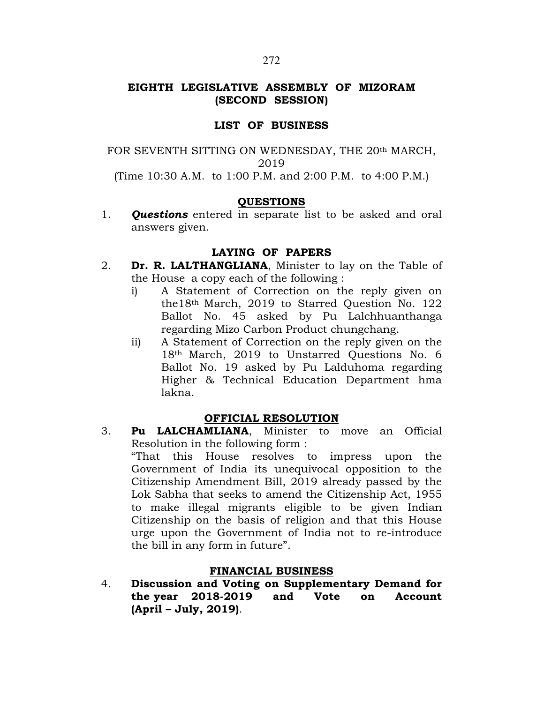# EIGHTH LEGISLATIVE ASSEMBLY OF MIZORAM (SECOND SESSION)

### LIST OF BUSINESS

FOR SEVENTH SITTING ON WEDNESDAY, THE 20th MARCH, 2019 (Time 10:30 A.M. to 1:00 P.M. and 2:00 P.M. to 4:00 P.M.)

### **OUESTIONS**

1. **Questions** entered in separate list to be asked and oral answers given.

## LAYING OF PAPERS

- 2. **Dr. R. LALTHANGLIANA**, Minister to lay on the Table of the House a copy each of the following :
	- i) A Statement of Correction on the reply given on the18th March, 2019 to Starred Question No. 122 Ballot No. 45 asked by Pu Lalchhuanthanga regarding Mizo Carbon Product chungchang.
	- ii) A Statement of Correction on the reply given on the 18th March, 2019 to Unstarred Questions No. 6 Ballot No. 19 asked by Pu Lalduhoma regarding Higher & Technical Education Department hma lakna.

### OFFICIAL RESOLUTION

3. Pu LALCHAMLIANA, Minister to move an Official Resolution in the following form : "That this House resolves to impress upon the Government of India its unequivocal opposition to the Citizenship Amendment Bill, 2019 already passed by the Lok Sabha that seeks to amend the Citizenship Act, 1955 to make illegal migrants eligible to be given Indian Citizenship on the basis of religion and that this House urge upon the Government of India not to re-introduce the bill in any form in future".

## FINANCIAL BUSINESS

4. Discussion and Voting on Supplementary Demand for the year 2018-2019 and Vote on Account (April – July, 2019).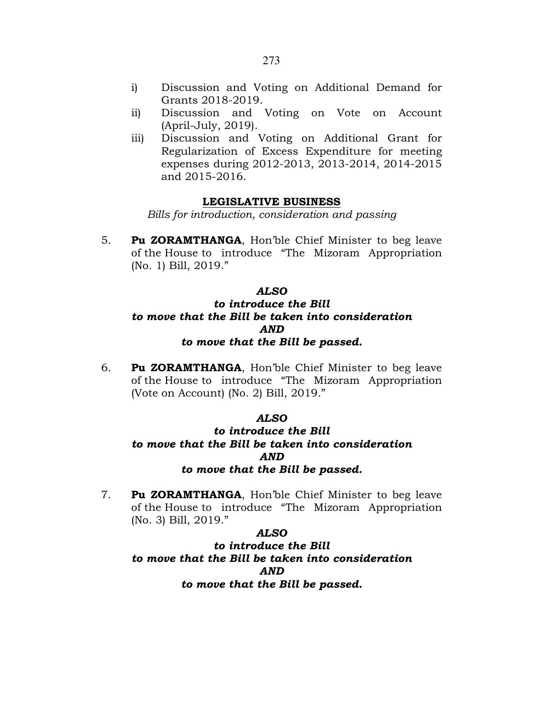- i) Discussion and Voting on Additional Demand for Grants 2018-2019.
- ii) Discussion and Voting on Vote on Account (April-July, 2019).
- iii) Discussion and Voting on Additional Grant for Regularization of Excess Expenditure for meeting expenses during 2012-2013, 2013-2014, 2014-2015 and 2015-2016.

### LEGISLATIVE BUSINESS

Bills for introduction, consideration and passing

5. Pu ZORAMTHANGA, Hon'ble Chief Minister to beg leave of the House to introduce "The Mizoram Appropriation (No. 1) Bill, 2019."

### ALSO

# to introduce the Bill to move that the Bill be taken into consideration AND to move that the Bill be passed.

6. Pu ZORAMTHANGA, Hon'ble Chief Minister to beg leave of the House to introduce "The Mizoram Appropriation (Vote on Account) (No. 2) Bill, 2019."

### ALSO

# to introduce the Bill to move that the Bill be taken into consideration AND to move that the Bill be passed.

7. Pu ZORAMTHANGA, Hon'ble Chief Minister to beg leave of the House to introduce "The Mizoram Appropriation (No. 3) Bill, 2019."

### ALSO

to introduce the Bill to move that the Bill be taken into consideration AND to move that the Bill be passed.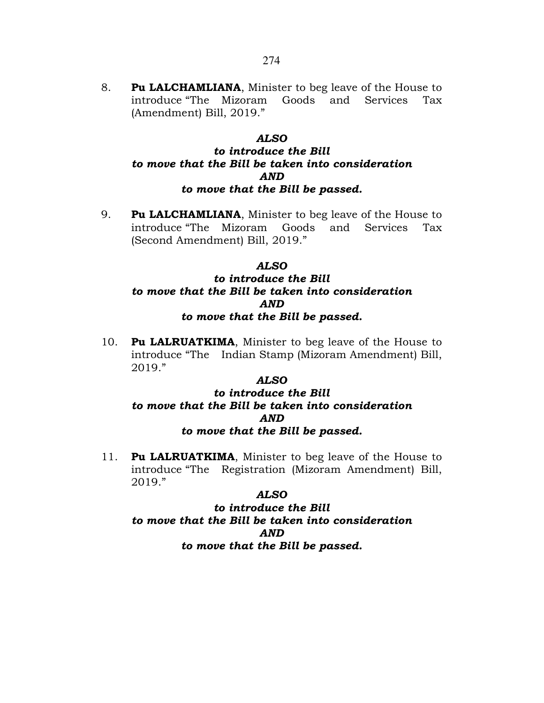8. Pu LALCHAMLIANA, Minister to beg leave of the House to introduce "The Mizoram Goods and Services Tax (Amendment) Bill, 2019."

### ALSO

# to introduce the Bill to move that the Bill be taken into consideration AND to move that the Bill be passed.

9. Pu LALCHAMLIANA, Minister to beg leave of the House to introduce "The Mizoram Goods and Services Tax (Second Amendment) Bill, 2019."

### ALSO

# to introduce the Bill to move that the Bill be taken into consideration AND to move that the Bill be passed.

10. **Pu LALRUATKIMA**, Minister to beg leave of the House to introduce "The Indian Stamp (Mizoram Amendment) Bill, 2019."

### ALSO

# to introduce the Bill to move that the Bill be taken into consideration AND to move that the Bill be passed.

11. Pu LALRUATKIMA, Minister to beg leave of the House to introduce "The Registration (Mizoram Amendment) Bill, 2019."

### ALSO

to introduce the Bill to move that the Bill be taken into consideration AND to move that the Bill be passed.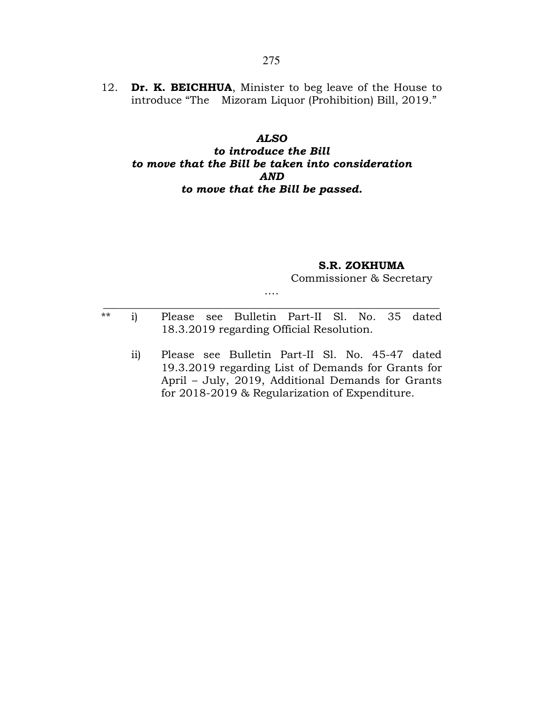12. Dr. K. BEICHHUA, Minister to beg leave of the House to introduce "The Mizoram Liquor (Prohibition) Bill, 2019."

## ALSO

# to introduce the Bill to move that the Bill be taken into consideration AND to move that the Bill be passed.

## S.R. ZOKHUMA

Commissioner & Secretary

\*\* i) Please see Bulletin Part-II Sl. No. 35 dated 18.3.2019 regarding Official Resolution.

…. \_\_\_\_\_\_\_\_\_\_\_\_\_\_\_\_\_\_\_\_\_\_\_\_\_\_\_\_\_\_\_\_\_\_\_\_\_\_\_\_\_\_\_\_\_\_\_\_\_\_\_\_\_\_\_\_\_\_\_\_\_\_

 ii) Please see Bulletin Part-II Sl. No. 45-47 dated 19.3.2019 regarding List of Demands for Grants for April – July, 2019, Additional Demands for Grants for 2018-2019 & Regularization of Expenditure.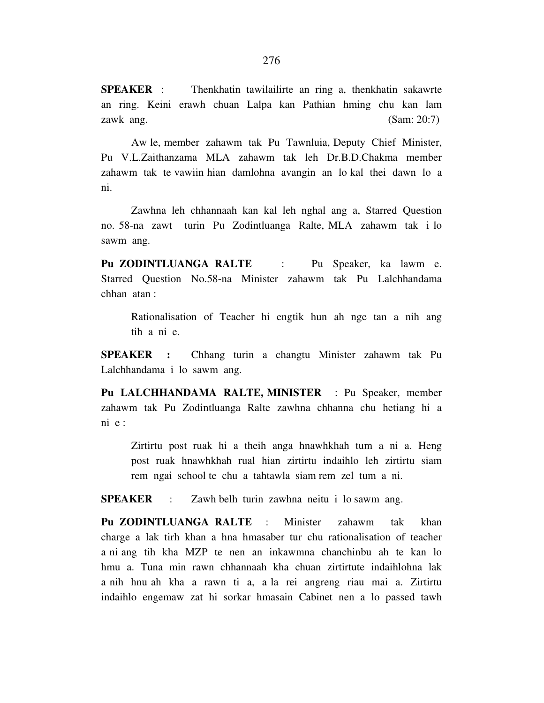**SPEAKER** : Thenkhatin tawilailirte an ring a, thenkhatin sakawrte an ring. Keini erawh chuan Lalpa kan Pathian hming chu kan lam zawk ang. (Sam: 20:7)

 Aw le, member zahawm tak Pu Tawnluia, Deputy Chief Minister, Pu V.L.Zaithanzama MLA zahawm tak leh Dr.B.D.Chakma member zahawm tak te vawiin hian damlohna avangin an lo kal thei dawn lo a ni.

 Zawhna leh chhannaah kan kal leh nghal ang a, Starred Question no. 58-na zawt turin Pu Zodintluanga Ralte, MLA zahawm tak i lo sawm ang.

**Pu ZODINTLUANGA RALTE** : Pu Speaker, ka lawm e. Starred Question No.58-na Minister zahawm tak Pu Lalchhandama chhan atan :

 Rationalisation of Teacher hi engtik hun ah nge tan a nih ang tih a ni e.

**SPEAKER :** Chhang turin a changtu Minister zahawm tak Pu Lalchhandama i lo sawm ang.

**Pu LALCHHANDAMA RALTE, MINISTER** :Pu Speaker, member zahawm tak Pu Zodintluanga Ralte zawhna chhanna chu hetiang hi a ni e :

 Zirtirtu post ruak hi a theih anga hnawhkhah tum a ni a. Heng post ruak hnawhkhah rual hian zirtirtu indaihlo leh zirtirtu siam rem ngai school te chu a tahtawla siam rem zel tum a ni.

**SPEAKER** : Zawh belh turin zawhna neitu i lo sawm ang.

**Pu ZODINTLUANGA RALTE** : Minister zahawm tak khan charge a lak tirh khan a hna hmasaber tur chu rationalisation of teacher a ni ang tih kha MZP te nen an inkawmna chanchinbu ah te kan lo hmu a. Tuna min rawn chhannaah kha chuan zirtirtute indaihlohna lak a nih hnu ah kha a rawn ti a, a la rei angreng riau mai a. Zirtirtu indaihlo engemaw zat hi sorkar hmasain Cabinet nen a lo passed tawh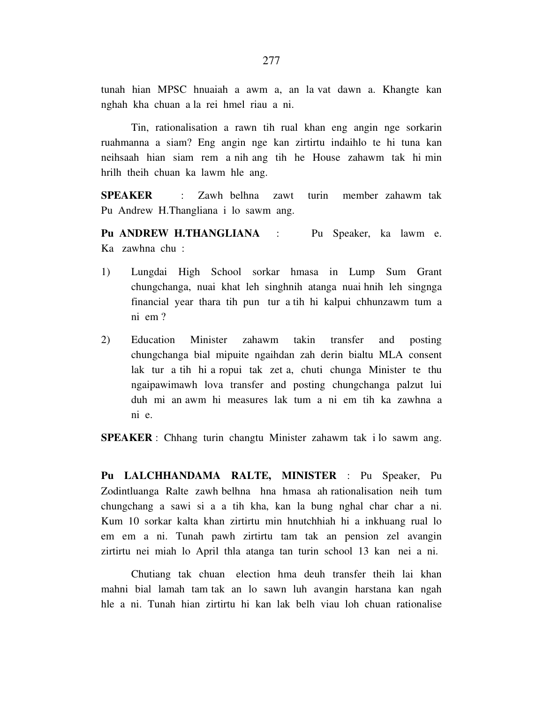tunah hian MPSC hnuaiah a awm a, an la vat dawn a. Khangte kan nghah kha chuan a la rei hmel riau a ni.

 Tin, rationalisation a rawn tih rual khan eng angin nge sorkarin ruahmanna a siam? Eng angin nge kan zirtirtu indaihlo te hi tuna kan neihsaah hian siam rem a nih ang tih he House zahawm tak hi min hrilh theih chuan ka lawm hle ang.

**SPEAKER** : Zawh belhna zawt turin member zahawm tak Pu Andrew H.Thangliana i lo sawm ang.

**Pu ANDREW H.THANGLIANA** : Pu Speaker, ka lawm e. Ka zawhna chu :

- 1) Lungdai High School sorkar hmasa in Lump Sum Grant chungchanga, nuai khat leh singhnih atanga nuai hnih leh singnga financial year thara tih pun tur a tih hi kalpui chhunzawm tum a ni em ?
- 2) Education Minister zahawm takin transfer and posting chungchanga bial mipuite ngaihdan zah derin bialtu MLA consent lak tur a tih hi a ropui tak zet a, chuti chunga Minister te thu ngaipawimawh lova transfer and posting chungchanga palzut lui duh mi an awm hi measures lak tum a ni em tih ka zawhna a ni e.

**SPEAKER** :Chhang turin changtu Minister zahawm tak i lo sawm ang.

**Pu LALCHHANDAMA RALTE, MINISTER** : Pu Speaker, Pu Zodintluanga Ralte zawh belhna hna hmasa ah rationalisation neih tum chungchang a sawi si a a tih kha, kan la bung nghal char char a ni. Kum 10 sorkar kalta khan zirtirtu min hnutchhiah hi a inkhuang rual lo em em a ni. Tunah pawh zirtirtu tam tak an pension zel avangin zirtirtu nei miah lo April thla atanga tan turin school 13 kan nei a ni.

 Chutiang tak chuan election hma deuh transfer theih lai khan mahni bial lamah tam tak an lo sawn luh avangin harstana kan ngah hle a ni. Tunah hian zirtirtu hi kan lak belh viau loh chuan rationalise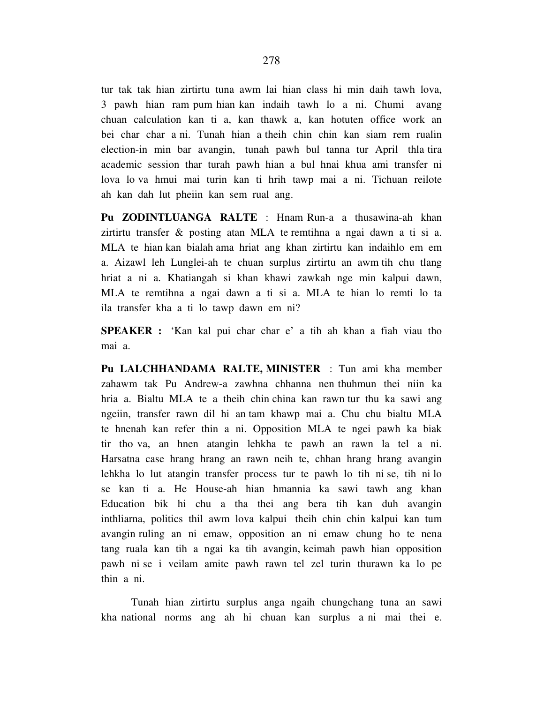tur tak tak hian zirtirtu tuna awm lai hian class hi min daih tawh lova, 3 pawh hian ram pum hian kan indaih tawh lo a ni. Chumi avang chuan calculation kan ti a, kan thawk a, kan hotuten office work an bei char char a ni. Tunah hian a theih chin chin kan siam rem rualin election-in min bar avangin, tunah pawh bul tanna tur April thla tira academic session thar turah pawh hian a bul hnai khua ami transfer ni

lova lo va hmui mai turin kan ti hrih tawp mai a ni. Tichuan reilote ah kan dah lut pheiin kan sem rual ang.

**Pu ZODINTLUANGA RALTE** : Hnam Run-a a thusawina-ah khan zirtirtu transfer & posting atan MLA te remtihna a ngai dawn a ti si a. MLA te hian kan bialah ama hriat ang khan zirtirtu kan indaihlo em em a. Aizawl leh Lunglei-ah te chuan surplus zirtirtu an awm tih chu tlang hriat a ni a. Khatiangah si khan khawi zawkah nge min kalpui dawn, MLA te remtihna a ngai dawn a ti si a. MLA te hian lo remti lo ta ila transfer kha a ti lo tawp dawn em ni?

**SPEAKER :** 'Kan kal pui char char e' a tih ah khan a fiah viau tho mai a.

**Pu LALCHHANDAMA RALTE, MINISTER** : Tun ami kha member zahawm tak Pu Andrew-a zawhna chhanna nen thuhmun thei niin ka hria a. Bialtu MLA te a theih chin china kan rawn tur thu ka sawi ang ngeiin, transfer rawn dil hi an tam khawp mai a. Chu chu bialtu MLA te hnenah kan refer thin a ni. Opposition MLA te ngei pawh ka biak tir tho va, an hnen atangin lehkha te pawh an rawn la tel a ni. Harsatna case hrang hrang an rawn neih te, chhan hrang hrang avangin lehkha lo lut atangin transfer process tur te pawh lo tih ni se, tih ni lo se kan ti a. He House-ah hian hmannia ka sawi tawh ang khan Education bik hi chu a tha thei ang bera tih kan duh avangin inthliarna, politics thil awm lova kalpui theih chin chin kalpui kan tum avangin ruling an ni emaw, opposition an ni emaw chung ho te nena tang ruala kan tih a ngai ka tih avangin, keimah pawh hian opposition pawh ni se i veilam amite pawh rawn tel zel turin thurawn ka lo pe thin a ni.

 Tunah hian zirtirtu surplus anga ngaih chungchang tuna an sawi kha national norms ang ah hi chuan kan surplus a ni mai thei e.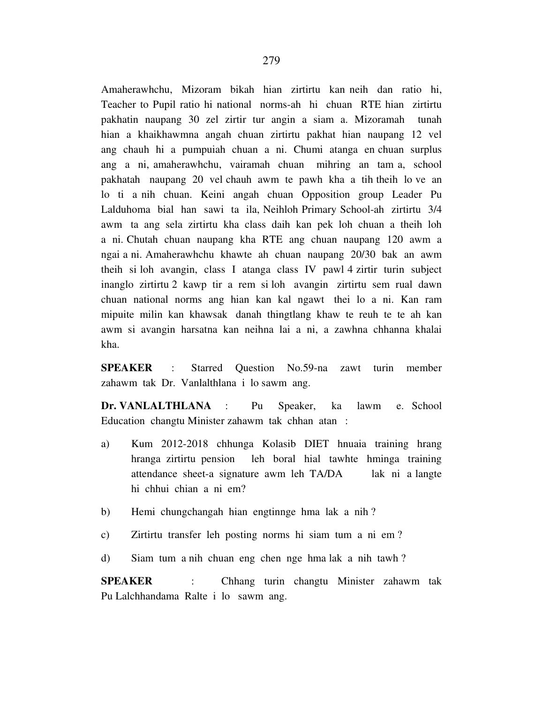Amaherawhchu, Mizoram bikah hian zirtirtu kan neih dan ratio hi, Teacher to Pupil ratio hi national norms-ah hi chuan RTE hian zirtirtu pakhatin naupang 30 zel zirtir tur angin a siam a. Mizoramah tunah hian a khaikhawmna angah chuan zirtirtu pakhat hian naupang 12 vel ang chauh hi a pumpuiah chuan a ni. Chumi atanga en chuan surplus ang a ni, amaherawhchu, vairamah chuan mihring an tam a, school pakhatah naupang 20 vel chauh awm te pawh kha a tih theih lo ve an lo ti a nih chuan. Keini angah chuan Opposition group Leader Pu Lalduhoma bial han sawi ta ila, Neihloh Primary School-ah zirtirtu 3/4 awm ta ang sela zirtirtu kha class daih kan pek loh chuan a theih loh a ni. Chutah chuan naupang kha RTE ang chuan naupang 120 awm a ngai a ni. Amaherawhchu khawte ah chuan naupang 20/30 bak an awm theih si loh avangin, class I atanga class IV pawl 4 zirtir turin subject inanglo zirtirtu 2 kawp tir a rem si loh avangin zirtirtu sem rual dawn chuan national norms ang hian kan kal ngawt thei lo a ni. Kan ram mipuite milin kan khawsak danah thingtlang khaw te reuh te te ah kan awm si avangin harsatna kan neihna lai a ni, a zawhna chhanna khalai kha.

**SPEAKER** : Starred Question No.59-na zawt turin member zahawm tak Dr. Vanlalthlana i lo sawm ang.

**Dr. VANLALTHLANA** : Pu Speaker, ka lawm e. School Education changtu Minister zahawm tak chhan atan :

- a) Kum 2012-2018 chhunga Kolasib DIET hnuaia training hrang hranga zirtirtu pension leh boral hial tawhte hminga training attendance sheet-a signature awm leh TA/DA lak ni a langte hi chhui chian a ni em?
- b) Hemi chungchangah hian engtinnge hma lak a nih ?
- c) Zirtirtu transfer leh posting norms hi siam tum a ni em ?
- d) Siam tum a nih chuan eng chen nge hma lak a nih tawh ?

**SPEAKER** : Chhang turin changtu Minister zahawm tak Pu Lalchhandama Ralte i lo sawm ang.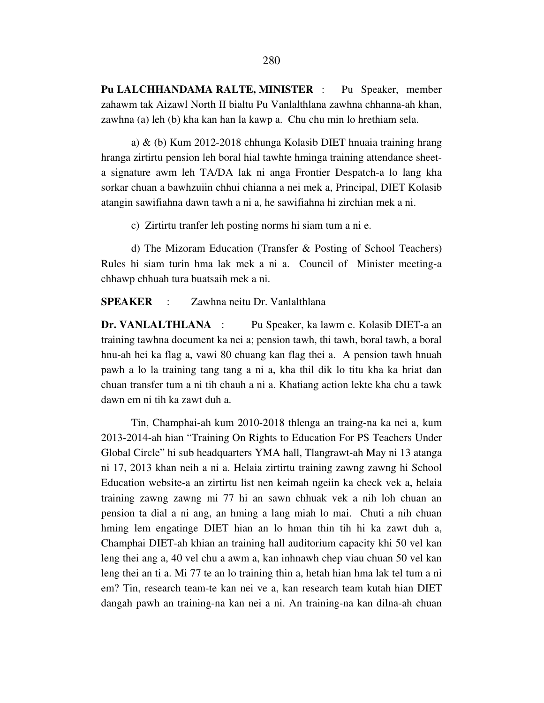**Pu LALCHHANDAMA RALTE, MINISTER** : Pu Speaker, member zahawm tak Aizawl North II bialtu Pu Vanlalthlana zawhna chhanna-ah khan, zawhna (a) leh (b) kha kan han la kawp a. Chu chu min lo hrethiam sela.

 a) & (b) Kum 2012-2018 chhunga Kolasib DIET hnuaia training hrang hranga zirtirtu pension leh boral hial tawhte hminga training attendance sheeta signature awm leh TA/DA lak ni anga Frontier Despatch-a lo lang kha sorkar chuan a bawhzuiin chhui chianna a nei mek a, Principal, DIET Kolasib atangin sawifiahna dawn tawh a ni a, he sawifiahna hi zirchian mek a ni.

c) Zirtirtu tranfer leh posting norms hi siam tum a ni e.

 d) The Mizoram Education (Transfer & Posting of School Teachers) Rules hi siam turin hma lak mek a ni a. Council of Minister meeting-a chhawp chhuah tura buatsaih mek a ni.

**SPEAKER** : Zawhna neitu Dr. Vanlalthlana

**Dr. VANLALTHLANA** : Pu Speaker, ka lawm e. Kolasib DIET-a an training tawhna document ka nei a; pension tawh, thi tawh, boral tawh, a boral hnu-ah hei ka flag a, vawi 80 chuang kan flag thei a. A pension tawh hnuah pawh a lo la training tang tang a ni a, kha thil dik lo titu kha ka hriat dan chuan transfer tum a ni tih chauh a ni a. Khatiang action lekte kha chu a tawk dawn em ni tih ka zawt duh a.

 Tin, Champhai-ah kum 2010-2018 thlenga an traing-na ka nei a, kum 2013-2014-ah hian "Training On Rights to Education For PS Teachers Under Global Circle" hi sub headquarters YMA hall, Tlangrawt-ah May ni 13 atanga ni 17, 2013 khan neih a ni a. Helaia zirtirtu training zawng zawng hi School Education website-a an zirtirtu list nen keimah ngeiin ka check vek a, helaia training zawng zawng mi 77 hi an sawn chhuak vek a nih loh chuan an pension ta dial a ni ang, an hming a lang miah lo mai. Chuti a nih chuan hming lem engatinge DIET hian an lo hman thin tih hi ka zawt duh a, Champhai DIET-ah khian an training hall auditorium capacity khi 50 vel kan leng thei ang a, 40 vel chu a awm a, kan inhnawh chep viau chuan 50 vel kan leng thei an ti a. Mi 77 te an lo training thin a, hetah hian hma lak tel tum a ni em? Tin, research team-te kan nei ve a, kan research team kutah hian DIET dangah pawh an training-na kan nei a ni. An training-na kan dilna-ah chuan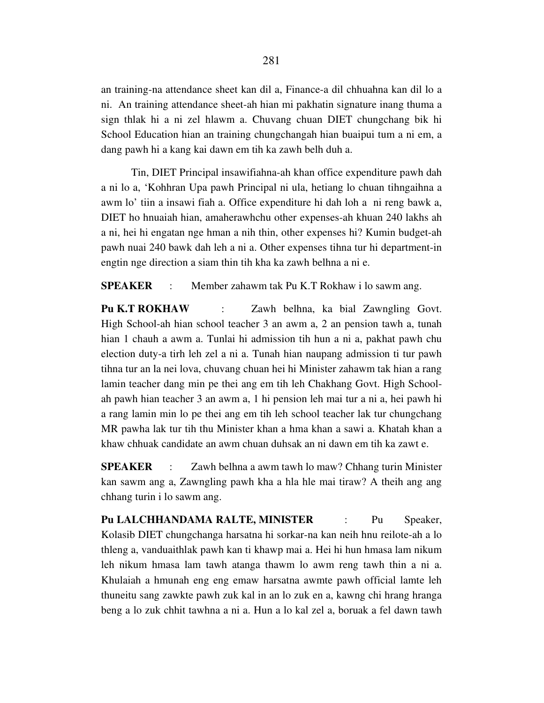an training-na attendance sheet kan dil a, Finance-a dil chhuahna kan dil lo a ni. An training attendance sheet-ah hian mi pakhatin signature inang thuma a sign thlak hi a ni zel hlawm a. Chuvang chuan DIET chungchang bik hi School Education hian an training chungchangah hian buaipui tum a ni em, a dang pawh hi a kang kai dawn em tih ka zawh belh duh a.

 Tin, DIET Principal insawifiahna-ah khan office expenditure pawh dah a ni lo a, 'Kohhran Upa pawh Principal ni ula, hetiang lo chuan tihngaihna a awm lo' tiin a insawi fiah a. Office expenditure hi dah loh a ni reng bawk a, DIET ho hnuaiah hian, amaherawhchu other expenses-ah khuan 240 lakhs ah a ni, hei hi engatan nge hman a nih thin, other expenses hi? Kumin budget-ah pawh nuai 240 bawk dah leh a ni a. Other expenses tihna tur hi department-in engtin nge direction a siam thin tih kha ka zawh belhna a ni e.

**SPEAKER** : Member zahawm tak Pu K.T Rokhaw i lo sawm ang.

**Pu K.T ROKHAW** : Zawh belhna, ka bial Zawngling Govt. High School-ah hian school teacher 3 an awm a, 2 an pension tawh a, tunah hian 1 chauh a awm a. Tunlai hi admission tih hun a ni a, pakhat pawh chu election duty-a tirh leh zel a ni a. Tunah hian naupang admission ti tur pawh tihna tur an la nei lova, chuvang chuan hei hi Minister zahawm tak hian a rang lamin teacher dang min pe thei ang em tih leh Chakhang Govt. High Schoolah pawh hian teacher 3 an awm a, 1 hi pension leh mai tur a ni a, hei pawh hi a rang lamin min lo pe thei ang em tih leh school teacher lak tur chungchang MR pawha lak tur tih thu Minister khan a hma khan a sawi a. Khatah khan a khaw chhuak candidate an awm chuan duhsak an ni dawn em tih ka zawt e.

**SPEAKER** : Zawh belhna a awm tawh lo maw? Chhang turin Minister kan sawm ang a, Zawngling pawh kha a hla hle mai tiraw? A theih ang ang chhang turin i lo sawm ang.

**Pu LALCHHANDAMA RALTE, MINISTER** : Pu Speaker, Kolasib DIET chungchanga harsatna hi sorkar-na kan neih hnu reilote-ah a lo thleng a, vanduaithlak pawh kan ti khawp mai a. Hei hi hun hmasa lam nikum leh nikum hmasa lam tawh atanga thawm lo awm reng tawh thin a ni a. Khulaiah a hmunah eng eng emaw harsatna awmte pawh official lamte leh thuneitu sang zawkte pawh zuk kal in an lo zuk en a, kawng chi hrang hranga beng a lo zuk chhit tawhna a ni a. Hun a lo kal zel a, boruak a fel dawn tawh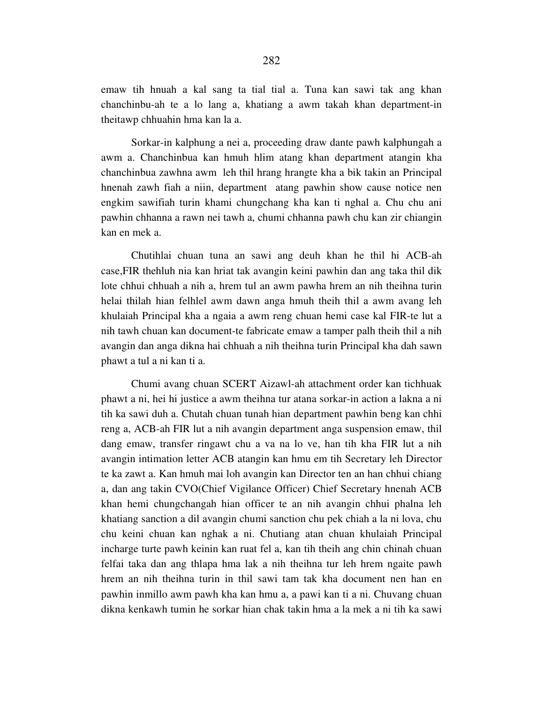emaw tih hnuah a kal sang ta tial tial a. Tuna kan sawi tak ang khan chanchinbu-ah te a lo lang a, khatiang a awm takah khan department-in theitawp chhuahin hma kan la a.

 Sorkar-in kalphung a nei a, proceeding draw dante pawh kalphungah a awm a. Chanchinbua kan hmuh hlim atang khan department atangin kha chanchinbua zawhna awm leh thil hrang hrangte kha a bik takin an Principal hnenah zawh fiah a niin, department atang pawhin show cause notice nen engkim sawifiah turin khami chungchang kha kan ti nghal a. Chu chu ani pawhin chhanna a rawn nei tawh a, chumi chhanna pawh chu kan zir chiangin kan en mek a.

 Chutihlai chuan tuna an sawi ang deuh khan he thil hi ACB-ah case,FIR thehluh nia kan hriat tak avangin keini pawhin dan ang taka thil dik lote chhui chhuah a nih a, hrem tul an awm pawha hrem an nih theihna turin helai thilah hian felhlel awm dawn anga hmuh theih thil a awm avang leh khulaiah Principal kha a ngaia a awm reng chuan hemi case kal FIR-te lut a nih tawh chuan kan document-te fabricate emaw a tamper palh theih thil a nih avangin dan anga dikna hai chhuah a nih theihna turin Principal kha dah sawn phawt a tul a ni kan ti a.

 Chumi avang chuan SCERT Aizawl-ah attachment order kan tichhuak phawt a ni, hei hi justice a awm theihna tur atana sorkar-in action a lakna a ni tih ka sawi duh a. Chutah chuan tunah hian department pawhin beng kan chhi reng a, ACB-ah FIR lut a nih avangin department anga suspension emaw, thil dang emaw, transfer ringawt chu a va na lo ve, han tih kha FIR lut a nih avangin intimation letter ACB atangin kan hmu em tih Secretary leh Director te ka zawt a. Kan hmuh mai loh avangin kan Director ten an han chhui chiang a, dan ang takin CVO(Chief Vigilance Officer) Chief Secretary hnenah ACB khan hemi chungchangah hian officer te an nih avangin chhui phalna leh khatiang sanction a dil avangin chumi sanction chu pek chiah a la ni lova, chu chu keini chuan kan nghak a ni. Chutiang atan chuan khulaiah Principal incharge turte pawh keinin kan ruat fel a, kan tih theih ang chin chinah chuan felfai taka dan ang thlapa hma lak a nih theihna tur leh hrem ngaite pawh hrem an nih theihna turin in thil sawi tam tak kha document nen han en pawhin inmillo awm pawh kha kan hmu a, a pawi kan ti a ni. Chuvang chuan dikna kenkawh tumin he sorkar hian chak takin hma a la mek a ni tih ka sawi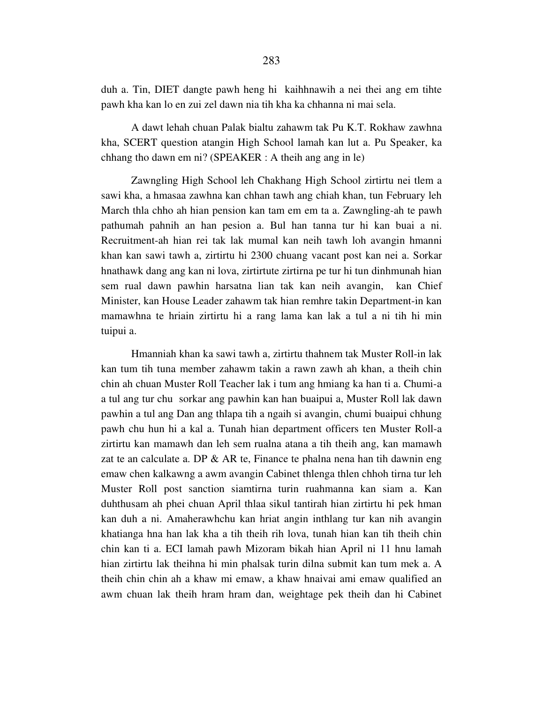duh a. Tin, DIET dangte pawh heng hi kaihhnawih a nei thei ang em tihte pawh kha kan lo en zui zel dawn nia tih kha ka chhanna ni mai sela.

 A dawt lehah chuan Palak bialtu zahawm tak Pu K.T. Rokhaw zawhna kha, SCERT question atangin High School lamah kan lut a. Pu Speaker, ka chhang tho dawn em ni? (SPEAKER : A theih ang ang in le)

 Zawngling High School leh Chakhang High School zirtirtu nei tlem a sawi kha, a hmasaa zawhna kan chhan tawh ang chiah khan, tun February leh March thla chho ah hian pension kan tam em em ta a. Zawngling-ah te pawh pathumah pahnih an han pesion a. Bul han tanna tur hi kan buai a ni. Recruitment-ah hian rei tak lak mumal kan neih tawh loh avangin hmanni khan kan sawi tawh a, zirtirtu hi 2300 chuang vacant post kan nei a. Sorkar hnathawk dang ang kan ni lova, zirtirtute zirtirna pe tur hi tun dinhmunah hian sem rual dawn pawhin harsatna lian tak kan neih avangin, kan Chief Minister, kan House Leader zahawm tak hian remhre takin Department-in kan mamawhna te hriain zirtirtu hi a rang lama kan lak a tul a ni tih hi min tuipui a.

 Hmanniah khan ka sawi tawh a, zirtirtu thahnem tak Muster Roll-in lak kan tum tih tuna member zahawm takin a rawn zawh ah khan, a theih chin chin ah chuan Muster Roll Teacher lak i tum ang hmiang ka han ti a. Chumi-a a tul ang tur chu sorkar ang pawhin kan han buaipui a, Muster Roll lak dawn pawhin a tul ang Dan ang thlapa tih a ngaih si avangin, chumi buaipui chhung pawh chu hun hi a kal a. Tunah hian department officers ten Muster Roll-a zirtirtu kan mamawh dan leh sem rualna atana a tih theih ang, kan mamawh zat te an calculate a. DP & AR te, Finance te phalna nena han tih dawnin eng emaw chen kalkawng a awm avangin Cabinet thlenga thlen chhoh tirna tur leh Muster Roll post sanction siamtirna turin ruahmanna kan siam a. Kan duhthusam ah phei chuan April thlaa sikul tantirah hian zirtirtu hi pek hman kan duh a ni. Amaherawhchu kan hriat angin inthlang tur kan nih avangin khatianga hna han lak kha a tih theih rih lova, tunah hian kan tih theih chin chin kan ti a. ECI lamah pawh Mizoram bikah hian April ni 11 hnu lamah hian zirtirtu lak theihna hi min phalsak turin dilna submit kan tum mek a. A theih chin chin ah a khaw mi emaw, a khaw hnaivai ami emaw qualified an awm chuan lak theih hram hram dan, weightage pek theih dan hi Cabinet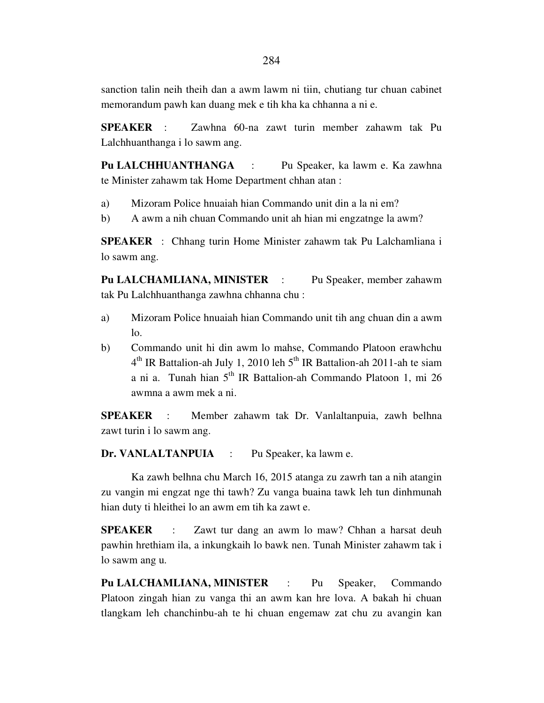sanction talin neih theih dan a awm lawm ni tiin, chutiang tur chuan cabinet memorandum pawh kan duang mek e tih kha ka chhanna a ni e.

**SPEAKER** : Zawhna 60-na zawt turin member zahawm tak Pu Lalchhuanthanga i lo sawm ang.

**Pu LALCHHUANTHANGA** : Pu Speaker, ka lawm e. Ka zawhna te Minister zahawm tak Home Department chhan atan :

- a) Mizoram Police hnuaiah hian Commando unit din a la ni em?
- b) A awm a nih chuan Commando unit ah hian mi engzatnge la awm?

**SPEAKER** : Chhang turin Home Minister zahawm tak Pu Lalchamliana i lo sawm ang.

**Pu LALCHAMLIANA, MINISTER** : Pu Speaker, member zahawm tak Pu Lalchhuanthanga zawhna chhanna chu :

- a) Mizoram Police hnuaiah hian Commando unit tih ang chuan din a awm  $1<sub>0</sub>$ .
- b) Commando unit hi din awm lo mahse, Commando Platoon erawhchu  $4<sup>th</sup>$  IR Battalion-ah July 1, 2010 leh  $5<sup>th</sup>$  IR Battalion-ah 2011-ah te siam a ni a. Tunah hian  $5<sup>th</sup>$  IR Battalion-ah Commando Platoon 1, mi 26 awmna a awm mek a ni.

**SPEAKER** : Member zahawm tak Dr. Vanlaltanpuia, zawh belhna zawt turin i lo sawm ang.

**Dr. VANLALTANPUIA** : Pu Speaker, ka lawm e.

 Ka zawh belhna chu March 16, 2015 atanga zu zawrh tan a nih atangin zu vangin mi engzat nge thi tawh? Zu vanga buaina tawk leh tun dinhmunah hian duty ti hleithei lo an awm em tih ka zawt e.

**SPEAKER** : Zawt tur dang an awm lo maw? Chhan a harsat deuh pawhin hrethiam ila, a inkungkaih lo bawk nen. Tunah Minister zahawm tak i lo sawm ang u.

**Pu LALCHAMLIANA, MINISTER** : Pu Speaker, Commando Platoon zingah hian zu vanga thi an awm kan hre lova. A bakah hi chuan tlangkam leh chanchinbu-ah te hi chuan engemaw zat chu zu avangin kan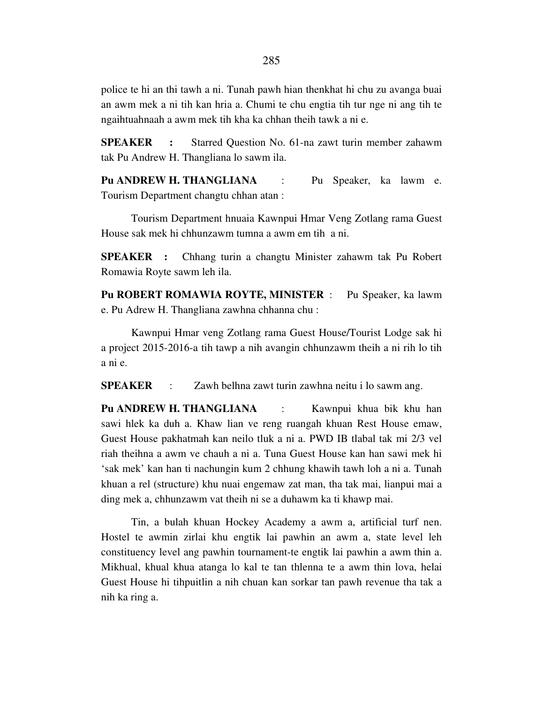police te hi an thi tawh a ni. Tunah pawh hian thenkhat hi chu zu avanga buai an awm mek a ni tih kan hria a. Chumi te chu engtia tih tur nge ni ang tih te ngaihtuahnaah a awm mek tih kha ka chhan theih tawk a ni e.

**SPEAKER** : Starred Question No. 61-na zawt turin member zahawm tak Pu Andrew H. Thangliana lo sawm ila.

**Pu ANDREW H. THANGLIANA** : Pu Speaker, ka lawm e. Tourism Department changtu chhan atan :

 Tourism Department hnuaia Kawnpui Hmar Veng Zotlang rama Guest House sak mek hi chhunzawm tumna a awm em tih a ni.

**SPEAKER :** Chhang turin a changtu Minister zahawm tak Pu Robert Romawia Royte sawm leh ila.

**Pu ROBERT ROMAWIA ROYTE, MINISTER** : Pu Speaker, ka lawm e. Pu Adrew H. Thangliana zawhna chhanna chu :

 Kawnpui Hmar veng Zotlang rama Guest House/Tourist Lodge sak hi a project 2015-2016-a tih tawp a nih avangin chhunzawm theih a ni rih lo tih a ni e.

**SPEAKER** : Zawh belhna zawt turin zawhna neitu i lo sawm ang.

Pu ANDREW H. THANGLIANA : Kawnpui khua bik khu han sawi hlek ka duh a. Khaw lian ve reng ruangah khuan Rest House emaw, Guest House pakhatmah kan neilo tluk a ni a. PWD IB tlabal tak mi 2/3 vel riah theihna a awm ve chauh a ni a. Tuna Guest House kan han sawi mek hi 'sak mek' kan han ti nachungin kum 2 chhung khawih tawh loh a ni a. Tunah khuan a rel (structure) khu nuai engemaw zat man, tha tak mai, lianpui mai a ding mek a, chhunzawm vat theih ni se a duhawm ka ti khawp mai.

 Tin, a bulah khuan Hockey Academy a awm a, artificial turf nen. Hostel te awmin zirlai khu engtik lai pawhin an awm a, state level leh constituency level ang pawhin tournament-te engtik lai pawhin a awm thin a. Mikhual, khual khua atanga lo kal te tan thlenna te a awm thin lova, helai Guest House hi tihpuitlin a nih chuan kan sorkar tan pawh revenue tha tak a nih ka ring a.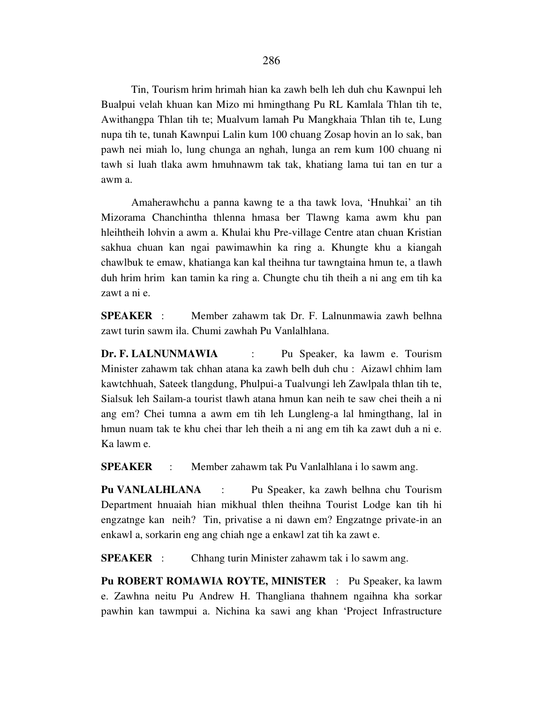Tin, Tourism hrim hrimah hian ka zawh belh leh duh chu Kawnpui leh Bualpui velah khuan kan Mizo mi hmingthang Pu RL Kamlala Thlan tih te, Awithangpa Thlan tih te; Mualvum lamah Pu Mangkhaia Thlan tih te, Lung nupa tih te, tunah Kawnpui Lalin kum 100 chuang Zosap hovin an lo sak, ban pawh nei miah lo, lung chunga an nghah, lunga an rem kum 100 chuang ni tawh si luah tlaka awm hmuhnawm tak tak, khatiang lama tui tan en tur a awm a.

 Amaherawhchu a panna kawng te a tha tawk lova, 'Hnuhkai' an tih Mizorama Chanchintha thlenna hmasa ber Tlawng kama awm khu pan hleihtheih lohvin a awm a. Khulai khu Pre-village Centre atan chuan Kristian sakhua chuan kan ngai pawimawhin ka ring a. Khungte khu a kiangah chawlbuk te emaw, khatianga kan kal theihna tur tawngtaina hmun te, a tlawh duh hrim hrim kan tamin ka ring a. Chungte chu tih theih a ni ang em tih ka zawt a ni e.

**SPEAKER** : Member zahawm tak Dr. F. Lalnunmawia zawh belhna zawt turin sawm ila. Chumi zawhah Pu Vanlalhlana.

**Dr. F. LALNUNMAWIA** : Pu Speaker, ka lawm e. Tourism Minister zahawm tak chhan atana ka zawh belh duh chu : Aizawl chhim lam kawtchhuah, Sateek tlangdung, Phulpui-a Tualvungi leh Zawlpala thlan tih te, Sialsuk leh Sailam-a tourist tlawh atana hmun kan neih te saw chei theih a ni ang em? Chei tumna a awm em tih leh Lungleng-a lal hmingthang, lal in hmun nuam tak te khu chei thar leh theih a ni ang em tih ka zawt duh a ni e. Ka lawm e.

**SPEAKER** : Member zahawm tak Pu Vanlalhlana i lo sawm ang.

**Pu VANLALHLANA** : Pu Speaker, ka zawh belhna chu Tourism Department hnuaiah hian mikhual thlen theihna Tourist Lodge kan tih hi engzatnge kan neih? Tin, privatise a ni dawn em? Engzatnge private-in an enkawl a, sorkarin eng ang chiah nge a enkawl zat tih ka zawt e.

**SPEAKER** : Chhang turin Minister zahawm tak i lo sawm ang.

**Pu ROBERT ROMAWIA ROYTE, MINISTER** : Pu Speaker, ka lawm e. Zawhna neitu Pu Andrew H. Thangliana thahnem ngaihna kha sorkar pawhin kan tawmpui a. Nichina ka sawi ang khan 'Project Infrastructure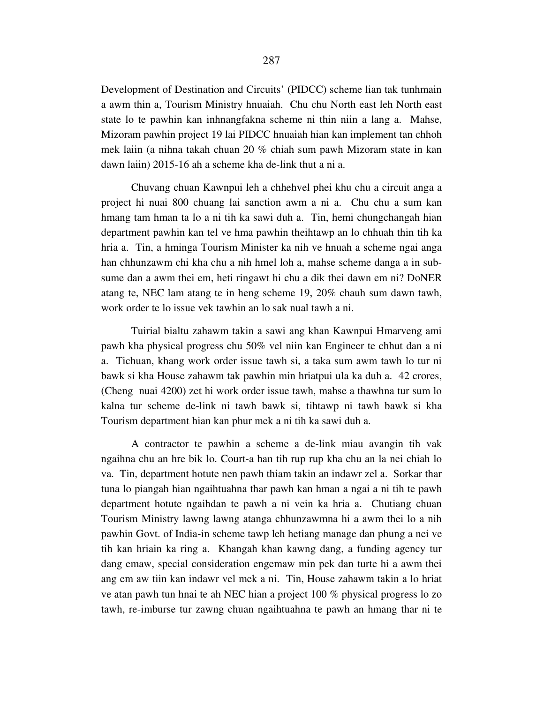Development of Destination and Circuits' (PIDCC) scheme lian tak tunhmain a awm thin a, Tourism Ministry hnuaiah. Chu chu North east leh North east state lo te pawhin kan inhnangfakna scheme ni thin niin a lang a. Mahse, Mizoram pawhin project 19 lai PIDCC hnuaiah hian kan implement tan chhoh mek laiin (a nihna takah chuan 20 % chiah sum pawh Mizoram state in kan dawn laiin) 2015-16 ah a scheme kha de-link thut a ni a.

 Chuvang chuan Kawnpui leh a chhehvel phei khu chu a circuit anga a project hi nuai 800 chuang lai sanction awm a ni a. Chu chu a sum kan hmang tam hman ta lo a ni tih ka sawi duh a. Tin, hemi chungchangah hian department pawhin kan tel ve hma pawhin theihtawp an lo chhuah thin tih ka hria a. Tin, a hminga Tourism Minister ka nih ve hnuah a scheme ngai anga han chhunzawm chi kha chu a nih hmel loh a, mahse scheme danga a in subsume dan a awm thei em, heti ringawt hi chu a dik thei dawn em ni? DoNER atang te, NEC lam atang te in heng scheme 19, 20% chauh sum dawn tawh, work order te lo issue vek tawhin an lo sak nual tawh a ni.

 Tuirial bialtu zahawm takin a sawi ang khan Kawnpui Hmarveng ami pawh kha physical progress chu 50% vel niin kan Engineer te chhut dan a ni a. Tichuan, khang work order issue tawh si, a taka sum awm tawh lo tur ni bawk si kha House zahawm tak pawhin min hriatpui ula ka duh a. 42 crores, (Cheng nuai 4200) zet hi work order issue tawh, mahse a thawhna tur sum lo kalna tur scheme de-link ni tawh bawk si, tihtawp ni tawh bawk si kha Tourism department hian kan phur mek a ni tih ka sawi duh a.

 A contractor te pawhin a scheme a de-link miau avangin tih vak ngaihna chu an hre bik lo. Court-a han tih rup rup kha chu an la nei chiah lo va. Tin, department hotute nen pawh thiam takin an indawr zel a. Sorkar thar tuna lo piangah hian ngaihtuahna thar pawh kan hman a ngai a ni tih te pawh department hotute ngaihdan te pawh a ni vein ka hria a. Chutiang chuan Tourism Ministry lawng lawng atanga chhunzawmna hi a awm thei lo a nih pawhin Govt. of India-in scheme tawp leh hetiang manage dan phung a nei ve tih kan hriain ka ring a. Khangah khan kawng dang, a funding agency tur dang emaw, special consideration engemaw min pek dan turte hi a awm thei ang em aw tiin kan indawr vel mek a ni. Tin, House zahawm takin a lo hriat ve atan pawh tun hnai te ah NEC hian a project 100 % physical progress lo zo tawh, re-imburse tur zawng chuan ngaihtuahna te pawh an hmang thar ni te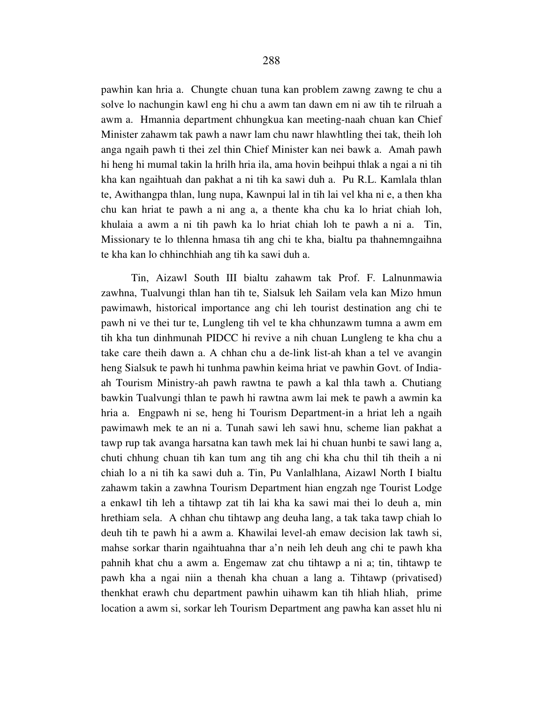pawhin kan hria a. Chungte chuan tuna kan problem zawng zawng te chu a solve lo nachungin kawl eng hi chu a awm tan dawn em ni aw tih te rilruah a awm a. Hmannia department chhungkua kan meeting-naah chuan kan Chief Minister zahawm tak pawh a nawr lam chu nawr hlawhtling thei tak, theih loh anga ngaih pawh ti thei zel thin Chief Minister kan nei bawk a. Amah pawh hi heng hi mumal takin la hrilh hria ila, ama hovin beihpui thlak a ngai a ni tih kha kan ngaihtuah dan pakhat a ni tih ka sawi duh a. Pu R.L. Kamlala thlan te, Awithangpa thlan, lung nupa, Kawnpui lal in tih lai vel kha ni e, a then kha chu kan hriat te pawh a ni ang a, a thente kha chu ka lo hriat chiah loh, khulaia a awm a ni tih pawh ka lo hriat chiah loh te pawh a ni a. Tin, Missionary te lo thlenna hmasa tih ang chi te kha, bialtu pa thahnemngaihna te kha kan lo chhinchhiah ang tih ka sawi duh a.

 Tin, Aizawl South III bialtu zahawm tak Prof. F. Lalnunmawia zawhna, Tualvungi thlan han tih te, Sialsuk leh Sailam vela kan Mizo hmun pawimawh, historical importance ang chi leh tourist destination ang chi te pawh ni ve thei tur te, Lungleng tih vel te kha chhunzawm tumna a awm em tih kha tun dinhmunah PIDCC hi revive a nih chuan Lungleng te kha chu a take care theih dawn a. A chhan chu a de-link list-ah khan a tel ve avangin heng Sialsuk te pawh hi tunhma pawhin keima hriat ve pawhin Govt. of Indiaah Tourism Ministry-ah pawh rawtna te pawh a kal thla tawh a. Chutiang bawkin Tualvungi thlan te pawh hi rawtna awm lai mek te pawh a awmin ka hria a. Engpawh ni se, heng hi Tourism Department-in a hriat leh a ngaih pawimawh mek te an ni a. Tunah sawi leh sawi hnu, scheme lian pakhat a tawp rup tak avanga harsatna kan tawh mek lai hi chuan hunbi te sawi lang a, chuti chhung chuan tih kan tum ang tih ang chi kha chu thil tih theih a ni chiah lo a ni tih ka sawi duh a. Tin, Pu Vanlalhlana, Aizawl North I bialtu zahawm takin a zawhna Tourism Department hian engzah nge Tourist Lodge a enkawl tih leh a tihtawp zat tih lai kha ka sawi mai thei lo deuh a, min hrethiam sela. A chhan chu tihtawp ang deuha lang, a tak taka tawp chiah lo deuh tih te pawh hi a awm a. Khawilai level-ah emaw decision lak tawh si, mahse sorkar tharin ngaihtuahna thar a'n neih leh deuh ang chi te pawh kha pahnih khat chu a awm a. Engemaw zat chu tihtawp a ni a; tin, tihtawp te pawh kha a ngai niin a thenah kha chuan a lang a. Tihtawp (privatised) thenkhat erawh chu department pawhin uihawm kan tih hliah hliah, prime location a awm si, sorkar leh Tourism Department ang pawha kan asset hlu ni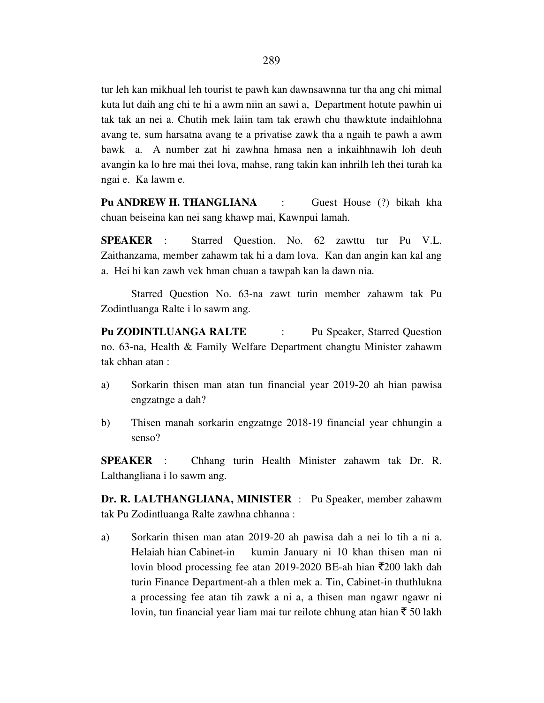tur leh kan mikhual leh tourist te pawh kan dawnsawnna tur tha ang chi mimal kuta lut daih ang chi te hi a awm niin an sawi a, Department hotute pawhin ui tak tak an nei a. Chutih mek laiin tam tak erawh chu thawktute indaihlohna avang te, sum harsatna avang te a privatise zawk tha a ngaih te pawh a awm bawk a. A number zat hi zawhna hmasa nen a inkaihhnawih loh deuh avangin ka lo hre mai thei lova, mahse, rang takin kan inhrilh leh thei turah ka ngai e. Ka lawm e.

**Pu ANDREW H. THANGLIANA** : Guest House (?) bikah kha chuan beiseina kan nei sang khawp mai, Kawnpui lamah.

**SPEAKER** : Starred Question. No. 62 zawttu tur Pu V.L. Zaithanzama, member zahawm tak hi a dam lova. Kan dan angin kan kal ang a. Hei hi kan zawh vek hman chuan a tawpah kan la dawn nia.

 Starred Question No. 63-na zawt turin member zahawm tak Pu Zodintluanga Ralte i lo sawm ang.

**Pu ZODINTLUANGA RALTE** : Pu Speaker, Starred Question no. 63-na, Health & Family Welfare Department changtu Minister zahawm tak chhan atan :

- a) Sorkarin thisen man atan tun financial year 2019-20 ah hian pawisa engzatnge a dah?
- b) Thisen manah sorkarin engzatnge 2018-19 financial year chhungin a senso?

**SPEAKER** : Chhang turin Health Minister zahawm tak Dr. R. Lalthangliana i lo sawm ang.

**Dr. R. LALTHANGLIANA, MINISTER** : Pu Speaker, member zahawm tak Pu Zodintluanga Ralte zawhna chhanna :

a) Sorkarin thisen man atan 2019-20 ah pawisa dah a nei lo tih a ni a. Helaiah hian Cabinet-in kumin January ni 10 khan thisen man ni lovin blood processing fee atan 2019-2020 BE-ah hian  $\overline{5}200$  lakh dah turin Finance Department-ah a thlen mek a. Tin, Cabinet-in thuthlukna a processing fee atan tih zawk a ni a, a thisen man ngawr ngawr ni lovin, tun financial year liam mai tur reilote chhung atan hian  $\bar{z}$  50 lakh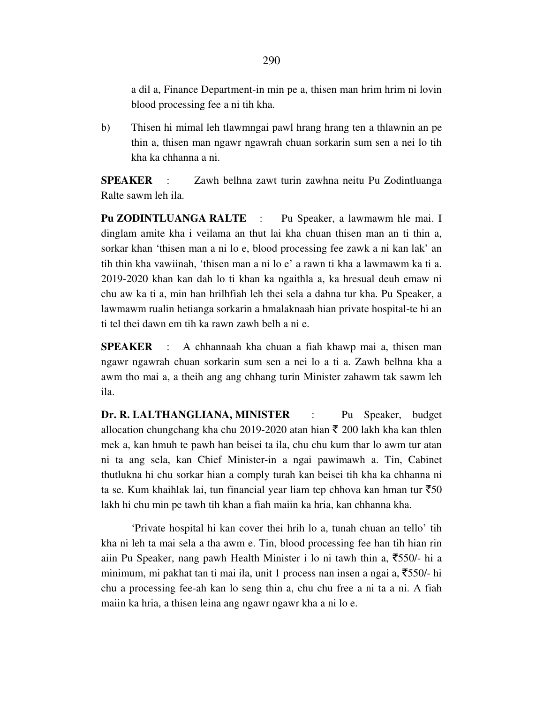a dil a, Finance Department-in min pe a, thisen man hrim hrim ni lovin blood processing fee a ni tih kha.

b) Thisen hi mimal leh tlawmngai pawl hrang hrang ten a thlawnin an pe thin a, thisen man ngawr ngawrah chuan sorkarin sum sen a nei lo tih kha ka chhanna a ni.

**SPEAKER** : Zawh belhna zawt turin zawhna neitu Pu Zodintluanga Ralte sawm leh ila.

**Pu ZODINTLUANGA RALTE** : Pu Speaker, a lawmawm hle mai. I dinglam amite kha i veilama an thut lai kha chuan thisen man an ti thin a, sorkar khan 'thisen man a ni lo e, blood processing fee zawk a ni kan lak' an tih thin kha vawiinah, 'thisen man a ni lo e' a rawn ti kha a lawmawm ka ti a. 2019-2020 khan kan dah lo ti khan ka ngaithla a, ka hresual deuh emaw ni chu aw ka ti a, min han hrilhfiah leh thei sela a dahna tur kha. Pu Speaker, a lawmawm rualin hetianga sorkarin a hmalaknaah hian private hospital-te hi an ti tel thei dawn em tih ka rawn zawh belh a ni e.

**SPEAKER** : A chhannaah kha chuan a fiah khawp mai a, thisen man ngawr ngawrah chuan sorkarin sum sen a nei lo a ti a. Zawh belhna kha a awm tho mai a, a theih ang ang chhang turin Minister zahawm tak sawm leh ila.

**Dr. R. LALTHANGLIANA, MINISTER** : Pu Speaker, budget allocation chungchang kha chu 2019-2020 atan hian  $\bar{\tau}$  200 lakh kha kan thlen mek a, kan hmuh te pawh han beisei ta ila, chu chu kum thar lo awm tur atan ni ta ang sela, kan Chief Minister-in a ngai pawimawh a. Tin, Cabinet thutlukna hi chu sorkar hian a comply turah kan beisei tih kha ka chhanna ni ta se. Kum khaihlak lai, tun financial year liam tep chhova kan hman tur  $\overline{550}$ lakh hi chu min pe tawh tih khan a fiah maiin ka hria, kan chhanna kha.

 'Private hospital hi kan cover thei hrih lo a, tunah chuan an tello' tih kha ni leh ta mai sela a tha awm e. Tin, blood processing fee han tih hian rin aiin Pu Speaker, nang pawh Health Minister i lo ni tawh thin a,  $\overline{5}50/-$  hi a minimum, mi pakhat tan ti mai ila, unit 1 process nan insen a ngai a,  $\overline{5}50/-$  hi chu a processing fee-ah kan lo seng thin a, chu chu free a ni ta a ni. A fiah maiin ka hria, a thisen leina ang ngawr ngawr kha a ni lo e.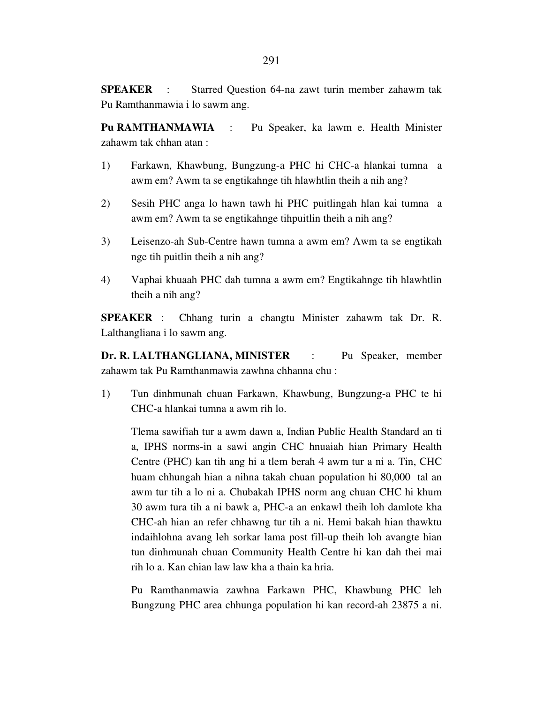**SPEAKER** : Starred Question 64-na zawt turin member zahawm tak Pu Ramthanmawia i lo sawm ang.

**Pu RAMTHANMAWIA** : Pu Speaker, ka lawm e. Health Minister zahawm tak chhan atan :

- 1) Farkawn, Khawbung, Bungzung-a PHC hi CHC-a hlankai tumna a awm em? Awm ta se engtikahnge tih hlawhtlin theih a nih ang?
- 2) Sesih PHC anga lo hawn tawh hi PHC puitlingah hlan kai tumna a awm em? Awm ta se engtikahnge tihpuitlin theih a nih ang?
- 3) Leisenzo-ah Sub-Centre hawn tumna a awm em? Awm ta se engtikah nge tih puitlin theih a nih ang?
- 4) Vaphai khuaah PHC dah tumna a awm em? Engtikahnge tih hlawhtlin theih a nih ang?

**SPEAKER** : Chhang turin a changtu Minister zahawm tak Dr. R. Lalthangliana i lo sawm ang.

**Dr. R. LALTHANGLIANA, MINISTER** : Pu Speaker, member zahawm tak Pu Ramthanmawia zawhna chhanna chu :

1) Tun dinhmunah chuan Farkawn, Khawbung, Bungzung-a PHC te hi CHC-a hlankai tumna a awm rih lo.

 Tlema sawifiah tur a awm dawn a, Indian Public Health Standard an ti a, IPHS norms-in a sawi angin CHC hnuaiah hian Primary Health Centre (PHC) kan tih ang hi a tlem berah 4 awm tur a ni a. Tin, CHC huam chhungah hian a nihna takah chuan population hi 80,000 tal an awm tur tih a lo ni a. Chubakah IPHS norm ang chuan CHC hi khum 30 awm tura tih a ni bawk a, PHC-a an enkawl theih loh damlote kha CHC-ah hian an refer chhawng tur tih a ni. Hemi bakah hian thawktu indaihlohna avang leh sorkar lama post fill-up theih loh avangte hian tun dinhmunah chuan Community Health Centre hi kan dah thei mai rih lo a. Kan chian law law kha a thain ka hria.

 Pu Ramthanmawia zawhna Farkawn PHC, Khawbung PHC leh Bungzung PHC area chhunga population hi kan record-ah 23875 a ni.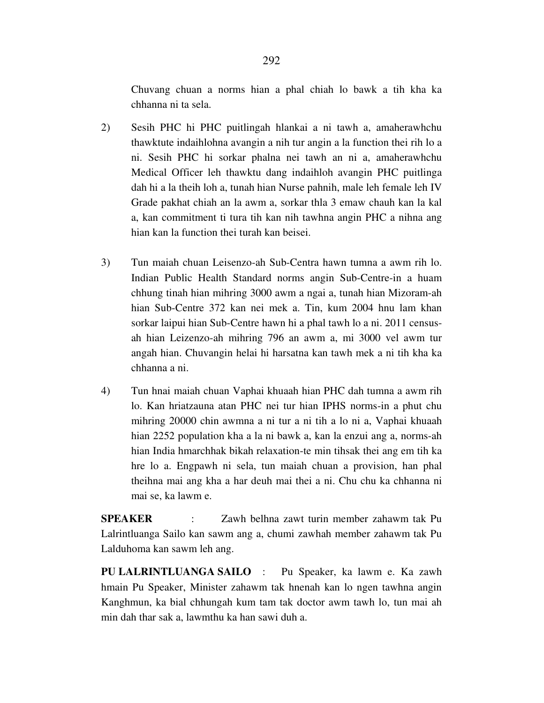Chuvang chuan a norms hian a phal chiah lo bawk a tih kha ka chhanna ni ta sela.

- 2) Sesih PHC hi PHC puitlingah hlankai a ni tawh a, amaherawhchu thawktute indaihlohna avangin a nih tur angin a la function thei rih lo a ni. Sesih PHC hi sorkar phalna nei tawh an ni a, amaherawhchu Medical Officer leh thawktu dang indaihloh avangin PHC puitlinga dah hi a la theih loh a, tunah hian Nurse pahnih, male leh female leh IV Grade pakhat chiah an la awm a, sorkar thla 3 emaw chauh kan la kal a, kan commitment ti tura tih kan nih tawhna angin PHC a nihna ang hian kan la function thei turah kan beisei.
- 3) Tun maiah chuan Leisenzo-ah Sub-Centra hawn tumna a awm rih lo. Indian Public Health Standard norms angin Sub-Centre-in a huam chhung tinah hian mihring 3000 awm a ngai a, tunah hian Mizoram-ah hian Sub-Centre 372 kan nei mek a. Tin, kum 2004 hnu lam khan sorkar laipui hian Sub-Centre hawn hi a phal tawh lo a ni. 2011 census ah hian Leizenzo-ah mihring 796 an awm a, mi 3000 vel awm tur angah hian. Chuvangin helai hi harsatna kan tawh mek a ni tih kha ka chhanna a ni.
- 4) Tun hnai maiah chuan Vaphai khuaah hian PHC dah tumna a awm rih lo. Kan hriatzauna atan PHC nei tur hian IPHS norms-in a phut chu mihring 20000 chin awmna a ni tur a ni tih a lo ni a, Vaphai khuaah hian 2252 population kha a la ni bawk a, kan la enzui ang a, norms-ah hian India hmarchhak bikah relaxation-te min tihsak thei ang em tih ka hre lo a. Engpawh ni sela, tun maiah chuan a provision, han phal theihna mai ang kha a har deuh mai thei a ni. Chu chu ka chhanna ni mai se, ka lawm e.

**SPEAKER** : Zawh belhna zawt turin member zahawm tak Pu Lalrintluanga Sailo kan sawm ang a, chumi zawhah member zahawm tak Pu Lalduhoma kan sawm leh ang.

**PU LALRINTLUANGA SAILO** : Pu Speaker, ka lawm e. Ka zawh hmain Pu Speaker, Minister zahawm tak hnenah kan lo ngen tawhna angin Kanghmun, ka bial chhungah kum tam tak doctor awm tawh lo, tun mai ah min dah thar sak a, lawmthu ka han sawi duh a.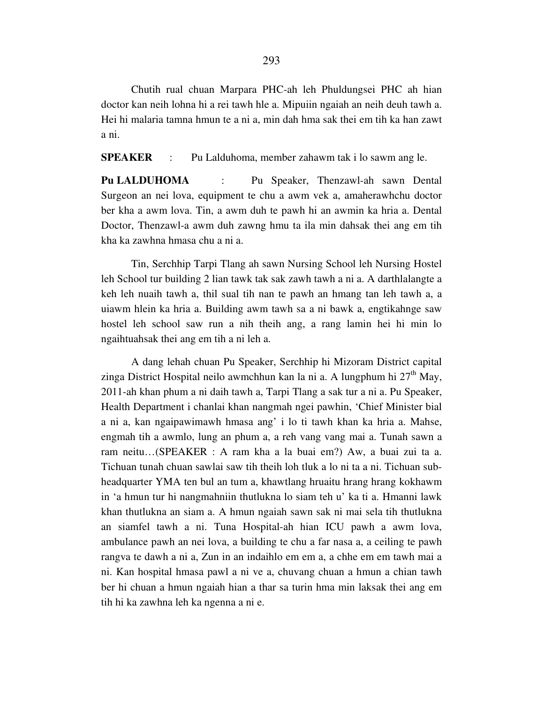Chutih rual chuan Marpara PHC-ah leh Phuldungsei PHC ah hian doctor kan neih lohna hi a rei tawh hle a. Mipuiin ngaiah an neih deuh tawh a. Hei hi malaria tamna hmun te a ni a, min dah hma sak thei em tih ka han zawt a ni.

**SPEAKER** : Pu Lalduhoma, member zahawm tak i lo sawm ang le.

**Pu LALDUHOMA** : Pu Speaker, Thenzawl-ah sawn Dental Surgeon an nei lova, equipment te chu a awm vek a, amaherawhchu doctor ber kha a awm lova. Tin, a awm duh te pawh hi an awmin ka hria a. Dental Doctor, Thenzawl-a awm duh zawng hmu ta ila min dahsak thei ang em tih kha ka zawhna hmasa chu a ni a.

 Tin, Serchhip Tarpi Tlang ah sawn Nursing School leh Nursing Hostel leh School tur building 2 lian tawk tak sak zawh tawh a ni a. A darthlalangte a keh leh nuaih tawh a, thil sual tih nan te pawh an hmang tan leh tawh a, a uiawm hlein ka hria a. Building awm tawh sa a ni bawk a, engtikahnge saw hostel leh school saw run a nih theih ang, a rang lamin hei hi min lo ngaihtuahsak thei ang em tih a ni leh a.

 A dang lehah chuan Pu Speaker, Serchhip hi Mizoram District capital zinga District Hospital neilo awmchhun kan la ni a. A lungphum hi  $27<sup>th</sup>$  May, 2011-ah khan phum a ni daih tawh a, Tarpi Tlang a sak tur a ni a. Pu Speaker, Health Department i chanlai khan nangmah ngei pawhin, 'Chief Minister bial a ni a, kan ngaipawimawh hmasa ang' i lo ti tawh khan ka hria a. Mahse, engmah tih a awmlo, lung an phum a, a reh vang vang mai a. Tunah sawn a ram neitu…(SPEAKER : A ram kha a la buai em?) Aw, a buai zui ta a. Tichuan tunah chuan sawlai saw tih theih loh tluk a lo ni ta a ni. Tichuan subheadquarter YMA ten bul an tum a, khawtlang hruaitu hrang hrang kokhawm in 'a hmun tur hi nangmahniin thutlukna lo siam teh u' ka ti a. Hmanni lawk khan thutlukna an siam a. A hmun ngaiah sawn sak ni mai sela tih thutlukna an siamfel tawh a ni. Tuna Hospital-ah hian ICU pawh a awm lova, ambulance pawh an nei lova, a building te chu a far nasa a, a ceiling te pawh rangva te dawh a ni a, Zun in an indaihlo em em a, a chhe em em tawh mai a ni. Kan hospital hmasa pawl a ni ve a, chuvang chuan a hmun a chian tawh ber hi chuan a hmun ngaiah hian a thar sa turin hma min laksak thei ang em tih hi ka zawhna leh ka ngenna a ni e.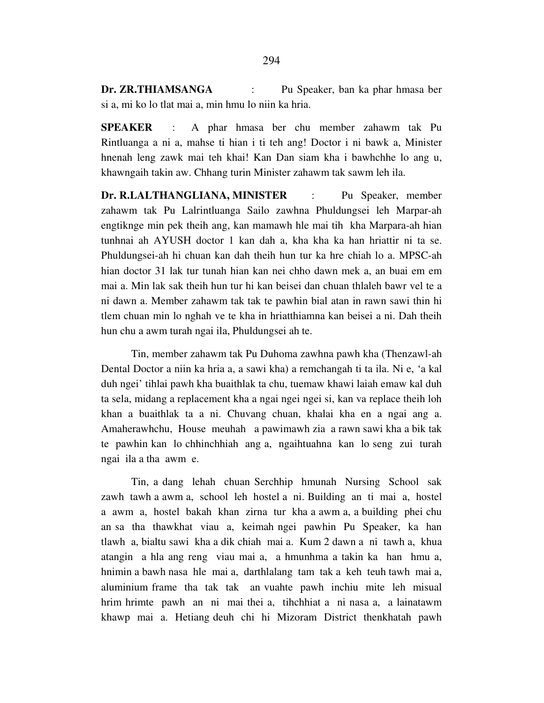**Dr. ZR.THIAMSANGA** : Pu Speaker, ban ka phar hmasa ber si a, mi ko lo tlat mai a, min hmu lo niin ka hria.

**SPEAKER** : A phar hmasa ber chu member zahawm tak Pu Rintluanga a ni a, mahse ti hian i ti teh ang! Doctor i ni bawk a, Minister hnenah leng zawk mai teh khai! Kan Dan siam kha i bawhchhe lo ang u, khawngaih takin aw. Chhang turin Minister zahawm tak sawm leh ila.

**Dr. R.LALTHANGLIANA, MINISTER** : Pu Speaker, member zahawm tak Pu Lalrintluanga Sailo zawhna Phuldungsei leh Marpar-ah engtiknge min pek theih ang, kan mamawh hle mai tih kha Marpara-ah hian tunhnai ah AYUSH doctor 1 kan dah a, kha kha ka han hriattir ni ta se. Phuldungsei-ah hi chuan kan dah theih hun tur ka hre chiah lo a. MPSC-ah hian doctor 31 lak tur tunah hian kan nei chho dawn mek a, an buai em em mai a. Min lak sak theih hun tur hi kan beisei dan chuan thlaleh bawr vel te a ni dawn a. Member zahawm tak tak te pawhin bial atan in rawn sawi thin hi tlem chuan min lo nghah ve te kha in hriatthiamna kan beisei a ni. Dah theih hun chu a awm turah ngai ila, Phuldungsei ah te.

 Tin, member zahawm tak Pu Duhoma zawhna pawh kha (Thenzawl-ah Dental Doctor a niin ka hria a, a sawi kha) a remchangah ti ta ila. Ni e, 'a kal duh ngei' tihlai pawh kha buaithlak ta chu, tuemaw khawi laiah emaw kal duh ta sela, midang a replacement kha a ngai ngei ngei si, kan va replace theih loh khan a buaithlak ta a ni. Chuvang chuan, khalai kha en a ngai ang a. Amaherawhchu, House meuhah a pawimawh zia a rawn sawi kha a bik tak te pawhin kan lo chhinchhiah ang a, ngaihtuahna kan lo seng zui turah ngai ila a tha awm e.

 Tin, a dang lehah chuan Serchhip hmunah Nursing School sak zawh tawh a awm a, school leh hostel a ni. Building an ti mai a, hostel a awm a, hostel bakah khan zirna tur kha a awm a, a building phei chu an sa tha thawkhat viau a, keimah ngei pawhin Pu Speaker, ka han tlawh a, bialtu sawi kha a dik chiah mai a. Kum 2 dawn a ni tawh a, khua atangin a hla ang reng viau mai a, a hmunhma a takin ka han hmu a, hnimin a bawh nasa hle mai a, darthlalang tam tak a keh teuh tawh mai a, aluminium frame tha tak tak an vuahte pawh inchiu mite leh misual hrim hrimte pawh an ni mai thei a, tihchhiat a ni nasa a, a lainatawm khawp mai a. Hetiang deuh chi hi Mizoram District thenkhatah pawh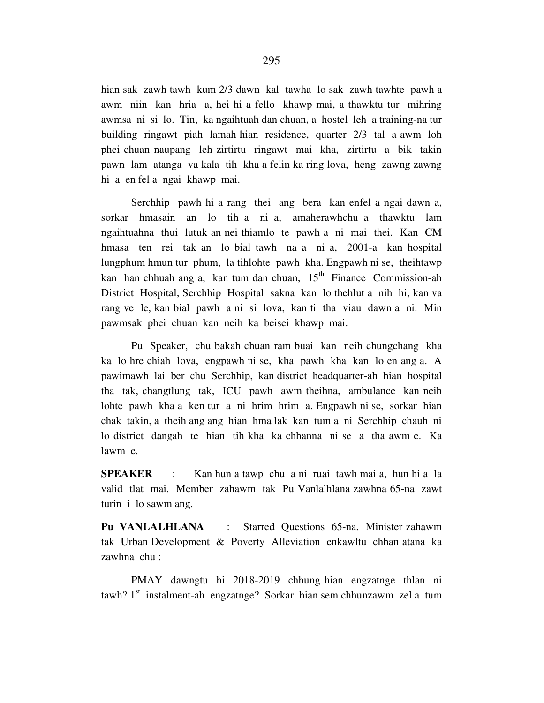hian sak zawh tawh kum 2/3 dawn kal tawha lo sak zawh tawhte pawh a awm niin kan hria a, hei hi a fello khawp mai, a thawktu tur mihring awmsa ni si lo. Tin, ka ngaihtuah dan chuan, a hostel leh a training-na tur building ringawt piah lamah hian residence, quarter 2/3 tal a awm loh phei chuan naupang leh zirtirtu ringawt mai kha, zirtirtu a bik takin pawn lam atanga va kala tih kha a felin ka ring lova, heng zawng zawng hi a en fel a ngai khawp mai.

 Serchhip pawh hi a rang thei ang bera kan enfel a ngai dawn a, sorkar hmasain an lo tih a ni a, amaherawhchu a thawktu lam ngaihtuahna thui lutuk an nei thiamlo te pawh a ni mai thei. Kan CM hmasa ten rei tak an lo bial tawh na a ni a, 2001-a kan hospital lungphum hmun tur phum, la tihlohte pawh kha. Engpawh ni se, theihtawp kan han chhuah ang a, kan tum dan chuan,  $15<sup>th</sup>$  Finance Commission-ah District Hospital, Serchhip Hospital sakna kan lo thehlut a nih hi, kan va rang ve le, kan bial pawh a ni si lova, kan ti tha viau dawn a ni. Min pawmsak phei chuan kan neih ka beisei khawp mai.

 Pu Speaker, chu bakah chuan ram buai kan neih chungchang kha ka lo hre chiah lova, engpawh ni se, kha pawh kha kan lo en ang a. A pawimawh lai ber chu Serchhip, kan district headquarter-ah hian hospital tha tak, changtlung tak, ICU pawh awm theihna, ambulance kan neih lohte pawh kha a ken tur a ni hrim hrim a. Engpawh ni se, sorkar hian chak takin, a theih ang ang hian hma lak kan tum a ni Serchhip chauh ni lo district dangah te hian tih kha ka chhanna ni se a tha awm e. Ka lawm e.

**SPEAKER** : Kan hun a tawp chu a ni ruai tawh mai a, hun hi a la valid tlat mai. Member zahawm tak Pu Vanlalhlana zawhna 65-na zawt turin i lo sawm ang.

**Pu VANLALHLANA** : Starred Questions 65-na, Minister zahawm tak Urban Development & Poverty Alleviation enkawltu chhan atana ka zawhna chu :

 PMAY dawngtu hi 2018-2019 chhung hian engzatnge thlan ni tawh? 1<sup>st</sup> instalment-ah engzatnge? Sorkar hian sem chhunzawm zel a tum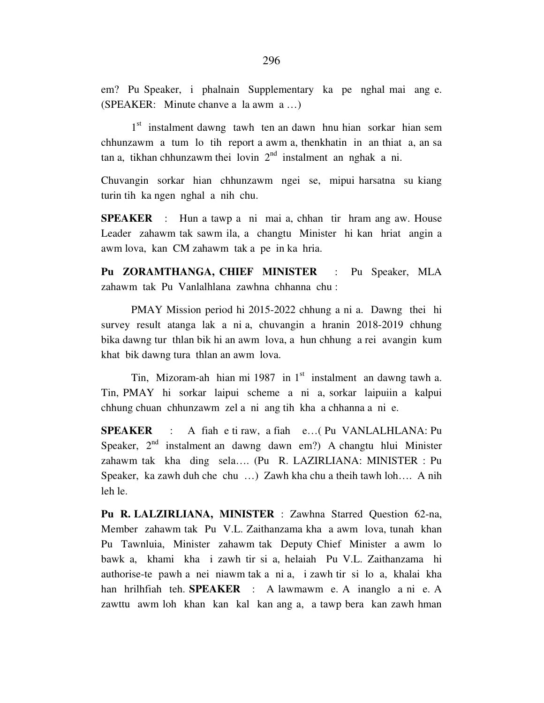em? Pu Speaker, i phalnain Supplementary ka pe nghal mai ang e. (SPEAKER: Minute chanve a la awm a …)

1<sup>st</sup> instalment dawng tawh ten an dawn hnu hian sorkar hian sem chhunzawm a tum lo tih report a awm a, thenkhatin in an thiat a, an sa tan a, tikhan chhunzawm thei lovin  $2<sup>nd</sup>$  instalment an nghak a ni.

Chuvangin sorkar hian chhunzawm ngei se, mipui harsatna su kiang turin tih ka ngen nghal a nih chu.

**SPEAKER** : Hun a tawp a ni mai a, chhan tir hram ang aw. House Leader zahawm tak sawm ila, a changtu Minister hi kan hriat angin a awm lova, kan CM zahawm tak a pe in ka hria.

**Pu ZORAMTHANGA, CHIEF MINISTER** : Pu Speaker, MLA zahawm tak Pu Vanlalhlana zawhna chhanna chu :

 PMAY Mission period hi 2015-2022 chhung a ni a. Dawng thei hi survey result atanga lak a ni a, chuvangin a hranin 2018-2019 chhung bika dawng tur thlan bik hi an awm lova, a hun chhung a rei avangin kum khat bik dawng tura thlan an awm lova.

Tin, Mizoram-ah hian mi 1987 in  $1<sup>st</sup>$  instalment an dawng tawh a. Tin, PMAY hi sorkar laipui scheme a ni a, sorkar laipuiin a kalpui chhung chuan chhunzawm zel a ni ang tih kha a chhanna a ni e.

**SPEAKER** : A fiah e ti raw, a fiah e…( Pu VANLALHLANA: Pu Speaker,  $2<sup>nd</sup>$  instalment an dawng dawn em?) A changtu hlui Minister zahawm tak kha ding sela…. (Pu R. LAZIRLIANA: MINISTER : Pu Speaker, ka zawh duh che chu …) Zawh kha chu a theih tawh loh…. A nih leh le.

**Pu R. LALZIRLIANA, MINISTER** : Zawhna Starred Question 62-na, Member zahawm tak Pu V.L. Zaithanzama kha a awm lova, tunah khan Pu Tawnluia, Minister zahawm tak Deputy Chief Minister a awm lo bawk a, khami kha i zawh tir si a, helaiah Pu V.L. Zaithanzama hi authorise-te pawh a nei niawm tak a ni a, i zawh tir si lo a, khalai kha han hrilhfiah teh. **SPEAKER** : A lawmawm e. A inanglo a ni e. A zawttu awm loh khan kan kal kan ang a, a tawp bera kan zawh hman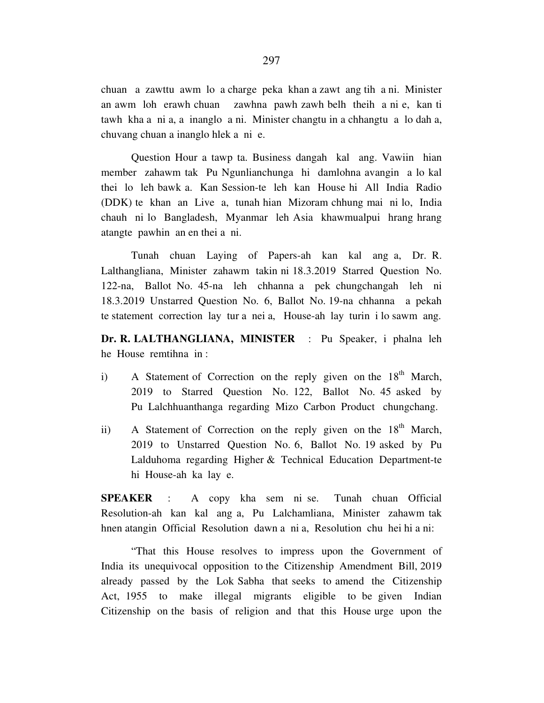chuan a zawttu awm lo a charge peka khan a zawt ang tih a ni. Minister an awm loh erawh chuan zawhna pawh zawh belh theih a ni e, kan ti tawh kha a ni a, a inanglo a ni. Minister changtu in a chhangtu a lo dah a, chuvang chuan a inanglo hlek a ni e.

 Question Hour a tawp ta. Business dangah kal ang. Vawiin hian member zahawm tak Pu Ngunlianchunga hi damlohna avangin a lo kal thei lo leh bawk a. Kan Session-te leh kan House hi All India Radio (DDK) te khan an Live a, tunah hian Mizoram chhung mai ni lo, India chauh ni lo Bangladesh, Myanmar leh Asia khawmualpui hrang hrang atangte pawhin an en thei a ni.

 Tunah chuan Laying of Papers-ah kan kal ang a, Dr. R. Lalthangliana, Minister zahawm takin ni 18.3.2019 Starred Question No. 122-na, Ballot No. 45-na leh chhanna a pek chungchangah leh ni 18.3.2019 Unstarred Question No. 6, Ballot No. 19-na chhanna a pekah te statement correction lay tur a nei a, House-ah lay turin i lo sawm ang.

**Dr. R. LALTHANGLIANA, MINISTER** : Pu Speaker, i phalna leh he House remtihna in :

- i) A Statement of Correction on the reply given on the  $18<sup>th</sup>$  March, 2019 to Starred Question No. 122, Ballot No. 45 asked by Pu Lalchhuanthanga regarding Mizo Carbon Product chungchang.
- ii) A Statement of Correction on the reply given on the  $18<sup>th</sup>$  March, 2019 to Unstarred Question No. 6, Ballot No. 19 asked by Pu Lalduhoma regarding Higher & Technical Education Department-te hi House-ah ka lay e.

**SPEAKER** : A copy kha sem ni se. Tunah chuan Official Resolution-ah kan kal ang a, Pu Lalchamliana, Minister zahawm tak hnen atangin Official Resolution dawn a ni a, Resolution chu hei hi a ni:

 "That this House resolves to impress upon the Government of India its unequivocal opposition to the Citizenship Amendment Bill, 2019 already passed by the Lok Sabha that seeks to amend the Citizenship Act, 1955 to make illegal migrants eligible to be given Indian Citizenship on the basis of religion and that this House urge upon the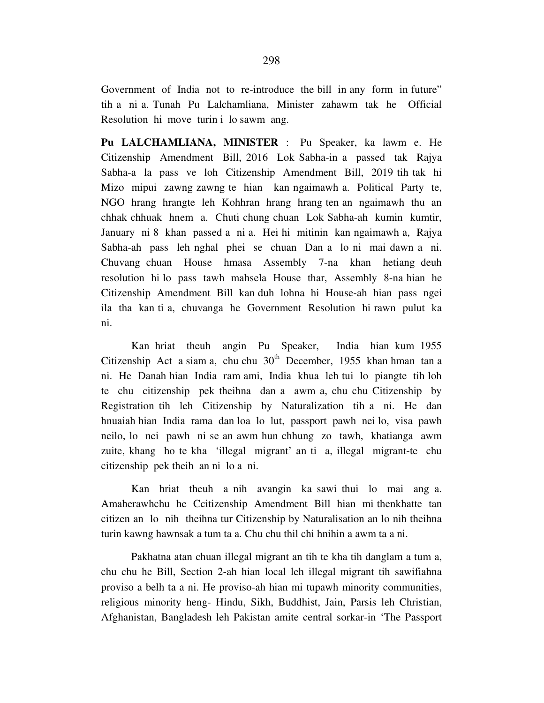Government of India not to re-introduce the bill in any form in future" tih a ni a. Tunah Pu Lalchamliana, Minister zahawm tak he Official Resolution hi move turin i lo sawm ang.

**Pu LALCHAMLIANA, MINISTER** : Pu Speaker, ka lawm e. He Citizenship Amendment Bill, 2016 Lok Sabha-in a passed tak Rajya Sabha-a la pass ve loh Citizenship Amendment Bill, 2019 tih tak hi Mizo mipui zawng zawng te hian kan ngaimawh a. Political Party te, NGO hrang hrangte leh Kohhran hrang hrang ten an ngaimawh thu an chhak chhuak hnem a. Chuti chung chuan Lok Sabha-ah kumin kumtir, January ni 8 khan passed a ni a. Hei hi mitinin kan ngaimawh a, Rajya Sabha-ah pass leh nghal phei se chuan Dan a lo ni mai dawn a ni. Chuvang chuan House hmasa Assembly 7-na khan hetiang deuh resolution hi lo pass tawh mahsela House thar, Assembly 8-na hian he Citizenship Amendment Bill kan duh lohna hi House-ah hian pass ngei ila tha kan ti a, chuvanga he Government Resolution hi rawn pulut ka ni.

 Kan hriat theuh angin Pu Speaker, India hian kum 1955 Citizenship Act a siam a, chu chu  $30<sup>th</sup>$  December, 1955 khan hman tan a ni. He Danah hian India ram ami, India khua leh tui lo piangte tih loh te chu citizenship pek theihna dan a awm a, chu chu Citizenship by Registration tih leh Citizenship by Naturalization tih a ni. He dan hnuaiah hian India rama dan loa lo lut, passport pawh nei lo, visa pawh neilo, lo nei pawh ni se an awm hun chhung zo tawh, khatianga awm zuite, khang ho te kha 'illegal migrant' an ti a, illegal migrant-te chu citizenship pek theih an ni lo a ni.

 Kan hriat theuh a nih avangin ka sawi thui lo mai ang a. Amaherawhchu he Ccitizenship Amendment Bill hian mi thenkhatte tan citizen an lo nih theihna tur Citizenship by Naturalisation an lo nih theihna turin kawng hawnsak a tum ta a. Chu chu thil chi hnihin a awm ta a ni.

 Pakhatna atan chuan illegal migrant an tih te kha tih danglam a tum a, chu chu he Bill, Section 2-ah hian local leh illegal migrant tih sawifiahna proviso a belh ta a ni. He proviso-ah hian mi tupawh minority communities, religious minority heng- Hindu, Sikh, Buddhist, Jain, Parsis leh Christian, Afghanistan, Bangladesh leh Pakistan amite central sorkar-in 'The Passport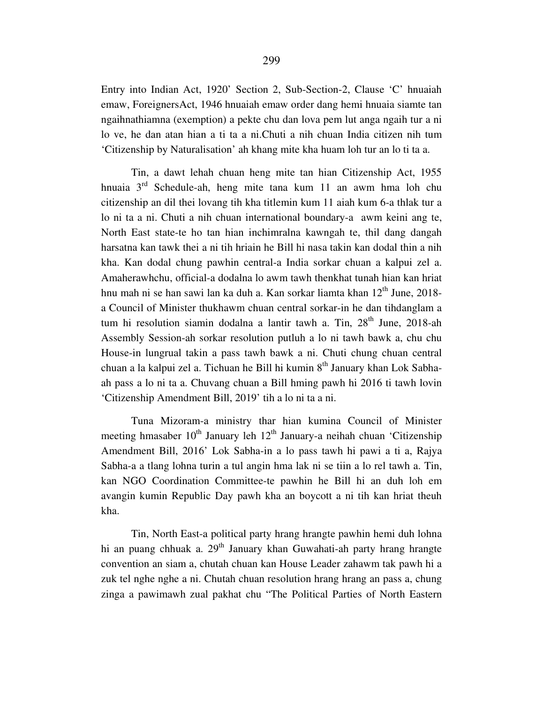Entry into Indian Act, 1920' Section 2, Sub-Section-2, Clause 'C' hnuaiah emaw, ForeignersAct, 1946 hnuaiah emaw order dang hemi hnuaia siamte tan ngaihnathiamna (exemption) a pekte chu dan lova pem lut anga ngaih tur a ni lo ve, he dan atan hian a ti ta a ni.Chuti a nih chuan India citizen nih tum 'Citizenship by Naturalisation' ah khang mite kha huam loh tur an lo ti ta a.

 Tin, a dawt lehah chuan heng mite tan hian Citizenship Act, 1955 hnuaia  $3<sup>rd</sup>$  Schedule-ah, heng mite tana kum 11 an awm hma loh chu citizenship an dil thei lovang tih kha titlemin kum 11 aiah kum 6-a thlak tur a lo ni ta a ni. Chuti a nih chuan international boundary-a awm keini ang te, North East state-te ho tan hian inchimralna kawngah te, thil dang dangah harsatna kan tawk thei a ni tih hriain he Bill hi nasa takin kan dodal thin a nih kha. Kan dodal chung pawhin central-a India sorkar chuan a kalpui zel a. Amaherawhchu, official-a dodalna lo awm tawh thenkhat tunah hian kan hriat hnu mah ni se han sawi lan ka duh a. Kan sorkar liamta khan  $12<sup>th</sup>$  June, 2018a Council of Minister thukhawm chuan central sorkar-in he dan tihdanglam a tum hi resolution siamin dodalna a lantir tawh a. Tin,  $28<sup>th</sup>$  June,  $2018$ -ah Assembly Session-ah sorkar resolution putluh a lo ni tawh bawk a, chu chu House-in lungrual takin a pass tawh bawk a ni. Chuti chung chuan central chuan a la kalpui zel a. Tichuan he Bill hi kumin  $8<sup>th</sup>$  January khan Lok Sabhaah pass a lo ni ta a. Chuvang chuan a Bill hming pawh hi 2016 ti tawh lovin 'Citizenship Amendment Bill, 2019' tih a lo ni ta a ni.

 Tuna Mizoram-a ministry thar hian kumina Council of Minister meeting hmasaber  $10^{th}$  January leh  $12^{th}$  January-a neihah chuan 'Citizenship' Amendment Bill, 2016' Lok Sabha-in a lo pass tawh hi pawi a ti a, Rajya Sabha-a a tlang lohna turin a tul angin hma lak ni se tiin a lo rel tawh a. Tin, kan NGO Coordination Committee-te pawhin he Bill hi an duh loh em avangin kumin Republic Day pawh kha an boycott a ni tih kan hriat theuh kha.

 Tin, North East-a political party hrang hrangte pawhin hemi duh lohna hi an puang chhuak a.  $29<sup>th</sup>$  January khan Guwahati-ah party hrang hrangte convention an siam a, chutah chuan kan House Leader zahawm tak pawh hi a zuk tel nghe nghe a ni. Chutah chuan resolution hrang hrang an pass a, chung zinga a pawimawh zual pakhat chu "The Political Parties of North Eastern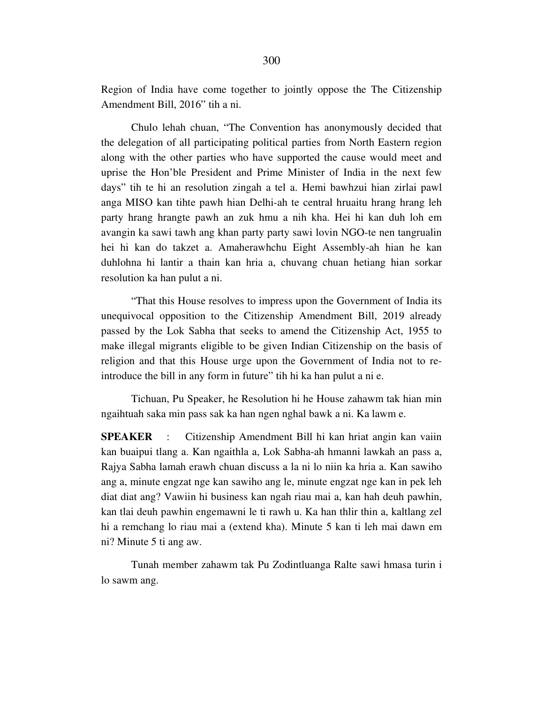Region of India have come together to jointly oppose the The Citizenship Amendment Bill, 2016" tih a ni.

 Chulo lehah chuan, "The Convention has anonymously decided that the delegation of all participating political parties from North Eastern region along with the other parties who have supported the cause would meet and uprise the Hon'ble President and Prime Minister of India in the next few days" tih te hi an resolution zingah a tel a. Hemi bawhzui hian zirlai pawl anga MISO kan tihte pawh hian Delhi-ah te central hruaitu hrang hrang leh party hrang hrangte pawh an zuk hmu a nih kha. Hei hi kan duh loh em avangin ka sawi tawh ang khan party party sawi lovin NGO-te nen tangrualin hei hi kan do takzet a. Amaherawhchu Eight Assembly-ah hian he kan duhlohna hi lantir a thain kan hria a, chuvang chuan hetiang hian sorkar resolution ka han pulut a ni.

 "That this House resolves to impress upon the Government of India its unequivocal opposition to the Citizenship Amendment Bill, 2019 already passed by the Lok Sabha that seeks to amend the Citizenship Act, 1955 to make illegal migrants eligible to be given Indian Citizenship on the basis of religion and that this House urge upon the Government of India not to reintroduce the bill in any form in future" tih hi ka han pulut a ni e.

 Tichuan, Pu Speaker, he Resolution hi he House zahawm tak hian min ngaihtuah saka min pass sak ka han ngen nghal bawk a ni. Ka lawm e.

**SPEAKER** : Citizenship Amendment Bill hi kan hriat angin kan vaiin kan buaipui tlang a. Kan ngaithla a, Lok Sabha-ah hmanni lawkah an pass a, Rajya Sabha lamah erawh chuan discuss a la ni lo niin ka hria a. Kan sawiho ang a, minute engzat nge kan sawiho ang le, minute engzat nge kan in pek leh diat diat ang? Vawiin hi business kan ngah riau mai a, kan hah deuh pawhin, kan tlai deuh pawhin engemawni le ti rawh u. Ka han thlir thin a, kaltlang zel hi a remchang lo riau mai a (extend kha). Minute 5 kan ti leh mai dawn em ni? Minute 5 ti ang aw.

 Tunah member zahawm tak Pu Zodintluanga Ralte sawi hmasa turin i lo sawm ang.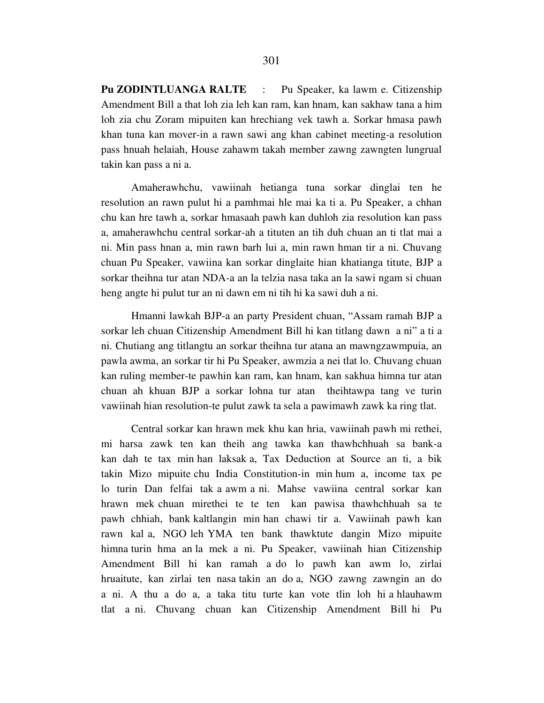**Pu ZODINTLUANGA RALTE** : Pu Speaker, ka lawm e. Citizenship Amendment Bill a that loh zia leh kan ram, kan hnam, kan sakhaw tana a him loh zia chu Zoram mipuiten kan hrechiang vek tawh a. Sorkar hmasa pawh khan tuna kan mover-in a rawn sawi ang khan cabinet meeting-a resolution pass hnuah helaiah, House zahawm takah member zawng zawngten lungrual takin kan pass a ni a.

 Amaherawhchu, vawiinah hetianga tuna sorkar dinglai ten he resolution an rawn pulut hi a pamhmai hle mai ka ti a. Pu Speaker, a chhan chu kan hre tawh a, sorkar hmasaah pawh kan duhloh zia resolution kan pass a, amaherawhchu central sorkar-ah a tituten an tih duh chuan an ti tlat mai a ni. Min pass hnan a, min rawn barh lui a, min rawn hman tir a ni. Chuvang chuan Pu Speaker, vawiina kan sorkar dinglaite hian khatianga titute, BJP a sorkar theihna tur atan NDA-a an la telzia nasa taka an la sawi ngam si chuan heng angte hi pulut tur an ni dawn em ni tih hi ka sawi duh a ni.

 Hmanni lawkah BJP-a an party President chuan, "Assam ramah BJP a sorkar leh chuan Citizenship Amendment Bill hi kan titlang dawn a ni" a ti a ni. Chutiang ang titlangtu an sorkar theihna tur atana an mawngzawmpuia, an pawla awma, an sorkar tir hi Pu Speaker, awmzia a nei tlat lo. Chuvang chuan kan ruling member-te pawhin kan ram, kan hnam, kan sakhua himna tur atan chuan ah khuan BJP a sorkar lohna tur atan theihtawpa tang ve turin vawiinah hian resolution-te pulut zawk ta sela a pawimawh zawk ka ring tlat.

 Central sorkar kan hrawn mek khu kan hria, vawiinah pawh mi rethei, mi harsa zawk ten kan theih ang tawka kan thawhchhuah sa bank-a kan dah te tax min han laksak a, Tax Deduction at Source an ti, a bik takin Mizo mipuite chu India Constitution-in min hum a, income tax pe lo turin Dan felfai tak a awm a ni. Mahse vawiina central sorkar kan hrawn mek chuan mirethei te te ten kan pawisa thawhchhuah sa te pawh chhiah, bank kaltlangin min han chawi tir a. Vawiinah pawh kan rawn kal a, NGO leh YMA ten bank thawktute dangin Mizo mipuite himna turin hma an la mek a ni. Pu Speaker, vawiinah hian Citizenship Amendment Bill hi kan ramah a do lo pawh kan awm lo, zirlai hruaitute, kan zirlai ten nasa takin an do a, NGO zawng zawngin an do a ni. A thu a do a, a taka titu turte kan vote tlin loh hi a hlauhawm tlat a ni. Chuvang chuan kan Citizenship Amendment Bill hi Pu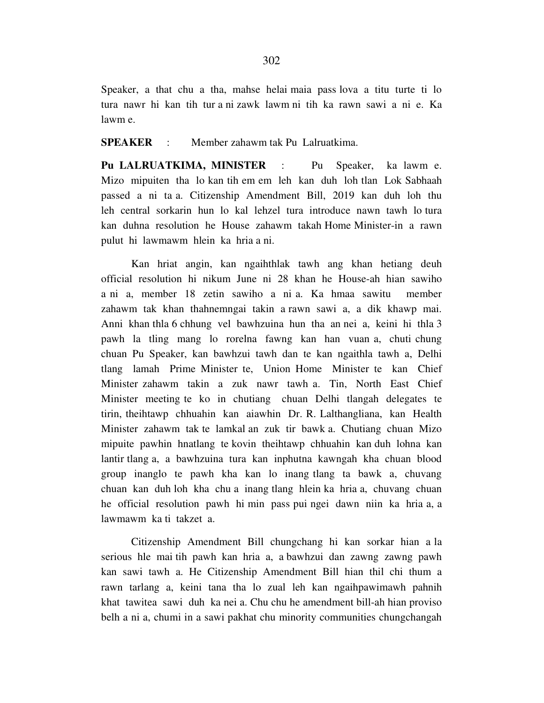Speaker, a that chu a tha, mahse helai maia pass lova a titu turte ti lo tura nawr hi kan tih tur a ni zawk lawm ni tih ka rawn sawi a ni e. Ka lawm e.

**SPEAKER** : Member zahawm tak Pu Lalruatkima.

**Pu LALRUATKIMA, MINISTER** : Pu Speaker, ka lawm e. Mizo mipuiten tha lo kan tih em em leh kan duh loh tlan Lok Sabhaah passed a ni ta a. Citizenship Amendment Bill, 2019 kan duh loh thu leh central sorkarin hun lo kal lehzel tura introduce nawn tawh lo tura kan duhna resolution he House zahawm takah Home Minister-in a rawn pulut hi lawmawm hlein ka hria a ni.

 Kan hriat angin, kan ngaihthlak tawh ang khan hetiang deuh official resolution hi nikum June ni 28 khan he House-ah hian sawiho a ni a, member 18 zetin sawiho a ni a. Ka hmaa sawitu member zahawm tak khan thahnemngai takin a rawn sawi a, a dik khawp mai. Anni khan thla 6 chhung vel bawhzuina hun tha an nei a, keini hi thla 3 pawh la tling mang lo rorelna fawng kan han vuan a, chuti chung chuan Pu Speaker, kan bawhzui tawh dan te kan ngaithla tawh a, Delhi tlang lamah Prime Minister te, Union Home Minister te kan Chief Minister zahawm takin a zuk nawr tawh a. Tin, North East Chief Minister meeting te ko in chutiang chuan Delhi tlangah delegates te tirin, theihtawp chhuahin kan aiawhin Dr. R. Lalthangliana, kan Health Minister zahawm tak te lamkal an zuk tir bawk a. Chutiang chuan Mizo mipuite pawhin hnatlang te kovin theihtawp chhuahin kan duh lohna kan lantir tlang a, a bawhzuina tura kan inphutna kawngah kha chuan blood group inanglo te pawh kha kan lo inang tlang ta bawk a, chuvang chuan kan duh loh kha chu a inang tlang hlein ka hria a, chuvang chuan he official resolution pawh hi min pass pui ngei dawn niin ka hria a, a lawmawm ka ti takzet a.

 Citizenship Amendment Bill chungchang hi kan sorkar hian a la serious hle mai tih pawh kan hria a, a bawhzui dan zawng zawng pawh kan sawi tawh a. He Citizenship Amendment Bill hian thil chi thum a rawn tarlang a, keini tana tha lo zual leh kan ngaihpawimawh pahnih khat tawitea sawi duh ka nei a. Chu chu he amendment bill-ah hian proviso belh a ni a, chumi in a sawi pakhat chu minority communities chungchangah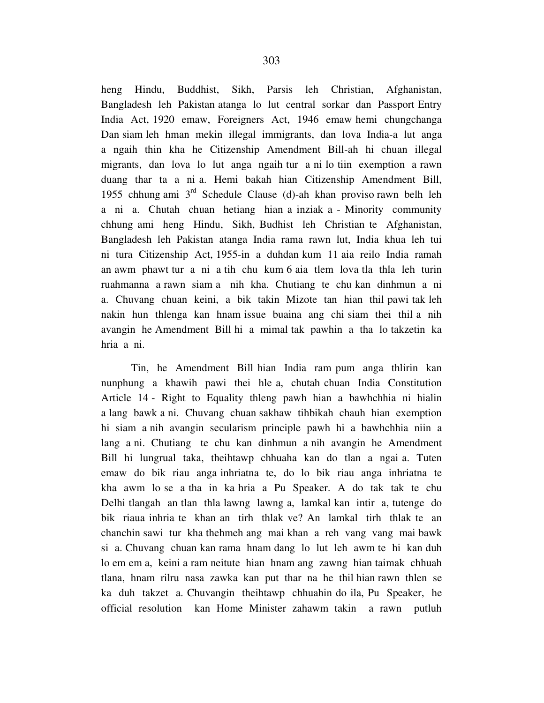heng Hindu, Buddhist, Sikh, Parsis leh Christian, Afghanistan, Bangladesh leh Pakistan atanga lo lut central sorkar dan Passport Entry India Act, 1920 emaw, Foreigners Act, 1946 emaw hemi chungchanga Dan siam leh hman mekin illegal immigrants, dan lova India-a lut anga a ngaih thin kha he Citizenship Amendment Bill-ah hi chuan illegal migrants, dan lova lo lut anga ngaih tur a ni lo tiin exemption a rawn duang thar ta a ni a. Hemi bakah hian Citizenship Amendment Bill, 1955 chhung ami  $3<sup>rd</sup>$  Schedule Clause (d)-ah khan proviso rawn belh leh a ni a. Chutah chuan hetiang hian a inziak a - Minority community chhung ami heng Hindu, Sikh, Budhist leh Christian te Afghanistan, Bangladesh leh Pakistan atanga India rama rawn lut, India khua leh tui ni tura Citizenship Act, 1955-in a duhdan kum 11 aia reilo India ramah an awm phawt tur a ni a tih chu kum 6 aia tlem lova tla thla leh turin ruahmanna a rawn siam a nih kha. Chutiang te chu kan dinhmun a ni a. Chuvang chuan keini, a bik takin Mizote tan hian thil pawi tak leh nakin hun thlenga kan hnam issue buaina ang chi siam thei thil a nih avangin he Amendment Bill hi a mimal tak pawhin a tha lo takzetin ka hria a ni.

 Tin, he Amendment Bill hian India ram pum anga thlirin kan nunphung a khawih pawi thei hle a, chutah chuan India Constitution Article 14 - Right to Equality thleng pawh hian a bawhchhia ni hialin a lang bawk a ni. Chuvang chuan sakhaw tihbikah chauh hian exemption hi siam a nih avangin secularism principle pawh hi a bawhchhia niin a lang a ni. Chutiang te chu kan dinhmun a nih avangin he Amendment Bill hi lungrual taka, theihtawp chhuaha kan do tlan a ngai a. Tuten emaw do bik riau anga inhriatna te, do lo bik riau anga inhriatna te kha awm lo se a tha in ka hria a Pu Speaker. A do tak tak te chu Delhi tlangah an tlan thla lawng lawng a, lamkal kan intir a, tutenge do bik riaua inhria te khan an tirh thlak ve? An lamkal tirh thlak te an chanchin sawi tur kha thehmeh ang mai khan a reh vang vang mai bawk si a. Chuvang chuan kan rama hnam dang lo lut leh awm te hi kan duh lo em em a, keini a ram neitute hian hnam ang zawng hian taimak chhuah tlana, hnam rilru nasa zawka kan put thar na he thil hian rawn thlen se ka duh takzet a. Chuvangin theihtawp chhuahin do ila, Pu Speaker, he official resolution kan Home Minister zahawm takin a rawn putluh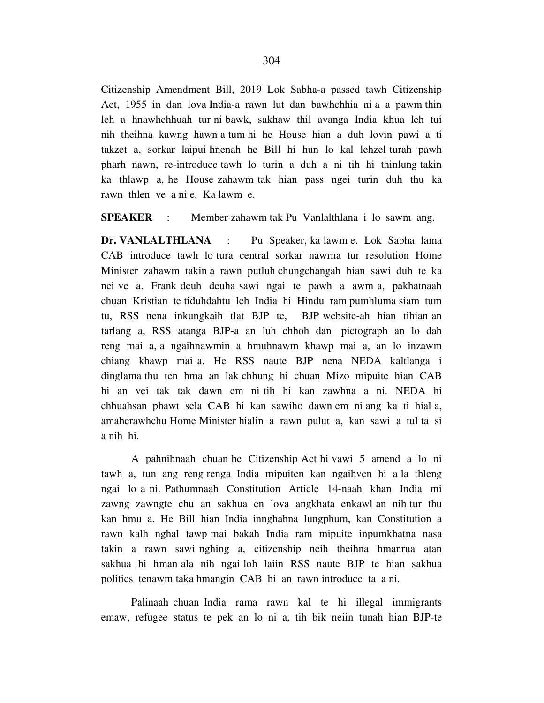Citizenship Amendment Bill, 2019 Lok Sabha-a passed tawh Citizenship Act, 1955 in dan lova India-a rawn lut dan bawhchhia ni a a pawm thin leh a hnawhchhuah tur ni bawk, sakhaw thil avanga India khua leh tui nih theihna kawng hawn a tum hi he House hian a duh lovin pawi a ti takzet a, sorkar laipui hnenah he Bill hi hun lo kal lehzel turah pawh pharh nawn, re-introduce tawh lo turin a duh a ni tih hi thinlung takin ka thlawp a, he House zahawm tak hian pass ngei turin duh thu ka rawn thlen ve a ni e. Ka lawm e.

**SPEAKER** : Member zahawm tak Pu Vanlalthlana i lo sawm ang.

**Dr. VANLALTHLANA** : Pu Speaker, ka lawm e. Lok Sabha lama CAB introduce tawh lo tura central sorkar nawrna tur resolution Home Minister zahawm takin a rawn putluh chungchangah hian sawi duh te ka nei ve a. Frank deuh deuha sawi ngai te pawh a awm a, pakhatnaah chuan Kristian te tiduhdahtu leh India hi Hindu ram pumhluma siam tum tu, RSS nena inkungkaih tlat BJP te, BJP website-ah hian tihian an tarlang a, RSS atanga BJP-a an luh chhoh dan pictograph an lo dah reng mai a, a ngaihnawmin a hmuhnawm khawp mai a, an lo inzawm chiang khawp mai a. He RSS naute BJP nena NEDA kaltlanga i dinglama thu ten hma an lak chhung hi chuan Mizo mipuite hian CAB hi an vei tak tak dawn em ni tih hi kan zawhna a ni. NEDA hi chhuahsan phawt sela CAB hi kan sawiho dawn em ni ang ka ti hial a, amaherawhchu Home Minister hialin a rawn pulut a, kan sawi a tul ta si a nih hi.

 A pahnihnaah chuan he Citizenship Act hi vawi 5 amend a lo ni tawh a, tun ang reng renga India mipuiten kan ngaihven hi a la thleng ngai lo a ni. Pathumnaah Constitution Article 14-naah khan India mi zawng zawngte chu an sakhua en lova angkhata enkawl an nih tur thu kan hmu a. He Bill hian India innghahna lungphum, kan Constitution a rawn kalh nghal tawp mai bakah India ram mipuite inpumkhatna nasa takin a rawn sawi nghing a, citizenship neih theihna hmanrua atan sakhua hi hman ala nih ngai loh laiin RSS naute BJP te hian sakhua politics tenawm taka hmangin CAB hi an rawn introduce ta a ni.

 Palinaah chuan India rama rawn kal te hi illegal immigrants emaw, refugee status te pek an lo ni a, tih bik neiin tunah hian BJP-te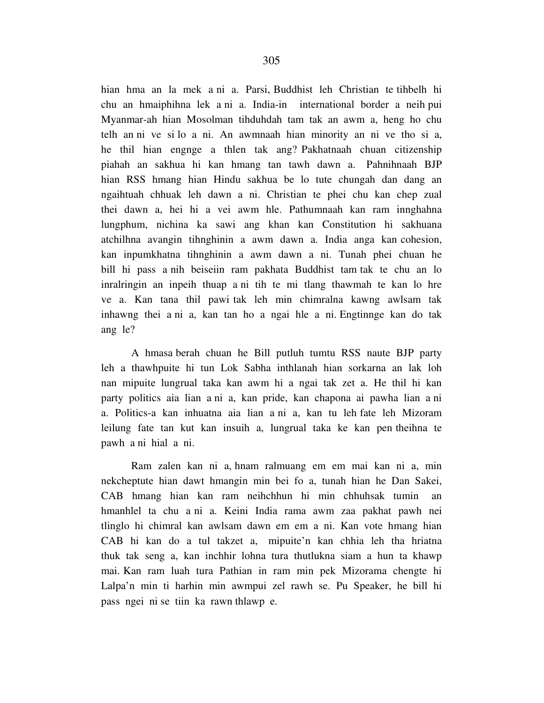hian hma an la mek a ni a. Parsi, Buddhist leh Christian te tihbelh hi chu an hmaiphihna lek a ni a. India-in international border a neih pui Myanmar-ah hian Mosolman tihduhdah tam tak an awm a, heng ho chu telh an ni ve si lo a ni. An awmnaah hian minority an ni ve tho si a, he thil hian engnge a thlen tak ang? Pakhatnaah chuan citizenship piahah an sakhua hi kan hmang tan tawh dawn a. Pahnihnaah BJP hian RSS hmang hian Hindu sakhua be lo tute chungah dan dang an ngaihtuah chhuak leh dawn a ni. Christian te phei chu kan chep zual thei dawn a, hei hi a vei awm hle. Pathumnaah kan ram innghahna lungphum, nichina ka sawi ang khan kan Constitution hi sakhuana atchilhna avangin tihnghinin a awm dawn a. India anga kan cohesion, kan inpumkhatna tihnghinin a awm dawn a ni. Tunah phei chuan he bill hi pass a nih beiseiin ram pakhata Buddhist tam tak te chu an lo inralringin an inpeih thuap a ni tih te mi tlang thawmah te kan lo hre ve a. Kan tana thil pawi tak leh min chimralna kawng awlsam tak inhawng thei a ni a, kan tan ho a ngai hle a ni. Engtinnge kan do tak ang le?

 A hmasa berah chuan he Bill putluh tumtu RSS naute BJP party leh a thawhpuite hi tun Lok Sabha inthlanah hian sorkarna an lak loh nan mipuite lungrual taka kan awm hi a ngai tak zet a. He thil hi kan party politics aia lian a ni a, kan pride, kan chapona ai pawha lian a ni a. Politics-a kan inhuatna aia lian a ni a, kan tu leh fate leh Mizoram leilung fate tan kut kan insuih a, lungrual taka ke kan pen theihna te pawh a ni hial a ni.

 Ram zalen kan ni a, hnam ralmuang em em mai kan ni a, min nekcheptute hian dawt hmangin min bei fo a, tunah hian he Dan Sakei, CAB hmang hian kan ram neihchhun hi min chhuhsak tumin an hmanhlel ta chu a ni a. Keini India rama awm zaa pakhat pawh nei tlinglo hi chimral kan awlsam dawn em em a ni. Kan vote hmang hian CAB hi kan do a tul takzet a, mipuite'n kan chhia leh tha hriatna thuk tak seng a, kan inchhir lohna tura thutlukna siam a hun ta khawp mai. Kan ram luah tura Pathian in ram min pek Mizorama chengte hi Lalpa'n min ti harhin min awmpui zel rawh se. Pu Speaker, he bill hi pass ngei ni se tiin ka rawn thlawp e.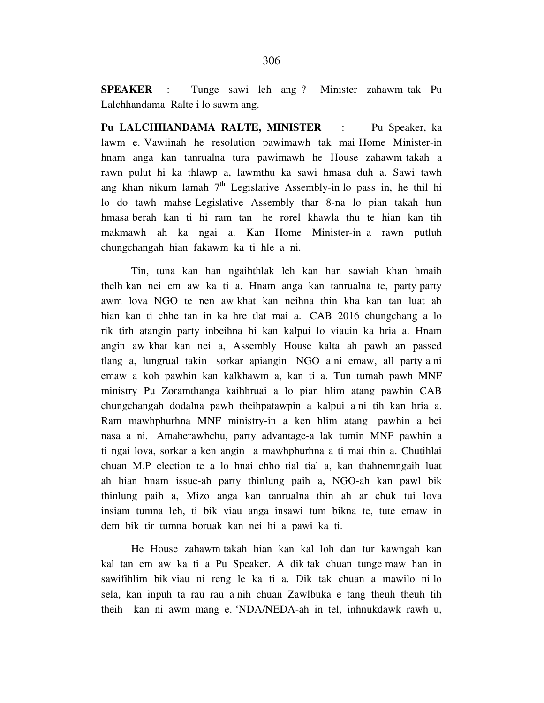**SPEAKER** : Tunge sawi leh ang ? Minister zahawm tak Pu Lalchhandama Ralte i lo sawm ang.

**Pu LALCHHANDAMA RALTE, MINISTER** : Pu Speaker, ka lawm e. Vawiinah he resolution pawimawh tak mai Home Minister-in hnam anga kan tanrualna tura pawimawh he House zahawm takah a rawn pulut hi ka thlawp a, lawmthu ka sawi hmasa duh a. Sawi tawh ang khan nikum lamah  $7<sup>th</sup>$  Legislative Assembly-in lo pass in, he thil hi lo do tawh mahse Legislative Assembly thar 8-na lo pian takah hun hmasa berah kan ti hi ram tan he rorel khawla thu te hian kan tih makmawh ah ka ngai a. Kan Home Minister-in a rawn putluh chungchangah hian fakawm ka ti hle a ni.

 Tin, tuna kan han ngaihthlak leh kan han sawiah khan hmaih thelh kan nei em aw ka ti a. Hnam anga kan tanrualna te, party party awm lova NGO te nen aw khat kan neihna thin kha kan tan luat ah hian kan ti chhe tan in ka hre tlat mai a. CAB 2016 chungchang a lo rik tirh atangin party inbeihna hi kan kalpui lo viauin ka hria a. Hnam angin aw khat kan nei a, Assembly House kalta ah pawh an passed tlang a, lungrual takin sorkar apiangin NGO a ni emaw, all party a ni emaw a koh pawhin kan kalkhawm a, kan ti a. Tun tumah pawh MNF ministry Pu Zoramthanga kaihhruai a lo pian hlim atang pawhin CAB chungchangah dodalna pawh theihpatawpin a kalpui a ni tih kan hria a. Ram mawhphurhna MNF ministry-in a ken hlim atang pawhin a bei nasa a ni. Amaherawhchu, party advantage-a lak tumin MNF pawhin a ti ngai lova, sorkar a ken angin a mawhphurhna a ti mai thin a. Chutihlai chuan M.P election te a lo hnai chho tial tial a, kan thahnemngaih luat ah hian hnam issue-ah party thinlung paih a, NGO-ah kan pawl bik thinlung paih a, Mizo anga kan tanrualna thin ah ar chuk tui lova insiam tumna leh, ti bik viau anga insawi tum bikna te, tute emaw in dem bik tir tumna boruak kan nei hi a pawi ka ti.

 He House zahawm takah hian kan kal loh dan tur kawngah kan kal tan em aw ka ti a Pu Speaker. A dik tak chuan tunge maw han in sawifihlim bik viau ni reng le ka ti a. Dik tak chuan a mawilo ni lo sela, kan inpuh ta rau rau a nih chuan Zawlbuka e tang theuh theuh tih theih kan ni awm mang e. 'NDA/NEDA-ah in tel, inhnukdawk rawh u,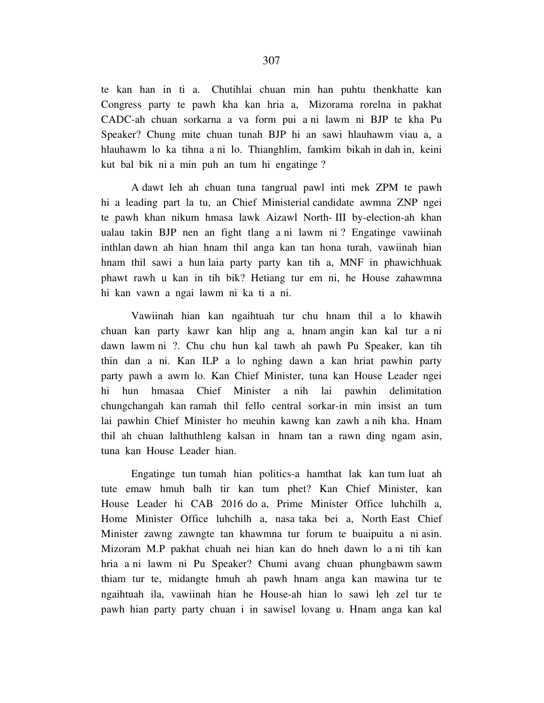te kan han in ti a. Chutihlai chuan min han puhtu thenkhatte kan Congress party te pawh kha kan hria a, Mizorama rorelna in pakhat CADC-ah chuan sorkarna a va form pui a ni lawm ni BJP te kha Pu Speaker? Chung mite chuan tunah BJP hi an sawi hlauhawm viau a, a hlauhawm lo ka tihna a ni lo. Thianghlim, famkim bikah in dah in, keini kut bal bik ni a min puh an tum hi engatinge ?

 A dawt leh ah chuan tuna tangrual pawl inti mek ZPM te pawh hi a leading part la tu, an Chief Ministerial candidate awmna ZNP ngei te pawh khan nikum hmasa lawk Aizawl North- III by-election-ah khan ualau takin BJP nen an fight tlang a ni lawm ni ? Engatinge vawiinah inthlan dawn ah hian hnam thil anga kan tan hona turah, vawiinah hian hnam thil sawi a hun laia party party kan tih a, MNF in phawichhuak phawt rawh u kan in tih bik? Hetiang tur em ni, he House zahawmna hi kan vawn a ngai lawm ni ka ti a ni.

 Vawiinah hian kan ngaihtuah tur chu hnam thil a lo khawih chuan kan party kawr kan hlip ang a, hnam angin kan kal tur a ni dawn lawm ni ?. Chu chu hun kal tawh ah pawh Pu Speaker, kan tih thin dan a ni. Kan ILP a lo nghing dawn a kan hriat pawhin party party pawh a awm lo. Kan Chief Minister, tuna kan House Leader ngei hi hun hmasaa Chief Minister a nih lai pawhin delimitation chungchangah kan ramah thil fello central sorkar-in min insist an tum lai pawhin Chief Minister ho meuhin kawng kan zawh a nih kha. Hnam thil ah chuan lalthuthleng kalsan in hnam tan a rawn ding ngam asin, tuna kan House Leader hian.

 Engatinge tun tumah hian politics-a hamthat lak kan tum luat ah tute emaw hmuh balh tir kan tum phet? Kan Chief Minister, kan House Leader hi CAB 2016 do a, Prime Minister Office luhchilh a, Home Minister Office luhchilh a, nasa taka bei a, North East Chief Minister zawng zawngte tan khawmna tur forum te buaipuitu a ni asin. Mizoram M.P pakhat chuah nei hian kan do hneh dawn lo a ni tih kan hria a ni lawm ni Pu Speaker? Chumi avang chuan phungbawm sawm thiam tur te, midangte hmuh ah pawh hnam anga kan mawina tur te ngaihtuah ila, vawiinah hian he House-ah hian lo sawi leh zel tur te pawh hian party party chuan i in sawisel lovang u. Hnam anga kan kal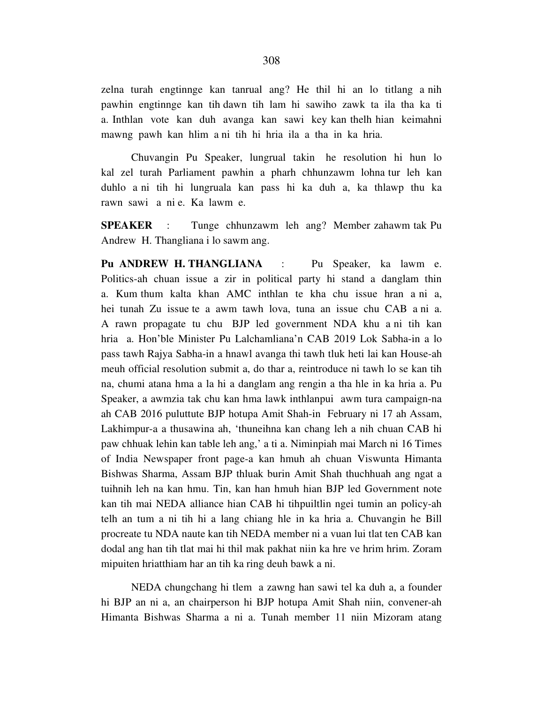zelna turah engtinnge kan tanrual ang? He thil hi an lo titlang a nih pawhin engtinnge kan tih dawn tih lam hi sawiho zawk ta ila tha ka ti a. Inthlan vote kan duh avanga kan sawi key kan thelh hian keimahni mawng pawh kan hlim a ni tih hi hria ila a tha in ka hria.

 Chuvangin Pu Speaker, lungrual takin he resolution hi hun lo kal zel turah Parliament pawhin a pharh chhunzawm lohna tur leh kan duhlo a ni tih hi lungruala kan pass hi ka duh a, ka thlawp thu ka rawn sawi a ni e. Ka lawm e.

**SPEAKER** : Tunge chhunzawm leh ang? Member zahawm tak Pu Andrew H. Thangliana i lo sawm ang.

Pu ANDREW H. THANGLIANA : Pu Speaker, ka lawm e. Politics-ah chuan issue a zir in political party hi stand a danglam thin a. Kum thum kalta khan AMC inthlan te kha chu issue hran a ni a, hei tunah Zu issue te a awm tawh lova, tuna an issue chu CAB a ni a. A rawn propagate tu chu BJP led government NDA khu a ni tih kan hria a. Hon'ble Minister Pu Lalchamliana'n CAB 2019 Lok Sabha-in a lo pass tawh Rajya Sabha-in a hnawl avanga thi tawh tluk heti lai kan House-ah meuh official resolution submit a, do thar a, reintroduce ni tawh lo se kan tih na, chumi atana hma a la hi a danglam ang rengin a tha hle in ka hria a. Pu Speaker, a awmzia tak chu kan hma lawk inthlanpui awm tura campaign-na ah CAB 2016 puluttute BJP hotupa Amit Shah-in February ni 17 ah Assam, Lakhimpur-a a thusawina ah, 'thuneihna kan chang leh a nih chuan CAB hi paw chhuak lehin kan table leh ang,' a ti a. Niminpiah mai March ni 16 Times of India Newspaper front page-a kan hmuh ah chuan Viswunta Himanta Bishwas Sharma, Assam BJP thluak burin Amit Shah thuchhuah ang ngat a tuihnih leh na kan hmu. Tin, kan han hmuh hian BJP led Government note kan tih mai NEDA alliance hian CAB hi tihpuiltlin ngei tumin an policy-ah telh an tum a ni tih hi a lang chiang hle in ka hria a. Chuvangin he Bill procreate tu NDA naute kan tih NEDA member ni a vuan lui tlat ten CAB kan dodal ang han tih tlat mai hi thil mak pakhat niin ka hre ve hrim hrim. Zoram mipuiten hriatthiam har an tih ka ring deuh bawk a ni.

 NEDA chungchang hi tlem a zawng han sawi tel ka duh a, a founder hi BJP an ni a, an chairperson hi BJP hotupa Amit Shah niin, convener-ah Himanta Bishwas Sharma a ni a. Tunah member 11 niin Mizoram atang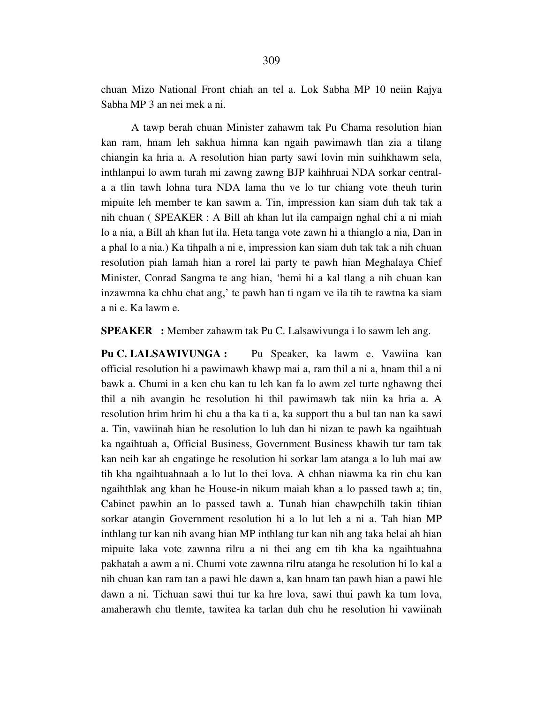chuan Mizo National Front chiah an tel a. Lok Sabha MP 10 neiin Rajya Sabha MP 3 an nei mek a ni.

 A tawp berah chuan Minister zahawm tak Pu Chama resolution hian kan ram, hnam leh sakhua himna kan ngaih pawimawh tlan zia a tilang chiangin ka hria a. A resolution hian party sawi lovin min suihkhawm sela, inthlanpui lo awm turah mi zawng zawng BJP kaihhruai NDA sorkar centrala a tlin tawh lohna tura NDA lama thu ve lo tur chiang vote theuh turin mipuite leh member te kan sawm a. Tin, impression kan siam duh tak tak a nih chuan ( SPEAKER : A Bill ah khan lut ila campaign nghal chi a ni miah lo a nia, a Bill ah khan lut ila. Heta tanga vote zawn hi a thianglo a nia, Dan in a phal lo a nia.) Ka tihpalh a ni e, impression kan siam duh tak tak a nih chuan resolution piah lamah hian a rorel lai party te pawh hian Meghalaya Chief Minister, Conrad Sangma te ang hian, 'hemi hi a kal tlang a nih chuan kan inzawmna ka chhu chat ang,' te pawh han ti ngam ve ila tih te rawtna ka siam a ni e. Ka lawm e.

**SPEAKER :** Member zahawm tak Pu C. Lalsawivunga i lo sawm leh ang.

**Pu C. LALSAWIVUNGA :** Pu Speaker, ka lawm e. Vawiina kan official resolution hi a pawimawh khawp mai a, ram thil a ni a, hnam thil a ni bawk a. Chumi in a ken chu kan tu leh kan fa lo awm zel turte nghawng thei thil a nih avangin he resolution hi thil pawimawh tak niin ka hria a. A resolution hrim hrim hi chu a tha ka ti a, ka support thu a bul tan nan ka sawi a. Tin, vawiinah hian he resolution lo luh dan hi nizan te pawh ka ngaihtuah ka ngaihtuah a, Official Business, Government Business khawih tur tam tak kan neih kar ah engatinge he resolution hi sorkar lam atanga a lo luh mai aw tih kha ngaihtuahnaah a lo lut lo thei lova. A chhan niawma ka rin chu kan ngaihthlak ang khan he House-in nikum maiah khan a lo passed tawh a; tin, Cabinet pawhin an lo passed tawh a. Tunah hian chawpchilh takin tihian sorkar atangin Government resolution hi a lo lut leh a ni a. Tah hian MP inthlang tur kan nih avang hian MP inthlang tur kan nih ang taka helai ah hian mipuite laka vote zawnna rilru a ni thei ang em tih kha ka ngaihtuahna pakhatah a awm a ni. Chumi vote zawnna rilru atanga he resolution hi lo kal a nih chuan kan ram tan a pawi hle dawn a, kan hnam tan pawh hian a pawi hle dawn a ni. Tichuan sawi thui tur ka hre lova, sawi thui pawh ka tum lova, amaherawh chu tlemte, tawitea ka tarlan duh chu he resolution hi vawiinah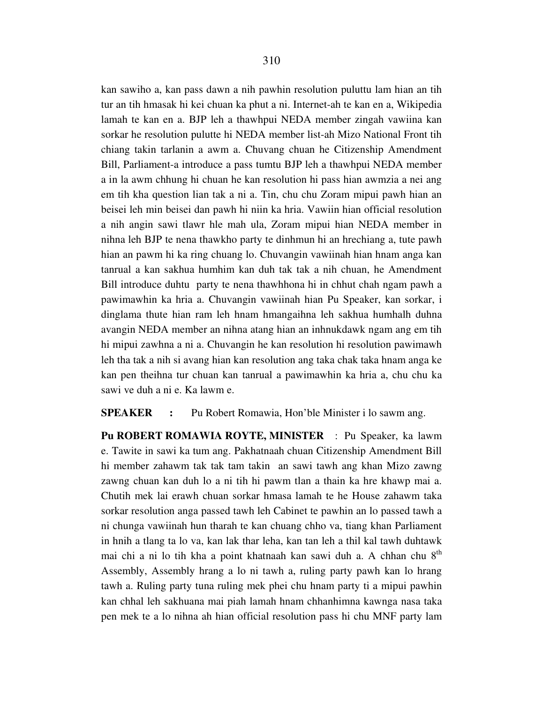kan sawiho a, kan pass dawn a nih pawhin resolution puluttu lam hian an tih tur an tih hmasak hi kei chuan ka phut a ni. Internet-ah te kan en a, Wikipedia lamah te kan en a. BJP leh a thawhpui NEDA member zingah vawiina kan sorkar he resolution pulutte hi NEDA member list-ah Mizo National Front tih chiang takin tarlanin a awm a. Chuvang chuan he Citizenship Amendment Bill, Parliament-a introduce a pass tumtu BJP leh a thawhpui NEDA member a in la awm chhung hi chuan he kan resolution hi pass hian awmzia a nei ang em tih kha question lian tak a ni a. Tin, chu chu Zoram mipui pawh hian an beisei leh min beisei dan pawh hi niin ka hria. Vawiin hian official resolution a nih angin sawi tlawr hle mah ula, Zoram mipui hian NEDA member in nihna leh BJP te nena thawkho party te dinhmun hi an hrechiang a, tute pawh hian an pawm hi ka ring chuang lo. Chuvangin vawiinah hian hnam anga kan tanrual a kan sakhua humhim kan duh tak tak a nih chuan, he Amendment Bill introduce duhtu party te nena thawhhona hi in chhut chah ngam pawh a pawimawhin ka hria a. Chuvangin vawiinah hian Pu Speaker, kan sorkar, i dinglama thute hian ram leh hnam hmangaihna leh sakhua humhalh duhna avangin NEDA member an nihna atang hian an inhnukdawk ngam ang em tih hi mipui zawhna a ni a. Chuvangin he kan resolution hi resolution pawimawh leh tha tak a nih si avang hian kan resolution ang taka chak taka hnam anga ke kan pen theihna tur chuan kan tanrual a pawimawhin ka hria a, chu chu ka sawi ve duh a ni e. Ka lawm e.

**SPEAKER** : Pu Robert Romawia, Hon'ble Minister i lo sawm ang.

**Pu ROBERT ROMAWIA ROYTE, MINISTER** : Pu Speaker, ka lawm e. Tawite in sawi ka tum ang. Pakhatnaah chuan Citizenship Amendment Bill hi member zahawm tak tak tam takin an sawi tawh ang khan Mizo zawng zawng chuan kan duh lo a ni tih hi pawm tlan a thain ka hre khawp mai a. Chutih mek lai erawh chuan sorkar hmasa lamah te he House zahawm taka sorkar resolution anga passed tawh leh Cabinet te pawhin an lo passed tawh a ni chunga vawiinah hun tharah te kan chuang chho va, tiang khan Parliament in hnih a tlang ta lo va, kan lak thar leha, kan tan leh a thil kal tawh duhtawk mai chi a ni lo tih kha a point khatnaah kan sawi duh a. A chhan chu 8<sup>th</sup> Assembly, Assembly hrang a lo ni tawh a, ruling party pawh kan lo hrang tawh a. Ruling party tuna ruling mek phei chu hnam party ti a mipui pawhin kan chhal leh sakhuana mai piah lamah hnam chhanhimna kawnga nasa taka pen mek te a lo nihna ah hian official resolution pass hi chu MNF party lam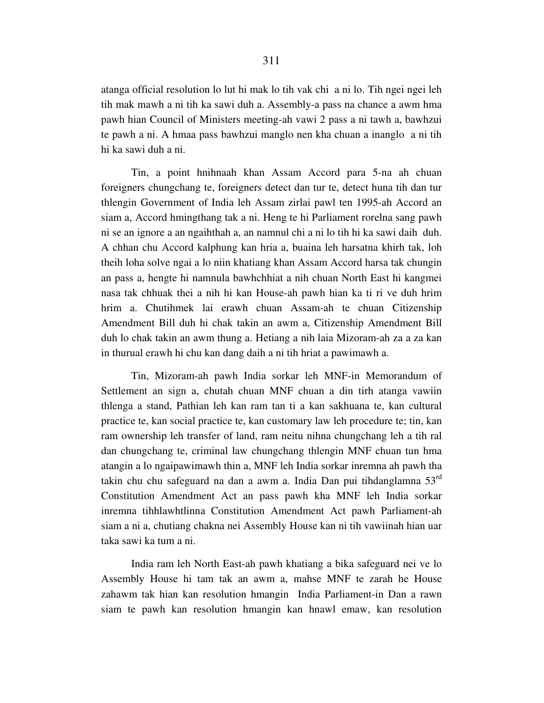atanga official resolution lo lut hi mak lo tih vak chi a ni lo. Tih ngei ngei leh tih mak mawh a ni tih ka sawi duh a. Assembly-a pass na chance a awm hma pawh hian Council of Ministers meeting-ah vawi 2 pass a ni tawh a, bawhzui te pawh a ni. A hmaa pass bawhzui manglo nen kha chuan a inanglo a ni tih hi ka sawi duh a ni.

 Tin, a point hnihnaah khan Assam Accord para 5-na ah chuan foreigners chungchang te, foreigners detect dan tur te, detect huna tih dan tur thlengin Government of India leh Assam zirlai pawl ten 1995-ah Accord an siam a, Accord hmingthang tak a ni. Heng te hi Parliament rorelna sang pawh ni se an ignore a an ngaihthah a, an namnul chi a ni lo tih hi ka sawi daih duh. A chhan chu Accord kalphung kan hria a, buaina leh harsatna khirh tak, loh theih loha solve ngai a lo niin khatiang khan Assam Accord harsa tak chungin an pass a, hengte hi namnula bawhchhiat a nih chuan North East hi kangmei nasa tak chhuak thei a nih hi kan House-ah pawh hian ka ti ri ve duh hrim hrim a. Chutihmek lai erawh chuan Assam-ah te chuan Citizenship Amendment Bill duh hi chak takin an awm a, Citizenship Amendment Bill duh lo chak takin an awm thung a. Hetiang a nih laia Mizoram-ah za a za kan in thurual erawh hi chu kan dang daih a ni tih hriat a pawimawh a.

 Tin, Mizoram-ah pawh India sorkar leh MNF-in Memorandum of Settlement an sign a, chutah chuan MNF chuan a din tirh atanga vawiin thlenga a stand, Pathian leh kan ram tan ti a kan sakhuana te, kan cultural practice te, kan social practice te, kan customary law leh procedure te; tin, kan ram ownership leh transfer of land, ram neitu nihna chungchang leh a tih ral dan chungchang te, criminal law chungchang thlengin MNF chuan tun hma atangin a lo ngaipawimawh thin a, MNF leh India sorkar inremna ah pawh tha takin chu chu safeguard na dan a awm a. India Dan pui tihdanglamna 53rd Constitution Amendment Act an pass pawh kha MNF leh India sorkar inremna tihhlawhtlinna Constitution Amendment Act pawh Parliament-ah siam a ni a, chutiang chakna nei Assembly House kan ni tih vawiinah hian uar taka sawi ka tum a ni.

 India ram leh North East-ah pawh khatiang a bika safeguard nei ve lo Assembly House hi tam tak an awm a, mahse MNF te zarah he House zahawm tak hian kan resolution hmangin India Parliament-in Dan a rawn siam te pawh kan resolution hmangin kan hnawl emaw, kan resolution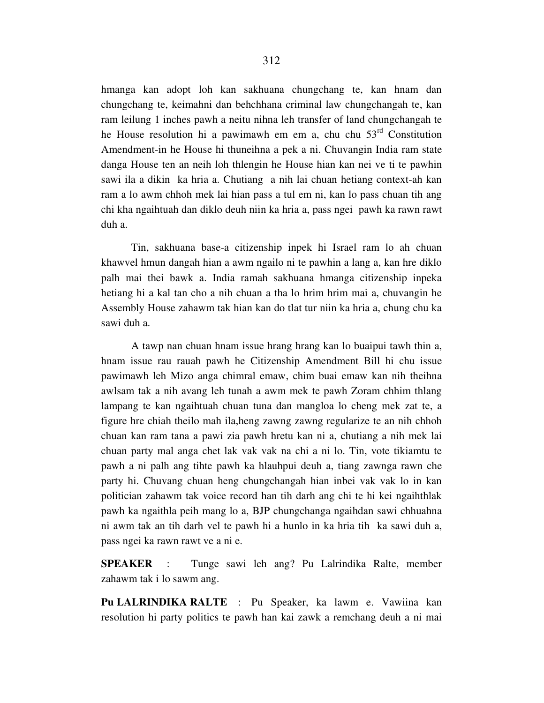hmanga kan adopt loh kan sakhuana chungchang te, kan hnam dan chungchang te, keimahni dan behchhana criminal law chungchangah te, kan ram leilung 1 inches pawh a neitu nihna leh transfer of land chungchangah te he House resolution hi a pawimawh em em a, chu chu  $53<sup>rd</sup>$  Constitution Amendment-in he House hi thuneihna a pek a ni. Chuvangin India ram state danga House ten an neih loh thlengin he House hian kan nei ve ti te pawhin sawi ila a dikin ka hria a. Chutiang a nih lai chuan hetiang context-ah kan ram a lo awm chhoh mek lai hian pass a tul em ni, kan lo pass chuan tih ang chi kha ngaihtuah dan diklo deuh niin ka hria a, pass ngei pawh ka rawn rawt duh a.

 Tin, sakhuana base-a citizenship inpek hi Israel ram lo ah chuan khawvel hmun dangah hian a awm ngailo ni te pawhin a lang a, kan hre diklo palh mai thei bawk a. India ramah sakhuana hmanga citizenship inpeka hetiang hi a kal tan cho a nih chuan a tha lo hrim hrim mai a, chuvangin he Assembly House zahawm tak hian kan do tlat tur niin ka hria a, chung chu ka sawi duh a.

 A tawp nan chuan hnam issue hrang hrang kan lo buaipui tawh thin a, hnam issue rau rauah pawh he Citizenship Amendment Bill hi chu issue pawimawh leh Mizo anga chimral emaw, chim buai emaw kan nih theihna awlsam tak a nih avang leh tunah a awm mek te pawh Zoram chhim thlang lampang te kan ngaihtuah chuan tuna dan mangloa lo cheng mek zat te, a figure hre chiah theilo mah ila,heng zawng zawng regularize te an nih chhoh chuan kan ram tana a pawi zia pawh hretu kan ni a, chutiang a nih mek lai chuan party mal anga chet lak vak vak na chi a ni lo. Tin, vote tikiamtu te pawh a ni palh ang tihte pawh ka hlauhpui deuh a, tiang zawnga rawn che party hi. Chuvang chuan heng chungchangah hian inbei vak vak lo in kan politician zahawm tak voice record han tih darh ang chi te hi kei ngaihthlak pawh ka ngaithla peih mang lo a, BJP chungchanga ngaihdan sawi chhuahna ni awm tak an tih darh vel te pawh hi a hunlo in ka hria tih ka sawi duh a, pass ngei ka rawn rawt ve a ni e.

**SPEAKER** : Tunge sawi leh ang? Pu Lalrindika Ralte, member zahawm tak i lo sawm ang.

**Pu LALRINDIKA RALTE** : Pu Speaker, ka lawm e. Vawiina kan resolution hi party politics te pawh han kai zawk a remchang deuh a ni mai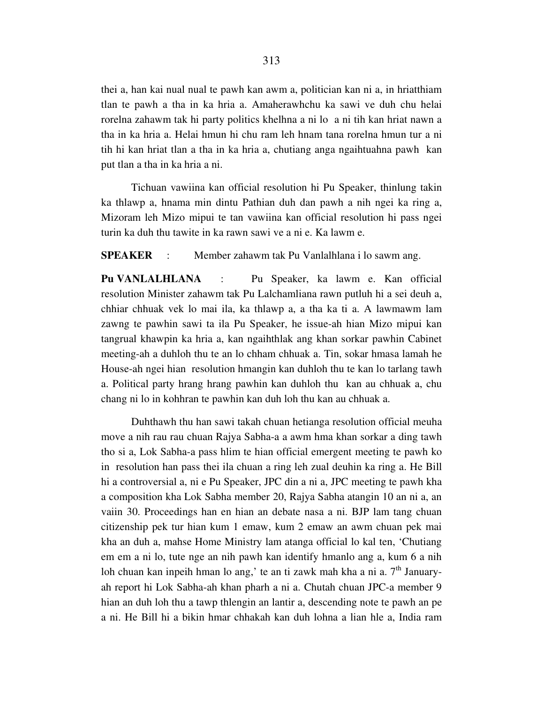thei a, han kai nual nual te pawh kan awm a, politician kan ni a, in hriatthiam tlan te pawh a tha in ka hria a. Amaherawhchu ka sawi ve duh chu helai rorelna zahawm tak hi party politics khelhna a ni lo a ni tih kan hriat nawn a tha in ka hria a. Helai hmun hi chu ram leh hnam tana rorelna hmun tur a ni tih hi kan hriat tlan a tha in ka hria a, chutiang anga ngaihtuahna pawh kan put tlan a tha in ka hria a ni.

 Tichuan vawiina kan official resolution hi Pu Speaker, thinlung takin ka thlawp a, hnama min dintu Pathian duh dan pawh a nih ngei ka ring a, Mizoram leh Mizo mipui te tan vawiina kan official resolution hi pass ngei turin ka duh thu tawite in ka rawn sawi ve a ni e. Ka lawm e.

**SPEAKER** : Member zahawm tak Pu Vanlalhlana i lo sawm ang.

**Pu VANLALHLANA** : Pu Speaker, ka lawm e. Kan official resolution Minister zahawm tak Pu Lalchamliana rawn putluh hi a sei deuh a, chhiar chhuak vek lo mai ila, ka thlawp a, a tha ka ti a. A lawmawm lam zawng te pawhin sawi ta ila Pu Speaker, he issue-ah hian Mizo mipui kan tangrual khawpin ka hria a, kan ngaihthlak ang khan sorkar pawhin Cabinet meeting-ah a duhloh thu te an lo chham chhuak a. Tin, sokar hmasa lamah he House-ah ngei hian resolution hmangin kan duhloh thu te kan lo tarlang tawh a. Political party hrang hrang pawhin kan duhloh thu kan au chhuak a, chu chang ni lo in kohhran te pawhin kan duh loh thu kan au chhuak a.

 Duhthawh thu han sawi takah chuan hetianga resolution official meuha move a nih rau rau chuan Rajya Sabha-a a awm hma khan sorkar a ding tawh tho si a, Lok Sabha-a pass hlim te hian official emergent meeting te pawh ko in resolution han pass thei ila chuan a ring leh zual deuhin ka ring a. He Bill hi a controversial a, ni e Pu Speaker, JPC din a ni a, JPC meeting te pawh kha a composition kha Lok Sabha member 20, Rajya Sabha atangin 10 an ni a, an vaiin 30. Proceedings han en hian an debate nasa a ni. BJP lam tang chuan citizenship pek tur hian kum 1 emaw, kum 2 emaw an awm chuan pek mai kha an duh a, mahse Home Ministry lam atanga official lo kal ten, 'Chutiang em em a ni lo, tute nge an nih pawh kan identify hmanlo ang a, kum 6 a nih loh chuan kan inpeih hman lo ang,' te an ti zawk mah kha a ni a.  $7<sup>th</sup>$  Januaryah report hi Lok Sabha-ah khan pharh a ni a. Chutah chuan JPC-a member 9 hian an duh loh thu a tawp thlengin an lantir a, descending note te pawh an pe a ni. He Bill hi a bikin hmar chhakah kan duh lohna a lian hle a, India ram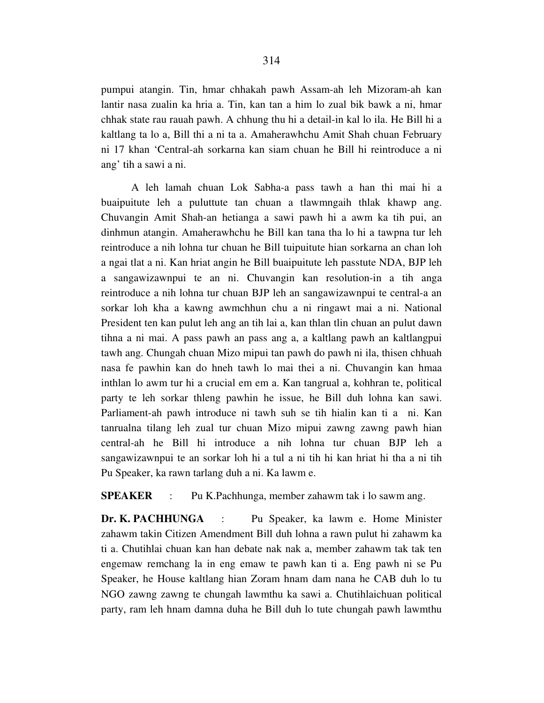pumpui atangin. Tin, hmar chhakah pawh Assam-ah leh Mizoram-ah kan lantir nasa zualin ka hria a. Tin, kan tan a him lo zual bik bawk a ni, hmar chhak state rau rauah pawh. A chhung thu hi a detail-in kal lo ila. He Bill hi a kaltlang ta lo a, Bill thi a ni ta a. Amaherawhchu Amit Shah chuan February ni 17 khan 'Central-ah sorkarna kan siam chuan he Bill hi reintroduce a ni ang' tih a sawi a ni.

 A leh lamah chuan Lok Sabha-a pass tawh a han thi mai hi a buaipuitute leh a puluttute tan chuan a tlawmngaih thlak khawp ang. Chuvangin Amit Shah-an hetianga a sawi pawh hi a awm ka tih pui, an dinhmun atangin. Amaherawhchu he Bill kan tana tha lo hi a tawpna tur leh reintroduce a nih lohna tur chuan he Bill tuipuitute hian sorkarna an chan loh a ngai tlat a ni. Kan hriat angin he Bill buaipuitute leh passtute NDA, BJP leh a sangawizawnpui te an ni. Chuvangin kan resolution-in a tih anga reintroduce a nih lohna tur chuan BJP leh an sangawizawnpui te central-a an sorkar loh kha a kawng awmchhun chu a ni ringawt mai a ni. National President ten kan pulut leh ang an tih lai a, kan thlan tlin chuan an pulut dawn tihna a ni mai. A pass pawh an pass ang a, a kaltlang pawh an kaltlangpui tawh ang. Chungah chuan Mizo mipui tan pawh do pawh ni ila, thisen chhuah nasa fe pawhin kan do hneh tawh lo mai thei a ni. Chuvangin kan hmaa inthlan lo awm tur hi a crucial em em a. Kan tangrual a, kohhran te, political party te leh sorkar thleng pawhin he issue, he Bill duh lohna kan sawi. Parliament-ah pawh introduce ni tawh suh se tih hialin kan ti a ni. Kan tanrualna tilang leh zual tur chuan Mizo mipui zawng zawng pawh hian central-ah he Bill hi introduce a nih lohna tur chuan BJP leh a sangawizawnpui te an sorkar loh hi a tul a ni tih hi kan hriat hi tha a ni tih Pu Speaker, ka rawn tarlang duh a ni. Ka lawm e.

**SPEAKER** : Pu K.Pachhunga, member zahawm tak i lo sawm ang.

**Dr. K. PACHHUNGA** : Pu Speaker, ka lawm e. Home Minister zahawm takin Citizen Amendment Bill duh lohna a rawn pulut hi zahawm ka ti a. Chutihlai chuan kan han debate nak nak a, member zahawm tak tak ten engemaw remchang la in eng emaw te pawh kan ti a. Eng pawh ni se Pu Speaker, he House kaltlang hian Zoram hnam dam nana he CAB duh lo tu NGO zawng zawng te chungah lawmthu ka sawi a. Chutihlaichuan political party, ram leh hnam damna duha he Bill duh lo tute chungah pawh lawmthu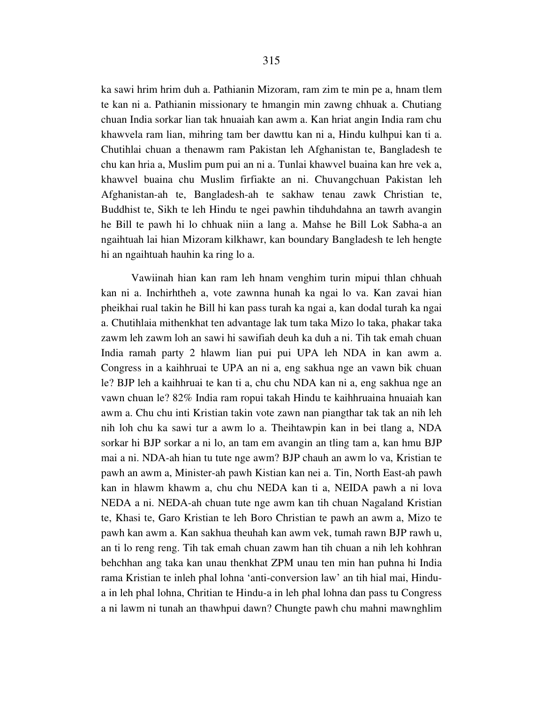ka sawi hrim hrim duh a. Pathianin Mizoram, ram zim te min pe a, hnam tlem te kan ni a. Pathianin missionary te hmangin min zawng chhuak a. Chutiang chuan India sorkar lian tak hnuaiah kan awm a. Kan hriat angin India ram chu khawvela ram lian, mihring tam ber dawttu kan ni a, Hindu kulhpui kan ti a. Chutihlai chuan a thenawm ram Pakistan leh Afghanistan te, Bangladesh te chu kan hria a, Muslim pum pui an ni a. Tunlai khawvel buaina kan hre vek a, khawvel buaina chu Muslim firfiakte an ni. Chuvangchuan Pakistan leh Afghanistan-ah te, Bangladesh-ah te sakhaw tenau zawk Christian te, Buddhist te, Sikh te leh Hindu te ngei pawhin tihduhdahna an tawrh avangin he Bill te pawh hi lo chhuak niin a lang a. Mahse he Bill Lok Sabha-a an ngaihtuah lai hian Mizoram kilkhawr, kan boundary Bangladesh te leh hengte hi an ngaihtuah hauhin ka ring lo a.

 Vawiinah hian kan ram leh hnam venghim turin mipui thlan chhuah kan ni a. Inchirhtheh a, vote zawnna hunah ka ngai lo va. Kan zavai hian pheikhai rual takin he Bill hi kan pass turah ka ngai a, kan dodal turah ka ngai a. Chutihlaia mithenkhat ten advantage lak tum taka Mizo lo taka, phakar taka zawm leh zawm loh an sawi hi sawifiah deuh ka duh a ni. Tih tak emah chuan India ramah party 2 hlawm lian pui pui UPA leh NDA in kan awm a. Congress in a kaihhruai te UPA an ni a, eng sakhua nge an vawn bik chuan le? BJP leh a kaihhruai te kan ti a, chu chu NDA kan ni a, eng sakhua nge an vawn chuan le? 82% India ram ropui takah Hindu te kaihhruaina hnuaiah kan awm a. Chu chu inti Kristian takin vote zawn nan piangthar tak tak an nih leh nih loh chu ka sawi tur a awm lo a. Theihtawpin kan in bei tlang a, NDA sorkar hi BJP sorkar a ni lo, an tam em avangin an tling tam a, kan hmu BJP mai a ni. NDA-ah hian tu tute nge awm? BJP chauh an awm lo va, Kristian te pawh an awm a, Minister-ah pawh Kistian kan nei a. Tin, North East-ah pawh kan in hlawm khawm a, chu chu NEDA kan ti a, NEIDA pawh a ni lova NEDA a ni. NEDA-ah chuan tute nge awm kan tih chuan Nagaland Kristian te, Khasi te, Garo Kristian te leh Boro Christian te pawh an awm a, Mizo te pawh kan awm a. Kan sakhua theuhah kan awm vek, tumah rawn BJP rawh u, an ti lo reng reng. Tih tak emah chuan zawm han tih chuan a nih leh kohhran behchhan ang taka kan unau thenkhat ZPM unau ten min han puhna hi India rama Kristian te inleh phal lohna 'anti-conversion law' an tih hial mai, Hindua in leh phal lohna, Chritian te Hindu-a in leh phal lohna dan pass tu Congress a ni lawm ni tunah an thawhpui dawn? Chungte pawh chu mahni mawnghlim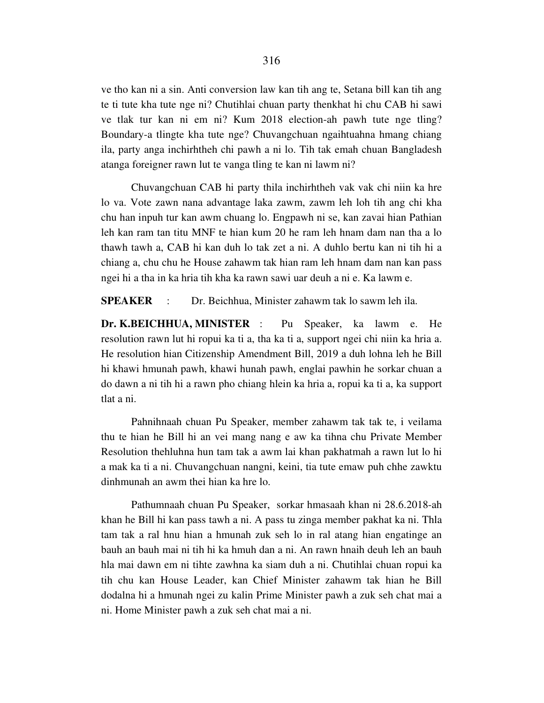ve tho kan ni a sin. Anti conversion law kan tih ang te, Setana bill kan tih ang te ti tute kha tute nge ni? Chutihlai chuan party thenkhat hi chu CAB hi sawi ve tlak tur kan ni em ni? Kum 2018 election-ah pawh tute nge tling? Boundary-a tlingte kha tute nge? Chuvangchuan ngaihtuahna hmang chiang ila, party anga inchirhtheh chi pawh a ni lo. Tih tak emah chuan Bangladesh atanga foreigner rawn lut te vanga tling te kan ni lawm ni?

 Chuvangchuan CAB hi party thila inchirhtheh vak vak chi niin ka hre lo va. Vote zawn nana advantage laka zawm, zawm leh loh tih ang chi kha chu han inpuh tur kan awm chuang lo. Engpawh ni se, kan zavai hian Pathian leh kan ram tan titu MNF te hian kum 20 he ram leh hnam dam nan tha a lo thawh tawh a, CAB hi kan duh lo tak zet a ni. A duhlo bertu kan ni tih hi a chiang a, chu chu he House zahawm tak hian ram leh hnam dam nan kan pass ngei hi a tha in ka hria tih kha ka rawn sawi uar deuh a ni e. Ka lawm e.

**SPEAKER** : Dr. Beichhua, Minister zahawm tak lo sawm leh ila.

**Dr. K.BEICHHUA, MINISTER** : Pu Speaker, ka lawm e. He resolution rawn lut hi ropui ka ti a, tha ka ti a, support ngei chi niin ka hria a. He resolution hian Citizenship Amendment Bill, 2019 a duh lohna leh he Bill hi khawi hmunah pawh, khawi hunah pawh, englai pawhin he sorkar chuan a do dawn a ni tih hi a rawn pho chiang hlein ka hria a, ropui ka ti a, ka support tlat a ni.

 Pahnihnaah chuan Pu Speaker, member zahawm tak tak te, i veilama thu te hian he Bill hi an vei mang nang e aw ka tihna chu Private Member Resolution thehluhna hun tam tak a awm lai khan pakhatmah a rawn lut lo hi a mak ka ti a ni. Chuvangchuan nangni, keini, tia tute emaw puh chhe zawktu dinhmunah an awm thei hian ka hre lo.

 Pathumnaah chuan Pu Speaker, sorkar hmasaah khan ni 28.6.2018-ah khan he Bill hi kan pass tawh a ni. A pass tu zinga member pakhat ka ni. Thla tam tak a ral hnu hian a hmunah zuk seh lo in ral atang hian engatinge an bauh an bauh mai ni tih hi ka hmuh dan a ni. An rawn hnaih deuh leh an bauh hla mai dawn em ni tihte zawhna ka siam duh a ni. Chutihlai chuan ropui ka tih chu kan House Leader, kan Chief Minister zahawm tak hian he Bill dodalna hi a hmunah ngei zu kalin Prime Minister pawh a zuk seh chat mai a ni. Home Minister pawh a zuk seh chat mai a ni.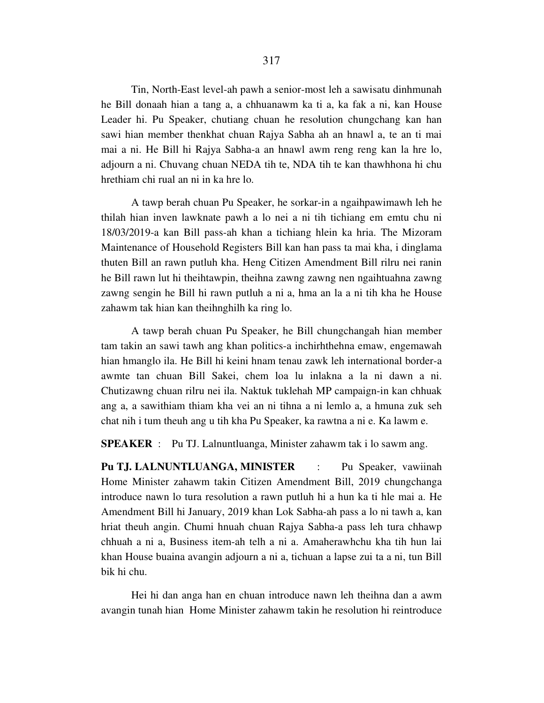Tin, North-East level-ah pawh a senior-most leh a sawisatu dinhmunah he Bill donaah hian a tang a, a chhuanawm ka ti a, ka fak a ni, kan House Leader hi. Pu Speaker, chutiang chuan he resolution chungchang kan han sawi hian member thenkhat chuan Rajya Sabha ah an hnawl a, te an ti mai mai a ni. He Bill hi Rajya Sabha-a an hnawl awm reng reng kan la hre lo, adjourn a ni. Chuvang chuan NEDA tih te, NDA tih te kan thawhhona hi chu hrethiam chi rual an ni in ka hre lo.

 A tawp berah chuan Pu Speaker, he sorkar-in a ngaihpawimawh leh he thilah hian inven lawknate pawh a lo nei a ni tih tichiang em emtu chu ni 18/03/2019-a kan Bill pass-ah khan a tichiang hlein ka hria. The Mizoram Maintenance of Household Registers Bill kan han pass ta mai kha, i dinglama thuten Bill an rawn putluh kha. Heng Citizen Amendment Bill rilru nei ranin he Bill rawn lut hi theihtawpin, theihna zawng zawng nen ngaihtuahna zawng zawng sengin he Bill hi rawn putluh a ni a, hma an la a ni tih kha he House zahawm tak hian kan theihnghilh ka ring lo.

 A tawp berah chuan Pu Speaker, he Bill chungchangah hian member tam takin an sawi tawh ang khan politics-a inchirhthehna emaw, engemawah hian hmanglo ila. He Bill hi keini hnam tenau zawk leh international border-a awmte tan chuan Bill Sakei, chem loa lu inlakna a la ni dawn a ni. Chutizawng chuan rilru nei ila. Naktuk tuklehah MP campaign-in kan chhuak ang a, a sawithiam thiam kha vei an ni tihna a ni lemlo a, a hmuna zuk seh chat nih i tum theuh ang u tih kha Pu Speaker, ka rawtna a ni e. Ka lawm e.

**SPEAKER** : Pu TJ. Lalnuntluanga, Minister zahawm tak i lo sawm ang.

**Pu TJ. LALNUNTLUANGA, MINISTER** : Pu Speaker, vawiinah Home Minister zahawm takin Citizen Amendment Bill, 2019 chungchanga introduce nawn lo tura resolution a rawn putluh hi a hun ka ti hle mai a. He Amendment Bill hi January, 2019 khan Lok Sabha-ah pass a lo ni tawh a, kan hriat theuh angin. Chumi hnuah chuan Rajya Sabha-a pass leh tura chhawp chhuah a ni a, Business item-ah telh a ni a. Amaherawhchu kha tih hun lai khan House buaina avangin adjourn a ni a, tichuan a lapse zui ta a ni, tun Bill bik hi chu.

 Hei hi dan anga han en chuan introduce nawn leh theihna dan a awm avangin tunah hian Home Minister zahawm takin he resolution hi reintroduce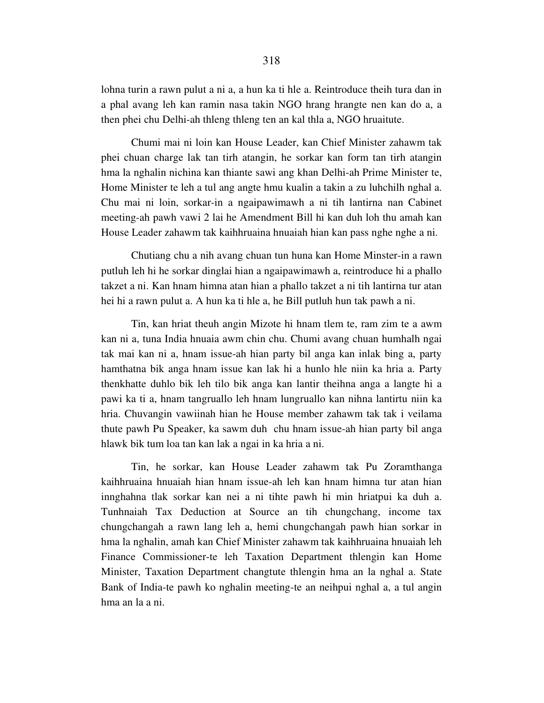lohna turin a rawn pulut a ni a, a hun ka ti hle a. Reintroduce theih tura dan in a phal avang leh kan ramin nasa takin NGO hrang hrangte nen kan do a, a then phei chu Delhi-ah thleng thleng ten an kal thla a, NGO hruaitute.

 Chumi mai ni loin kan House Leader, kan Chief Minister zahawm tak phei chuan charge lak tan tirh atangin, he sorkar kan form tan tirh atangin hma la nghalin nichina kan thiante sawi ang khan Delhi-ah Prime Minister te, Home Minister te leh a tul ang angte hmu kualin a takin a zu luhchilh nghal a. Chu mai ni loin, sorkar-in a ngaipawimawh a ni tih lantirna nan Cabinet meeting-ah pawh vawi 2 lai he Amendment Bill hi kan duh loh thu amah kan House Leader zahawm tak kaihhruaina hnuaiah hian kan pass nghe nghe a ni.

 Chutiang chu a nih avang chuan tun huna kan Home Minster-in a rawn putluh leh hi he sorkar dinglai hian a ngaipawimawh a, reintroduce hi a phallo takzet a ni. Kan hnam himna atan hian a phallo takzet a ni tih lantirna tur atan hei hi a rawn pulut a. A hun ka ti hle a, he Bill putluh hun tak pawh a ni.

 Tin, kan hriat theuh angin Mizote hi hnam tlem te, ram zim te a awm kan ni a, tuna India hnuaia awm chin chu. Chumi avang chuan humhalh ngai tak mai kan ni a, hnam issue-ah hian party bil anga kan inlak bing a, party hamthatna bik anga hnam issue kan lak hi a hunlo hle niin ka hria a. Party thenkhatte duhlo bik leh tilo bik anga kan lantir theihna anga a langte hi a pawi ka ti a, hnam tangruallo leh hnam lungruallo kan nihna lantirtu niin ka hria. Chuvangin vawiinah hian he House member zahawm tak tak i veilama thute pawh Pu Speaker, ka sawm duh chu hnam issue-ah hian party bil anga hlawk bik tum loa tan kan lak a ngai in ka hria a ni.

 Tin, he sorkar, kan House Leader zahawm tak Pu Zoramthanga kaihhruaina hnuaiah hian hnam issue-ah leh kan hnam himna tur atan hian innghahna tlak sorkar kan nei a ni tihte pawh hi min hriatpui ka duh a. Tunhnaiah Tax Deduction at Source an tih chungchang, income tax chungchangah a rawn lang leh a, hemi chungchangah pawh hian sorkar in hma la nghalin, amah kan Chief Minister zahawm tak kaihhruaina hnuaiah leh Finance Commissioner-te leh Taxation Department thlengin kan Home Minister, Taxation Department changtute thlengin hma an la nghal a. State Bank of India-te pawh ko nghalin meeting-te an neihpui nghal a, a tul angin hma an la a ni.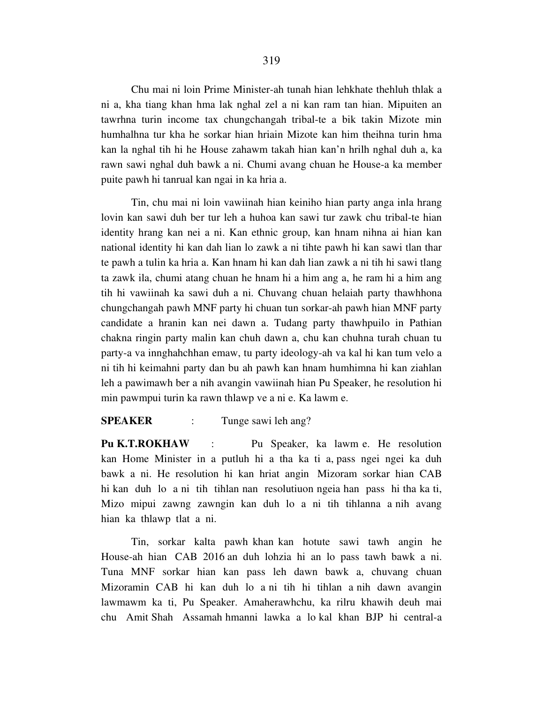Chu mai ni loin Prime Minister-ah tunah hian lehkhate thehluh thlak a ni a, kha tiang khan hma lak nghal zel a ni kan ram tan hian. Mipuiten an tawrhna turin income tax chungchangah tribal-te a bik takin Mizote min humhalhna tur kha he sorkar hian hriain Mizote kan him theihna turin hma kan la nghal tih hi he House zahawm takah hian kan'n hrilh nghal duh a, ka rawn sawi nghal duh bawk a ni. Chumi avang chuan he House-a ka member puite pawh hi tanrual kan ngai in ka hria a.

 Tin, chu mai ni loin vawiinah hian keiniho hian party anga inla hrang lovin kan sawi duh ber tur leh a huhoa kan sawi tur zawk chu tribal-te hian identity hrang kan nei a ni. Kan ethnic group, kan hnam nihna ai hian kan national identity hi kan dah lian lo zawk a ni tihte pawh hi kan sawi tlan thar te pawh a tulin ka hria a. Kan hnam hi kan dah lian zawk a ni tih hi sawi tlang ta zawk ila, chumi atang chuan he hnam hi a him ang a, he ram hi a him ang tih hi vawiinah ka sawi duh a ni. Chuvang chuan helaiah party thawhhona chungchangah pawh MNF party hi chuan tun sorkar-ah pawh hian MNF party candidate a hranin kan nei dawn a. Tudang party thawhpuilo in Pathian chakna ringin party malin kan chuh dawn a, chu kan chuhna turah chuan tu party-a va innghahchhan emaw, tu party ideology-ah va kal hi kan tum velo a ni tih hi keimahni party dan bu ah pawh kan hnam humhimna hi kan ziahlan leh a pawimawh ber a nih avangin vawiinah hian Pu Speaker, he resolution hi min pawmpui turin ka rawn thlawp ve a ni e. Ka lawm e.

# **SPEAKER** : Tunge sawi leh ang?

**Pu K.T.ROKHAW** : Pu Speaker, ka lawm e. He resolution kan Home Minister in a putluh hi a tha ka ti a, pass ngei ngei ka duh bawk a ni. He resolution hi kan hriat angin Mizoram sorkar hian CAB hi kan duh lo a ni tih tihlan nan resolutiuon ngeia han pass hi tha ka ti, Mizo mipui zawng zawngin kan duh lo a ni tih tihlanna a nih avang hian ka thlawp tlat a ni.

 Tin, sorkar kalta pawh khan kan hotute sawi tawh angin he House-ah hian CAB 2016 an duh lohzia hi an lo pass tawh bawk a ni. Tuna MNF sorkar hian kan pass leh dawn bawk a, chuvang chuan Mizoramin CAB hi kan duh lo a ni tih hi tihlan a nih dawn avangin lawmawm ka ti, Pu Speaker. Amaherawhchu, ka rilru khawih deuh mai chu Amit Shah Assamah hmanni lawka a lo kal khan BJP hi central-a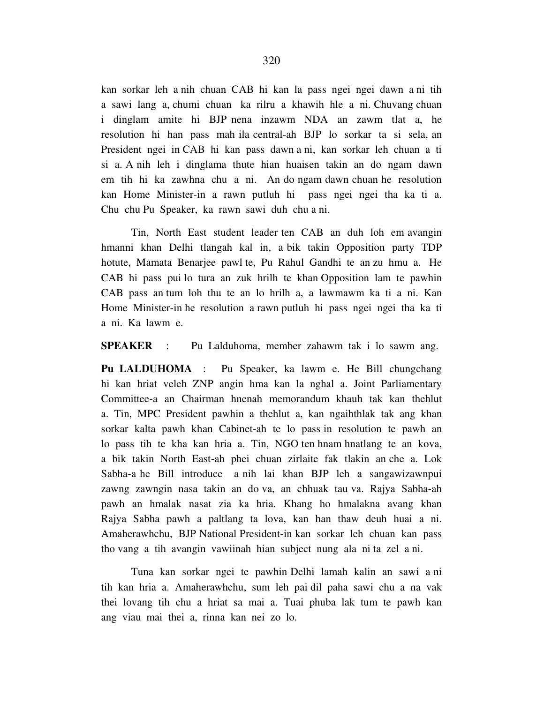kan sorkar leh a nih chuan CAB hi kan la pass ngei ngei dawn a ni tih a sawi lang a, chumi chuan ka rilru a khawih hle a ni. Chuvang chuan i dinglam amite hi BJP nena inzawm NDA an zawm tlat a, he resolution hi han pass mah ila central-ah BJP lo sorkar ta si sela, an President ngei in CAB hi kan pass dawn a ni, kan sorkar leh chuan a ti si a. A nih leh i dinglama thute hian huaisen takin an do ngam dawn em tih hi ka zawhna chu a ni. An do ngam dawn chuan he resolution kan Home Minister-in a rawn putluh hi pass ngei ngei tha ka ti a. Chu chu Pu Speaker, ka rawn sawi duh chu a ni.

 Tin, North East student leader ten CAB an duh loh em avangin hmanni khan Delhi tlangah kal in, a bik takin Opposition party TDP hotute, Mamata Benarjee pawl te, Pu Rahul Gandhi te an zu hmu a. He CAB hi pass pui lo tura an zuk hrilh te khan Opposition lam te pawhin CAB pass an tum loh thu te an lo hrilh a, a lawmawm ka ti a ni. Kan Home Minister-in he resolution a rawn putluh hi pass ngei ngei tha ka ti a ni. Ka lawm e.

**SPEAKER** : Pu Lalduhoma, member zahawm tak i lo sawm ang.

**Pu LALDUHOMA** : Pu Speaker, ka lawm e. He Bill chungchang hi kan hriat veleh ZNP angin hma kan la nghal a. Joint Parliamentary Committee-a an Chairman hnenah memorandum khauh tak kan thehlut a. Tin, MPC President pawhin a thehlut a, kan ngaihthlak tak ang khan sorkar kalta pawh khan Cabinet-ah te lo pass in resolution te pawh an lo pass tih te kha kan hria a. Tin, NGO ten hnam hnatlang te an kova, a bik takin North East-ah phei chuan zirlaite fak tlakin an che a. Lok Sabha-a he Bill introduce a nih lai khan BJP leh a sangawizawnpui zawng zawngin nasa takin an do va, an chhuak tau va. Rajya Sabha-ah pawh an hmalak nasat zia ka hria. Khang ho hmalakna avang khan Rajya Sabha pawh a paltlang ta lova, kan han thaw deuh huai a ni. Amaherawhchu, BJP National President-in kan sorkar leh chuan kan pass tho vang a tih avangin vawiinah hian subject nung ala ni ta zel a ni.

 Tuna kan sorkar ngei te pawhin Delhi lamah kalin an sawi a ni tih kan hria a. Amaherawhchu, sum leh pai dil paha sawi chu a na vak thei lovang tih chu a hriat sa mai a. Tuai phuba lak tum te pawh kan ang viau mai thei a, rinna kan nei zo lo.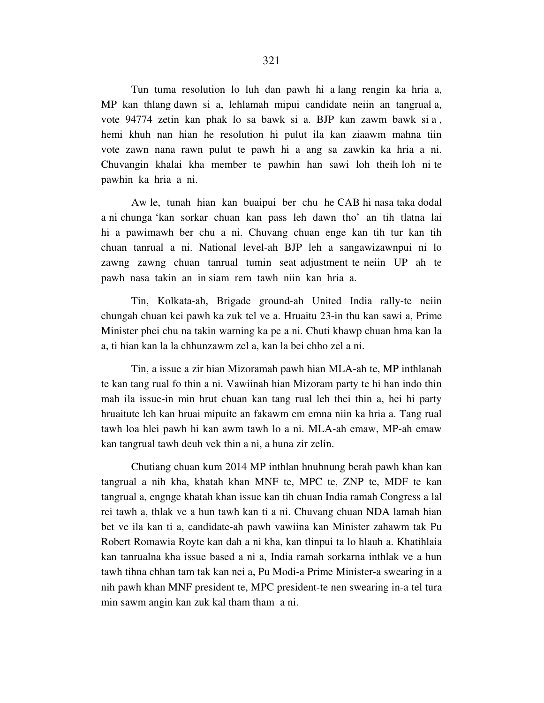Tun tuma resolution lo luh dan pawh hi a lang rengin ka hria a, MP kan thlang dawn si a, lehlamah mipui candidate neiin an tangrual a, vote 94774 zetin kan phak lo sa bawk si a. BJP kan zawm bawk si a , hemi khuh nan hian he resolution hi pulut ila kan ziaawm mahna tiin vote zawn nana rawn pulut te pawh hi a ang sa zawkin ka hria a ni. Chuvangin khalai kha member te pawhin han sawi loh theih loh ni te pawhin ka hria a ni.

 Aw le, tunah hian kan buaipui ber chu he CAB hi nasa taka dodal a ni chunga 'kan sorkar chuan kan pass leh dawn tho' an tih tlatna lai hi a pawimawh ber chu a ni. Chuvang chuan enge kan tih tur kan tih chuan tanrual a ni. National level-ah BJP leh a sangawizawnpui ni lo zawng zawng chuan tanrual tumin seat adjustment te neiin UP ah te pawh nasa takin an in siam rem tawh niin kan hria a.

 Tin, Kolkata-ah, Brigade ground-ah United India rally-te neiin chungah chuan kei pawh ka zuk tel ve a. Hruaitu 23-in thu kan sawi a, Prime Minister phei chu na takin warning ka pe a ni. Chuti khawp chuan hma kan la a, ti hian kan la la chhunzawm zel a, kan la bei chho zel a ni.

 Tin, a issue a zir hian Mizoramah pawh hian MLA-ah te, MP inthlanah te kan tang rual fo thin a ni. Vawiinah hian Mizoram party te hi han indo thin mah ila issue-in min hrut chuan kan tang rual leh thei thin a, hei hi party hruaitute leh kan hruai mipuite an fakawm em emna niin ka hria a. Tang rual tawh loa hlei pawh hi kan awm tawh lo a ni. MLA-ah emaw, MP-ah emaw kan tangrual tawh deuh vek thin a ni, a huna zir zelin.

 Chutiang chuan kum 2014 MP inthlan hnuhnung berah pawh khan kan tangrual a nih kha, khatah khan MNF te, MPC te, ZNP te, MDF te kan tangrual a, engnge khatah khan issue kan tih chuan India ramah Congress a lal rei tawh a, thlak ve a hun tawh kan ti a ni. Chuvang chuan NDA lamah hian bet ve ila kan ti a, candidate-ah pawh vawiina kan Minister zahawm tak Pu Robert Romawia Royte kan dah a ni kha, kan tlinpui ta lo hlauh a. Khatihlaia kan tanrualna kha issue based a ni a, India ramah sorkarna inthlak ve a hun tawh tihna chhan tam tak kan nei a, Pu Modi-a Prime Minister-a swearing in a nih pawh khan MNF president te, MPC president-te nen swearing in-a tel tura min sawm angin kan zuk kal tham tham a ni.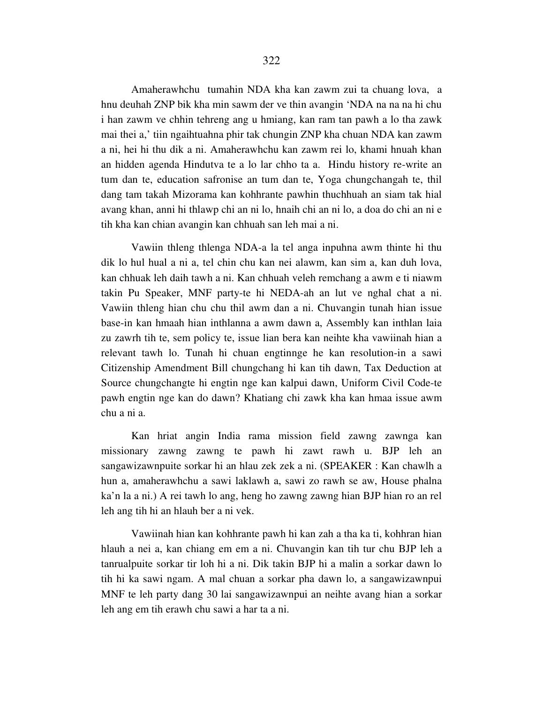Amaherawhchu tumahin NDA kha kan zawm zui ta chuang lova, a hnu deuhah ZNP bik kha min sawm der ve thin avangin 'NDA na na na hi chu i han zawm ve chhin tehreng ang u hmiang, kan ram tan pawh a lo tha zawk mai thei a,' tiin ngaihtuahna phir tak chungin ZNP kha chuan NDA kan zawm a ni, hei hi thu dik a ni. Amaherawhchu kan zawm rei lo, khami hnuah khan an hidden agenda Hindutva te a lo lar chho ta a. Hindu history re-write an tum dan te, education safronise an tum dan te, Yoga chungchangah te, thil dang tam takah Mizorama kan kohhrante pawhin thuchhuah an siam tak hial avang khan, anni hi thlawp chi an ni lo, hnaih chi an ni lo, a doa do chi an ni e tih kha kan chian avangin kan chhuah san leh mai a ni.

 Vawiin thleng thlenga NDA-a la tel anga inpuhna awm thinte hi thu dik lo hul hual a ni a, tel chin chu kan nei alawm, kan sim a, kan duh lova, kan chhuak leh daih tawh a ni. Kan chhuah veleh remchang a awm e ti niawm takin Pu Speaker, MNF party-te hi NEDA-ah an lut ve nghal chat a ni. Vawiin thleng hian chu chu thil awm dan a ni. Chuvangin tunah hian issue base-in kan hmaah hian inthlanna a awm dawn a, Assembly kan inthlan laia zu zawrh tih te, sem policy te, issue lian bera kan neihte kha vawiinah hian a relevant tawh lo. Tunah hi chuan engtinnge he kan resolution-in a sawi Citizenship Amendment Bill chungchang hi kan tih dawn, Tax Deduction at Source chungchangte hi engtin nge kan kalpui dawn, Uniform Civil Code-te pawh engtin nge kan do dawn? Khatiang chi zawk kha kan hmaa issue awm chu a ni a.

 Kan hriat angin India rama mission field zawng zawnga kan missionary zawng zawng te pawh hi zawt rawh u. BJP leh an sangawizawnpuite sorkar hi an hlau zek zek a ni. (SPEAKER : Kan chawlh a hun a, amaherawhchu a sawi laklawh a, sawi zo rawh se aw, House phalna ka'n la a ni.) A rei tawh lo ang, heng ho zawng zawng hian BJP hian ro an rel leh ang tih hi an hlauh ber a ni vek.

 Vawiinah hian kan kohhrante pawh hi kan zah a tha ka ti, kohhran hian hlauh a nei a, kan chiang em em a ni. Chuvangin kan tih tur chu BJP leh a tanrualpuite sorkar tir loh hi a ni. Dik takin BJP hi a malin a sorkar dawn lo tih hi ka sawi ngam. A mal chuan a sorkar pha dawn lo, a sangawizawnpui MNF te leh party dang 30 lai sangawizawnpui an neihte avang hian a sorkar leh ang em tih erawh chu sawi a har ta a ni.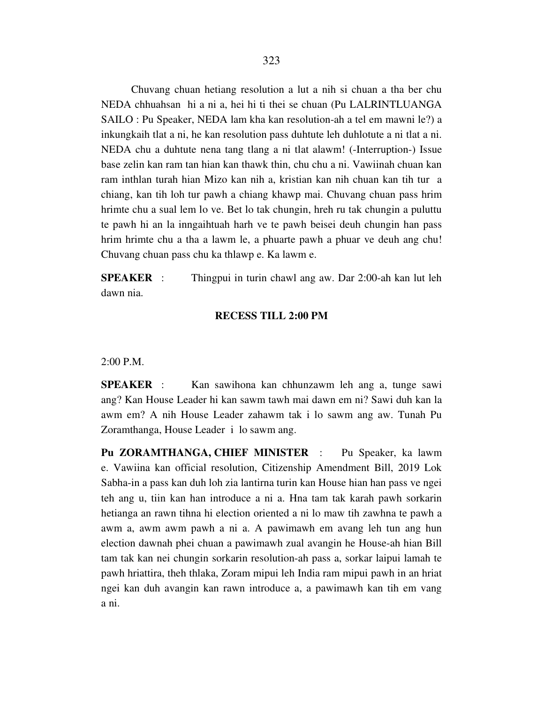Chuvang chuan hetiang resolution a lut a nih si chuan a tha ber chu NEDA chhuahsan hi a ni a, hei hi ti thei se chuan (Pu LALRINTLUANGA SAILO : Pu Speaker, NEDA lam kha kan resolution-ah a tel em mawni le?) a inkungkaih tlat a ni, he kan resolution pass duhtute leh duhlotute a ni tlat a ni. NEDA chu a duhtute nena tang tlang a ni tlat alawm! (-Interruption-) Issue base zelin kan ram tan hian kan thawk thin, chu chu a ni. Vawiinah chuan kan ram inthlan turah hian Mizo kan nih a, kristian kan nih chuan kan tih tur a chiang, kan tih loh tur pawh a chiang khawp mai. Chuvang chuan pass hrim hrimte chu a sual lem lo ve. Bet lo tak chungin, hreh ru tak chungin a puluttu te pawh hi an la inngaihtuah harh ve te pawh beisei deuh chungin han pass hrim hrimte chu a tha a lawm le, a phuarte pawh a phuar ve deuh ang chu! Chuvang chuan pass chu ka thlawp e. Ka lawm e.

**SPEAKER** : Thingpui in turin chawl ang aw. Dar 2:00-ah kan lut leh dawn nia.

#### **RECESS TILL 2:00 PM**

### 2:00 P.M.

**SPEAKER** : Kan sawihona kan chhunzawm leh ang a, tunge sawi ang? Kan House Leader hi kan sawm tawh mai dawn em ni? Sawi duh kan la awm em? A nih House Leader zahawm tak i lo sawm ang aw. Tunah Pu Zoramthanga, House Leader i lo sawm ang.

**Pu ZORAMTHANGA, CHIEF MINISTER** : Pu Speaker, ka lawm e. Vawiina kan official resolution, Citizenship Amendment Bill, 2019 Lok Sabha-in a pass kan duh loh zia lantirna turin kan House hian han pass ve ngei teh ang u, tiin kan han introduce a ni a. Hna tam tak karah pawh sorkarin hetianga an rawn tihna hi election oriented a ni lo maw tih zawhna te pawh a awm a, awm awm pawh a ni a. A pawimawh em avang leh tun ang hun election dawnah phei chuan a pawimawh zual avangin he House-ah hian Bill tam tak kan nei chungin sorkarin resolution-ah pass a, sorkar laipui lamah te pawh hriattira, theh thlaka, Zoram mipui leh India ram mipui pawh in an hriat ngei kan duh avangin kan rawn introduce a, a pawimawh kan tih em vang a ni.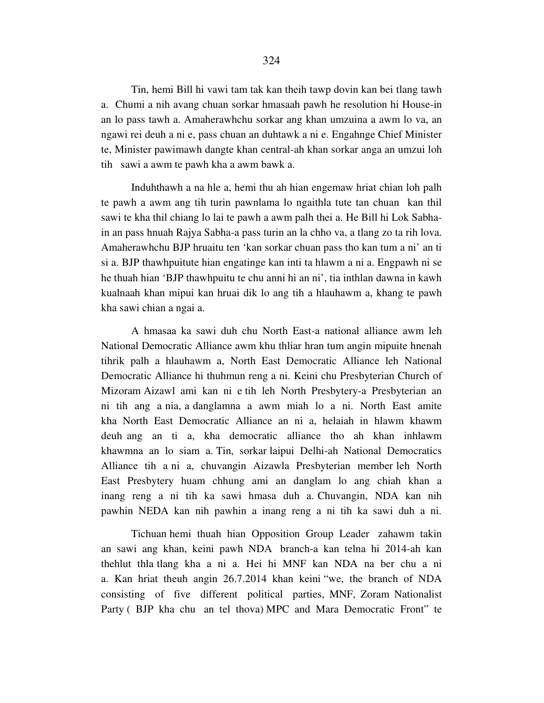Tin, hemi Bill hi vawi tam tak kan theih tawp dovin kan bei tlang tawh a. Chumi a nih avang chuan sorkar hmasaah pawh he resolution hi House-in an lo pass tawh a. Amaherawhchu sorkar ang khan umzuina a awm lo va, an ngawi rei deuh a ni e, pass chuan an duhtawk a ni e. Engahnge Chief Minister te, Minister pawimawh dangte khan central-ah khan sorkar anga an umzui loh tih sawi a awm te pawh kha a awm bawk a.

 Induhthawh a na hle a, hemi thu ah hian engemaw hriat chian loh palh te pawh a awm ang tih turin pawnlama lo ngaithla tute tan chuan kan thil sawi te kha thil chiang lo lai te pawh a awm palh thei a. He Bill hi Lok Sabhain an pass hnuah Rajya Sabha-a pass turin an la chho va, a tlang zo ta rih lova. Amaherawhchu BJP hruaitu ten 'kan sorkar chuan pass tho kan tum a ni' an ti si a. BJP thawhpuitute hian engatinge kan inti ta hlawm a ni a. Engpawh ni se he thuah hian 'BJP thawhpuitu te chu anni hi an ni', tia inthlan dawna in kawh kualnaah khan mipui kan hruai dik lo ang tih a hlauhawm a, khang te pawh kha sawi chian a ngai a.

 A hmasaa ka sawi duh chu North East-a national alliance awm leh National Democratic Alliance awm khu thliar hran tum angin mipuite hnenah tihrik palh a hlauhawm a, North East Democratic Alliance leh National Democratic Alliance hi thuhmun reng a ni. Keini chu Presbyterian Church of Mizoram Aizawl ami kan ni e tih leh North Presbytery-a Presbyterian an ni tih ang a nia, a danglamna a awm miah lo a ni. North East amite kha North East Democratic Alliance an ni a, helaiah in hlawm khawm deuh ang an ti a, kha democratic alliance tho ah khan inhlawm khawmna an lo siam a. Tin, sorkar laipui Delhi-ah National Democratics Alliance tih a ni a, chuvangin Aizawla Presbyterian member leh North East Presbytery huam chhung ami an danglam lo ang chiah khan a inang reng a ni tih ka sawi hmasa duh a. Chuvangin, NDA kan nih pawhin NEDA kan nih pawhin a inang reng a ni tih ka sawi duh a ni.

 Tichuan hemi thuah hian Opposition Group Leader zahawm takin an sawi ang khan, keini pawh NDA branch-a kan telna hi 2014-ah kan thehlut thla tlang kha a ni a. Hei hi MNF kan NDA na ber chu a ni a. Kan hriat theuh angin 26.7.2014 khan keini "we, the branch of NDA consisting of five different political parties, MNF, Zoram Nationalist Party ( BJP kha chu an tel thova) MPC and Mara Democratic Front" te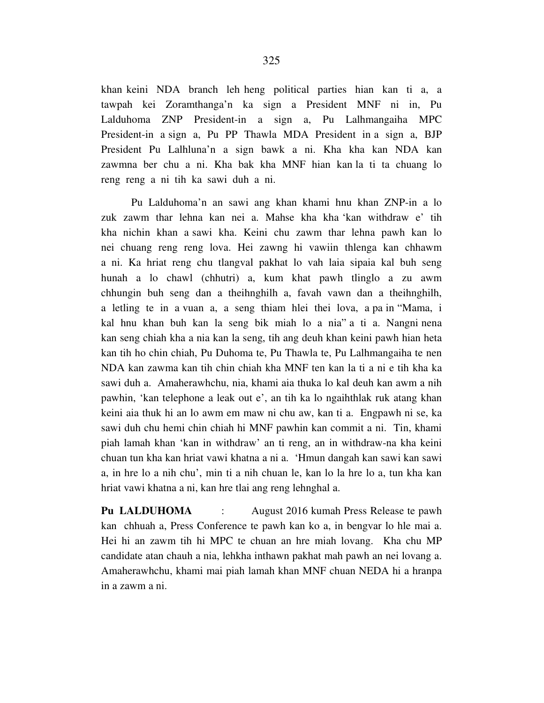khan keini NDA branch leh heng political parties hian kan ti a, a tawpah kei Zoramthanga'n ka sign a President MNF ni in, Pu Lalduhoma ZNP President-in a sign a, Pu Lalhmangaiha MPC President-in a sign a, Pu PP Thawla MDA President in a sign a, BJP President Pu Lalhluna'n a sign bawk a ni. Kha kha kan NDA kan zawmna ber chu a ni. Kha bak kha MNF hian kan la ti ta chuang lo reng reng a ni tih ka sawi duh a ni.

 Pu Lalduhoma'n an sawi ang khan khami hnu khan ZNP-in a lo zuk zawm thar lehna kan nei a. Mahse kha kha 'kan withdraw e' tih kha nichin khan a sawi kha. Keini chu zawm thar lehna pawh kan lo nei chuang reng reng lova. Hei zawng hi vawiin thlenga kan chhawm a ni. Ka hriat reng chu tlangval pakhat lo vah laia sipaia kal buh seng hunah a lo chawl (chhutri) a, kum khat pawh tlinglo a zu awm chhungin buh seng dan a theihnghilh a, favah vawn dan a theihnghilh, a letling te in a vuan a, a seng thiam hlei thei lova, a pa in "Mama, i kal hnu khan buh kan la seng bik miah lo a nia" a ti a. Nangni nena kan seng chiah kha a nia kan la seng, tih ang deuh khan keini pawh hian heta kan tih ho chin chiah, Pu Duhoma te, Pu Thawla te, Pu Lalhmangaiha te nen NDA kan zawma kan tih chin chiah kha MNF ten kan la ti a ni e tih kha ka sawi duh a. Amaherawhchu, nia, khami aia thuka lo kal deuh kan awm a nih pawhin, 'kan telephone a leak out e', an tih ka lo ngaihthlak ruk atang khan keini aia thuk hi an lo awm em maw ni chu aw, kan ti a. Engpawh ni se, ka sawi duh chu hemi chin chiah hi MNF pawhin kan commit a ni. Tin, khami piah lamah khan 'kan in withdraw' an ti reng, an in withdraw-na kha keini chuan tun kha kan hriat vawi khatna a ni a. 'Hmun dangah kan sawi kan sawi a, in hre lo a nih chu', min ti a nih chuan le, kan lo la hre lo a, tun kha kan hriat vawi khatna a ni, kan hre tlai ang reng lehnghal a.

**Pu LALDUHOMA** : August 2016 kumah Press Release te pawh kan chhuah a, Press Conference te pawh kan ko a, in bengvar lo hle mai a. Hei hi an zawm tih hi MPC te chuan an hre miah lovang. Kha chu MP candidate atan chauh a nia, lehkha inthawn pakhat mah pawh an nei lovang a. Amaherawhchu, khami mai piah lamah khan MNF chuan NEDA hi a hranpa in a zawm a ni.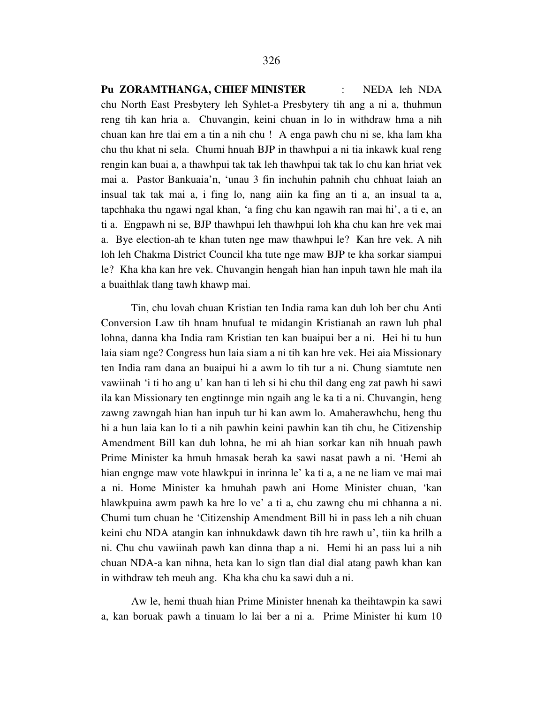**Pu ZORAMTHANGA, CHIEF MINISTER** : NEDA leh NDA chu North East Presbytery leh Syhlet-a Presbytery tih ang a ni a, thuhmun reng tih kan hria a. Chuvangin, keini chuan in lo in withdraw hma a nih chuan kan hre tlai em a tin a nih chu ! A enga pawh chu ni se, kha lam kha chu thu khat ni sela. Chumi hnuah BJP in thawhpui a ni tia inkawk kual reng rengin kan buai a, a thawhpui tak tak leh thawhpui tak tak lo chu kan hriat vek mai a. Pastor Bankuaia'n, 'unau 3 fin inchuhin pahnih chu chhuat laiah an insual tak tak mai a, i fing lo, nang aiin ka fing an ti a, an insual ta a, tapchhaka thu ngawi ngal khan, 'a fing chu kan ngawih ran mai hi', a ti e, an ti a. Engpawh ni se, BJP thawhpui leh thawhpui loh kha chu kan hre vek mai a. Bye election-ah te khan tuten nge maw thawhpui le? Kan hre vek. A nih loh leh Chakma District Council kha tute nge maw BJP te kha sorkar siampui le? Kha kha kan hre vek. Chuvangin hengah hian han inpuh tawn hle mah ila a buaithlak tlang tawh khawp mai.

 Tin, chu lovah chuan Kristian ten India rama kan duh loh ber chu Anti Conversion Law tih hnam hnufual te midangin Kristianah an rawn luh phal lohna, danna kha India ram Kristian ten kan buaipui ber a ni. Hei hi tu hun laia siam nge? Congress hun laia siam a ni tih kan hre vek. Hei aia Missionary ten India ram dana an buaipui hi a awm lo tih tur a ni. Chung siamtute nen vawiinah 'i ti ho ang u' kan han ti leh si hi chu thil dang eng zat pawh hi sawi ila kan Missionary ten engtinnge min ngaih ang le ka ti a ni. Chuvangin, heng zawng zawngah hian han inpuh tur hi kan awm lo. Amaherawhchu, heng thu hi a hun laia kan lo ti a nih pawhin keini pawhin kan tih chu, he Citizenship Amendment Bill kan duh lohna, he mi ah hian sorkar kan nih hnuah pawh Prime Minister ka hmuh hmasak berah ka sawi nasat pawh a ni. 'Hemi ah hian engnge maw vote hlawkpui in inrinna le' ka ti a, a ne ne liam ve mai mai a ni. Home Minister ka hmuhah pawh ani Home Minister chuan, 'kan hlawkpuina awm pawh ka hre lo ve' a ti a, chu zawng chu mi chhanna a ni. Chumi tum chuan he 'Citizenship Amendment Bill hi in pass leh a nih chuan keini chu NDA atangin kan inhnukdawk dawn tih hre rawh u', tiin ka hrilh a ni. Chu chu vawiinah pawh kan dinna thap a ni. Hemi hi an pass lui a nih chuan NDA-a kan nihna, heta kan lo sign tlan dial dial atang pawh khan kan in withdraw teh meuh ang. Kha kha chu ka sawi duh a ni.

 Aw le, hemi thuah hian Prime Minister hnenah ka theihtawpin ka sawi a, kan boruak pawh a tinuam lo lai ber a ni a. Prime Minister hi kum 10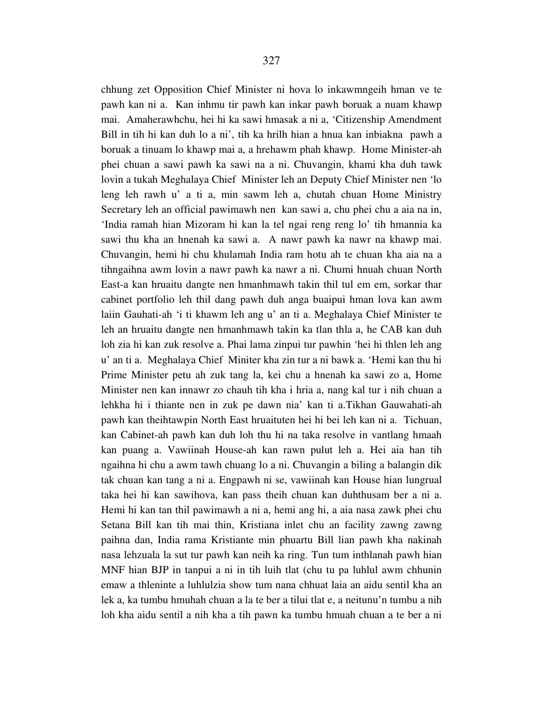chhung zet Opposition Chief Minister ni hova lo inkawmngeih hman ve te pawh kan ni a. Kan inhmu tir pawh kan inkar pawh boruak a nuam khawp mai. Amaherawhchu, hei hi ka sawi hmasak a ni a, 'Citizenship Amendment Bill in tih hi kan duh lo a ni', tih ka hrilh hian a hnua kan inbiakna pawh a boruak a tinuam lo khawp mai a, a hrehawm phah khawp. Home Minister-ah phei chuan a sawi pawh ka sawi na a ni. Chuvangin, khami kha duh tawk lovin a tukah Meghalaya Chief Minister leh an Deputy Chief Minister nen 'lo leng leh rawh u' a ti a, min sawm leh a, chutah chuan Home Ministry Secretary leh an official pawimawh nen kan sawi a, chu phei chu a aia na in, 'India ramah hian Mizoram hi kan la tel ngai reng reng lo' tih hmannia ka sawi thu kha an hnenah ka sawi a. A nawr pawh ka nawr na khawp mai. Chuvangin, hemi hi chu khulamah India ram hotu ah te chuan kha aia na a tihngaihna awm lovin a nawr pawh ka nawr a ni. Chumi hnuah chuan North East-a kan hruaitu dangte nen hmanhmawh takin thil tul em em, sorkar thar cabinet portfolio leh thil dang pawh duh anga buaipui hman lova kan awm laiin Gauhati-ah 'i ti khawm leh ang u' an ti a. Meghalaya Chief Minister te leh an hruaitu dangte nen hmanhmawh takin ka tlan thla a, he CAB kan duh loh zia hi kan zuk resolve a. Phai lama zinpui tur pawhin 'hei hi thlen leh ang u' an ti a. Meghalaya Chief Miniter kha zin tur a ni bawk a. 'Hemi kan thu hi Prime Minister petu ah zuk tang la, kei chu a hnenah ka sawi zo a, Home Minister nen kan innawr zo chauh tih kha i hria a, nang kal tur i nih chuan a lehkha hi i thiante nen in zuk pe dawn nia' kan ti a.Tikhan Gauwahati-ah pawh kan theihtawpin North East hruaituten hei hi bei leh kan ni a. Tichuan, kan Cabinet-ah pawh kan duh loh thu hi na taka resolve in vantlang hmaah kan puang a. Vawiinah House-ah kan rawn pulut leh a. Hei aia han tih ngaihna hi chu a awm tawh chuang lo a ni. Chuvangin a biling a balangin dik tak chuan kan tang a ni a. Engpawh ni se, vawiinah kan House hian lungrual taka hei hi kan sawihova, kan pass theih chuan kan duhthusam ber a ni a. Hemi hi kan tan thil pawimawh a ni a, hemi ang hi, a aia nasa zawk phei chu Setana Bill kan tih mai thin, Kristiana inlet chu an facility zawng zawng paihna dan, India rama Kristiante min phuartu Bill lian pawh kha nakinah nasa lehzuala la sut tur pawh kan neih ka ring. Tun tum inthlanah pawh hian MNF hian BJP in tanpui a ni in tih luih tlat (chu tu pa luhlul awm chhunin emaw a thleninte a luhlulzia show tum nana chhuat laia an aidu sentil kha an lek a, ka tumbu hmuhah chuan a la te ber a tilui tlat e, a neitunu'n tumbu a nih loh kha aidu sentil a nih kha a tih pawn ka tumbu hmuah chuan a te ber a ni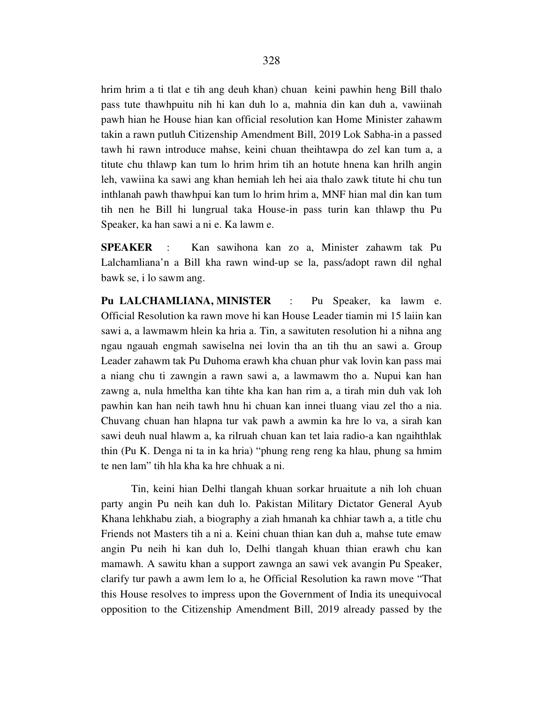hrim hrim a ti tlat e tih ang deuh khan) chuan keini pawhin heng Bill thalo pass tute thawhpuitu nih hi kan duh lo a, mahnia din kan duh a, vawiinah pawh hian he House hian kan official resolution kan Home Minister zahawm takin a rawn putluh Citizenship Amendment Bill, 2019 Lok Sabha-in a passed tawh hi rawn introduce mahse, keini chuan theihtawpa do zel kan tum a, a titute chu thlawp kan tum lo hrim hrim tih an hotute hnena kan hrilh angin leh, vawiina ka sawi ang khan hemiah leh hei aia thalo zawk titute hi chu tun inthlanah pawh thawhpui kan tum lo hrim hrim a, MNF hian mal din kan tum tih nen he Bill hi lungrual taka House-in pass turin kan thlawp thu Pu Speaker, ka han sawi a ni e. Ka lawm e.

**SPEAKER** : Kan sawihona kan zo a, Minister zahawm tak Pu Lalchamliana'n a Bill kha rawn wind-up se la, pass/adopt rawn dil nghal bawk se, i lo sawm ang.

**Pu LALCHAMLIANA, MINISTER** : Pu Speaker, ka lawm e. Official Resolution ka rawn move hi kan House Leader tiamin mi 15 laiin kan sawi a, a lawmawm hlein ka hria a. Tin, a sawituten resolution hi a nihna ang ngau ngauah engmah sawiselna nei lovin tha an tih thu an sawi a. Group Leader zahawm tak Pu Duhoma erawh kha chuan phur vak lovin kan pass mai a niang chu ti zawngin a rawn sawi a, a lawmawm tho a. Nupui kan han zawng a, nula hmeltha kan tihte kha kan han rim a, a tirah min duh vak loh pawhin kan han neih tawh hnu hi chuan kan innei tluang viau zel tho a nia. Chuvang chuan han hlapna tur vak pawh a awmin ka hre lo va, a sirah kan sawi deuh nual hlawm a, ka rilruah chuan kan tet laia radio-a kan ngaihthlak thin (Pu K. Denga ni ta in ka hria) "phung reng reng ka hlau, phung sa hmim te nen lam" tih hla kha ka hre chhuak a ni.

 Tin, keini hian Delhi tlangah khuan sorkar hruaitute a nih loh chuan party angin Pu neih kan duh lo. Pakistan Military Dictator General Ayub Khana lehkhabu ziah, a biography a ziah hmanah ka chhiar tawh a, a title chu Friends not Masters tih a ni a. Keini chuan thian kan duh a, mahse tute emaw angin Pu neih hi kan duh lo, Delhi tlangah khuan thian erawh chu kan mamawh. A sawitu khan a support zawnga an sawi vek avangin Pu Speaker, clarify tur pawh a awm lem lo a, he Official Resolution ka rawn move "That this House resolves to impress upon the Government of India its unequivocal opposition to the Citizenship Amendment Bill, 2019 already passed by the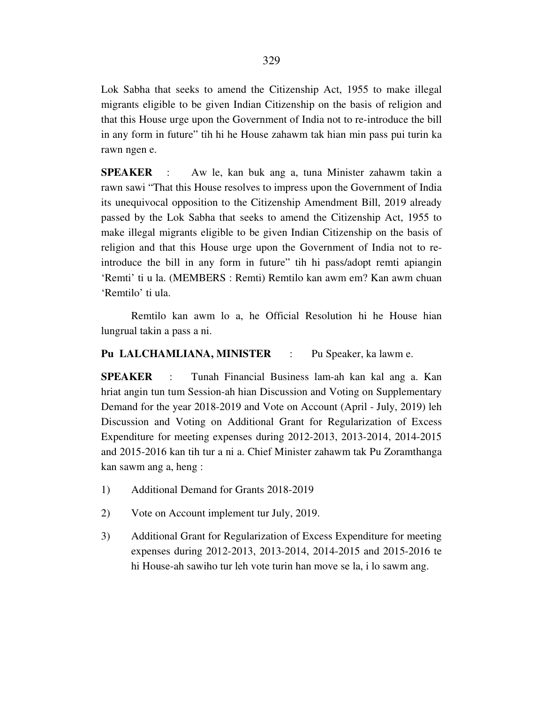Lok Sabha that seeks to amend the Citizenship Act, 1955 to make illegal migrants eligible to be given Indian Citizenship on the basis of religion and that this House urge upon the Government of India not to re-introduce the bill in any form in future" tih hi he House zahawm tak hian min pass pui turin ka rawn ngen e.

**SPEAKER** : Aw le, kan buk ang a, tuna Minister zahawm takin a rawn sawi "That this House resolves to impress upon the Government of India its unequivocal opposition to the Citizenship Amendment Bill, 2019 already passed by the Lok Sabha that seeks to amend the Citizenship Act, 1955 to make illegal migrants eligible to be given Indian Citizenship on the basis of religion and that this House urge upon the Government of India not to reintroduce the bill in any form in future" tih hi pass/adopt remti apiangin 'Remti' ti u la. (MEMBERS : Remti) Remtilo kan awm em? Kan awm chuan 'Remtilo' ti ula.

 Remtilo kan awm lo a, he Official Resolution hi he House hian lungrual takin a pass a ni.

## **Pu LALCHAMLIANA, MINISTER** : Pu Speaker, ka lawm e.

**SPEAKER** : Tunah Financial Business lam-ah kan kal ang a. Kan hriat angin tun tum Session-ah hian Discussion and Voting on Supplementary Demand for the year 2018-2019 and Vote on Account (April - July, 2019) leh Discussion and Voting on Additional Grant for Regularization of Excess Expenditure for meeting expenses during 2012-2013, 2013-2014, 2014-2015 and 2015-2016 kan tih tur a ni a. Chief Minister zahawm tak Pu Zoramthanga kan sawm ang a, heng :

- 1) Additional Demand for Grants 2018-2019
- 2) Vote on Account implement tur July, 2019.
- 3) Additional Grant for Regularization of Excess Expenditure for meeting expenses during 2012-2013, 2013-2014, 2014-2015 and 2015-2016 te hi House-ah sawiho tur leh vote turin han move se la, i lo sawm ang.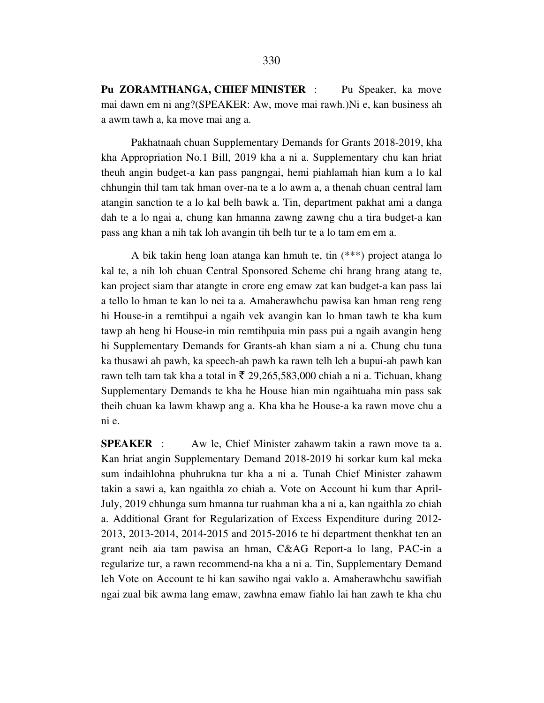**Pu ZORAMTHANGA, CHIEF MINISTER** : Pu Speaker, ka move mai dawn em ni ang?(SPEAKER: Aw, move mai rawh.)Ni e, kan business ah a awm tawh a, ka move mai ang a.

 Pakhatnaah chuan Supplementary Demands for Grants 2018-2019, kha kha Appropriation No.1 Bill, 2019 kha a ni a. Supplementary chu kan hriat theuh angin budget-a kan pass pangngai, hemi piahlamah hian kum a lo kal chhungin thil tam tak hman over-na te a lo awm a, a thenah chuan central lam atangin sanction te a lo kal belh bawk a. Tin, department pakhat ami a danga dah te a lo ngai a, chung kan hmanna zawng zawng chu a tira budget-a kan pass ang khan a nih tak loh avangin tih belh tur te a lo tam em em a.

 A bik takin heng loan atanga kan hmuh te, tin (\*\*\*) project atanga lo kal te, a nih loh chuan Central Sponsored Scheme chi hrang hrang atang te, kan project siam thar atangte in crore eng emaw zat kan budget-a kan pass lai a tello lo hman te kan lo nei ta a. Amaherawhchu pawisa kan hman reng reng hi House-in a remtihpui a ngaih vek avangin kan lo hman tawh te kha kum tawp ah heng hi House-in min remtihpuia min pass pui a ngaih avangin heng hi Supplementary Demands for Grants-ah khan siam a ni a. Chung chu tuna ka thusawi ah pawh, ka speech-ah pawh ka rawn telh leh a bupui-ah pawh kan rawn telh tam tak kha a total in  $\bar{\tau}$  29,265,583,000 chiah a ni a. Tichuan, khang Supplementary Demands te kha he House hian min ngaihtuaha min pass sak theih chuan ka lawm khawp ang a. Kha kha he House-a ka rawn move chu a ni e.

**SPEAKER** : Aw le, Chief Minister zahawm takin a rawn move ta a. Kan hriat angin Supplementary Demand 2018-2019 hi sorkar kum kal meka sum indaihlohna phuhrukna tur kha a ni a. Tunah Chief Minister zahawm takin a sawi a, kan ngaithla zo chiah a. Vote on Account hi kum thar April-July, 2019 chhunga sum hmanna tur ruahman kha a ni a, kan ngaithla zo chiah a. Additional Grant for Regularization of Excess Expenditure during 2012- 2013, 2013-2014, 2014-2015 and 2015-2016 te hi department thenkhat ten an grant neih aia tam pawisa an hman, C&AG Report-a lo lang, PAC-in a regularize tur, a rawn recommend-na kha a ni a. Tin, Supplementary Demand leh Vote on Account te hi kan sawiho ngai vaklo a. Amaherawhchu sawifiah ngai zual bik awma lang emaw, zawhna emaw fiahlo lai han zawh te kha chu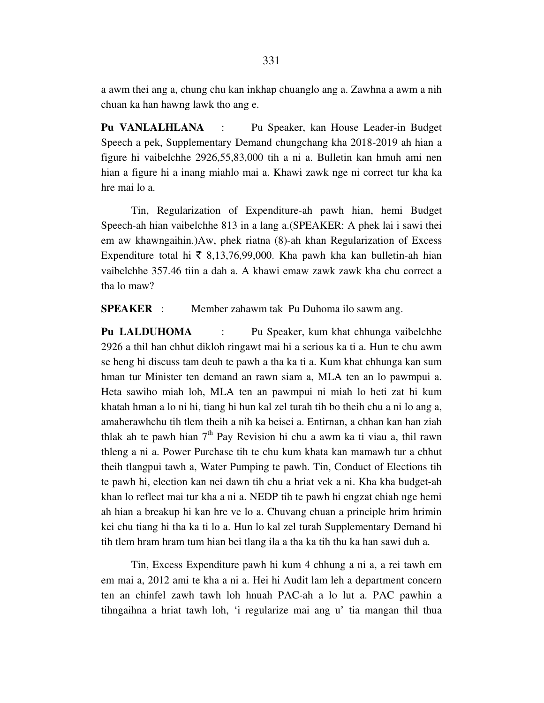a awm thei ang a, chung chu kan inkhap chuanglo ang a. Zawhna a awm a nih chuan ka han hawng lawk tho ang e.

**Pu VANLALHLANA** : Pu Speaker, kan House Leader-in Budget Speech a pek, Supplementary Demand chungchang kha 2018-2019 ah hian a figure hi vaibelchhe 2926,55,83,000 tih a ni a. Bulletin kan hmuh ami nen hian a figure hi a inang miahlo mai a. Khawi zawk nge ni correct tur kha ka hre mai lo a.

 Tin, Regularization of Expenditure-ah pawh hian, hemi Budget Speech-ah hian vaibelchhe 813 in a lang a.(SPEAKER: A phek lai i sawi thei em aw khawngaihin.)Aw, phek riatna (8)-ah khan Regularization of Excess Expenditure total hi  $\bar{\tau}$  8,13,76,99,000. Kha pawh kha kan bulletin-ah hian vaibelchhe 357.46 tiin a dah a. A khawi emaw zawk zawk kha chu correct a tha lo maw?

**SPEAKER** : Member zahawm tak Pu Duhoma ilo sawm ang.

**Pu LALDUHOMA** : Pu Speaker, kum khat chhunga vaibelchhe 2926 a thil han chhut dikloh ringawt mai hi a serious ka ti a. Hun te chu awm se heng hi discuss tam deuh te pawh a tha ka ti a. Kum khat chhunga kan sum hman tur Minister ten demand an rawn siam a, MLA ten an lo pawmpui a. Heta sawiho miah loh, MLA ten an pawmpui ni miah lo heti zat hi kum khatah hman a lo ni hi, tiang hi hun kal zel turah tih bo theih chu a ni lo ang a, amaherawhchu tih tlem theih a nih ka beisei a. Entirnan, a chhan kan han ziah thlak ah te pawh hian  $7<sup>th</sup>$  Pay Revision hi chu a awm ka ti viau a, thil rawn thleng a ni a. Power Purchase tih te chu kum khata kan mamawh tur a chhut theih tlangpui tawh a, Water Pumping te pawh. Tin, Conduct of Elections tih te pawh hi, election kan nei dawn tih chu a hriat vek a ni. Kha kha budget-ah khan lo reflect mai tur kha a ni a. NEDP tih te pawh hi engzat chiah nge hemi ah hian a breakup hi kan hre ve lo a. Chuvang chuan a principle hrim hrimin kei chu tiang hi tha ka ti lo a. Hun lo kal zel turah Supplementary Demand hi tih tlem hram hram tum hian bei tlang ila a tha ka tih thu ka han sawi duh a.

 Tin, Excess Expenditure pawh hi kum 4 chhung a ni a, a rei tawh em em mai a, 2012 ami te kha a ni a. Hei hi Audit lam leh a department concern ten an chinfel zawh tawh loh hnuah PAC-ah a lo lut a. PAC pawhin a tihngaihna a hriat tawh loh, 'i regularize mai ang u' tia mangan thil thua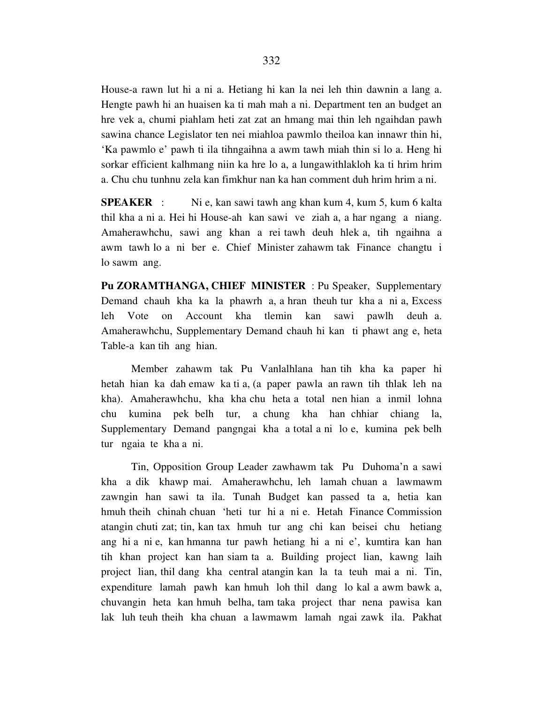House-a rawn lut hi a ni a. Hetiang hi kan la nei leh thin dawnin a lang a. Hengte pawh hi an huaisen ka ti mah mah a ni. Department ten an budget an hre vek a, chumi piahlam heti zat zat an hmang mai thin leh ngaihdan pawh sawina chance Legislator ten nei miahloa pawmlo theiloa kan innawr thin hi, 'Ka pawmlo e' pawh ti ila tihngaihna a awm tawh miah thin si lo a. Heng hi sorkar efficient kalhmang niin ka hre lo a, a lungawithlakloh ka ti hrim hrim a. Chu chu tunhnu zela kan fimkhur nan ka han comment duh hrim hrim a ni.

**SPEAKER** : Ni e, kan sawi tawh ang khan kum 4, kum 5, kum 6 kalta thil kha a ni a. Hei hi House-ah kan sawi ve ziah a, a har ngang a niang. Amaherawhchu, sawi ang khan a rei tawh deuh hlek a, tih ngaihna a awm tawh lo a ni ber e. Chief Minister zahawm tak Finance changtu i lo sawm ang.

**Pu ZORAMTHANGA, CHIEF MINISTER** : Pu Speaker, Supplementary Demand chauh kha ka la phawrh a, a hran theuh tur kha a ni a, Excess leh Vote on Account kha tlemin kan sawi pawlh deuh a. Amaherawhchu, Supplementary Demand chauh hi kan ti phawt ang e, heta Table-a kan tih ang hian.

 Member zahawm tak Pu Vanlalhlana han tih kha ka paper hi hetah hian ka dah emaw ka ti a, (a paper pawla an rawn tih thlak leh na kha). Amaherawhchu, kha kha chu heta a total nen hian a inmil lohna chu kumina pek belh tur, a chung kha han chhiar chiang la, Supplementary Demand pangngai kha a total a ni lo e, kumina pek belh tur ngaia te kha a ni.

 Tin, Opposition Group Leader zawhawm tak Pu Duhoma'n a sawi kha a dik khawp mai. Amaherawhchu, leh lamah chuan a lawmawm zawngin han sawi ta ila. Tunah Budget kan passed ta a, hetia kan hmuh theih chinah chuan 'heti tur hi a ni e. Hetah Finance Commission atangin chuti zat; tin, kan tax hmuh tur ang chi kan beisei chu hetiang ang hi a ni e, kan hmanna tur pawh hetiang hi a ni e', kumtira kan han tih khan project kan han siam ta a. Building project lian, kawng laih project lian, thil dang kha central atangin kan la ta teuh mai a ni. Tin, expenditure lamah pawh kan hmuh loh thil dang lo kal a awm bawk a, chuvangin heta kan hmuh belha, tam taka project thar nena pawisa kan lak luh teuh theih kha chuan a lawmawm lamah ngai zawk ila. Pakhat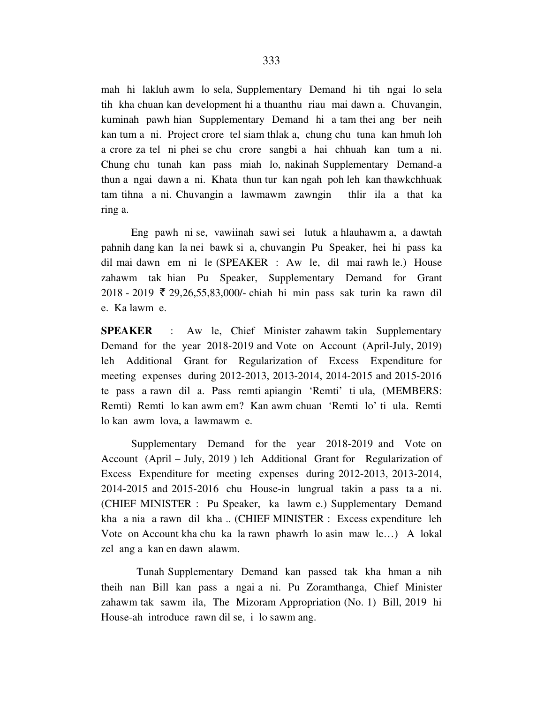mah hi lakluh awm lo sela, Supplementary Demand hi tih ngai lo sela tih kha chuan kan development hi a thuanthu riau mai dawn a. Chuvangin, kuminah pawh hian Supplementary Demand hi a tam thei ang ber neih kan tum a ni. Project crore tel siam thlak a, chung chu tuna kan hmuh loh a crore za tel ni phei se chu crore sangbi a hai chhuah kan tum a ni. Chung chu tunah kan pass miah lo, nakinah Supplementary Demand-a thun a ngai dawn a ni. Khata thun tur kan ngah poh leh kan thawkchhuak tam tihna a ni. Chuvangin a lawmawm zawngin thlir ila a that ka ring a.

 Eng pawh ni se, vawiinah sawi sei lutuk a hlauhawm a, a dawtah pahnih dang kan la nei bawk si a, chuvangin Pu Speaker, hei hi pass ka dil mai dawn em ni le (SPEAKER : Aw le, dil mai rawh le.) House zahawm tak hian Pu Speaker, Supplementary Demand for Grant  $2018 - 2019$  ₹ 29,26,55,83,000/- chiah hi min pass sak turin ka rawn dil e. Ka lawm e.

**SPEAKER** : Aw le, Chief Minister zahawm takin Supplementary Demand for the year 2018-2019 and Vote on Account (April-July, 2019) leh Additional Grant for Regularization of Excess Expenditure for meeting expenses during 2012-2013, 2013-2014, 2014-2015 and 2015-2016 te pass a rawn dil a. Pass remti apiangin 'Remti' ti ula, (MEMBERS: Remti) Remti lo kan awm em? Kan awm chuan 'Remti lo' ti ula. Remti lo kan awm lova, a lawmawm e.

 Supplementary Demand for the year 2018-2019 and Vote on Account (April – July, 2019 ) leh Additional Grant for Regularization of Excess Expenditure for meeting expenses during 2012-2013, 2013-2014, 2014-2015 and 2015-2016 chu House-in lungrual takin a pass ta a ni. (CHIEF MINISTER : Pu Speaker, ka lawm e.) Supplementary Demand kha a nia a rawn dil kha .. (CHIEF MINISTER : Excess expenditure leh Vote on Account kha chu ka la rawn phawrh lo asin maw le…) A lokal zel ang a kan en dawn alawm.

 Tunah Supplementary Demand kan passed tak kha hman a nih theih nan Bill kan pass a ngai a ni. Pu Zoramthanga, Chief Minister zahawm tak sawm ila, The Mizoram Appropriation (No. 1) Bill, 2019 hi House-ah introduce rawn dil se, i lo sawm ang.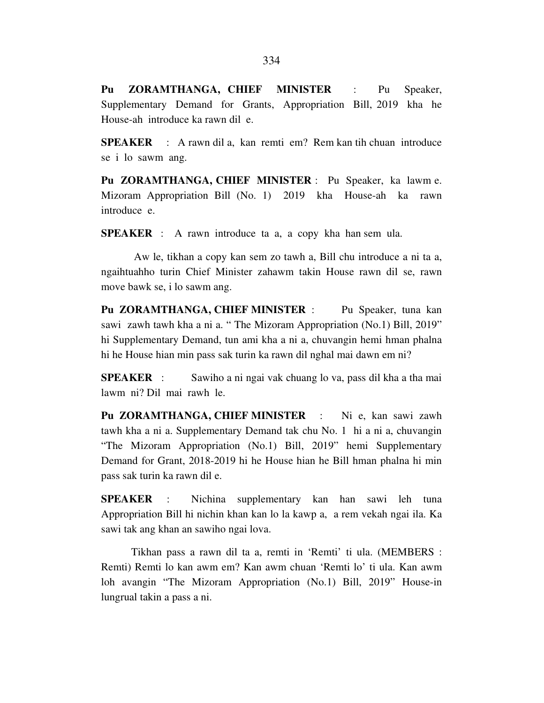**Pu ZORAMTHANGA, CHIEF MINISTER** : Pu Speaker, Supplementary Demand for Grants, Appropriation Bill, 2019 kha he House-ah introduce ka rawn dil e.

**SPEAKER** : A rawn dil a, kan remti em? Rem kan tih chuan introduce se i lo sawm ang.

**Pu ZORAMTHANGA, CHIEF MINISTER** : Pu Speaker, ka lawm e. Mizoram Appropriation Bill (No. 1) 2019 kha House-ah ka rawn introduce e.

**SPEAKER** : A rawn introduce ta a, a copy kha han sem ula.

 Aw le, tikhan a copy kan sem zo tawh a, Bill chu introduce a ni ta a, ngaihtuahho turin Chief Minister zahawm takin House rawn dil se, rawn move bawk se, i lo sawm ang.

Pu ZORAMTHANGA, CHIEF MINISTER : Pu Speaker, tuna kan sawi zawh tawh kha a ni a. " The Mizoram Appropriation (No.1) Bill, 2019" hi Supplementary Demand, tun ami kha a ni a, chuvangin hemi hman phalna hi he House hian min pass sak turin ka rawn dil nghal mai dawn em ni?

**SPEAKER** : Sawiho a ni ngai vak chuang lo va, pass dil kha a tha mai lawm ni? Dil mai rawh le.

Pu ZORAMTHANGA, CHIEF MINISTER : Ni e, kan sawi zawh tawh kha a ni a. Supplementary Demand tak chu No. 1 hi a ni a, chuvangin "The Mizoram Appropriation (No.1) Bill, 2019" hemi Supplementary Demand for Grant, 2018-2019 hi he House hian he Bill hman phalna hi min pass sak turin ka rawn dil e.

**SPEAKER** : Nichina supplementary kan han sawi leh tuna Appropriation Bill hi nichin khan kan lo la kawp a, a rem vekah ngai ila. Ka sawi tak ang khan an sawiho ngai lova.

 Tikhan pass a rawn dil ta a, remti in 'Remti' ti ula. (MEMBERS : Remti) Remti lo kan awm em? Kan awm chuan 'Remti lo' ti ula. Kan awm loh avangin "The Mizoram Appropriation (No.1) Bill, 2019" House-in lungrual takin a pass a ni.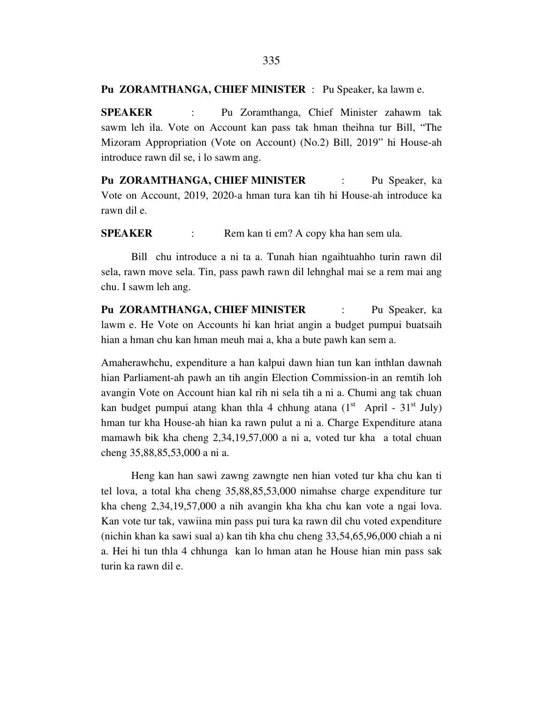### **Pu ZORAMTHANGA, CHIEF MINISTER** : Pu Speaker, ka lawm e.

**SPEAKER** : Pu Zoramthanga, Chief Minister zahawm tak sawm leh ila. Vote on Account kan pass tak hman theihna tur Bill, "The Mizoram Appropriation (Vote on Account) (No.2) Bill, 2019" hi House-ah introduce rawn dil se, i lo sawm ang.

**Pu ZORAMTHANGA, CHIEF MINISTER** : Pu Speaker, ka Vote on Account, 2019, 2020-a hman tura kan tih hi House-ah introduce ka rawn dil e.

**SPEAKER** : Rem kan ti em? A copy kha han sem ula.

 Bill chu introduce a ni ta a. Tunah hian ngaihtuahho turin rawn dil sela, rawn move sela. Tin, pass pawh rawn dil lehnghal mai se a rem mai ang chu. I sawm leh ang.

**Pu ZORAMTHANGA, CHIEF MINISTER** : Pu Speaker, ka lawm e. He Vote on Accounts hi kan hriat angin a budget pumpui buatsaih hian a hman chu kan hman meuh mai a, kha a bute pawh kan sem a.

Amaherawhchu, expenditure a han kalpui dawn hian tun kan inthlan dawnah hian Parliament-ah pawh an tih angin Election Commission-in an remtih loh avangin Vote on Account hian kal rih ni sela tih a ni a. Chumi ang tak chuan kan budget pumpui atang khan thla 4 chhung atana  $(1<sup>st</sup>$  April -  $31<sup>st</sup>$  July) hman tur kha House-ah hian ka rawn pulut a ni a. Charge Expenditure atana mamawh bik kha cheng 2,34,19,57,000 a ni a, voted tur kha a total chuan cheng 35,88,85,53,000 a ni a.

 Heng kan han sawi zawng zawngte nen hian voted tur kha chu kan ti tel lova, a total kha cheng 35,88,85,53,000 nimahse charge expenditure tur kha cheng 2,34,19,57,000 a nih avangin kha kha chu kan vote a ngai lova. Kan vote tur tak, vawiina min pass pui tura ka rawn dil chu voted expenditure (nichin khan ka sawi sual a) kan tih kha chu cheng 33,54,65,96,000 chiah a ni a. Hei hi tun thla 4 chhunga kan lo hman atan he House hian min pass sak turin ka rawn dil e.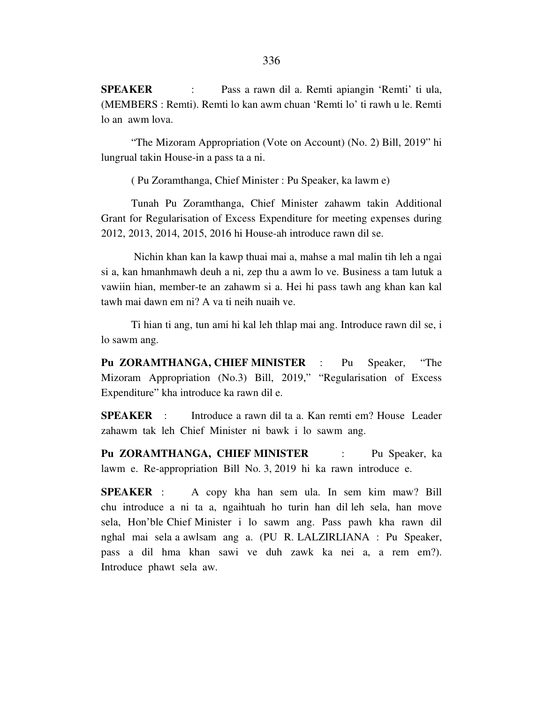**SPEAKER** : Pass a rawn dil a. Remti apiangin 'Remti' ti ula, (MEMBERS : Remti). Remti lo kan awm chuan 'Remti lo' ti rawh u le. Remti lo an awm lova.

 "The Mizoram Appropriation (Vote on Account) (No. 2) Bill, 2019" hi lungrual takin House-in a pass ta a ni.

( Pu Zoramthanga, Chief Minister : Pu Speaker, ka lawm e)

 Tunah Pu Zoramthanga, Chief Minister zahawm takin Additional Grant for Regularisation of Excess Expenditure for meeting expenses during 2012, 2013, 2014, 2015, 2016 hi House-ah introduce rawn dil se.

 Nichin khan kan la kawp thuai mai a, mahse a mal malin tih leh a ngai si a, kan hmanhmawh deuh a ni, zep thu a awm lo ve. Business a tam lutuk a vawiin hian, member-te an zahawm si a. Hei hi pass tawh ang khan kan kal tawh mai dawn em ni? A va ti neih nuaih ve.

 Ti hian ti ang, tun ami hi kal leh thlap mai ang. Introduce rawn dil se, i lo sawm ang.

**Pu ZORAMTHANGA, CHIEF MINISTER** : Pu Speaker, "The Mizoram Appropriation (No.3) Bill, 2019," "Regularisation of Excess Expenditure" kha introduce ka rawn dil e.

**SPEAKER** : Introduce a rawn dil ta a. Kan remti em? House Leader zahawm tak leh Chief Minister ni bawk i lo sawm ang.

**Pu ZORAMTHANGA, CHIEF MINISTER** : Pu Speaker, ka lawm e. Re-appropriation Bill No. 3, 2019 hi ka rawn introduce e.

**SPEAKER** : A copy kha han sem ula. In sem kim maw? Bill chu introduce a ni ta a, ngaihtuah ho turin han dil leh sela, han move sela, Hon'ble Chief Minister i lo sawm ang. Pass pawh kha rawn dil nghal mai sela a awlsam ang a. (PU R. LALZIRLIANA : Pu Speaker, pass a dil hma khan sawi ve duh zawk ka nei a, a rem em?). Introduce phawt sela aw.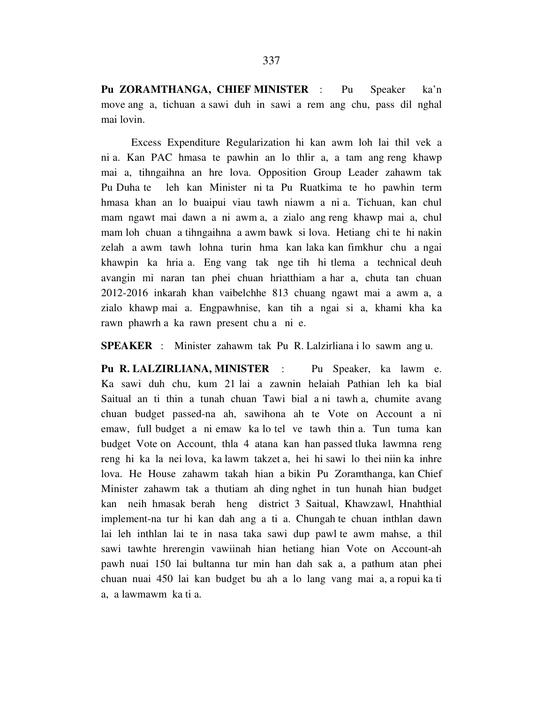**Pu ZORAMTHANGA, CHIEF MINISTER** : Pu Speaker ka'n move ang a, tichuan a sawi duh in sawi a rem ang chu, pass dil nghal mai lovin.

 Excess Expenditure Regularization hi kan awm loh lai thil vek a ni a. Kan PAC hmasa te pawhin an lo thlir a, a tam ang reng khawp mai a, tihngaihna an hre lova. Opposition Group Leader zahawm tak Pu Duha te leh kan Minister ni ta Pu Ruatkima te ho pawhin term hmasa khan an lo buaipui viau tawh niawm a ni a. Tichuan, kan chul mam ngawt mai dawn a ni awm a, a zialo ang reng khawp mai a, chul mam loh chuan a tihngaihna a awm bawk si lova. Hetiang chi te hi nakin zelah a awm tawh lohna turin hma kan laka kan fimkhur chu a ngai khawpin ka hria a. Eng vang tak nge tih hi tlema a technical deuh avangin mi naran tan phei chuan hriatthiam a har a, chuta tan chuan 2012-2016 inkarah khan vaibelchhe 813 chuang ngawt mai a awm a, a zialo khawp mai a. Engpawhnise, kan tih a ngai si a, khami kha ka rawn phawrh a ka rawn present chu a ni e.

**SPEAKER** : Minister zahawm tak Pu R. Lalzirliana i lo sawm ang u.

**Pu R. LALZIRLIANA, MINISTER** : Pu Speaker, ka lawm e. Ka sawi duh chu, kum 21 lai a zawnin helaiah Pathian leh ka bial Saitual an ti thin a tunah chuan Tawi bial a ni tawh a, chumite avang chuan budget passed-na ah, sawihona ah te Vote on Account a ni emaw, full budget a ni emaw ka lo tel ve tawh thin a. Tun tuma kan budget Vote on Account, thla 4 atana kan han passed tluka lawmna reng reng hi ka la nei lova, ka lawm takzet a, hei hi sawi lo thei niin ka inhre lova. He House zahawm takah hian a bikin Pu Zoramthanga, kan Chief Minister zahawm tak a thutiam ah ding nghet in tun hunah hian budget kan neih hmasak berah heng district 3 Saitual, Khawzawl, Hnahthial implement-na tur hi kan dah ang a ti a. Chungah te chuan inthlan dawn lai leh inthlan lai te in nasa taka sawi dup pawl te awm mahse, a thil sawi tawhte hrerengin vawiinah hian hetiang hian Vote on Account-ah pawh nuai 150 lai bultanna tur min han dah sak a, a pathum atan phei chuan nuai 450 lai kan budget bu ah a lo lang vang mai a, a ropui ka ti a, a lawmawm ka ti a.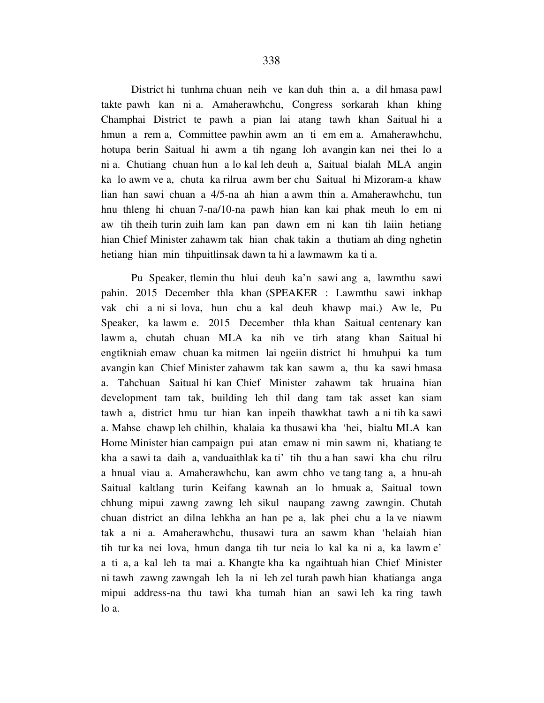District hi tunhma chuan neih ve kan duh thin a, a dil hmasa pawl takte pawh kan ni a. Amaherawhchu, Congress sorkarah khan khing Champhai District te pawh a pian lai atang tawh khan Saitual hi a hmun a rem a, Committee pawhin awm an ti em em a. Amaherawhchu, hotupa berin Saitual hi awm a tih ngang loh avangin kan nei thei lo a ni a. Chutiang chuan hun a lo kal leh deuh a, Saitual bialah MLA angin ka lo awm ve a, chuta ka rilrua awm ber chu Saitual hi Mizoram-a khaw lian han sawi chuan a 4/5-na ah hian a awm thin a. Amaherawhchu, tun hnu thleng hi chuan 7-na/10-na pawh hian kan kai phak meuh lo em ni aw tih theih turin zuih lam kan pan dawn em ni kan tih laiin hetiang hian Chief Minister zahawm tak hian chak takin a thutiam ah ding nghetin hetiang hian min tihpuitlinsak dawn ta hi a lawmawm ka ti a.

 Pu Speaker, tlemin thu hlui deuh ka'n sawi ang a, lawmthu sawi pahin. 2015 December thla khan (SPEAKER : Lawmthu sawi inkhap vak chi a ni si lova, hun chu a kal deuh khawp mai.) Aw le, Pu Speaker, ka lawm e. 2015 December thla khan Saitual centenary kan lawm a, chutah chuan MLA ka nih ve tirh atang khan Saitual hi engtikniah emaw chuan ka mitmen lai ngeiin district hi hmuhpui ka tum avangin kan Chief Minister zahawm tak kan sawm a, thu ka sawi hmasa a. Tahchuan Saitual hi kan Chief Minister zahawm tak hruaina hian development tam tak, building leh thil dang tam tak asset kan siam tawh a, district hmu tur hian kan inpeih thawkhat tawh a ni tih ka sawi a. Mahse chawp leh chilhin, khalaia ka thusawi kha 'hei, bialtu MLA kan Home Minister hian campaign pui atan emaw ni min sawm ni, khatiang te kha a sawi ta daih a, vanduaithlak ka ti' tih thu a han sawi kha chu rilru a hnual viau a. Amaherawhchu, kan awm chho ve tang tang a, a hnu-ah Saitual kaltlang turin Keifang kawnah an lo hmuak a, Saitual town chhung mipui zawng zawng leh sikul naupang zawng zawngin. Chutah chuan district an dilna lehkha an han pe a, lak phei chu a la ve niawm tak a ni a. Amaherawhchu, thusawi tura an sawm khan 'helaiah hian tih tur ka nei lova, hmun danga tih tur neia lo kal ka ni a, ka lawm e' a ti a, a kal leh ta mai a. Khangte kha ka ngaihtuah hian Chief Minister ni tawh zawng zawngah leh la ni leh zel turah pawh hian khatianga anga mipui address-na thu tawi kha tumah hian an sawi leh ka ring tawh lo a.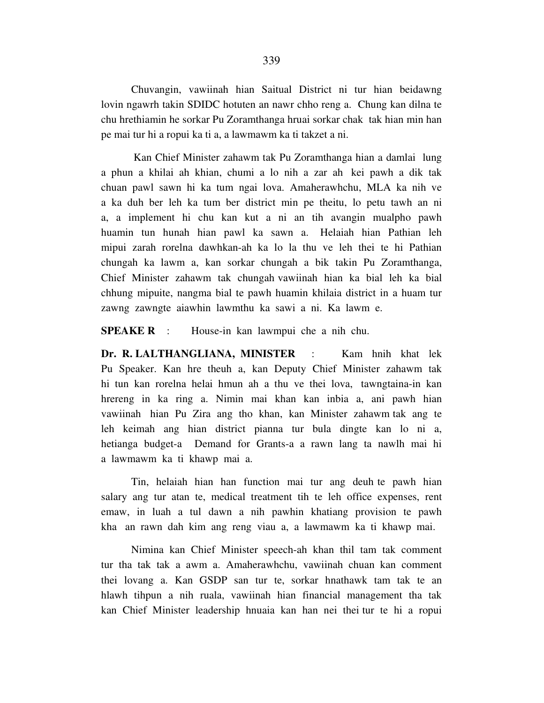Chuvangin, vawiinah hian Saitual District ni tur hian beidawng lovin ngawrh takin SDIDC hotuten an nawr chho reng a. Chung kan dilna te chu hrethiamin he sorkar Pu Zoramthanga hruai sorkar chak tak hian min han pe mai tur hi a ropui ka ti a, a lawmawm ka ti takzet a ni.

 Kan Chief Minister zahawm tak Pu Zoramthanga hian a damlai lung a phun a khilai ah khian, chumi a lo nih a zar ah kei pawh a dik tak chuan pawl sawn hi ka tum ngai lova. Amaherawhchu, MLA ka nih ve a ka duh ber leh ka tum ber district min pe theitu, lo petu tawh an ni a, a implement hi chu kan kut a ni an tih avangin mualpho pawh huamin tun hunah hian pawl ka sawn a. Helaiah hian Pathian leh mipui zarah rorelna dawhkan-ah ka lo la thu ve leh thei te hi Pathian chungah ka lawm a, kan sorkar chungah a bik takin Pu Zoramthanga, Chief Minister zahawm tak chungah vawiinah hian ka bial leh ka bial chhung mipuite, nangma bial te pawh huamin khilaia district in a huam tur zawng zawngte aiawhin lawmthu ka sawi a ni. Ka lawm e.

**SPEAKE R** : House-in kan lawmpui che a nih chu.

**Dr. R. LALTHANGLIANA, MINISTER** : Kam hnih khat lek Pu Speaker. Kan hre theuh a, kan Deputy Chief Minister zahawm tak hi tun kan rorelna helai hmun ah a thu ve thei lova, tawngtaina-in kan hrereng in ka ring a. Nimin mai khan kan inbia a, ani pawh hian vawiinah hian Pu Zira ang tho khan, kan Minister zahawm tak ang te leh keimah ang hian district pianna tur bula dingte kan lo ni a, hetianga budget-a Demand for Grants-a a rawn lang ta nawlh mai hi a lawmawm ka ti khawp mai a.

 Tin, helaiah hian han function mai tur ang deuh te pawh hian salary ang tur atan te, medical treatment tih te leh office expenses, rent emaw, in luah a tul dawn a nih pawhin khatiang provision te pawh kha an rawn dah kim ang reng viau a, a lawmawm ka ti khawp mai.

 Nimina kan Chief Minister speech-ah khan thil tam tak comment tur tha tak tak a awm a. Amaherawhchu, vawiinah chuan kan comment thei lovang a. Kan GSDP san tur te, sorkar hnathawk tam tak te an hlawh tihpun a nih ruala, vawiinah hian financial management tha tak kan Chief Minister leadership hnuaia kan han nei thei tur te hi a ropui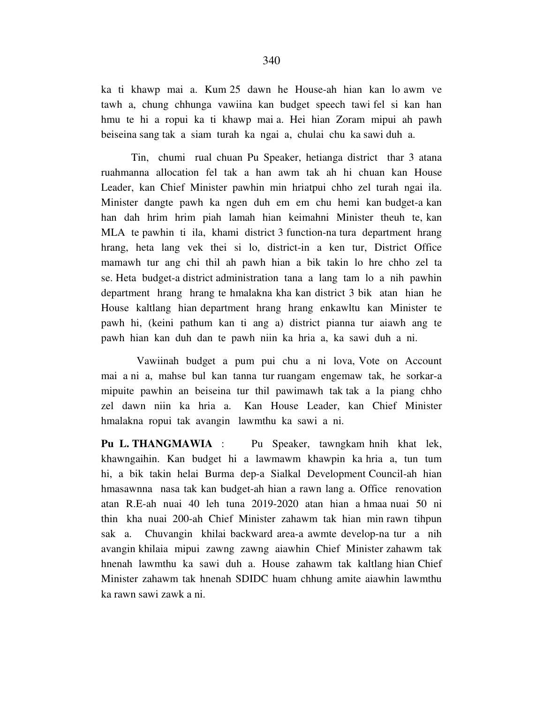ka ti khawp mai a. Kum 25 dawn he House-ah hian kan lo awm ve tawh a, chung chhunga vawiina kan budget speech tawi fel si kan han hmu te hi a ropui ka ti khawp mai a. Hei hian Zoram mipui ah pawh beiseina sang tak a siam turah ka ngai a, chulai chu ka sawi duh a.

 Tin, chumi rual chuan Pu Speaker, hetianga district thar 3 atana ruahmanna allocation fel tak a han awm tak ah hi chuan kan House Leader, kan Chief Minister pawhin min hriatpui chho zel turah ngai ila. Minister dangte pawh ka ngen duh em em chu hemi kan budget-a kan han dah hrim hrim piah lamah hian keimahni Minister theuh te, kan MLA te pawhin ti ila, khami district 3 function-na tura department hrang hrang, heta lang vek thei si lo, district-in a ken tur, District Office mamawh tur ang chi thil ah pawh hian a bik takin lo hre chho zel ta se. Heta budget-a district administration tana a lang tam lo a nih pawhin department hrang hrang te hmalakna kha kan district 3 bik atan hian he House kaltlang hian department hrang hrang enkawltu kan Minister te pawh hi, (keini pathum kan ti ang a) district pianna tur aiawh ang te pawh hian kan duh dan te pawh niin ka hria a, ka sawi duh a ni.

 Vawiinah budget a pum pui chu a ni lova, Vote on Account mai a ni a, mahse bul kan tanna tur ruangam engemaw tak, he sorkar-a mipuite pawhin an beiseina tur thil pawimawh tak tak a la piang chho zel dawn niin ka hria a. Kan House Leader, kan Chief Minister hmalakna ropui tak avangin lawmthu ka sawi a ni.

**Pu L. THANGMAWIA** : Pu Speaker, tawngkam hnih khat lek, khawngaihin. Kan budget hi a lawmawm khawpin ka hria a, tun tum hi, a bik takin helai Burma dep-a Sialkal Development Council-ah hian hmasawnna nasa tak kan budget-ah hian a rawn lang a. Office renovation atan R.E-ah nuai 40 leh tuna 2019-2020 atan hian a hmaa nuai 50 ni thin kha nuai 200-ah Chief Minister zahawm tak hian min rawn tihpun sak a. Chuvangin khilai backward area-a awmte develop-na tur a nih avangin khilaia mipui zawng zawng aiawhin Chief Minister zahawm tak hnenah lawmthu ka sawi duh a. House zahawm tak kaltlang hian Chief Minister zahawm tak hnenah SDIDC huam chhung amite aiawhin lawmthu ka rawn sawi zawk a ni.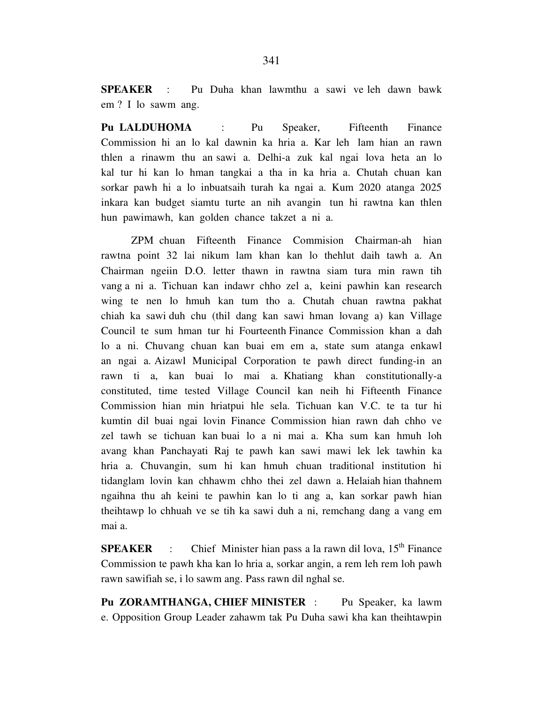**SPEAKER** : Pu Duha khan lawmthu a sawi ve leh dawn bawk em ? I lo sawm ang.

**Pu LALDUHOMA** : Pu Speaker, Fifteenth Finance Commission hi an lo kal dawnin ka hria a. Kar leh lam hian an rawn thlen a rinawm thu an sawi a. Delhi-a zuk kal ngai lova heta an lo kal tur hi kan lo hman tangkai a tha in ka hria a. Chutah chuan kan sorkar pawh hi a lo inbuatsaih turah ka ngai a. Kum 2020 atanga 2025 inkara kan budget siamtu turte an nih avangin tun hi rawtna kan thlen hun pawimawh, kan golden chance takzet a ni a.

 ZPM chuan Fifteenth Finance Commision Chairman-ah hian rawtna point 32 lai nikum lam khan kan lo thehlut daih tawh a. An Chairman ngeiin D.O. letter thawn in rawtna siam tura min rawn tih vang a ni a. Tichuan kan indawr chho zel a, keini pawhin kan research wing te nen lo hmuh kan tum tho a. Chutah chuan rawtna pakhat chiah ka sawi duh chu (thil dang kan sawi hman lovang a) kan Village Council te sum hman tur hi Fourteenth Finance Commission khan a dah lo a ni. Chuvang chuan kan buai em em a, state sum atanga enkawl an ngai a. Aizawl Municipal Corporation te pawh direct funding-in an rawn ti a, kan buai lo mai a. Khatiang khan constitutionally-a constituted, time tested Village Council kan neih hi Fifteenth Finance Commission hian min hriatpui hle sela. Tichuan kan V.C. te ta tur hi kumtin dil buai ngai lovin Finance Commission hian rawn dah chho ve zel tawh se tichuan kan buai lo a ni mai a. Kha sum kan hmuh loh avang khan Panchayati Raj te pawh kan sawi mawi lek lek tawhin ka hria a. Chuvangin, sum hi kan hmuh chuan traditional institution hi tidanglam lovin kan chhawm chho thei zel dawn a. Helaiah hian thahnem ngaihna thu ah keini te pawhin kan lo ti ang a, kan sorkar pawh hian theihtawp lo chhuah ve se tih ka sawi duh a ni, remchang dang a vang em mai a.

**SPEAKER** : Chief Minister hian pass a la rawn dil lova,  $15<sup>th</sup>$  Finance Commission te pawh kha kan lo hria a, sorkar angin, a rem leh rem loh pawh rawn sawifiah se, i lo sawm ang. Pass rawn dil nghal se.

**Pu ZORAMTHANGA, CHIEF MINISTER** : Pu Speaker, ka lawm e. Opposition Group Leader zahawm tak Pu Duha sawi kha kan theihtawpin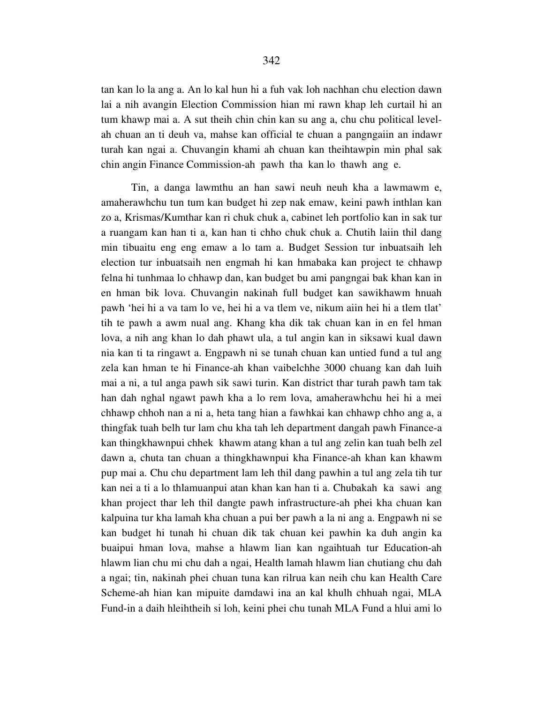tan kan lo la ang a. An lo kal hun hi a fuh vak loh nachhan chu election dawn lai a nih avangin Election Commission hian mi rawn khap leh curtail hi an tum khawp mai a. A sut theih chin chin kan su ang a, chu chu political levelah chuan an ti deuh va, mahse kan official te chuan a pangngaiin an indawr turah kan ngai a. Chuvangin khami ah chuan kan theihtawpin min phal sak chin angin Finance Commission-ah pawh tha kan lo thawh ang e.

 Tin, a danga lawmthu an han sawi neuh neuh kha a lawmawm e, amaherawhchu tun tum kan budget hi zep nak emaw, keini pawh inthlan kan zo a, Krismas/Kumthar kan ri chuk chuk a, cabinet leh portfolio kan in sak tur a ruangam kan han ti a, kan han ti chho chuk chuk a. Chutih laiin thil dang min tibuaitu eng eng emaw a lo tam a. Budget Session tur inbuatsaih leh election tur inbuatsaih nen engmah hi kan hmabaka kan project te chhawp felna hi tunhmaa lo chhawp dan, kan budget bu ami pangngai bak khan kan in en hman bik lova. Chuvangin nakinah full budget kan sawikhawm hnuah pawh 'hei hi a va tam lo ve, hei hi a va tlem ve, nikum aiin hei hi a tlem tlat' tih te pawh a awm nual ang. Khang kha dik tak chuan kan in en fel hman lova, a nih ang khan lo dah phawt ula, a tul angin kan in siksawi kual dawn nia kan ti ta ringawt a. Engpawh ni se tunah chuan kan untied fund a tul ang zela kan hman te hi Finance-ah khan vaibelchhe 3000 chuang kan dah luih mai a ni, a tul anga pawh sik sawi turin. Kan district thar turah pawh tam tak han dah nghal ngawt pawh kha a lo rem lova, amaherawhchu hei hi a mei chhawp chhoh nan a ni a, heta tang hian a fawhkai kan chhawp chho ang a, a thingfak tuah belh tur lam chu kha tah leh department dangah pawh Finance-a kan thingkhawnpui chhek khawm atang khan a tul ang zelin kan tuah belh zel dawn a, chuta tan chuan a thingkhawnpui kha Finance-ah khan kan khawm pup mai a. Chu chu department lam leh thil dang pawhin a tul ang zela tih tur kan nei a ti a lo thlamuanpui atan khan kan han ti a. Chubakah ka sawi ang khan project thar leh thil dangte pawh infrastructure-ah phei kha chuan kan kalpuina tur kha lamah kha chuan a pui ber pawh a la ni ang a. Engpawh ni se kan budget hi tunah hi chuan dik tak chuan kei pawhin ka duh angin ka buaipui hman lova, mahse a hlawm lian kan ngaihtuah tur Education-ah hlawm lian chu mi chu dah a ngai, Health lamah hlawm lian chutiang chu dah a ngai; tin, nakinah phei chuan tuna kan rilrua kan neih chu kan Health Care Scheme-ah hian kan mipuite damdawi ina an kal khulh chhuah ngai, MLA Fund-in a daih hleihtheih si loh, keini phei chu tunah MLA Fund a hlui ami lo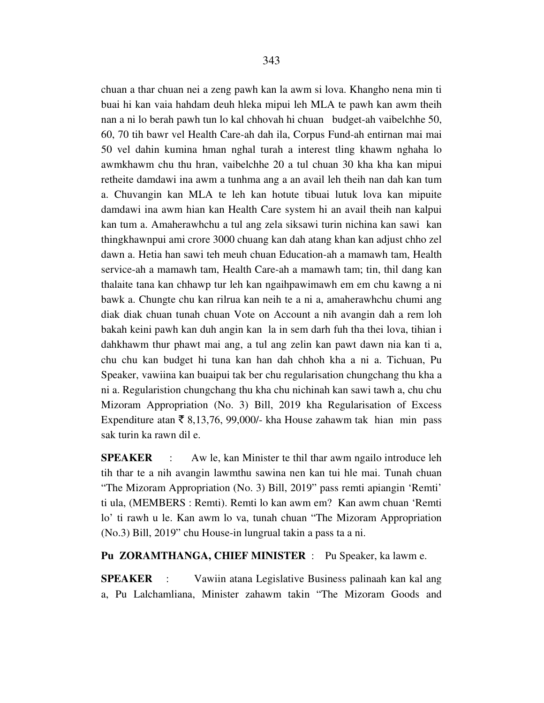chuan a thar chuan nei a zeng pawh kan la awm si lova. Khangho nena min ti buai hi kan vaia hahdam deuh hleka mipui leh MLA te pawh kan awm theih nan a ni lo berah pawh tun lo kal chhovah hi chuan budget-ah vaibelchhe 50, 60, 70 tih bawr vel Health Care-ah dah ila, Corpus Fund-ah entirnan mai mai 50 vel dahin kumina hman nghal turah a interest tling khawm nghaha lo awmkhawm chu thu hran, vaibelchhe 20 a tul chuan 30 kha kha kan mipui retheite damdawi ina awm a tunhma ang a an avail leh theih nan dah kan tum a. Chuvangin kan MLA te leh kan hotute tibuai lutuk lova kan mipuite damdawi ina awm hian kan Health Care system hi an avail theih nan kalpui kan tum a. Amaherawhchu a tul ang zela siksawi turin nichina kan sawi kan thingkhawnpui ami crore 3000 chuang kan dah atang khan kan adjust chho zel dawn a. Hetia han sawi teh meuh chuan Education-ah a mamawh tam, Health service-ah a mamawh tam, Health Care-ah a mamawh tam; tin, thil dang kan thalaite tana kan chhawp tur leh kan ngaihpawimawh em em chu kawng a ni bawk a. Chungte chu kan rilrua kan neih te a ni a, amaherawhchu chumi ang diak diak chuan tunah chuan Vote on Account a nih avangin dah a rem loh bakah keini pawh kan duh angin kan la in sem darh fuh tha thei lova, tihian i dahkhawm thur phawt mai ang, a tul ang zelin kan pawt dawn nia kan ti a, chu chu kan budget hi tuna kan han dah chhoh kha a ni a. Tichuan, Pu Speaker, vawiina kan buaipui tak ber chu regularisation chungchang thu kha a ni a. Regularistion chungchang thu kha chu nichinah kan sawi tawh a, chu chu Mizoram Appropriation (No. 3) Bill, 2019 kha Regularisation of Excess Expenditure atan  $\bar{\xi}$  8,13,76, 99,000/- kha House zahawm tak hian min pass sak turin ka rawn dil e.

**SPEAKER** : Aw le, kan Minister te thil thar awm ngailo introduce leh tih thar te a nih avangin lawmthu sawina nen kan tui hle mai. Tunah chuan "The Mizoram Appropriation (No. 3) Bill, 2019" pass remti apiangin 'Remti' ti ula, (MEMBERS : Remti). Remti lo kan awm em? Kan awm chuan 'Remti lo' ti rawh u le. Kan awm lo va, tunah chuan "The Mizoram Appropriation (No.3) Bill, 2019" chu House-in lungrual takin a pass ta a ni.

**Pu ZORAMTHANGA, CHIEF MINISTER** :Pu Speaker, ka lawm e.

**SPEAKER** :Vawiin atana Legislative Business palinaah kan kal ang a, Pu Lalchamliana, Minister zahawm takin "The Mizoram Goods and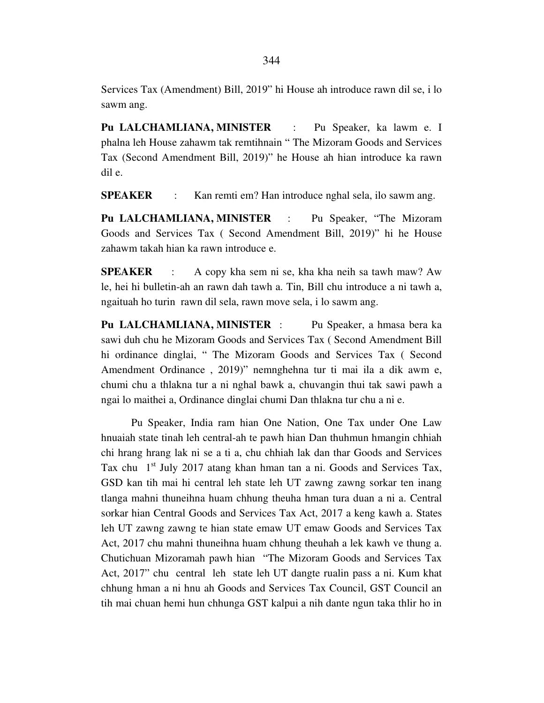Services Tax (Amendment) Bill, 2019" hi House ah introduce rawn dil se, i lo sawm ang.

**Pu LALCHAMLIANA, MINISTER** : Pu Speaker, ka lawm e. I phalna leh House zahawm tak remtihnain " The Mizoram Goods and Services Tax (Second Amendment Bill, 2019)" he House ah hian introduce ka rawn dil e.

**SPEAKER** : Kan remti em? Han introduce nghal sela, ilo sawm ang.

**Pu LALCHAMLIANA, MINISTER** : Pu Speaker, "The Mizoram Goods and Services Tax ( Second Amendment Bill, 2019)" hi he House zahawm takah hian ka rawn introduce e.

**SPEAKER** : A copy kha sem ni se, kha kha neih sa tawh maw? Aw le, hei hi bulletin-ah an rawn dah tawh a. Tin, Bill chu introduce a ni tawh a, ngaituah ho turin rawn dil sela, rawn move sela, i lo sawm ang.

**Pu LALCHAMLIANA, MINISTER** : Pu Speaker, a hmasa bera ka sawi duh chu he Mizoram Goods and Services Tax ( Second Amendment Bill hi ordinance dinglai, " The Mizoram Goods and Services Tax ( Second Amendment Ordinance , 2019)" nemnghehna tur ti mai ila a dik awm e, chumi chu a thlakna tur a ni nghal bawk a, chuvangin thui tak sawi pawh a ngai lo maithei a, Ordinance dinglai chumi Dan thlakna tur chu a ni e.

 Pu Speaker, India ram hian One Nation, One Tax under One Law hnuaiah state tinah leh central-ah te pawh hian Dan thuhmun hmangin chhiah chi hrang hrang lak ni se a ti a, chu chhiah lak dan thar Goods and Services Tax chu  $1<sup>st</sup>$  July 2017 atang khan hman tan a ni. Goods and Services Tax, GSD kan tih mai hi central leh state leh UT zawng zawng sorkar ten inang tlanga mahni thuneihna huam chhung theuha hman tura duan a ni a. Central sorkar hian Central Goods and Services Tax Act, 2017 a keng kawh a. States leh UT zawng zawng te hian state emaw UT emaw Goods and Services Tax Act, 2017 chu mahni thuneihna huam chhung theuhah a lek kawh ve thung a. Chutichuan Mizoramah pawh hian "The Mizoram Goods and Services Tax Act, 2017" chu central leh state leh UT dangte rualin pass a ni. Kum khat chhung hman a ni hnu ah Goods and Services Tax Council, GST Council an tih mai chuan hemi hun chhunga GST kalpui a nih dante ngun taka thlir ho in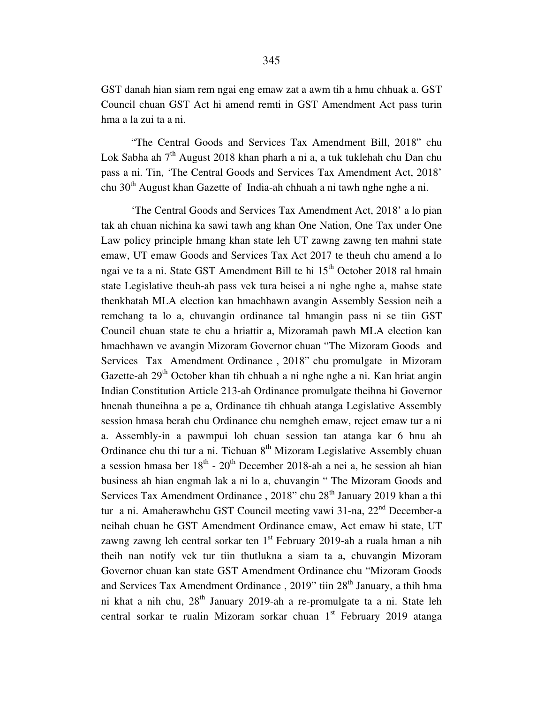GST danah hian siam rem ngai eng emaw zat a awm tih a hmu chhuak a. GST Council chuan GST Act hi amend remti in GST Amendment Act pass turin hma a la zui ta a ni.

 "The Central Goods and Services Tax Amendment Bill, 2018" chu Lok Sabha ah  $7<sup>th</sup>$  August 2018 khan pharh a ni a, a tuk tuklehah chu Dan chu pass a ni. Tin, 'The Central Goods and Services Tax Amendment Act, 2018' chu  $30<sup>th</sup>$  August khan Gazette of India-ah chhuah a ni tawh nghe nghe a ni.

 'The Central Goods and Services Tax Amendment Act, 2018' a lo pian tak ah chuan nichina ka sawi tawh ang khan One Nation, One Tax under One Law policy principle hmang khan state leh UT zawng zawng ten mahni state emaw, UT emaw Goods and Services Tax Act 2017 te theuh chu amend a lo ngai ve ta a ni. State GST Amendment Bill te hi 15<sup>th</sup> October 2018 ral hmain state Legislative theuh-ah pass vek tura beisei a ni nghe nghe a, mahse state thenkhatah MLA election kan hmachhawn avangin Assembly Session neih a remchang ta lo a, chuvangin ordinance tal hmangin pass ni se tiin GST Council chuan state te chu a hriattir a, Mizoramah pawh MLA election kan hmachhawn ve avangin Mizoram Governor chuan "The Mizoram Goods and Services Tax Amendment Ordinance , 2018" chu promulgate in Mizoram Gazette-ah  $29<sup>th</sup>$  October khan tih chhuah a ni nghe nghe a ni. Kan hriat angin Indian Constitution Article 213-ah Ordinance promulgate theihna hi Governor hnenah thuneihna a pe a, Ordinance tih chhuah atanga Legislative Assembly session hmasa berah chu Ordinance chu nemgheh emaw, reject emaw tur a ni a. Assembly-in a pawmpui loh chuan session tan atanga kar 6 hnu ah Ordinance chu thi tur a ni. Tichuan  $8<sup>th</sup>$  Mizoram Legislative Assembly chuan a session hmasa ber  $18<sup>th</sup>$  -  $20<sup>th</sup>$  December 2018-ah a nei a, he session ah hian business ah hian engmah lak a ni lo a, chuvangin " The Mizoram Goods and Services Tax Amendment Ordinance, 2018" chu 28<sup>th</sup> January 2019 khan a thi tur a ni. Amaherawhchu GST Council meeting vawi 31-na, 22<sup>nd</sup> December-a neihah chuan he GST Amendment Ordinance emaw, Act emaw hi state, UT zawng zawng leh central sorkar ten  $1<sup>st</sup>$  February 2019-ah a ruala hman a nih theih nan notify vek tur tiin thutlukna a siam ta a, chuvangin Mizoram Governor chuan kan state GST Amendment Ordinance chu "Mizoram Goods and Services Tax Amendment Ordinance, 2019" tiin 28<sup>th</sup> January, a thih hma ni khat a nih chu,  $28<sup>th</sup>$  January 2019-ah a re-promulgate ta a ni. State leh central sorkar te rualin Mizoram sorkar chuan  $1<sup>st</sup>$  February 2019 atanga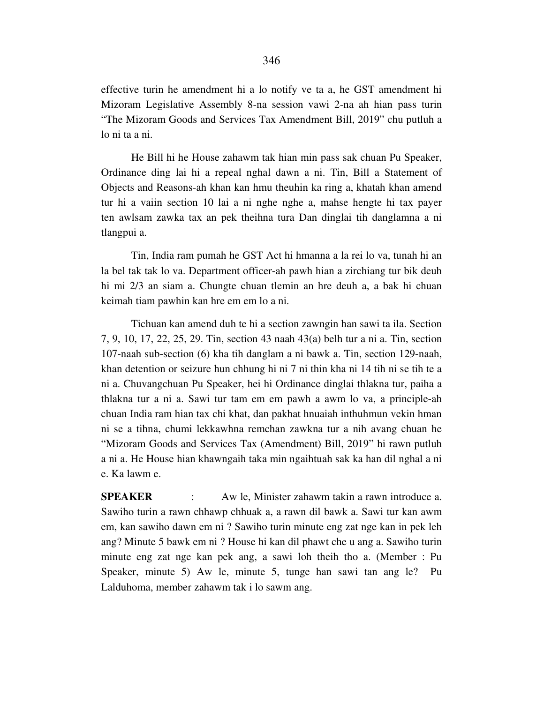effective turin he amendment hi a lo notify ve ta a, he GST amendment hi Mizoram Legislative Assembly 8-na session vawi 2-na ah hian pass turin "The Mizoram Goods and Services Tax Amendment Bill, 2019" chu putluh a lo ni ta a ni.

 He Bill hi he House zahawm tak hian min pass sak chuan Pu Speaker, Ordinance ding lai hi a repeal nghal dawn a ni. Tin, Bill a Statement of Objects and Reasons-ah khan kan hmu theuhin ka ring a, khatah khan amend tur hi a vaiin section 10 lai a ni nghe nghe a, mahse hengte hi tax payer ten awlsam zawka tax an pek theihna tura Dan dinglai tih danglamna a ni tlangpui a.

 Tin, India ram pumah he GST Act hi hmanna a la rei lo va, tunah hi an la bel tak tak lo va. Department officer-ah pawh hian a zirchiang tur bik deuh hi mi 2/3 an siam a. Chungte chuan tlemin an hre deuh a, a bak hi chuan keimah tiam pawhin kan hre em em lo a ni.

 Tichuan kan amend duh te hi a section zawngin han sawi ta ila. Section 7, 9, 10, 17, 22, 25, 29. Tin, section 43 naah 43(a) belh tur a ni a. Tin, section 107-naah sub-section (6) kha tih danglam a ni bawk a. Tin, section 129-naah, khan detention or seizure hun chhung hi ni 7 ni thin kha ni 14 tih ni se tih te a ni a. Chuvangchuan Pu Speaker, hei hi Ordinance dinglai thlakna tur, paiha a thlakna tur a ni a. Sawi tur tam em em pawh a awm lo va, a principle-ah chuan India ram hian tax chi khat, dan pakhat hnuaiah inthuhmun vekin hman ni se a tihna, chumi lekkawhna remchan zawkna tur a nih avang chuan he "Mizoram Goods and Services Tax (Amendment) Bill, 2019" hi rawn putluh a ni a. He House hian khawngaih taka min ngaihtuah sak ka han dil nghal a ni e. Ka lawm e.

**SPEAKER** : Aw le, Minister zahawm takin a rawn introduce a. Sawiho turin a rawn chhawp chhuak a, a rawn dil bawk a. Sawi tur kan awm em, kan sawiho dawn em ni ? Sawiho turin minute eng zat nge kan in pek leh ang? Minute 5 bawk em ni ? House hi kan dil phawt che u ang a. Sawiho turin minute eng zat nge kan pek ang, a sawi loh theih tho a. (Member : Pu Speaker, minute 5) Aw le, minute 5, tunge han sawi tan ang le? Pu Lalduhoma, member zahawm tak i lo sawm ang.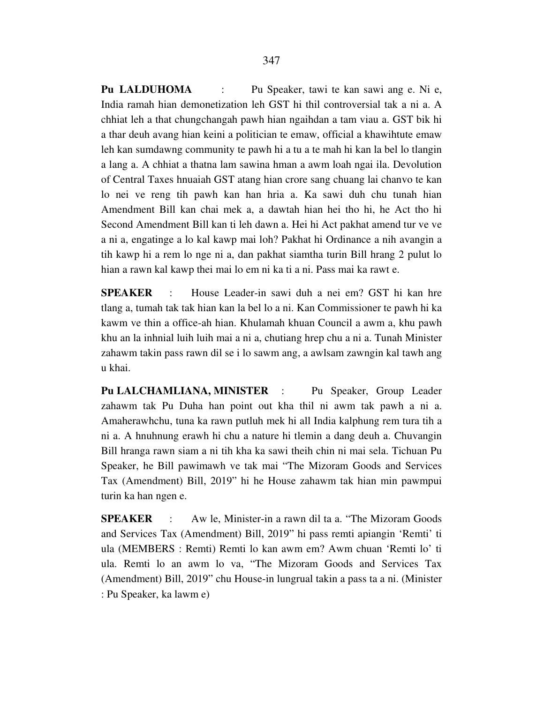**Pu LALDUHOMA** : Pu Speaker, tawi te kan sawi ang e. Ni e, India ramah hian demonetization leh GST hi thil controversial tak a ni a. A chhiat leh a that chungchangah pawh hian ngaihdan a tam viau a. GST bik hi a thar deuh avang hian keini a politician te emaw, official a khawihtute emaw leh kan sumdawng community te pawh hi a tu a te mah hi kan la bel lo tlangin a lang a. A chhiat a thatna lam sawina hman a awm loah ngai ila. Devolution of Central Taxes hnuaiah GST atang hian crore sang chuang lai chanvo te kan lo nei ve reng tih pawh kan han hria a. Ka sawi duh chu tunah hian Amendment Bill kan chai mek a, a dawtah hian hei tho hi, he Act tho hi Second Amendment Bill kan ti leh dawn a. Hei hi Act pakhat amend tur ve ve a ni a, engatinge a lo kal kawp mai loh? Pakhat hi Ordinance a nih avangin a tih kawp hi a rem lo nge ni a, dan pakhat siamtha turin Bill hrang 2 pulut lo hian a rawn kal kawp thei mai lo em ni ka ti a ni. Pass mai ka rawt e.

**SPEAKER** : House Leader-in sawi duh a nei em? GST hi kan hre tlang a, tumah tak tak hian kan la bel lo a ni. Kan Commissioner te pawh hi ka kawm ve thin a office-ah hian. Khulamah khuan Council a awm a, khu pawh khu an la inhnial luih luih mai a ni a, chutiang hrep chu a ni a. Tunah Minister zahawm takin pass rawn dil se i lo sawm ang, a awlsam zawngin kal tawh ang u khai.

Pu LALCHAMLIANA, MINISTER : Pu Speaker, Group Leader zahawm tak Pu Duha han point out kha thil ni awm tak pawh a ni a. Amaherawhchu, tuna ka rawn putluh mek hi all India kalphung rem tura tih a ni a. A hnuhnung erawh hi chu a nature hi tlemin a dang deuh a. Chuvangin Bill hranga rawn siam a ni tih kha ka sawi theih chin ni mai sela. Tichuan Pu Speaker, he Bill pawimawh ve tak mai "The Mizoram Goods and Services Tax (Amendment) Bill, 2019" hi he House zahawm tak hian min pawmpui turin ka han ngen e.

**SPEAKER** : Aw le, Minister-in a rawn dil ta a. "The Mizoram Goods and Services Tax (Amendment) Bill, 2019" hi pass remti apiangin 'Remti' ti ula (MEMBERS : Remti) Remti lo kan awm em? Awm chuan 'Remti lo' ti ula. Remti lo an awm lo va, "The Mizoram Goods and Services Tax (Amendment) Bill, 2019" chu House-in lungrual takin a pass ta a ni. (Minister : Pu Speaker, ka lawm e)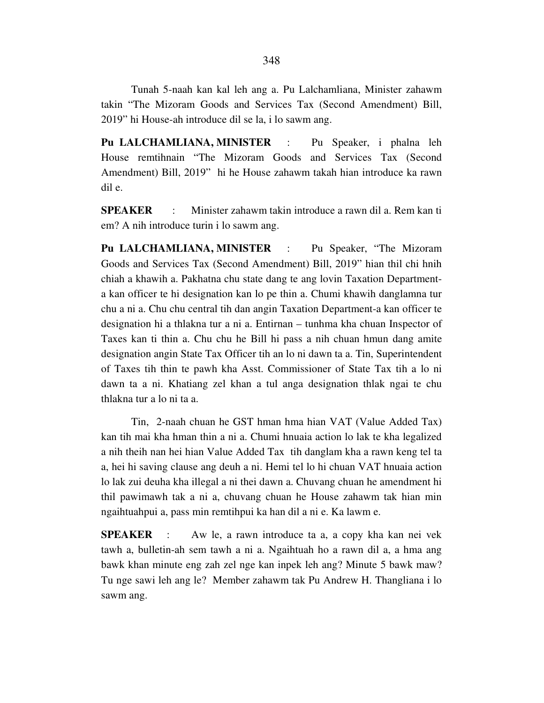Tunah 5-naah kan kal leh ang a. Pu Lalchamliana, Minister zahawm takin "The Mizoram Goods and Services Tax (Second Amendment) Bill, 2019" hi House-ah introduce dil se la, i lo sawm ang.

**Pu LALCHAMLIANA, MINISTER** : Pu Speaker, i phalna leh House remtihnain "The Mizoram Goods and Services Tax (Second Amendment) Bill, 2019" hi he House zahawm takah hian introduce ka rawn dil e.

**SPEAKER** : Minister zahawm takin introduce a rawn dil a. Rem kan ti em? A nih introduce turin i lo sawm ang.

**Pu LALCHAMLIANA, MINISTER** : Pu Speaker, "The Mizoram Goods and Services Tax (Second Amendment) Bill, 2019" hian thil chi hnih chiah a khawih a. Pakhatna chu state dang te ang lovin Taxation Departmenta kan officer te hi designation kan lo pe thin a. Chumi khawih danglamna tur chu a ni a. Chu chu central tih dan angin Taxation Department-a kan officer te designation hi a thlakna tur a ni a. Entirnan – tunhma kha chuan Inspector of Taxes kan ti thin a. Chu chu he Bill hi pass a nih chuan hmun dang amite designation angin State Tax Officer tih an lo ni dawn ta a. Tin, Superintendent of Taxes tih thin te pawh kha Asst. Commissioner of State Tax tih a lo ni dawn ta a ni. Khatiang zel khan a tul anga designation thlak ngai te chu thlakna tur a lo ni ta a.

 Tin, 2-naah chuan he GST hman hma hian VAT (Value Added Tax) kan tih mai kha hman thin a ni a. Chumi hnuaia action lo lak te kha legalized a nih theih nan hei hian Value Added Tax tih danglam kha a rawn keng tel ta a, hei hi saving clause ang deuh a ni. Hemi tel lo hi chuan VAT hnuaia action lo lak zui deuha kha illegal a ni thei dawn a. Chuvang chuan he amendment hi thil pawimawh tak a ni a, chuvang chuan he House zahawm tak hian min ngaihtuahpui a, pass min remtihpui ka han dil a ni e. Ka lawm e.

**SPEAKER** : Aw le, a rawn introduce ta a, a copy kha kan nei vek tawh a, bulletin-ah sem tawh a ni a. Ngaihtuah ho a rawn dil a, a hma ang bawk khan minute eng zah zel nge kan inpek leh ang? Minute 5 bawk maw? Tu nge sawi leh ang le? Member zahawm tak Pu Andrew H. Thangliana i lo sawm ang.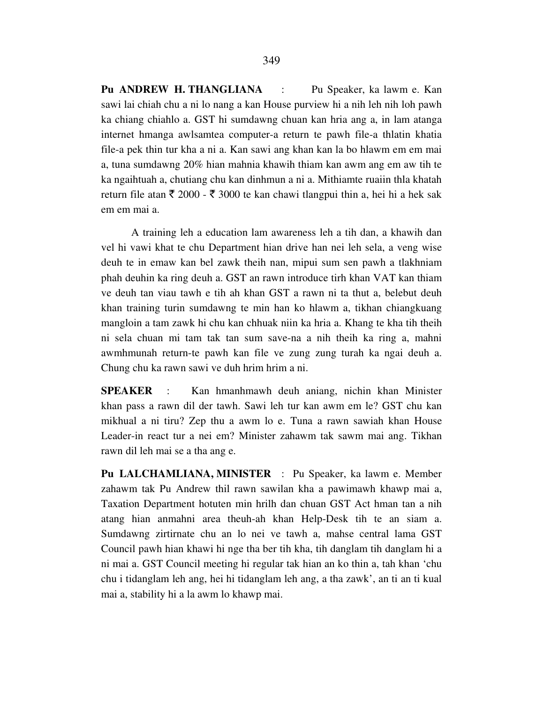**Pu ANDREW H. THANGLIANA** : Pu Speaker, ka lawm e. Kan sawi lai chiah chu a ni lo nang a kan House purview hi a nih leh nih loh pawh ka chiang chiahlo a. GST hi sumdawng chuan kan hria ang a, in lam atanga internet hmanga awlsamtea computer-a return te pawh file-a thlatin khatia file-a pek thin tur kha a ni a. Kan sawi ang khan kan la bo hlawm em em mai a, tuna sumdawng 20% hian mahnia khawih thiam kan awm ang em aw tih te ka ngaihtuah a, chutiang chu kan dinhmun a ni a. Mithiamte ruaiin thla khatah return file atan  $\bar{\tau}$  2000 -  $\bar{\tau}$  3000 te kan chawi tlangpui thin a, hei hi a hek sak em em mai a.

 A training leh a education lam awareness leh a tih dan, a khawih dan vel hi vawi khat te chu Department hian drive han nei leh sela, a veng wise deuh te in emaw kan bel zawk theih nan, mipui sum sen pawh a tlakhniam phah deuhin ka ring deuh a. GST an rawn introduce tirh khan VAT kan thiam ve deuh tan viau tawh e tih ah khan GST a rawn ni ta thut a, belebut deuh khan training turin sumdawng te min han ko hlawm a, tikhan chiangkuang mangloin a tam zawk hi chu kan chhuak niin ka hria a. Khang te kha tih theih ni sela chuan mi tam tak tan sum save-na a nih theih ka ring a, mahni awmhmunah return-te pawh kan file ve zung zung turah ka ngai deuh a. Chung chu ka rawn sawi ve duh hrim hrim a ni.

**SPEAKER** : Kan hmanhmawh deuh aniang, nichin khan Minister khan pass a rawn dil der tawh. Sawi leh tur kan awm em le? GST chu kan mikhual a ni tiru? Zep thu a awm lo e. Tuna a rawn sawiah khan House Leader-in react tur a nei em? Minister zahawm tak sawm mai ang. Tikhan rawn dil leh mai se a tha ang e.

**Pu LALCHAMLIANA, MINISTER** : Pu Speaker, ka lawm e. Member zahawm tak Pu Andrew thil rawn sawilan kha a pawimawh khawp mai a, Taxation Department hotuten min hrilh dan chuan GST Act hman tan a nih atang hian anmahni area theuh-ah khan Help-Desk tih te an siam a. Sumdawng zirtirnate chu an lo nei ve tawh a, mahse central lama GST Council pawh hian khawi hi nge tha ber tih kha, tih danglam tih danglam hi a ni mai a. GST Council meeting hi regular tak hian an ko thin a, tah khan 'chu chu i tidanglam leh ang, hei hi tidanglam leh ang, a tha zawk', an ti an ti kual mai a, stability hi a la awm lo khawp mai.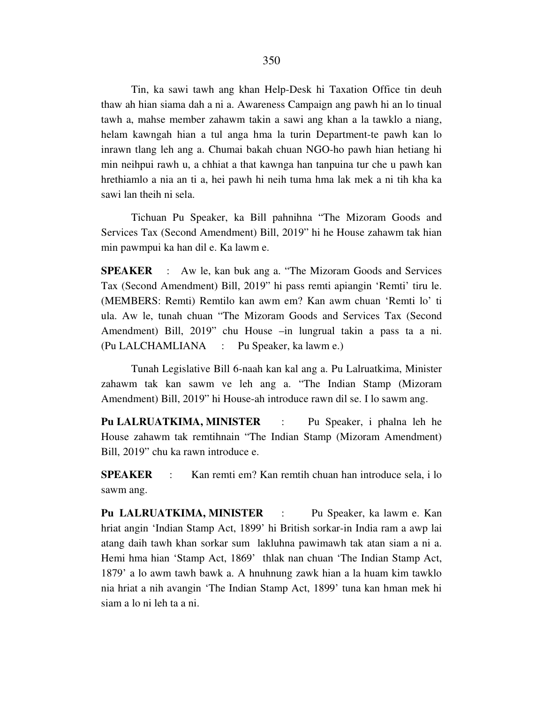Tin, ka sawi tawh ang khan Help-Desk hi Taxation Office tin deuh thaw ah hian siama dah a ni a. Awareness Campaign ang pawh hi an lo tinual tawh a, mahse member zahawm takin a sawi ang khan a la tawklo a niang, helam kawngah hian a tul anga hma la turin Department-te pawh kan lo inrawn tlang leh ang a. Chumai bakah chuan NGO-ho pawh hian hetiang hi min neihpui rawh u, a chhiat a that kawnga han tanpuina tur che u pawh kan hrethiamlo a nia an ti a, hei pawh hi neih tuma hma lak mek a ni tih kha ka sawi lan theih ni sela.

 Tichuan Pu Speaker, ka Bill pahnihna "The Mizoram Goods and Services Tax (Second Amendment) Bill, 2019" hi he House zahawm tak hian min pawmpui ka han dil e. Ka lawm e.

**SPEAKER** : Aw le, kan buk ang a. "The Mizoram Goods and Services Tax (Second Amendment) Bill, 2019" hi pass remti apiangin 'Remti' tiru le. (MEMBERS: Remti) Remtilo kan awm em? Kan awm chuan 'Remti lo' ti ula. Aw le, tunah chuan "The Mizoram Goods and Services Tax (Second Amendment) Bill, 2019" chu House –in lungrual takin a pass ta a ni. (Pu LALCHAMLIANA : Pu Speaker, ka lawm e.)

 Tunah Legislative Bill 6-naah kan kal ang a. Pu Lalruatkima, Minister zahawm tak kan sawm ve leh ang a. "The Indian Stamp (Mizoram Amendment) Bill, 2019" hi House-ah introduce rawn dil se. I lo sawm ang.

**Pu LALRUATKIMA, MINISTER** : Pu Speaker, i phalna leh he House zahawm tak remtihnain "The Indian Stamp (Mizoram Amendment) Bill, 2019" chu ka rawn introduce e.

**SPEAKER** : Kan remti em? Kan remtih chuan han introduce sela, i lo sawm ang.

**Pu LALRUATKIMA, MINISTER** : Pu Speaker, ka lawm e. Kan hriat angin 'Indian Stamp Act, 1899' hi British sorkar-in India ram a awp lai atang daih tawh khan sorkar sum lakluhna pawimawh tak atan siam a ni a. Hemi hma hian 'Stamp Act, 1869' thlak nan chuan 'The Indian Stamp Act, 1879' a lo awm tawh bawk a. A hnuhnung zawk hian a la huam kim tawklo nia hriat a nih avangin 'The Indian Stamp Act, 1899' tuna kan hman mek hi siam a lo ni leh ta a ni.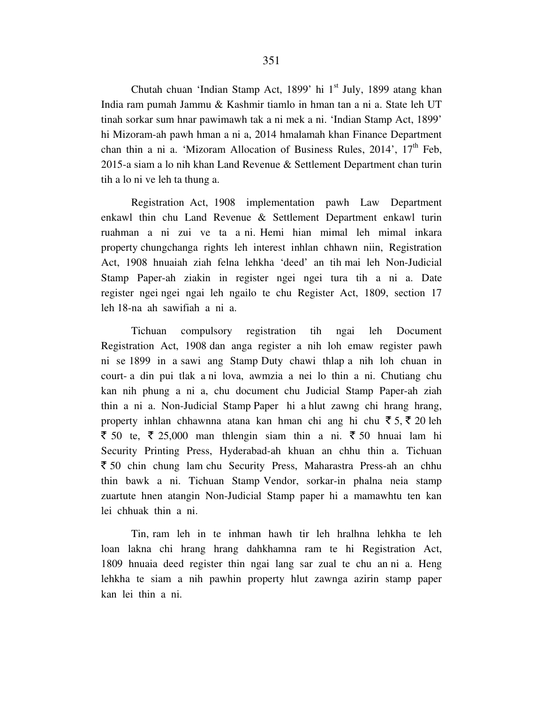Chutah chuan 'Indian Stamp Act, 1899' hi 1<sup>st</sup> July, 1899 atang khan India ram pumah Jammu & Kashmir tiamlo in hman tan a ni a. State leh UT tinah sorkar sum hnar pawimawh tak a ni mek a ni. 'Indian Stamp Act, 1899' hi Mizoram-ah pawh hman a ni a, 2014 hmalamah khan Finance Department chan thin a ni a. 'Mizoram Allocation of Business Rules,  $2014$ ',  $17<sup>th</sup>$  Feb, 2015-a siam a lo nih khan Land Revenue & Settlement Department chan turin tih a lo ni ve leh ta thung a.

 Registration Act, 1908 implementation pawh Law Department enkawl thin chu Land Revenue & Settlement Department enkawl turin ruahman a ni zui ve ta a ni. Hemi hian mimal leh mimal inkara property chungchanga rights leh interest inhlan chhawn niin, Registration Act, 1908 hnuaiah ziah felna lehkha 'deed' an tih mai leh Non-Judicial Stamp Paper-ah ziakin in register ngei ngei tura tih a ni a. Date register ngei ngei ngai leh ngailo te chu Register Act, 1809, section 17 leh 18-na ah sawifiah a ni a.

 Tichuan compulsory registration tih ngai leh Document Registration Act, 1908 dan anga register a nih loh emaw register pawh ni se 1899 in a sawi ang Stamp Duty chawi thlap a nih loh chuan in court- a din pui tlak a ni lova, awmzia a nei lo thin a ni. Chutiang chu kan nih phung a ni a, chu document chu Judicial Stamp Paper-ah ziah thin a ni a. Non-Judicial Stamp Paper hi a hlut zawng chi hrang hrang, property inhlan chhawnna atana kan hman chi ang hi chu  $\bar{z}$  5,  $\bar{z}$  20 leh  $\overline{\xi}$  50 te,  $\overline{\xi}$  25,000 man thlengin siam thin a ni.  $\overline{\xi}$  50 hnuai lam hi Security Printing Press, Hyderabad-ah khuan an chhu thin a. Tichuan ` 50 chin chung lam chu Security Press, Maharastra Press-ah an chhu thin bawk a ni. Tichuan Stamp Vendor, sorkar-in phalna neia stamp zuartute hnen atangin Non-Judicial Stamp paper hi a mamawhtu ten kan lei chhuak thin a ni.

 Tin, ram leh in te inhman hawh tir leh hralhna lehkha te leh loan lakna chi hrang hrang dahkhamna ram te hi Registration Act, 1809 hnuaia deed register thin ngai lang sar zual te chu an ni a. Heng lehkha te siam a nih pawhin property hlut zawnga azirin stamp paper kan lei thin a ni.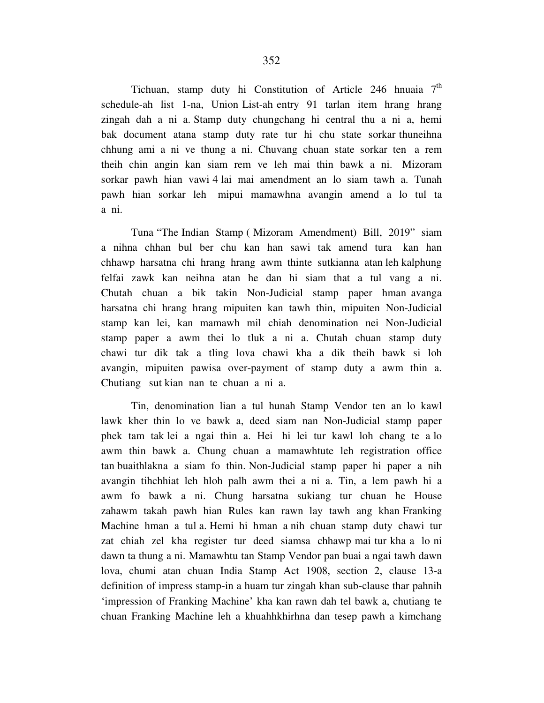Tichuan, stamp duty hi Constitution of Article 246 hnuaia  $7<sup>th</sup>$ schedule-ah list 1-na, Union List-ah entry 91 tarlan item hrang hrang zingah dah a ni a. Stamp duty chungchang hi central thu a ni a, hemi bak document atana stamp duty rate tur hi chu state sorkar thuneihna chhung ami a ni ve thung a ni. Chuvang chuan state sorkar ten a rem theih chin angin kan siam rem ve leh mai thin bawk a ni. Mizoram sorkar pawh hian vawi 4 lai mai amendment an lo siam tawh a. Tunah pawh hian sorkar leh mipui mamawhna avangin amend a lo tul ta a ni.

 Tuna "The Indian Stamp ( Mizoram Amendment) Bill, 2019" siam a nihna chhan bul ber chu kan han sawi tak amend tura kan han chhawp harsatna chi hrang hrang awm thinte sutkianna atan leh kalphung felfai zawk kan neihna atan he dan hi siam that a tul vang a ni. Chutah chuan a bik takin Non-Judicial stamp paper hman avanga harsatna chi hrang hrang mipuiten kan tawh thin, mipuiten Non-Judicial stamp kan lei, kan mamawh mil chiah denomination nei Non-Judicial stamp paper a awm thei lo tluk a ni a. Chutah chuan stamp duty chawi tur dik tak a tling lova chawi kha a dik theih bawk si loh avangin, mipuiten pawisa over-payment of stamp duty a awm thin a. Chutiang sut kian nan te chuan a ni a.

 Tin, denomination lian a tul hunah Stamp Vendor ten an lo kawl lawk kher thin lo ve bawk a, deed siam nan Non-Judicial stamp paper phek tam tak lei a ngai thin a. Hei hi lei tur kawl loh chang te a lo awm thin bawk a. Chung chuan a mamawhtute leh registration office tan buaithlakna a siam fo thin. Non-Judicial stamp paper hi paper a nih avangin tihchhiat leh hloh palh awm thei a ni a. Tin, a lem pawh hi a awm fo bawk a ni. Chung harsatna sukiang tur chuan he House zahawm takah pawh hian Rules kan rawn lay tawh ang khan Franking Machine hman a tul a. Hemi hi hman a nih chuan stamp duty chawi tur zat chiah zel kha register tur deed siamsa chhawp mai tur kha a lo ni dawn ta thung a ni. Mamawhtu tan Stamp Vendor pan buai a ngai tawh dawn lova, chumi atan chuan India Stamp Act 1908, section 2, clause 13-a definition of impress stamp-in a huam tur zingah khan sub-clause thar pahnih 'impression of Franking Machine' kha kan rawn dah tel bawk a, chutiang te chuan Franking Machine leh a khuahhkhirhna dan tesep pawh a kimchang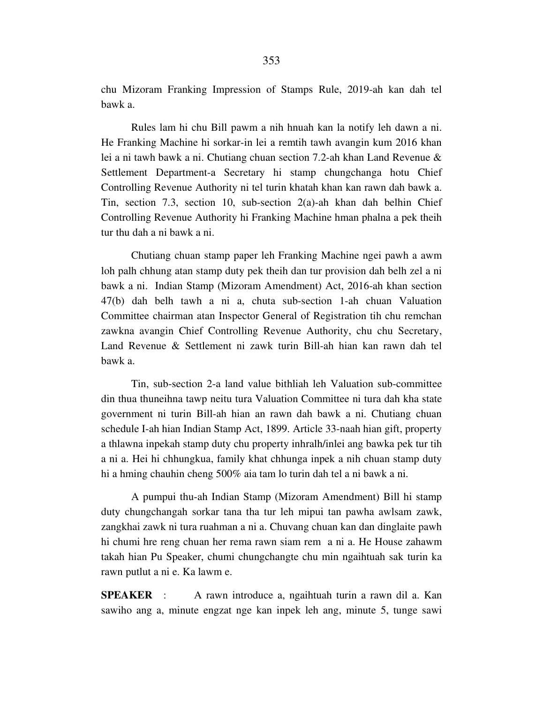chu Mizoram Franking Impression of Stamps Rule, 2019-ah kan dah tel bawk a.

 Rules lam hi chu Bill pawm a nih hnuah kan la notify leh dawn a ni. He Franking Machine hi sorkar-in lei a remtih tawh avangin kum 2016 khan lei a ni tawh bawk a ni. Chutiang chuan section 7.2-ah khan Land Revenue & Settlement Department-a Secretary hi stamp chungchanga hotu Chief Controlling Revenue Authority ni tel turin khatah khan kan rawn dah bawk a. Tin, section 7.3, section 10, sub-section 2(a)-ah khan dah belhin Chief Controlling Revenue Authority hi Franking Machine hman phalna a pek theih tur thu dah a ni bawk a ni.

 Chutiang chuan stamp paper leh Franking Machine ngei pawh a awm loh palh chhung atan stamp duty pek theih dan tur provision dah belh zel a ni bawk a ni. Indian Stamp (Mizoram Amendment) Act, 2016-ah khan section 47(b) dah belh tawh a ni a, chuta sub-section 1-ah chuan Valuation Committee chairman atan Inspector General of Registration tih chu remchan zawkna avangin Chief Controlling Revenue Authority, chu chu Secretary, Land Revenue & Settlement ni zawk turin Bill-ah hian kan rawn dah tel bawk a.

 Tin, sub-section 2-a land value bithliah leh Valuation sub-committee din thua thuneihna tawp neitu tura Valuation Committee ni tura dah kha state government ni turin Bill-ah hian an rawn dah bawk a ni. Chutiang chuan schedule I-ah hian Indian Stamp Act, 1899. Article 33-naah hian gift, property a thlawna inpekah stamp duty chu property inhralh/inlei ang bawka pek tur tih a ni a. Hei hi chhungkua, family khat chhunga inpek a nih chuan stamp duty hi a hming chauhin cheng 500% aia tam lo turin dah tel a ni bawk a ni.

 A pumpui thu-ah Indian Stamp (Mizoram Amendment) Bill hi stamp duty chungchangah sorkar tana tha tur leh mipui tan pawha awlsam zawk, zangkhai zawk ni tura ruahman a ni a. Chuvang chuan kan dan dinglaite pawh hi chumi hre reng chuan her rema rawn siam rem a ni a. He House zahawm takah hian Pu Speaker, chumi chungchangte chu min ngaihtuah sak turin ka rawn putlut a ni e. Ka lawm e.

**SPEAKER** : A rawn introduce a, ngaihtuah turin a rawn dil a. Kan sawiho ang a, minute engzat nge kan inpek leh ang, minute 5, tunge sawi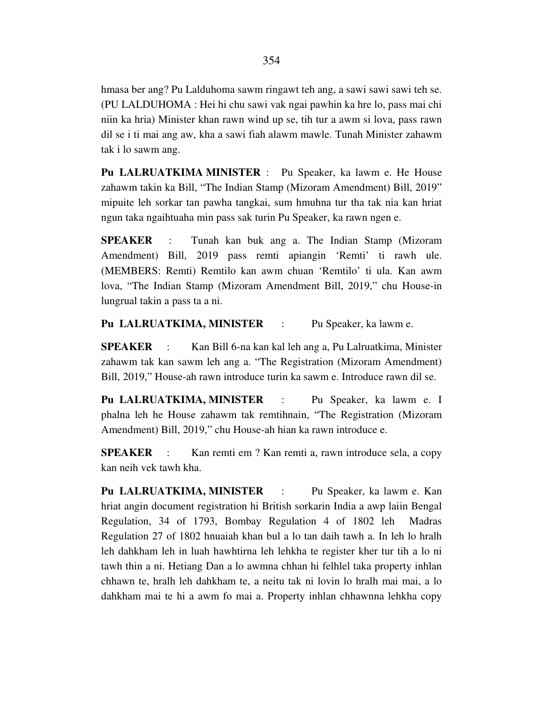hmasa ber ang? Pu Lalduhoma sawm ringawt teh ang, a sawi sawi sawi teh se. (PU LALDUHOMA : Hei hi chu sawi vak ngai pawhin ka hre lo, pass mai chi niin ka hria) Minister khan rawn wind up se, tih tur a awm si lova, pass rawn dil se i ti mai ang aw, kha a sawi fiah alawm mawle. Tunah Minister zahawm tak i lo sawm ang.

**Pu LALRUATKIMA MINISTER** : Pu Speaker, ka lawm e. He House zahawm takin ka Bill, "The Indian Stamp (Mizoram Amendment) Bill, 2019" mipuite leh sorkar tan pawha tangkai, sum hmuhna tur tha tak nia kan hriat ngun taka ngaihtuaha min pass sak turin Pu Speaker, ka rawn ngen e.

**SPEAKER** : Tunah kan buk ang a. The Indian Stamp (Mizoram Amendment) Bill, 2019 pass remti apiangin 'Remti' ti rawh ule. (MEMBERS: Remti) Remtilo kan awm chuan 'Remtilo' ti ula. Kan awm lova, "The Indian Stamp (Mizoram Amendment Bill, 2019," chu House-in lungrual takin a pass ta a ni.

**Pu LALRUATKIMA, MINISTER** : Pu Speaker, ka lawm e.

**SPEAKER** : Kan Bill 6-na kan kal leh ang a, Pu Lalruatkima, Minister zahawm tak kan sawm leh ang a. "The Registration (Mizoram Amendment) Bill, 2019," House-ah rawn introduce turin ka sawm e. Introduce rawn dil se.

**Pu LALRUATKIMA, MINISTER** : Pu Speaker, ka lawm e. I phalna leh he House zahawm tak remtihnain, "The Registration (Mizoram Amendment) Bill, 2019," chu House-ah hian ka rawn introduce e.

**SPEAKER** : Kan remti em ? Kan remti a, rawn introduce sela, a copy kan neih vek tawh kha.

**Pu LALRUATKIMA, MINISTER** : Pu Speaker, ka lawm e. Kan hriat angin document registration hi British sorkarin India a awp laiin Bengal Regulation, 34 of 1793, Bombay Regulation 4 of 1802 leh Madras Regulation 27 of 1802 hnuaiah khan bul a lo tan daih tawh a. In leh lo hralh leh dahkham leh in luah hawhtirna leh lehkha te register kher tur tih a lo ni tawh thin a ni. Hetiang Dan a lo awmna chhan hi felhlel taka property inhlan chhawn te, hralh leh dahkham te, a neitu tak ni lovin lo hralh mai mai, a lo dahkham mai te hi a awm fo mai a. Property inhlan chhawnna lehkha copy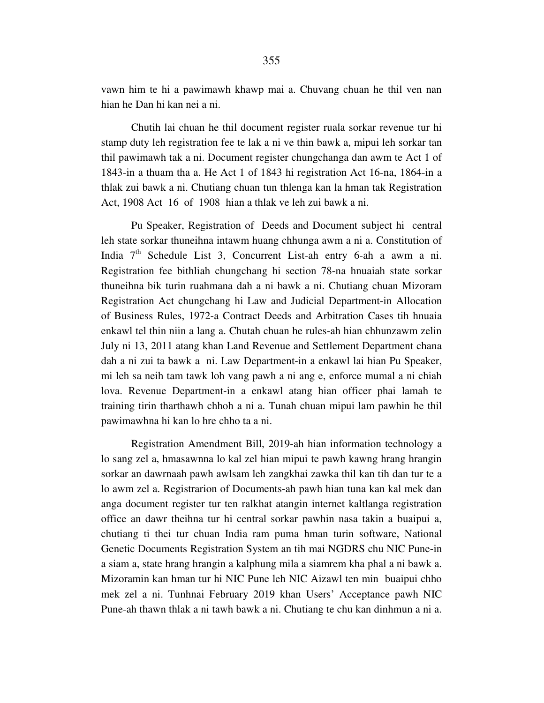Chutih lai chuan he thil document register ruala sorkar revenue tur hi stamp duty leh registration fee te lak a ni ve thin bawk a, mipui leh sorkar tan thil pawimawh tak a ni. Document register chungchanga dan awm te Act 1 of 1843-in a thuam tha a. He Act 1 of 1843 hi registration Act 16-na, 1864-in a thlak zui bawk a ni. Chutiang chuan tun thlenga kan la hman tak Registration Act, 1908 Act 16 of 1908 hian a thlak ve leh zui bawk a ni.

 Pu Speaker, Registration of Deeds and Document subject hi central leh state sorkar thuneihna intawm huang chhunga awm a ni a. Constitution of India  $7<sup>th</sup>$  Schedule List 3, Concurrent List-ah entry 6-ah a awm a ni. Registration fee bithliah chungchang hi section 78-na hnuaiah state sorkar thuneihna bik turin ruahmana dah a ni bawk a ni. Chutiang chuan Mizoram Registration Act chungchang hi Law and Judicial Department-in Allocation of Business Rules, 1972-a Contract Deeds and Arbitration Cases tih hnuaia enkawl tel thin niin a lang a. Chutah chuan he rules-ah hian chhunzawm zelin July ni 13, 2011 atang khan Land Revenue and Settlement Department chana dah a ni zui ta bawk a ni. Law Department-in a enkawl lai hian Pu Speaker, mi leh sa neih tam tawk loh vang pawh a ni ang e, enforce mumal a ni chiah lova. Revenue Department-in a enkawl atang hian officer phai lamah te training tirin tharthawh chhoh a ni a. Tunah chuan mipui lam pawhin he thil pawimawhna hi kan lo hre chho ta a ni.

 Registration Amendment Bill, 2019-ah hian information technology a lo sang zel a, hmasawnna lo kal zel hian mipui te pawh kawng hrang hrangin sorkar an dawrnaah pawh awlsam leh zangkhai zawka thil kan tih dan tur te a lo awm zel a. Registrarion of Documents-ah pawh hian tuna kan kal mek dan anga document register tur ten ralkhat atangin internet kaltlanga registration office an dawr theihna tur hi central sorkar pawhin nasa takin a buaipui a, chutiang ti thei tur chuan India ram puma hman turin software, National Genetic Documents Registration System an tih mai NGDRS chu NIC Pune-in a siam a, state hrang hrangin a kalphung mila a siamrem kha phal a ni bawk a. Mizoramin kan hman tur hi NIC Pune leh NIC Aizawl ten min buaipui chho mek zel a ni. Tunhnai February 2019 khan Users' Acceptance pawh NIC Pune-ah thawn thlak a ni tawh bawk a ni. Chutiang te chu kan dinhmun a ni a.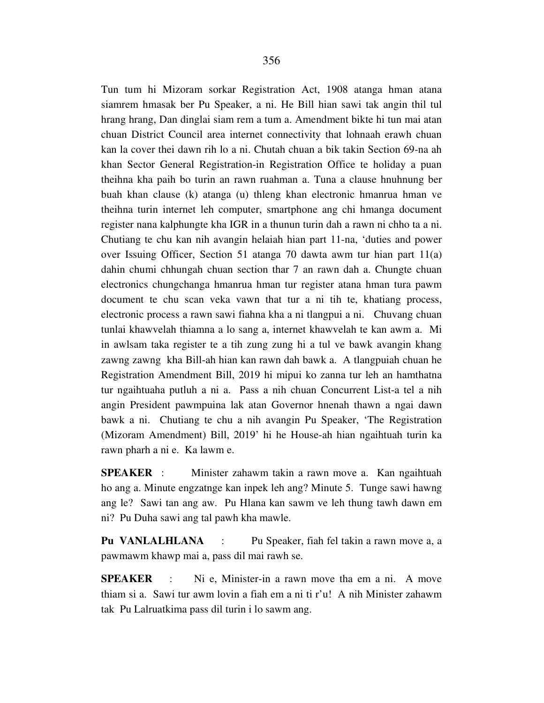Tun tum hi Mizoram sorkar Registration Act, 1908 atanga hman atana siamrem hmasak ber Pu Speaker, a ni. He Bill hian sawi tak angin thil tul hrang hrang, Dan dinglai siam rem a tum a. Amendment bikte hi tun mai atan chuan District Council area internet connectivity that lohnaah erawh chuan kan la cover thei dawn rih lo a ni. Chutah chuan a bik takin Section 69-na ah khan Sector General Registration-in Registration Office te holiday a puan theihna kha paih bo turin an rawn ruahman a. Tuna a clause hnuhnung ber buah khan clause (k) atanga (u) thleng khan electronic hmanrua hman ve theihna turin internet leh computer, smartphone ang chi hmanga document register nana kalphungte kha IGR in a thunun turin dah a rawn ni chho ta a ni. Chutiang te chu kan nih avangin helaiah hian part 11-na, 'duties and power over Issuing Officer, Section 51 atanga 70 dawta awm tur hian part 11(a) dahin chumi chhungah chuan section thar 7 an rawn dah a. Chungte chuan electronics chungchanga hmanrua hman tur register atana hman tura pawm document te chu scan veka vawn that tur a ni tih te, khatiang process, electronic process a rawn sawi fiahna kha a ni tlangpui a ni. Chuvang chuan tunlai khawvelah thiamna a lo sang a, internet khawvelah te kan awm a. Mi in awlsam taka register te a tih zung zung hi a tul ve bawk avangin khang zawng zawng kha Bill-ah hian kan rawn dah bawk a. A tlangpuiah chuan he Registration Amendment Bill, 2019 hi mipui ko zanna tur leh an hamthatna tur ngaihtuaha putluh a ni a. Pass a nih chuan Concurrent List-a tel a nih angin President pawmpuina lak atan Governor hnenah thawn a ngai dawn bawk a ni. Chutiang te chu a nih avangin Pu Speaker, 'The Registration (Mizoram Amendment) Bill, 2019' hi he House-ah hian ngaihtuah turin ka rawn pharh a ni e. Ka lawm e.

**SPEAKER** : Minister zahawm takin a rawn move a. Kan ngaihtuah ho ang a. Minute engzatnge kan inpek leh ang? Minute 5. Tunge sawi hawng ang le? Sawi tan ang aw. Pu Hlana kan sawm ve leh thung tawh dawn em ni? Pu Duha sawi ang tal pawh kha mawle.

**Pu VANLALHLANA** : Pu Speaker, fiah fel takin a rawn move a, a pawmawm khawp mai a, pass dil mai rawh se.

**SPEAKER** : Ni e, Minister-in a rawn move tha em a ni. A move thiam si a. Sawi tur awm lovin a fiah em a ni ti r'u! A nih Minister zahawm tak Pu Lalruatkima pass dil turin i lo sawm ang.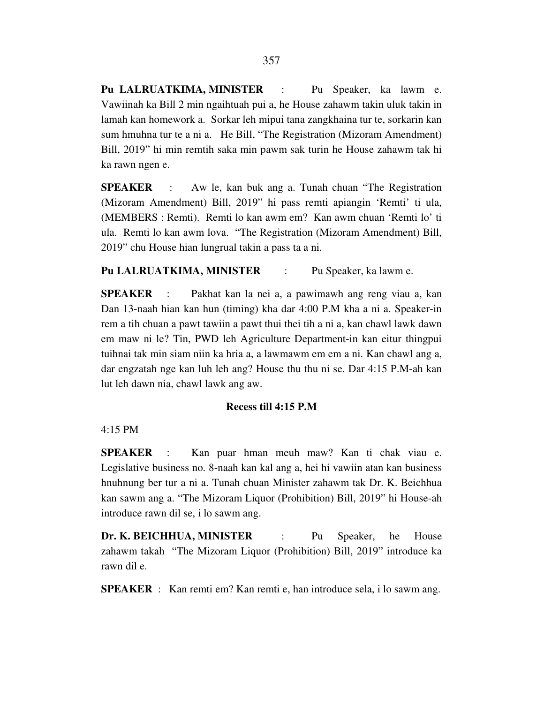**Pu LALRUATKIMA, MINISTER** : Pu Speaker, ka lawm e. Vawiinah ka Bill 2 min ngaihtuah pui a, he House zahawm takin uluk takin in lamah kan homework a. Sorkar leh mipui tana zangkhaina tur te, sorkarin kan sum hmuhna tur te a ni a. He Bill, "The Registration (Mizoram Amendment) Bill, 2019" hi min remtih saka min pawm sak turin he House zahawm tak hi ka rawn ngen e.

**SPEAKER** : Aw le, kan buk ang a. Tunah chuan "The Registration (Mizoram Amendment) Bill, 2019" hi pass remti apiangin 'Remti' ti ula, (MEMBERS : Remti). Remti lo kan awm em? Kan awm chuan 'Remti lo' ti ula. Remti lo kan awm lova. "The Registration (Mizoram Amendment) Bill, 2019" chu House hian lungrual takin a pass ta a ni.

# Pu LALRUATKIMA, MINISTER : Pu Speaker, ka lawm e.

**SPEAKER** : Pakhat kan la nei a, a pawimawh ang reng viau a, kan Dan 13-naah hian kan hun (timing) kha dar 4:00 P.M kha a ni a. Speaker-in rem a tih chuan a pawt tawiin a pawt thui thei tih a ni a, kan chawl lawk dawn em maw ni le? Tin, PWD leh Agriculture Department-in kan eitur thingpui tuihnai tak min siam niin ka hria a, a lawmawm em em a ni. Kan chawl ang a, dar engzatah nge kan luh leh ang? House thu thu ni se. Dar 4:15 P.M-ah kan lut leh dawn nia, chawl lawk ang aw.

#### **Recess till 4:15 P.M**

4:15 PM

**SPEAKER** : Kan puar hman meuh maw? Kan ti chak viau e. Legislative business no. 8-naah kan kal ang a, hei hi vawiin atan kan business hnuhnung ber tur a ni a. Tunah chuan Minister zahawm tak Dr. K. Beichhua kan sawm ang a. "The Mizoram Liquor (Prohibition) Bill, 2019" hi House-ah introduce rawn dil se, i lo sawm ang.

**Dr. K. BEICHHUA, MINISTER** : Pu Speaker, he House zahawm takah "The Mizoram Liquor (Prohibition) Bill, 2019" introduce ka rawn dil e.

**SPEAKER** : Kan remti em? Kan remti e, han introduce sela, i lo sawm ang.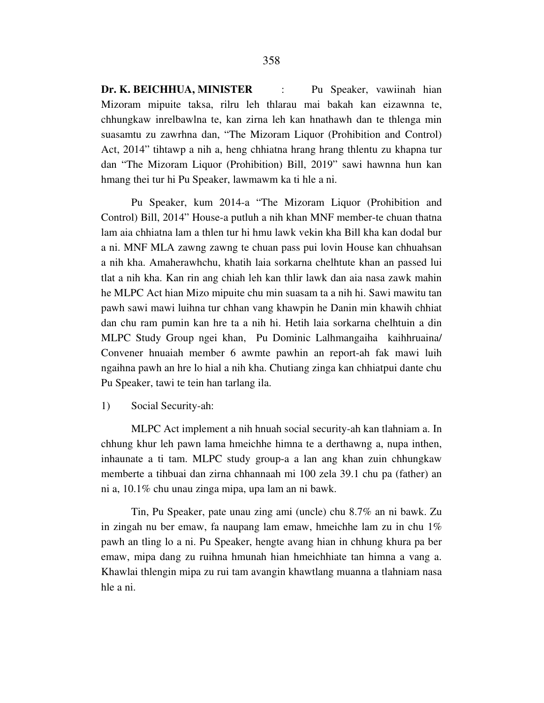**Dr. K. BEICHHUA, MINISTER** : Pu Speaker, vawiinah hian Mizoram mipuite taksa, rilru leh thlarau mai bakah kan eizawnna te, chhungkaw inrelbawlna te, kan zirna leh kan hnathawh dan te thlenga min suasamtu zu zawrhna dan, "The Mizoram Liquor (Prohibition and Control) Act, 2014" tihtawp a nih a, heng chhiatna hrang hrang thlentu zu khapna tur dan "The Mizoram Liquor (Prohibition) Bill, 2019" sawi hawnna hun kan hmang thei tur hi Pu Speaker, lawmawm ka ti hle a ni.

 Pu Speaker, kum 2014-a "The Mizoram Liquor (Prohibition and Control) Bill, 2014" House-a putluh a nih khan MNF member-te chuan thatna lam aia chhiatna lam a thlen tur hi hmu lawk vekin kha Bill kha kan dodal bur a ni. MNF MLA zawng zawng te chuan pass pui lovin House kan chhuahsan a nih kha. Amaherawhchu, khatih laia sorkarna chelhtute khan an passed lui tlat a nih kha. Kan rin ang chiah leh kan thlir lawk dan aia nasa zawk mahin he MLPC Act hian Mizo mipuite chu min suasam ta a nih hi. Sawi mawitu tan pawh sawi mawi luihna tur chhan vang khawpin he Danin min khawih chhiat dan chu ram pumin kan hre ta a nih hi. Hetih laia sorkarna chelhtuin a din MLPC Study Group ngei khan, Pu Dominic Lalhmangaiha kaihhruaina/ Convener hnuaiah member 6 awmte pawhin an report-ah fak mawi luih ngaihna pawh an hre lo hial a nih kha. Chutiang zinga kan chhiatpui dante chu Pu Speaker, tawi te tein han tarlang ila.

## 1) Social Security-ah:

 MLPC Act implement a nih hnuah social security-ah kan tlahniam a. In chhung khur leh pawn lama hmeichhe himna te a derthawng a, nupa inthen, inhaunate a ti tam. MLPC study group-a a lan ang khan zuin chhungkaw memberte a tihbuai dan zirna chhannaah mi 100 zela 39.1 chu pa (father) an ni a, 10.1% chu unau zinga mipa, upa lam an ni bawk.

 Tin, Pu Speaker, pate unau zing ami (uncle) chu 8.7% an ni bawk. Zu in zingah nu ber emaw, fa naupang lam emaw, hmeichhe lam zu in chu 1% pawh an tling lo a ni. Pu Speaker, hengte avang hian in chhung khura pa ber emaw, mipa dang zu ruihna hmunah hian hmeichhiate tan himna a vang a. Khawlai thlengin mipa zu rui tam avangin khawtlang muanna a tlahniam nasa hle a ni.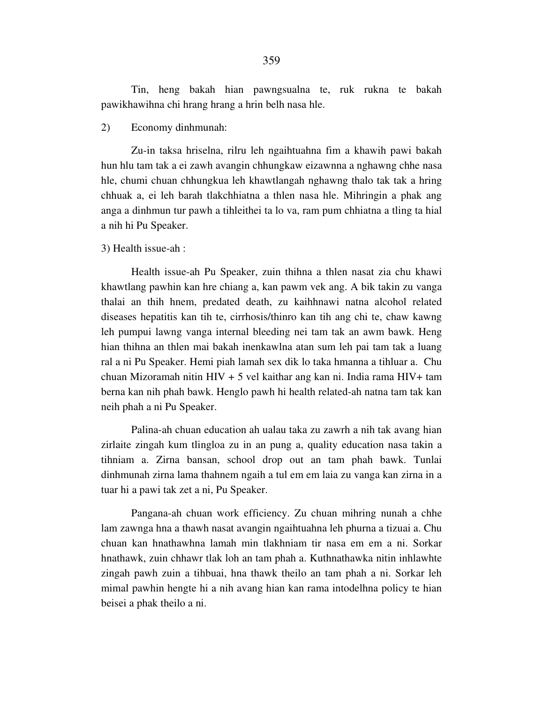Tin, heng bakah hian pawngsualna te, ruk rukna te bakah pawikhawihna chi hrang hrang a hrin belh nasa hle.

### 2) Economy dinhmunah:

 Zu-in taksa hriselna, rilru leh ngaihtuahna fim a khawih pawi bakah hun hlu tam tak a ei zawh avangin chhungkaw eizawnna a nghawng chhe nasa hle, chumi chuan chhungkua leh khawtlangah nghawng thalo tak tak a hring chhuak a, ei leh barah tlakchhiatna a thlen nasa hle. Mihringin a phak ang anga a dinhmun tur pawh a tihleithei ta lo va, ram pum chhiatna a tling ta hial a nih hi Pu Speaker.

## 3) Health issue-ah :

 Health issue-ah Pu Speaker, zuin thihna a thlen nasat zia chu khawi khawtlang pawhin kan hre chiang a, kan pawm vek ang. A bik takin zu vanga thalai an thih hnem, predated death, zu kaihhnawi natna alcohol related diseases hepatitis kan tih te, cirrhosis/thinro kan tih ang chi te, chaw kawng leh pumpui lawng vanga internal bleeding nei tam tak an awm bawk. Heng hian thihna an thlen mai bakah inenkawlna atan sum leh pai tam tak a luang ral a ni Pu Speaker. Hemi piah lamah sex dik lo taka hmanna a tihluar a. Chu chuan Mizoramah nitin HIV + 5 vel kaithar ang kan ni. India rama HIV+ tam berna kan nih phah bawk. Henglo pawh hi health related-ah natna tam tak kan neih phah a ni Pu Speaker.

 Palina-ah chuan education ah ualau taka zu zawrh a nih tak avang hian zirlaite zingah kum tlingloa zu in an pung a, quality education nasa takin a tihniam a. Zirna bansan, school drop out an tam phah bawk. Tunlai dinhmunah zirna lama thahnem ngaih a tul em em laia zu vanga kan zirna in a tuar hi a pawi tak zet a ni, Pu Speaker.

 Pangana-ah chuan work efficiency. Zu chuan mihring nunah a chhe lam zawnga hna a thawh nasat avangin ngaihtuahna leh phurna a tizuai a. Chu chuan kan hnathawhna lamah min tlakhniam tir nasa em em a ni. Sorkar hnathawk, zuin chhawr tlak loh an tam phah a. Kuthnathawka nitin inhlawhte zingah pawh zuin a tihbuai, hna thawk theilo an tam phah a ni. Sorkar leh mimal pawhin hengte hi a nih avang hian kan rama intodelhna policy te hian beisei a phak theilo a ni.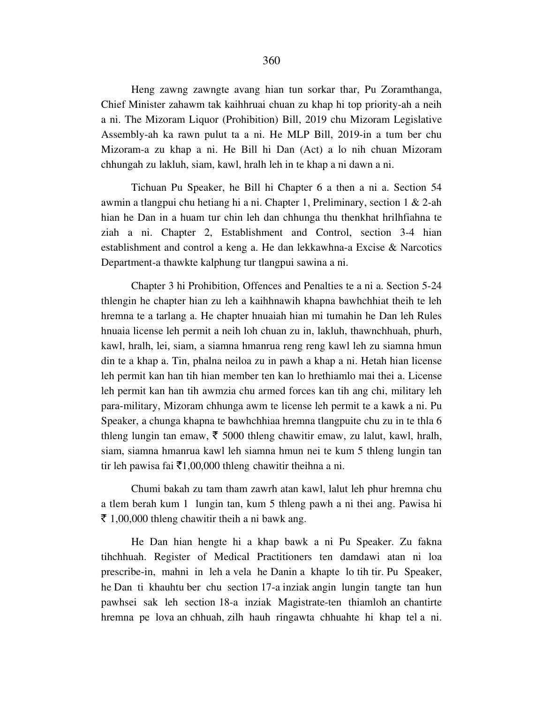Heng zawng zawngte avang hian tun sorkar thar, Pu Zoramthanga, Chief Minister zahawm tak kaihhruai chuan zu khap hi top priority-ah a neih a ni. The Mizoram Liquor (Prohibition) Bill, 2019 chu Mizoram Legislative Assembly-ah ka rawn pulut ta a ni. He MLP Bill, 2019-in a tum ber chu Mizoram-a zu khap a ni. He Bill hi Dan (Act) a lo nih chuan Mizoram chhungah zu lakluh, siam, kawl, hralh leh in te khap a ni dawn a ni.

 Tichuan Pu Speaker, he Bill hi Chapter 6 a then a ni a. Section 54 awmin a tlangpui chu hetiang hi a ni. Chapter 1, Preliminary, section 1 & 2-ah hian he Dan in a huam tur chin leh dan chhunga thu thenkhat hrilhfiahna te ziah a ni. Chapter 2, Establishment and Control, section 3-4 hian establishment and control a keng a. He dan lekkawhna-a Excise & Narcotics Department-a thawkte kalphung tur tlangpui sawina a ni.

 Chapter 3 hi Prohibition, Offences and Penalties te a ni a. Section 5-24 thlengin he chapter hian zu leh a kaihhnawih khapna bawhchhiat theih te leh hremna te a tarlang a. He chapter hnuaiah hian mi tumahin he Dan leh Rules hnuaia license leh permit a neih loh chuan zu in, lakluh, thawnchhuah, phurh, kawl, hralh, lei, siam, a siamna hmanrua reng reng kawl leh zu siamna hmun din te a khap a. Tin, phalna neiloa zu in pawh a khap a ni. Hetah hian license leh permit kan han tih hian member ten kan lo hrethiamlo mai thei a. License leh permit kan han tih awmzia chu armed forces kan tih ang chi, military leh para-military, Mizoram chhunga awm te license leh permit te a kawk a ni. Pu Speaker, a chunga khapna te bawhchhiaa hremna tlangpuite chu zu in te thla 6 thleng lungin tan emaw,  $\bar{\tau}$  5000 thleng chawitir emaw, zu lalut, kawl, hralh, siam, siamna hmanrua kawl leh siamna hmun nei te kum 5 thleng lungin tan tir leh pawisa fai  $\bar{\tau}$ 1,00,000 thleng chawitir theihna a ni.

 Chumi bakah zu tam tham zawrh atan kawl, lalut leh phur hremna chu a tlem berah kum 1 lungin tan, kum 5 thleng pawh a ni thei ang. Pawisa hi  $\bar{\xi}$  1,00,000 thleng chawitir theih a ni bawk ang.

 He Dan hian hengte hi a khap bawk a ni Pu Speaker. Zu fakna tihchhuah. Register of Medical Practitioners ten damdawi atan ni loa prescribe-in, mahni in leh a vela he Danin a khapte lo tih tir. Pu Speaker, he Dan ti khauhtu ber chu section 17-a inziak angin lungin tangte tan hun pawhsei sak leh section 18-a inziak Magistrate-ten thiamloh an chantirte hremna pe lova an chhuah, zilh hauh ringawta chhuahte hi khap tel a ni.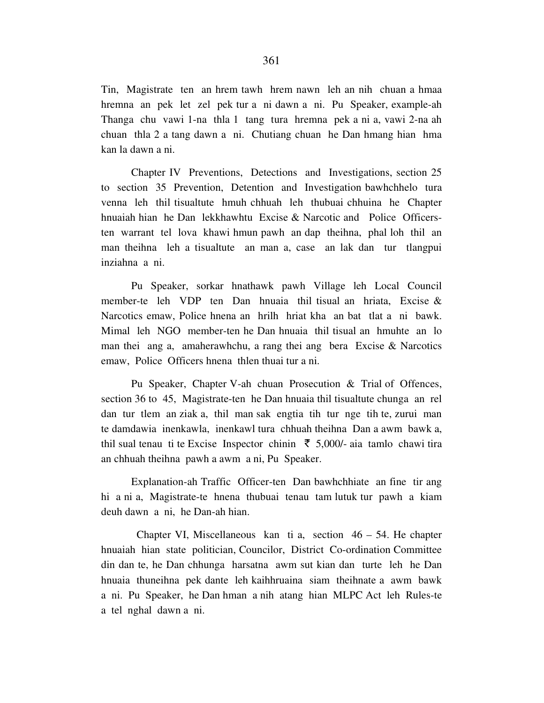Tin, Magistrate ten an hrem tawh hrem nawn leh an nih chuan a hmaa hremna an pek let zel pek tur a ni dawn a ni. Pu Speaker, example-ah Thanga chu vawi 1-na thla 1 tang tura hremna pek a ni a, vawi 2-na ah chuan thla 2 a tang dawn a ni. Chutiang chuan he Dan hmang hian hma kan la dawn a ni.

 Chapter IV Preventions, Detections and Investigations, section 25 to section 35 Prevention, Detention and Investigation bawhchhelo tura venna leh thil tisualtute hmuh chhuah leh thubuai chhuina he Chapter hnuaiah hian he Dan lekkhawhtu Excise & Narcotic and Police Officersten warrant tel lova khawi hmun pawh an dap theihna, phal loh thil an man theihna leh a tisualtute an man a, case an lak dan tur tlangpui inziahna a ni.

 Pu Speaker, sorkar hnathawk pawh Village leh Local Council member-te leh VDP ten Dan hnuaia thil tisual an hriata, Excise & Narcotics emaw, Police hnena an hrilh hriat kha an bat tlat a ni bawk. Mimal leh NGO member-ten he Dan hnuaia thil tisual an hmuhte an lo man thei ang a, amaherawhchu, a rang thei ang bera Excise & Narcotics emaw, Police Officers hnena thlen thuai tur a ni.

 Pu Speaker, Chapter V-ah chuan Prosecution & Trial of Offences, section 36 to 45, Magistrate-ten he Dan hnuaia thil tisualtute chunga an rel dan tur tlem an ziak a, thil man sak engtia tih tur nge tih te, zurui man te damdawia inenkawla, inenkawl tura chhuah theihna Dan a awm bawk a, thil sual tenau ti te Excise Inspector chinin  $\bar{\tau}$  5,000/- aia tamlo chawi tira an chhuah theihna pawh a awm a ni, Pu Speaker.

 Explanation-ah Traffic Officer-ten Dan bawhchhiate an fine tir ang hi a ni a, Magistrate-te hnena thubuai tenau tam lutuk tur pawh a kiam deuh dawn a ni, he Dan-ah hian.

Chapter VI, Miscellaneous kan ti a, section  $46 - 54$ . He chapter hnuaiah hian state politician, Councilor, District Co-ordination Committee din dan te, he Dan chhunga harsatna awm sut kian dan turte leh he Dan hnuaia thuneihna pek dante leh kaihhruaina siam theihnate a awm bawk a ni. Pu Speaker, he Dan hman a nih atang hian MLPC Act leh Rules-te a tel nghal dawn a ni.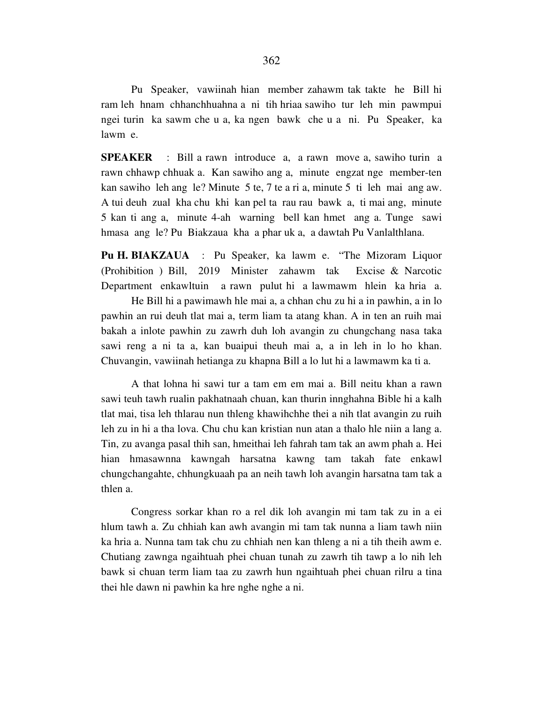Pu Speaker, vawiinah hian member zahawm tak takte he Bill hi ram leh hnam chhanchhuahna a ni tih hriaa sawiho tur leh min pawmpui ngei turin ka sawm che u a, ka ngen bawk che u a ni. Pu Speaker, ka lawm e.

**SPEAKER** : Bill a rawn introduce a, a rawn move a, sawiho turin a rawn chhawp chhuak a. Kan sawiho ang a, minute engzat nge member-ten kan sawiho leh ang le? Minute 5 te, 7 te a ri a, minute 5 ti leh mai ang aw. A tui deuh zual kha chu khi kan pel ta rau rau bawk a, ti mai ang, minute 5 kan ti ang a, minute 4-ah warning bell kan hmet ang a. Tunge sawi hmasa ang le? Pu Biakzaua kha a phar uk a, a dawtah Pu Vanlalthlana.

**Pu H. BIAKZAUA** : Pu Speaker, ka lawm e. "The Mizoram Liquor (Prohibition ) Bill, 2019 Minister zahawm tak Excise & Narcotic Department enkawltuin a rawn pulut hi a lawmawm hlein ka hria a.

 He Bill hi a pawimawh hle mai a, a chhan chu zu hi a in pawhin, a in lo pawhin an rui deuh tlat mai a, term liam ta atang khan. A in ten an ruih mai bakah a inlote pawhin zu zawrh duh loh avangin zu chungchang nasa taka sawi reng a ni ta a, kan buaipui theuh mai a, a in leh in lo ho khan. Chuvangin, vawiinah hetianga zu khapna Bill a lo lut hi a lawmawm ka ti a.

 A that lohna hi sawi tur a tam em em mai a. Bill neitu khan a rawn sawi teuh tawh rualin pakhatnaah chuan, kan thurin innghahna Bible hi a kalh tlat mai, tisa leh thlarau nun thleng khawihchhe thei a nih tlat avangin zu ruih leh zu in hi a tha lova. Chu chu kan kristian nun atan a thalo hle niin a lang a. Tin, zu avanga pasal thih san, hmeithai leh fahrah tam tak an awm phah a. Hei hian hmasawnna kawngah harsatna kawng tam takah fate enkawl chungchangahte, chhungkuaah pa an neih tawh loh avangin harsatna tam tak a thlen a.

 Congress sorkar khan ro a rel dik loh avangin mi tam tak zu in a ei hlum tawh a. Zu chhiah kan awh avangin mi tam tak nunna a liam tawh niin ka hria a. Nunna tam tak chu zu chhiah nen kan thleng a ni a tih theih awm e. Chutiang zawnga ngaihtuah phei chuan tunah zu zawrh tih tawp a lo nih leh bawk si chuan term liam taa zu zawrh hun ngaihtuah phei chuan rilru a tina thei hle dawn ni pawhin ka hre nghe nghe a ni.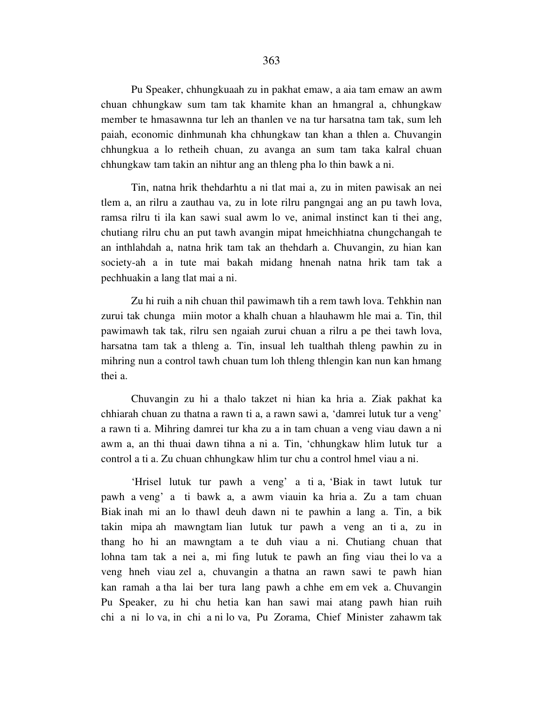Pu Speaker, chhungkuaah zu in pakhat emaw, a aia tam emaw an awm chuan chhungkaw sum tam tak khamite khan an hmangral a, chhungkaw member te hmasawnna tur leh an thanlen ve na tur harsatna tam tak, sum leh paiah, economic dinhmunah kha chhungkaw tan khan a thlen a. Chuvangin chhungkua a lo retheih chuan, zu avanga an sum tam taka kalral chuan chhungkaw tam takin an nihtur ang an thleng pha lo thin bawk a ni.

 Tin, natna hrik thehdarhtu a ni tlat mai a, zu in miten pawisak an nei tlem a, an rilru a zauthau va, zu in lote rilru pangngai ang an pu tawh lova, ramsa rilru ti ila kan sawi sual awm lo ve, animal instinct kan ti thei ang, chutiang rilru chu an put tawh avangin mipat hmeichhiatna chungchangah te an inthlahdah a, natna hrik tam tak an thehdarh a. Chuvangin, zu hian kan society-ah a in tute mai bakah midang hnenah natna hrik tam tak a pechhuakin a lang tlat mai a ni.

 Zu hi ruih a nih chuan thil pawimawh tih a rem tawh lova. Tehkhin nan zurui tak chunga miin motor a khalh chuan a hlauhawm hle mai a. Tin, thil pawimawh tak tak, rilru sen ngaiah zurui chuan a rilru a pe thei tawh lova, harsatna tam tak a thleng a. Tin, insual leh tualthah thleng pawhin zu in mihring nun a control tawh chuan tum loh thleng thlengin kan nun kan hmang thei a.

 Chuvangin zu hi a thalo takzet ni hian ka hria a. Ziak pakhat ka chhiarah chuan zu thatna a rawn ti a, a rawn sawi a, 'damrei lutuk tur a veng' a rawn ti a. Mihring damrei tur kha zu a in tam chuan a veng viau dawn a ni awm a, an thi thuai dawn tihna a ni a. Tin, 'chhungkaw hlim lutuk tur a control a ti a. Zu chuan chhungkaw hlim tur chu a control hmel viau a ni.

 'Hrisel lutuk tur pawh a veng' a ti a, 'Biak in tawt lutuk tur pawh a veng' a ti bawk a, a awm viauin ka hria a. Zu a tam chuan Biak inah mi an lo thawl deuh dawn ni te pawhin a lang a. Tin, a bik takin mipa ah mawngtam lian lutuk tur pawh a veng an ti a, zu in thang ho hi an mawngtam a te duh viau a ni. Chutiang chuan that lohna tam tak a nei a, mi fing lutuk te pawh an fing viau thei lo va a veng hneh viau zel a, chuvangin a thatna an rawn sawi te pawh hian kan ramah a tha lai ber tura lang pawh a chhe em em vek a. Chuvangin Pu Speaker, zu hi chu hetia kan han sawi mai atang pawh hian ruih chi a ni lo va, in chi a ni lo va, Pu Zorama, Chief Minister zahawm tak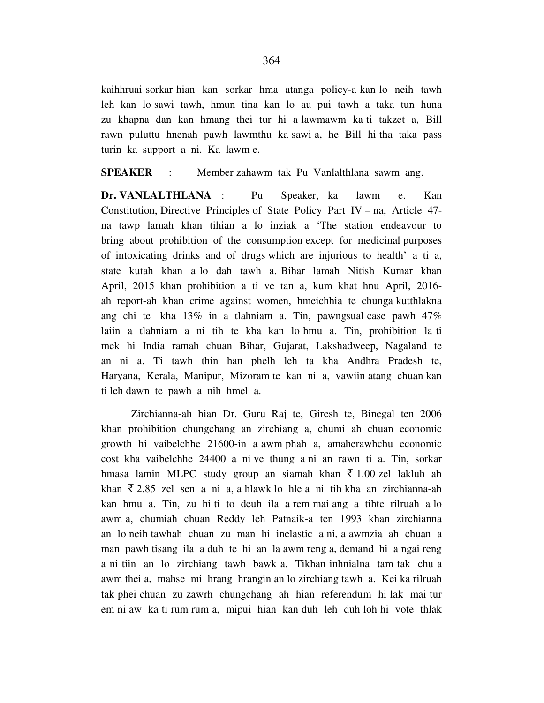kaihhruai sorkar hian kan sorkar hma atanga policy-a kan lo neih tawh leh kan lo sawi tawh, hmun tina kan lo au pui tawh a taka tun huna zu khapna dan kan hmang thei tur hi a lawmawm ka ti takzet a, Bill rawn puluttu hnenah pawh lawmthu ka sawi a, he Bill hi tha taka pass turin ka support a ni. Ka lawm e.

## **SPEAKER** : Member zahawm tak Pu Vanlalthlana sawm ang.

**Dr. VANLALTHLANA** : Pu Speaker, ka lawm e. Kan Constitution, Directive Principles of State Policy Part IV – na, Article 47 na tawp lamah khan tihian a lo inziak a 'The station endeavour to bring about prohibition of the consumption except for medicinal purposes of intoxicating drinks and of drugs which are injurious to health' a ti a, state kutah khan a lo dah tawh a. Bihar lamah Nitish Kumar khan April, 2015 khan prohibition a ti ve tan a, kum khat hnu April, 2016 ah report-ah khan crime against women, hmeichhia te chunga kutthlakna ang chi te kha 13% in a tlahniam a. Tin, pawngsual case pawh 47% laiin a tlahniam a ni tih te kha kan lo hmu a. Tin, prohibition la ti mek hi India ramah chuan Bihar, Gujarat, Lakshadweep, Nagaland te an ni a. Ti tawh thin han phelh leh ta kha Andhra Pradesh te, Haryana, Kerala, Manipur, Mizoram te kan ni a, vawiin atang chuan kan ti leh dawn te pawh a nih hmel a.

 Zirchianna-ah hian Dr. Guru Raj te, Giresh te, Binegal ten 2006 khan prohibition chungchang an zirchiang a, chumi ah chuan economic growth hi vaibelchhe 21600-in a awm phah a, amaherawhchu economic cost kha vaibelchhe 24400 a ni ve thung a ni an rawn ti a. Tin, sorkar hmasa lamin MLPC study group an siamah khan  $\bar{\tau}$  1.00 zel lakluh ah khan  $\bar{\xi}$  2.85 zel sen a ni a, a hlawk lo hle a ni tih kha an zirchianna-ah kan hmu a. Tin, zu hi ti to deuh ila a rem mai ang a tihte rilruah a lo awm a, chumiah chuan Reddy leh Patnaik-a ten 1993 khan zirchianna an lo neih tawhah chuan zu man hi inelastic a ni, a awmzia ah chuan a man pawh tisang ila a duh te hi an la awm reng a, demand hi a ngai reng a ni tiin an lo zirchiang tawh bawk a. Tikhan inhnialna tam tak chu a awm thei a, mahse mi hrang hrangin an lo zirchiang tawh a. Kei ka rilruah tak phei chuan zu zawrh chungchang ah hian referendum hi lak mai tur em ni aw ka ti rum rum a, mipui hian kan duh leh duh loh hi vote thlak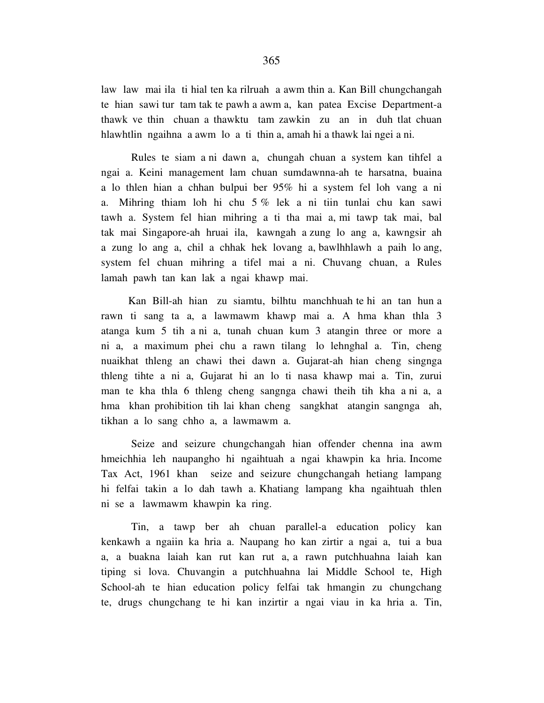law law mai ila ti hial ten ka rilruah a awm thin a. Kan Bill chungchangah te hian sawi tur tam tak te pawh a awm a, kan patea Excise Department-a thawk ve thin chuan a thawktu tam zawkin zu an in duh tlat chuan hlawhtlin ngaihna a awm lo a ti thin a, amah hi a thawk lai ngei a ni.

 Rules te siam a ni dawn a, chungah chuan a system kan tihfel a ngai a. Keini management lam chuan sumdawnna-ah te harsatna, buaina a lo thlen hian a chhan bulpui ber 95% hi a system fel loh vang a ni a. Mihring thiam loh hi chu 5 % lek a ni tiin tunlai chu kan sawi tawh a. System fel hian mihring a ti tha mai a, mi tawp tak mai, bal tak mai Singapore-ah hruai ila, kawngah a zung lo ang a, kawngsir ah a zung lo ang a, chil a chhak hek lovang a, bawlhhlawh a paih lo ang, system fel chuan mihring a tifel mai a ni. Chuvang chuan, a Rules lamah pawh tan kan lak a ngai khawp mai.

 Kan Bill-ah hian zu siamtu, bilhtu manchhuah te hi an tan hun a rawn ti sang ta a, a lawmawm khawp mai a. A hma khan thla 3 atanga kum 5 tih a ni a, tunah chuan kum 3 atangin three or more a ni a, a maximum phei chu a rawn tilang lo lehnghal a. Tin, cheng nuaikhat thleng an chawi thei dawn a. Gujarat-ah hian cheng singnga thleng tihte a ni a, Gujarat hi an lo ti nasa khawp mai a. Tin, zurui man te kha thla 6 thleng cheng sangnga chawi theih tih kha a ni a, a hma khan prohibition tih lai khan cheng sangkhat atangin sangnga ah, tikhan a lo sang chho a, a lawmawm a.

 Seize and seizure chungchangah hian offender chenna ina awm hmeichhia leh naupangho hi ngaihtuah a ngai khawpin ka hria. Income Tax Act, 1961 khan seize and seizure chungchangah hetiang lampang hi felfai takin a lo dah tawh a. Khatiang lampang kha ngaihtuah thlen ni se a lawmawm khawpin ka ring.

 Tin, a tawp ber ah chuan parallel-a education policy kan kenkawh a ngaiin ka hria a. Naupang ho kan zirtir a ngai a, tui a bua a, a buakna laiah kan rut kan rut a, a rawn putchhuahna laiah kan tiping si lova. Chuvangin a putchhuahna lai Middle School te, High School-ah te hian education policy felfai tak hmangin zu chungchang te, drugs chungchang te hi kan inzirtir a ngai viau in ka hria a. Tin,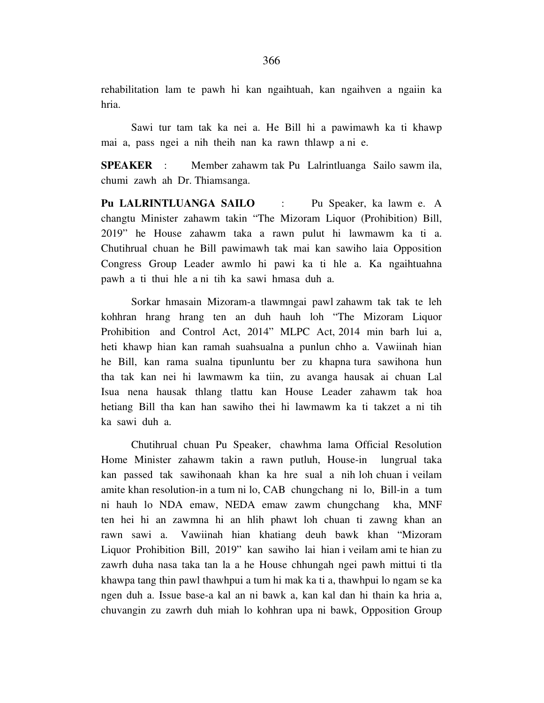rehabilitation lam te pawh hi kan ngaihtuah, kan ngaihven a ngaiin ka hria.

 Sawi tur tam tak ka nei a. He Bill hi a pawimawh ka ti khawp mai a, pass ngei a nih theih nan ka rawn thlawp a ni e.

**SPEAKER** : Member zahawm tak Pu Lalrintluanga Sailo sawm ila, chumi zawh ah Dr. Thiamsanga.

**Pu LALRINTLUANGA SAILO** : Pu Speaker, ka lawm e. A changtu Minister zahawm takin "The Mizoram Liquor (Prohibition) Bill, 2019" he House zahawm taka a rawn pulut hi lawmawm ka ti a. Chutihrual chuan he Bill pawimawh tak mai kan sawiho laia Opposition Congress Group Leader awmlo hi pawi ka ti hle a. Ka ngaihtuahna pawh a ti thui hle a ni tih ka sawi hmasa duh a.

 Sorkar hmasain Mizoram-a tlawmngai pawl zahawm tak tak te leh kohhran hrang hrang ten an duh hauh loh "The Mizoram Liquor Prohibition and Control Act, 2014" MLPC Act, 2014 min barh lui a, heti khawp hian kan ramah suahsualna a punlun chho a. Vawiinah hian he Bill, kan rama sualna tipunluntu ber zu khapna tura sawihona hun tha tak kan nei hi lawmawm ka tiin, zu avanga hausak ai chuan Lal Isua nena hausak thlang tlattu kan House Leader zahawm tak hoa hetiang Bill tha kan han sawiho thei hi lawmawm ka ti takzet a ni tih ka sawi duh a.

 Chutihrual chuan Pu Speaker, chawhma lama Official Resolution Home Minister zahawm takin a rawn putluh, House-in lungrual taka kan passed tak sawihonaah khan ka hre sual a nih loh chuan i veilam amite khan resolution-in a tum ni lo, CAB chungchang ni lo, Bill-in a tum ni hauh lo NDA emaw, NEDA emaw zawm chungchang kha, MNF ten hei hi an zawmna hi an hlih phawt loh chuan ti zawng khan an rawn sawi a. Vawiinah hian khatiang deuh bawk khan "Mizoram Liquor Prohibition Bill, 2019" kan sawiho lai hian i veilam ami te hian zu zawrh duha nasa taka tan la a he House chhungah ngei pawh mittui ti tla khawpa tang thin pawl thawhpui a tum hi mak ka ti a, thawhpui lo ngam se ka ngen duh a. Issue base-a kal an ni bawk a, kan kal dan hi thain ka hria a, chuvangin zu zawrh duh miah lo kohhran upa ni bawk, Opposition Group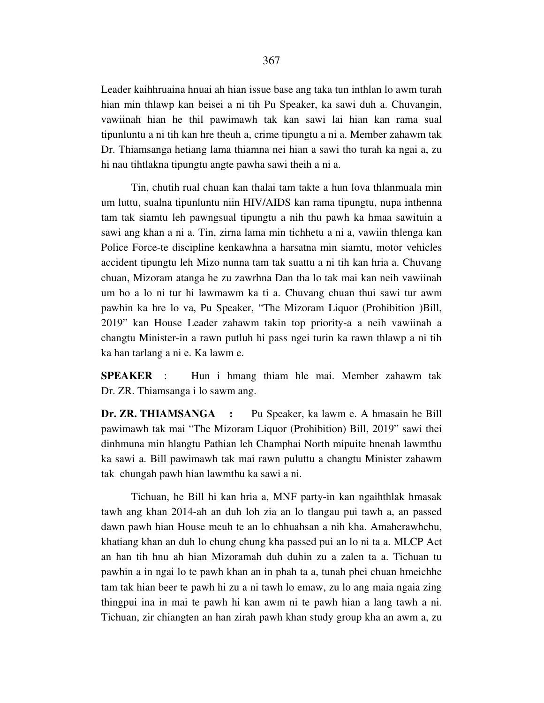Leader kaihhruaina hnuai ah hian issue base ang taka tun inthlan lo awm turah hian min thlawp kan beisei a ni tih Pu Speaker, ka sawi duh a. Chuvangin, vawiinah hian he thil pawimawh tak kan sawi lai hian kan rama sual tipunluntu a ni tih kan hre theuh a, crime tipungtu a ni a. Member zahawm tak Dr. Thiamsanga hetiang lama thiamna nei hian a sawi tho turah ka ngai a, zu hi nau tihtlakna tipungtu angte pawha sawi theih a ni a.

 Tin, chutih rual chuan kan thalai tam takte a hun lova thlanmuala min um luttu, sualna tipunluntu niin HIV/AIDS kan rama tipungtu, nupa inthenna tam tak siamtu leh pawngsual tipungtu a nih thu pawh ka hmaa sawituin a sawi ang khan a ni a. Tin, zirna lama min tichhetu a ni a, vawiin thlenga kan Police Force-te discipline kenkawhna a harsatna min siamtu, motor vehicles accident tipungtu leh Mizo nunna tam tak suattu a ni tih kan hria a. Chuvang chuan, Mizoram atanga he zu zawrhna Dan tha lo tak mai kan neih vawiinah um bo a lo ni tur hi lawmawm ka ti a. Chuvang chuan thui sawi tur awm pawhin ka hre lo va, Pu Speaker, "The Mizoram Liquor (Prohibition )Bill, 2019" kan House Leader zahawm takin top priority-a a neih vawiinah a changtu Minister-in a rawn putluh hi pass ngei turin ka rawn thlawp a ni tih ka han tarlang a ni e. Ka lawm e.

**SPEAKER** : Hun i hmang thiam hle mai. Member zahawm tak Dr. ZR. Thiamsanga i lo sawm ang.

**Dr. ZR. THIAMSANGA :** Pu Speaker, ka lawm e. A hmasain he Bill pawimawh tak mai "The Mizoram Liquor (Prohibition) Bill, 2019" sawi thei dinhmuna min hlangtu Pathian leh Champhai North mipuite hnenah lawmthu ka sawi a. Bill pawimawh tak mai rawn puluttu a changtu Minister zahawm tak chungah pawh hian lawmthu ka sawi a ni.

 Tichuan, he Bill hi kan hria a, MNF party-in kan ngaihthlak hmasak tawh ang khan 2014-ah an duh loh zia an lo tlangau pui tawh a, an passed dawn pawh hian House meuh te an lo chhuahsan a nih kha. Amaherawhchu, khatiang khan an duh lo chung chung kha passed pui an lo ni ta a. MLCP Act an han tih hnu ah hian Mizoramah duh duhin zu a zalen ta a. Tichuan tu pawhin a in ngai lo te pawh khan an in phah ta a, tunah phei chuan hmeichhe tam tak hian beer te pawh hi zu a ni tawh lo emaw, zu lo ang maia ngaia zing thingpui ina in mai te pawh hi kan awm ni te pawh hian a lang tawh a ni. Tichuan, zir chiangten an han zirah pawh khan study group kha an awm a, zu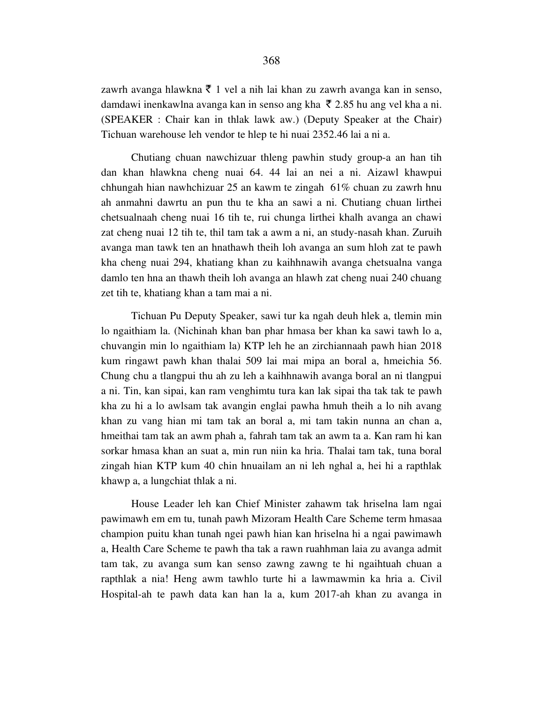zawrh avanga hlawkna  $\bar{\tau}$  1 vel a nih lai khan zu zawrh avanga kan in senso, damdawi inenkawlna avanga kan in senso ang kha  $\bar{\tau}$  2.85 hu ang vel kha a ni. (SPEAKER : Chair kan in thlak lawk aw.) (Deputy Speaker at the Chair) Tichuan warehouse leh vendor te hlep te hi nuai 2352.46 lai a ni a.

 Chutiang chuan nawchizuar thleng pawhin study group-a an han tih dan khan hlawkna cheng nuai 64. 44 lai an nei a ni. Aizawl khawpui chhungah hian nawhchizuar 25 an kawm te zingah 61% chuan zu zawrh hnu ah anmahni dawrtu an pun thu te kha an sawi a ni. Chutiang chuan lirthei chetsualnaah cheng nuai 16 tih te, rui chunga lirthei khalh avanga an chawi zat cheng nuai 12 tih te, thil tam tak a awm a ni, an study-nasah khan. Zuruih avanga man tawk ten an hnathawh theih loh avanga an sum hloh zat te pawh kha cheng nuai 294, khatiang khan zu kaihhnawih avanga chetsualna vanga damlo ten hna an thawh theih loh avanga an hlawh zat cheng nuai 240 chuang zet tih te, khatiang khan a tam mai a ni.

 Tichuan Pu Deputy Speaker, sawi tur ka ngah deuh hlek a, tlemin min lo ngaithiam la. (Nichinah khan ban phar hmasa ber khan ka sawi tawh lo a, chuvangin min lo ngaithiam la) KTP leh he an zirchiannaah pawh hian 2018 kum ringawt pawh khan thalai 509 lai mai mipa an boral a, hmeichia 56. Chung chu a tlangpui thu ah zu leh a kaihhnawih avanga boral an ni tlangpui a ni. Tin, kan sipai, kan ram venghimtu tura kan lak sipai tha tak tak te pawh kha zu hi a lo awlsam tak avangin englai pawha hmuh theih a lo nih avang khan zu vang hian mi tam tak an boral a, mi tam takin nunna an chan a, hmeithai tam tak an awm phah a, fahrah tam tak an awm ta a. Kan ram hi kan sorkar hmasa khan an suat a, min run niin ka hria. Thalai tam tak, tuna boral zingah hian KTP kum 40 chin hnuailam an ni leh nghal a, hei hi a rapthlak khawp a, a lungchiat thlak a ni.

 House Leader leh kan Chief Minister zahawm tak hriselna lam ngai pawimawh em em tu, tunah pawh Mizoram Health Care Scheme term hmasaa champion puitu khan tunah ngei pawh hian kan hriselna hi a ngai pawimawh a, Health Care Scheme te pawh tha tak a rawn ruahhman laia zu avanga admit tam tak, zu avanga sum kan senso zawng zawng te hi ngaihtuah chuan a rapthlak a nia! Heng awm tawhlo turte hi a lawmawmin ka hria a. Civil Hospital-ah te pawh data kan han la a, kum 2017-ah khan zu avanga in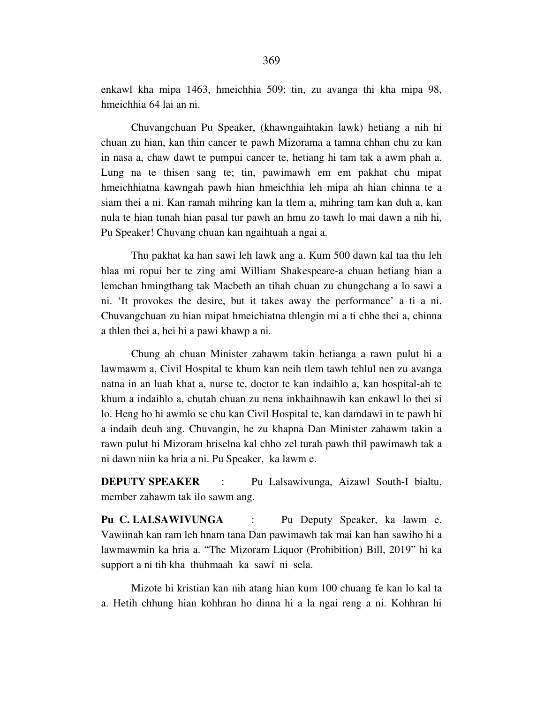enkawl kha mipa 1463, hmeichhia 509; tin, zu avanga thi kha mipa 98, hmeichhia 64 lai an ni.

 Chuvangchuan Pu Speaker, (khawngaihtakin lawk) hetiang a nih hi chuan zu hian, kan thin cancer te pawh Mizorama a tamna chhan chu zu kan in nasa a, chaw dawt te pumpui cancer te, hetiang hi tam tak a awm phah a. Lung na te thisen sang te; tin, pawimawh em em pakhat chu mipat hmeichhiatna kawngah pawh hian hmeichhia leh mipa ah hian chinna te a siam thei a ni. Kan ramah mihring kan la tlem a, mihring tam kan duh a, kan nula te hian tunah hian pasal tur pawh an hmu zo tawh lo mai dawn a nih hi, Pu Speaker! Chuvang chuan kan ngaihtuah a ngai a.

 Thu pakhat ka han sawi leh lawk ang a. Kum 500 dawn kal taa thu leh hlaa mi ropui ber te zing ami William Shakespeare-a chuan hetiang hian a lemchan hmingthang tak Macbeth an tihah chuan zu chungchang a lo sawi a ni. 'It provokes the desire, but it takes away the performance' a ti a ni. Chuvangchuan zu hian mipat hmeichiatna thlengin mi a ti chhe thei a, chinna a thlen thei a, hei hi a pawi khawp a ni.

 Chung ah chuan Minister zahawm takin hetianga a rawn pulut hi a lawmawm a, Civil Hospital te khum kan neih tlem tawh tehlul nen zu avanga natna in an luah khat a, nurse te, doctor te kan indaihlo a, kan hospital-ah te khum a indaihlo a, chutah chuan zu nena inkhaihnawih kan enkawl lo thei si lo. Heng ho hi awmlo se chu kan Civil Hospital te, kan damdawi in te pawh hi a indaih deuh ang. Chuvangin, he zu khapna Dan Minister zahawm takin a rawn pulut hi Mizoram hriselna kal chho zel turah pawh thil pawimawh tak a ni dawn niin ka hria a ni. Pu Speaker, ka lawm e.

**DEPUTY SPEAKER** : Pu Lalsawivunga, Aizawl South-I bialtu, member zahawm tak ilo sawm ang.

**Pu C. LALSAWIVUNGA** : Pu Deputy Speaker, ka lawm e. Vawiinah kan ram leh hnam tana Dan pawimawh tak mai kan han sawiho hi a lawmawmin ka hria a. "The Mizoram Liquor (Prohibition) Bill, 2019" hi ka support a ni tih kha thuhmaah ka sawi ni sela.

 Mizote hi kristian kan nih atang hian kum 100 chuang fe kan lo kal ta a. Hetih chhung hian kohhran ho dinna hi a la ngai reng a ni. Kohhran hi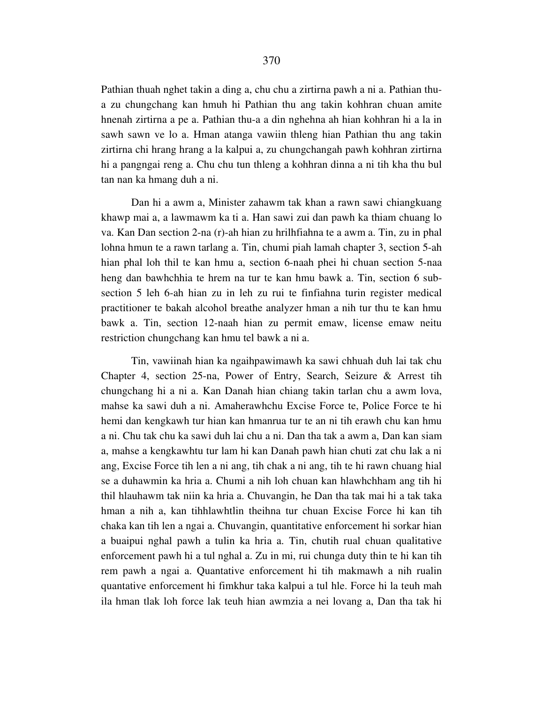Pathian thuah nghet takin a ding a, chu chu a zirtirna pawh a ni a. Pathian thua zu chungchang kan hmuh hi Pathian thu ang takin kohhran chuan amite hnenah zirtirna a pe a. Pathian thu-a a din nghehna ah hian kohhran hi a la in sawh sawn ve lo a. Hman atanga vawiin thleng hian Pathian thu ang takin zirtirna chi hrang hrang a la kalpui a, zu chungchangah pawh kohhran zirtirna hi a pangngai reng a. Chu chu tun thleng a kohhran dinna a ni tih kha thu bul tan nan ka hmang duh a ni.

 Dan hi a awm a, Minister zahawm tak khan a rawn sawi chiangkuang khawp mai a, a lawmawm ka ti a. Han sawi zui dan pawh ka thiam chuang lo va. Kan Dan section 2-na (r)-ah hian zu hrilhfiahna te a awm a. Tin, zu in phal lohna hmun te a rawn tarlang a. Tin, chumi piah lamah chapter 3, section 5-ah hian phal loh thil te kan hmu a, section 6-naah phei hi chuan section 5-naa heng dan bawhchhia te hrem na tur te kan hmu bawk a. Tin, section 6 subsection 5 leh 6-ah hian zu in leh zu rui te finfiahna turin register medical practitioner te bakah alcohol breathe analyzer hman a nih tur thu te kan hmu bawk a. Tin, section 12-naah hian zu permit emaw, license emaw neitu restriction chungchang kan hmu tel bawk a ni a.

 Tin, vawiinah hian ka ngaihpawimawh ka sawi chhuah duh lai tak chu Chapter 4, section 25-na, Power of Entry, Search, Seizure & Arrest tih chungchang hi a ni a. Kan Danah hian chiang takin tarlan chu a awm lova, mahse ka sawi duh a ni. Amaherawhchu Excise Force te, Police Force te hi hemi dan kengkawh tur hian kan hmanrua tur te an ni tih erawh chu kan hmu a ni. Chu tak chu ka sawi duh lai chu a ni. Dan tha tak a awm a, Dan kan siam a, mahse a kengkawhtu tur lam hi kan Danah pawh hian chuti zat chu lak a ni ang, Excise Force tih len a ni ang, tih chak a ni ang, tih te hi rawn chuang hial se a duhawmin ka hria a. Chumi a nih loh chuan kan hlawhchham ang tih hi thil hlauhawm tak niin ka hria a. Chuvangin, he Dan tha tak mai hi a tak taka hman a nih a, kan tihhlawhtlin theihna tur chuan Excise Force hi kan tih chaka kan tih len a ngai a. Chuvangin, quantitative enforcement hi sorkar hian a buaipui nghal pawh a tulin ka hria a. Tin, chutih rual chuan qualitative enforcement pawh hi a tul nghal a. Zu in mi, rui chunga duty thin te hi kan tih rem pawh a ngai a. Quantative enforcement hi tih makmawh a nih rualin quantative enforcement hi fimkhur taka kalpui a tul hle. Force hi la teuh mah ila hman tlak loh force lak teuh hian awmzia a nei lovang a, Dan tha tak hi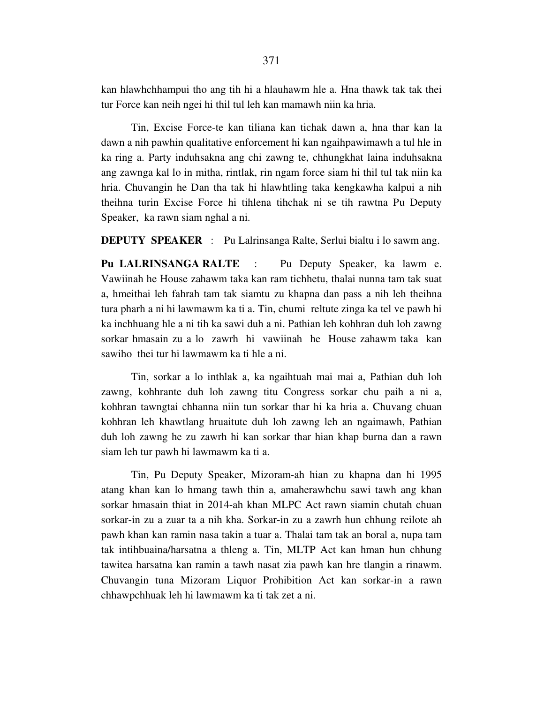kan hlawhchhampui tho ang tih hi a hlauhawm hle a. Hna thawk tak tak thei tur Force kan neih ngei hi thil tul leh kan mamawh niin ka hria.

 Tin, Excise Force-te kan tiliana kan tichak dawn a, hna thar kan la dawn a nih pawhin qualitative enforcement hi kan ngaihpawimawh a tul hle in ka ring a. Party induhsakna ang chi zawng te, chhungkhat laina induhsakna ang zawnga kal lo in mitha, rintlak, rin ngam force siam hi thil tul tak niin ka hria. Chuvangin he Dan tha tak hi hlawhtling taka kengkawha kalpui a nih theihna turin Excise Force hi tihlena tihchak ni se tih rawtna Pu Deputy Speaker, ka rawn siam nghal a ni.

**DEPUTY SPEAKER** : Pu Lalrinsanga Ralte, Serlui bialtu i lo sawm ang.

**Pu LALRINSANGA RALTE** : Pu Deputy Speaker, ka lawm e. Vawiinah he House zahawm taka kan ram tichhetu, thalai nunna tam tak suat a, hmeithai leh fahrah tam tak siamtu zu khapna dan pass a nih leh theihna tura pharh a ni hi lawmawm ka ti a. Tin, chumi reltute zinga ka tel ve pawh hi ka inchhuang hle a ni tih ka sawi duh a ni. Pathian leh kohhran duh loh zawng sorkar hmasain zu a lo zawrh hi vawiinah he House zahawm taka kan sawiho thei tur hi lawmawm ka ti hle a ni.

 Tin, sorkar a lo inthlak a, ka ngaihtuah mai mai a, Pathian duh loh zawng, kohhrante duh loh zawng titu Congress sorkar chu paih a ni a, kohhran tawngtai chhanna niin tun sorkar thar hi ka hria a. Chuvang chuan kohhran leh khawtlang hruaitute duh loh zawng leh an ngaimawh, Pathian duh loh zawng he zu zawrh hi kan sorkar thar hian khap burna dan a rawn siam leh tur pawh hi lawmawm ka ti a.

 Tin, Pu Deputy Speaker, Mizoram-ah hian zu khapna dan hi 1995 atang khan kan lo hmang tawh thin a, amaherawhchu sawi tawh ang khan sorkar hmasain thiat in 2014-ah khan MLPC Act rawn siamin chutah chuan sorkar-in zu a zuar ta a nih kha. Sorkar-in zu a zawrh hun chhung reilote ah pawh khan kan ramin nasa takin a tuar a. Thalai tam tak an boral a, nupa tam tak intihbuaina/harsatna a thleng a. Tin, MLTP Act kan hman hun chhung tawitea harsatna kan ramin a tawh nasat zia pawh kan hre tlangin a rinawm. Chuvangin tuna Mizoram Liquor Prohibition Act kan sorkar-in a rawn chhawpchhuak leh hi lawmawm ka ti tak zet a ni.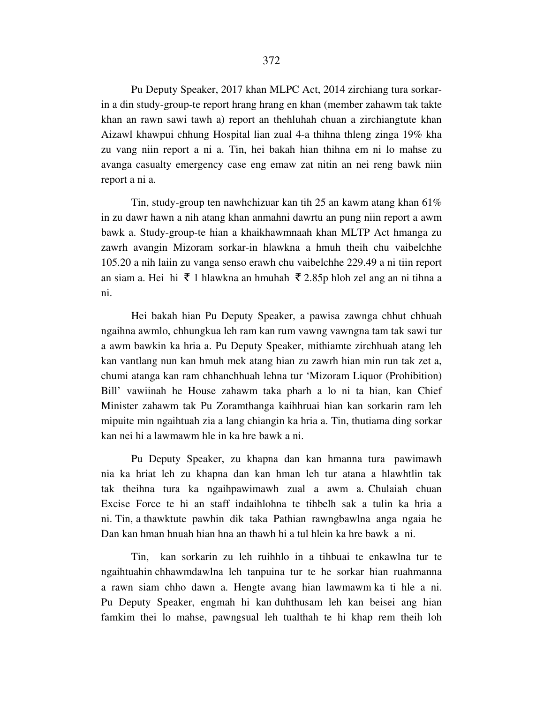Pu Deputy Speaker, 2017 khan MLPC Act, 2014 zirchiang tura sorkarin a din study-group-te report hrang hrang en khan (member zahawm tak takte khan an rawn sawi tawh a) report an thehluhah chuan a zirchiangtute khan Aizawl khawpui chhung Hospital lian zual 4-a thihna thleng zinga 19% kha zu vang niin report a ni a. Tin, hei bakah hian thihna em ni lo mahse zu avanga casualty emergency case eng emaw zat nitin an nei reng bawk niin report a ni a.

 Tin, study-group ten nawhchizuar kan tih 25 an kawm atang khan 61% in zu dawr hawn a nih atang khan anmahni dawrtu an pung niin report a awm bawk a. Study-group-te hian a khaikhawmnaah khan MLTP Act hmanga zu zawrh avangin Mizoram sorkar-in hlawkna a hmuh theih chu vaibelchhe 105.20 a nih laiin zu vanga senso erawh chu vaibelchhe 229.49 a ni tiin report an siam a. Hei hi  $\bar{\tau}$  1 hlawkna an hmuhah  $\bar{\tau}$  2.85p hloh zel ang an ni tihna a ni.

 Hei bakah hian Pu Deputy Speaker, a pawisa zawnga chhut chhuah ngaihna awmlo, chhungkua leh ram kan rum vawng vawngna tam tak sawi tur a awm bawkin ka hria a. Pu Deputy Speaker, mithiamte zirchhuah atang leh kan vantlang nun kan hmuh mek atang hian zu zawrh hian min run tak zet a, chumi atanga kan ram chhanchhuah lehna tur 'Mizoram Liquor (Prohibition) Bill' vawiinah he House zahawm taka pharh a lo ni ta hian, kan Chief Minister zahawm tak Pu Zoramthanga kaihhruai hian kan sorkarin ram leh mipuite min ngaihtuah zia a lang chiangin ka hria a. Tin, thutiama ding sorkar kan nei hi a lawmawm hle in ka hre bawk a ni.

 Pu Deputy Speaker, zu khapna dan kan hmanna tura pawimawh nia ka hriat leh zu khapna dan kan hman leh tur atana a hlawhtlin tak tak theihna tura ka ngaihpawimawh zual a awm a. Chulaiah chuan Excise Force te hi an staff indaihlohna te tihbelh sak a tulin ka hria a ni. Tin, a thawktute pawhin dik taka Pathian rawngbawlna anga ngaia he Dan kan hman hnuah hian hna an thawh hi a tul hlein ka hre bawk a ni.

 Tin, kan sorkarin zu leh ruihhlo in a tihbuai te enkawlna tur te ngaihtuahin chhawmdawlna leh tanpuina tur te he sorkar hian ruahmanna a rawn siam chho dawn a. Hengte avang hian lawmawm ka ti hle a ni. Pu Deputy Speaker, engmah hi kan duhthusam leh kan beisei ang hian famkim thei lo mahse, pawngsual leh tualthah te hi khap rem theih loh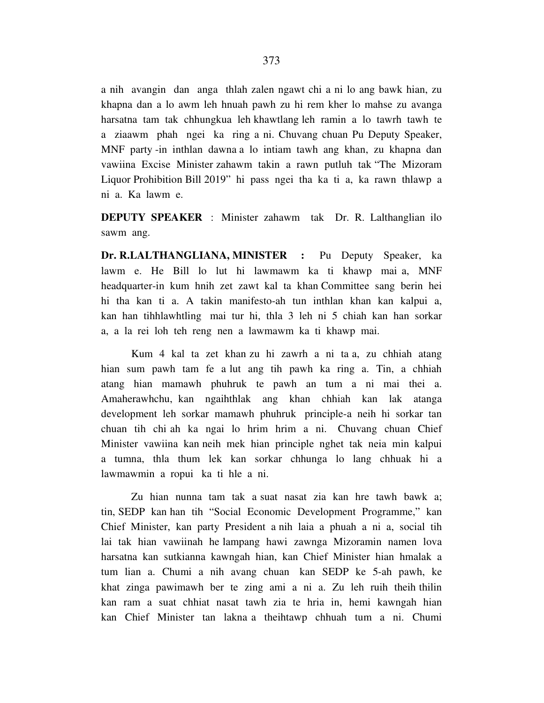a nih avangin dan anga thlah zalen ngawt chi a ni lo ang bawk hian, zu khapna dan a lo awm leh hnuah pawh zu hi rem kher lo mahse zu avanga harsatna tam tak chhungkua leh khawtlang leh ramin a lo tawrh tawh te a ziaawm phah ngei ka ring a ni. Chuvang chuan Pu Deputy Speaker, MNF party -in inthlan dawna a lo intiam tawh ang khan, zu khapna dan vawiina Excise Minister zahawm takin a rawn putluh tak "The Mizoram Liquor Prohibition Bill 2019" hi pass ngei tha ka ti a, ka rawn thlawp a ni a. Ka lawm e.

**DEPUTY SPEAKER** : Minister zahawm tak Dr. R. Lalthanglian ilo sawm ang.

**Dr. R.LALTHANGLIANA, MINISTER :** Pu Deputy Speaker, ka lawm e. He Bill lo lut hi lawmawm ka ti khawp mai a, MNF headquarter-in kum hnih zet zawt kal ta khan Committee sang berin hei hi tha kan ti a. A takin manifesto-ah tun inthlan khan kan kalpui a, kan han tihhlawhtling mai tur hi, thla 3 leh ni 5 chiah kan han sorkar a, a la rei loh teh reng nen a lawmawm ka ti khawp mai.

 Kum 4 kal ta zet khan zu hi zawrh a ni ta a, zu chhiah atang hian sum pawh tam fe a lut ang tih pawh ka ring a. Tin, a chhiah atang hian mamawh phuhruk te pawh an tum a ni mai thei a. Amaherawhchu, kan ngaihthlak ang khan chhiah kan lak atanga development leh sorkar mamawh phuhruk principle-a neih hi sorkar tan chuan tih chi ah ka ngai lo hrim hrim a ni. Chuvang chuan Chief Minister vawiina kan neih mek hian principle nghet tak neia min kalpui a tumna, thla thum lek kan sorkar chhunga lo lang chhuak hi a lawmawmin a ropui ka ti hle a ni.

 Zu hian nunna tam tak a suat nasat zia kan hre tawh bawk a; tin, SEDP kan han tih "Social Economic Development Programme," kan Chief Minister, kan party President a nih laia a phuah a ni a, social tih lai tak hian vawiinah he lampang hawi zawnga Mizoramin namen lova harsatna kan sutkianna kawngah hian, kan Chief Minister hian hmalak a tum lian a. Chumi a nih avang chuan kan SEDP ke 5-ah pawh, ke khat zinga pawimawh ber te zing ami a ni a. Zu leh ruih theih thilin kan ram a suat chhiat nasat tawh zia te hria in, hemi kawngah hian kan Chief Minister tan lakna a theihtawp chhuah tum a ni. Chumi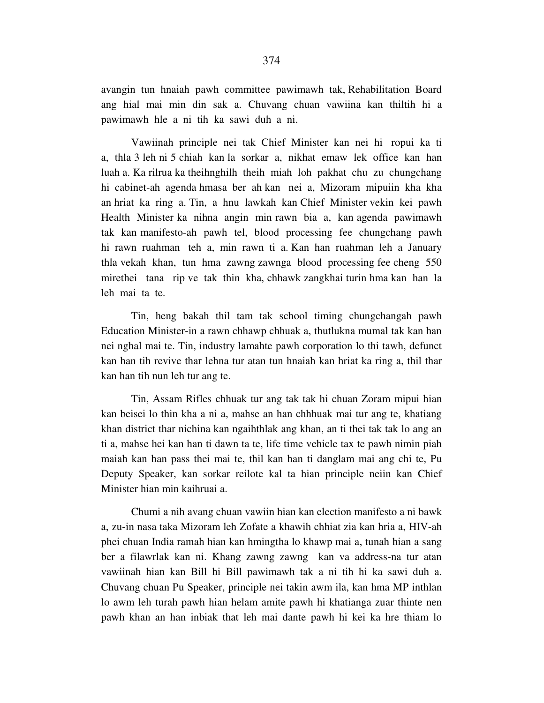avangin tun hnaiah pawh committee pawimawh tak, Rehabilitation Board ang hial mai min din sak a. Chuvang chuan vawiina kan thiltih hi a pawimawh hle a ni tih ka sawi duh a ni.

 Vawiinah principle nei tak Chief Minister kan nei hi ropui ka ti a, thla 3 leh ni 5 chiah kan la sorkar a, nikhat emaw lek office kan han luah a. Ka rilrua ka theihnghilh theih miah loh pakhat chu zu chungchang hi cabinet-ah agenda hmasa ber ah kan nei a, Mizoram mipuiin kha kha an hriat ka ring a. Tin, a hnu lawkah kan Chief Minister vekin kei pawh Health Minister ka nihna angin min rawn bia a, kan agenda pawimawh tak kan manifesto-ah pawh tel, blood processing fee chungchang pawh hi rawn ruahman teh a, min rawn ti a. Kan han ruahman leh a January thla vekah khan, tun hma zawng zawnga blood processing fee cheng 550 mirethei tana rip ve tak thin kha, chhawk zangkhai turin hma kan han la leh mai ta te.

 Tin, heng bakah thil tam tak school timing chungchangah pawh Education Minister-in a rawn chhawp chhuak a, thutlukna mumal tak kan han nei nghal mai te. Tin, industry lamahte pawh corporation lo thi tawh, defunct kan han tih revive thar lehna tur atan tun hnaiah kan hriat ka ring a, thil thar kan han tih nun leh tur ang te.

 Tin, Assam Rifles chhuak tur ang tak tak hi chuan Zoram mipui hian kan beisei lo thin kha a ni a, mahse an han chhhuak mai tur ang te, khatiang khan district thar nichina kan ngaihthlak ang khan, an ti thei tak tak lo ang an ti a, mahse hei kan han ti dawn ta te, life time vehicle tax te pawh nimin piah maiah kan han pass thei mai te, thil kan han ti danglam mai ang chi te, Pu Deputy Speaker, kan sorkar reilote kal ta hian principle neiin kan Chief Minister hian min kaihruai a.

 Chumi a nih avang chuan vawiin hian kan election manifesto a ni bawk a, zu-in nasa taka Mizoram leh Zofate a khawih chhiat zia kan hria a, HIV-ah phei chuan India ramah hian kan hmingtha lo khawp mai a, tunah hian a sang ber a filawrlak kan ni. Khang zawng zawng kan va address-na tur atan vawiinah hian kan Bill hi Bill pawimawh tak a ni tih hi ka sawi duh a. Chuvang chuan Pu Speaker, principle nei takin awm ila, kan hma MP inthlan lo awm leh turah pawh hian helam amite pawh hi khatianga zuar thinte nen pawh khan an han inbiak that leh mai dante pawh hi kei ka hre thiam lo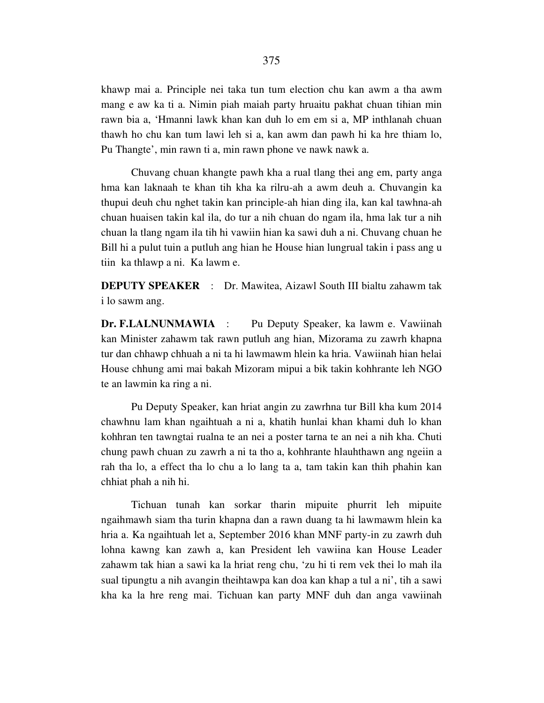khawp mai a. Principle nei taka tun tum election chu kan awm a tha awm mang e aw ka ti a. Nimin piah maiah party hruaitu pakhat chuan tihian min rawn bia a, 'Hmanni lawk khan kan duh lo em em si a, MP inthlanah chuan thawh ho chu kan tum lawi leh si a, kan awm dan pawh hi ka hre thiam lo, Pu Thangte', min rawn ti a, min rawn phone ve nawk nawk a.

 Chuvang chuan khangte pawh kha a rual tlang thei ang em, party anga hma kan laknaah te khan tih kha ka rilru-ah a awm deuh a. Chuvangin ka thupui deuh chu nghet takin kan principle-ah hian ding ila, kan kal tawhna-ah chuan huaisen takin kal ila, do tur a nih chuan do ngam ila, hma lak tur a nih chuan la tlang ngam ila tih hi vawiin hian ka sawi duh a ni. Chuvang chuan he Bill hi a pulut tuin a putluh ang hian he House hian lungrual takin i pass ang u tiin ka thlawp a ni. Ka lawm e.

**DEPUTY SPEAKER** : Dr. Mawitea, Aizawl South III bialtu zahawm tak i lo sawm ang.

**Dr. F.LALNUNMAWIA** : Pu Deputy Speaker, ka lawm e. Vawiinah kan Minister zahawm tak rawn putluh ang hian, Mizorama zu zawrh khapna tur dan chhawp chhuah a ni ta hi lawmawm hlein ka hria. Vawiinah hian helai House chhung ami mai bakah Mizoram mipui a bik takin kohhrante leh NGO te an lawmin ka ring a ni.

 Pu Deputy Speaker, kan hriat angin zu zawrhna tur Bill kha kum 2014 chawhnu lam khan ngaihtuah a ni a, khatih hunlai khan khami duh lo khan kohhran ten tawngtai rualna te an nei a poster tarna te an nei a nih kha. Chuti chung pawh chuan zu zawrh a ni ta tho a, kohhrante hlauhthawn ang ngeiin a rah tha lo, a effect tha lo chu a lo lang ta a, tam takin kan thih phahin kan chhiat phah a nih hi.

 Tichuan tunah kan sorkar tharin mipuite phurrit leh mipuite ngaihmawh siam tha turin khapna dan a rawn duang ta hi lawmawm hlein ka hria a. Ka ngaihtuah let a, September 2016 khan MNF party-in zu zawrh duh lohna kawng kan zawh a, kan President leh vawiina kan House Leader zahawm tak hian a sawi ka la hriat reng chu, 'zu hi ti rem vek thei lo mah ila sual tipungtu a nih avangin theihtawpa kan doa kan khap a tul a ni', tih a sawi kha ka la hre reng mai. Tichuan kan party MNF duh dan anga vawiinah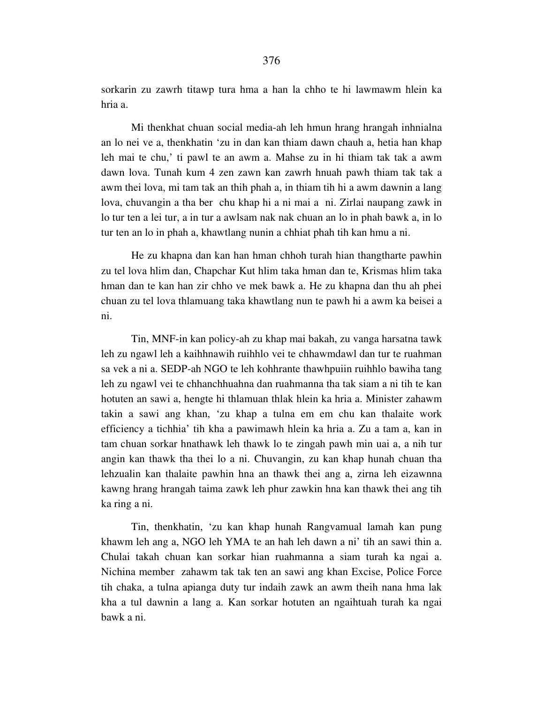sorkarin zu zawrh titawp tura hma a han la chho te hi lawmawm hlein ka hria a.

 Mi thenkhat chuan social media-ah leh hmun hrang hrangah inhnialna an lo nei ve a, thenkhatin 'zu in dan kan thiam dawn chauh a, hetia han khap leh mai te chu,' ti pawl te an awm a. Mahse zu in hi thiam tak tak a awm dawn lova. Tunah kum 4 zen zawn kan zawrh hnuah pawh thiam tak tak a awm thei lova, mi tam tak an thih phah a, in thiam tih hi a awm dawnin a lang lova, chuvangin a tha ber chu khap hi a ni mai a ni. Zirlai naupang zawk in lo tur ten a lei tur, a in tur a awlsam nak nak chuan an lo in phah bawk a, in lo tur ten an lo in phah a, khawtlang nunin a chhiat phah tih kan hmu a ni.

 He zu khapna dan kan han hman chhoh turah hian thangtharte pawhin zu tel lova hlim dan, Chapchar Kut hlim taka hman dan te, Krismas hlim taka hman dan te kan han zir chho ve mek bawk a. He zu khapna dan thu ah phei chuan zu tel lova thlamuang taka khawtlang nun te pawh hi a awm ka beisei a ni.

 Tin, MNF-in kan policy-ah zu khap mai bakah, zu vanga harsatna tawk leh zu ngawl leh a kaihhnawih ruihhlo vei te chhawmdawl dan tur te ruahman sa vek a ni a. SEDP-ah NGO te leh kohhrante thawhpuiin ruihhlo bawiha tang leh zu ngawl vei te chhanchhuahna dan ruahmanna tha tak siam a ni tih te kan hotuten an sawi a, hengte hi thlamuan thlak hlein ka hria a. Minister zahawm takin a sawi ang khan, 'zu khap a tulna em em chu kan thalaite work efficiency a tichhia' tih kha a pawimawh hlein ka hria a. Zu a tam a, kan in tam chuan sorkar hnathawk leh thawk lo te zingah pawh min uai a, a nih tur angin kan thawk tha thei lo a ni. Chuvangin, zu kan khap hunah chuan tha lehzualin kan thalaite pawhin hna an thawk thei ang a, zirna leh eizawnna kawng hrang hrangah taima zawk leh phur zawkin hna kan thawk thei ang tih ka ring a ni.

 Tin, thenkhatin, 'zu kan khap hunah Rangvamual lamah kan pung khawm leh ang a, NGO leh YMA te an hah leh dawn a ni' tih an sawi thin a. Chulai takah chuan kan sorkar hian ruahmanna a siam turah ka ngai a. Nichina member zahawm tak tak ten an sawi ang khan Excise, Police Force tih chaka, a tulna apianga duty tur indaih zawk an awm theih nana hma lak kha a tul dawnin a lang a. Kan sorkar hotuten an ngaihtuah turah ka ngai bawk a ni.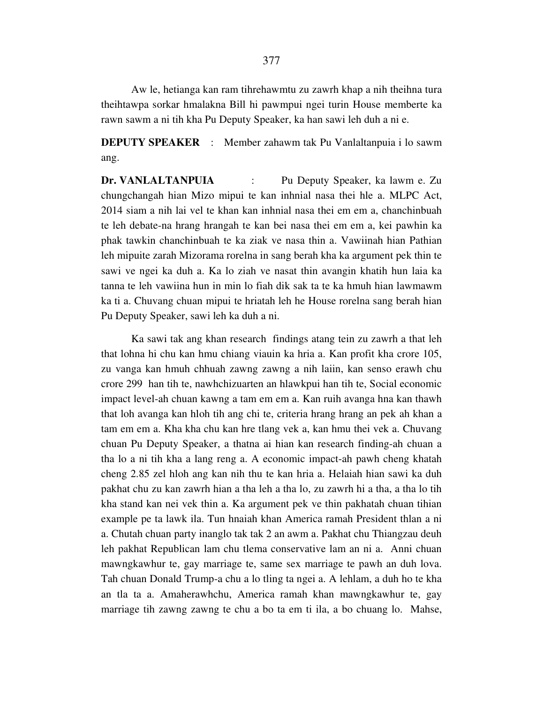377

 Aw le, hetianga kan ram tihrehawmtu zu zawrh khap a nih theihna tura theihtawpa sorkar hmalakna Bill hi pawmpui ngei turin House memberte ka rawn sawm a ni tih kha Pu Deputy Speaker, ka han sawi leh duh a ni e.

**DEPUTY SPEAKER** : Member zahawm tak Pu Vanlaltanpuia i lo sawm ang.

**Dr. VANLALTANPUIA** : Pu Deputy Speaker, ka lawm e. Zu chungchangah hian Mizo mipui te kan inhnial nasa thei hle a. MLPC Act, 2014 siam a nih lai vel te khan kan inhnial nasa thei em em a, chanchinbuah te leh debate-na hrang hrangah te kan bei nasa thei em em a, kei pawhin ka phak tawkin chanchinbuah te ka ziak ve nasa thin a. Vawiinah hian Pathian leh mipuite zarah Mizorama rorelna in sang berah kha ka argument pek thin te sawi ve ngei ka duh a. Ka lo ziah ve nasat thin avangin khatih hun laia ka tanna te leh vawiina hun in min lo fiah dik sak ta te ka hmuh hian lawmawm ka ti a. Chuvang chuan mipui te hriatah leh he House rorelna sang berah hian Pu Deputy Speaker, sawi leh ka duh a ni.

 Ka sawi tak ang khan research findings atang tein zu zawrh a that leh that lohna hi chu kan hmu chiang viauin ka hria a. Kan profit kha crore 105, zu vanga kan hmuh chhuah zawng zawng a nih laiin, kan senso erawh chu crore 299 han tih te, nawhchizuarten an hlawkpui han tih te, Social economic impact level-ah chuan kawng a tam em em a. Kan ruih avanga hna kan thawh that loh avanga kan hloh tih ang chi te, criteria hrang hrang an pek ah khan a tam em em a. Kha kha chu kan hre tlang vek a, kan hmu thei vek a. Chuvang chuan Pu Deputy Speaker, a thatna ai hian kan research finding-ah chuan a tha lo a ni tih kha a lang reng a. A economic impact-ah pawh cheng khatah cheng 2.85 zel hloh ang kan nih thu te kan hria a. Helaiah hian sawi ka duh pakhat chu zu kan zawrh hian a tha leh a tha lo, zu zawrh hi a tha, a tha lo tih kha stand kan nei vek thin a. Ka argument pek ve thin pakhatah chuan tihian example pe ta lawk ila. Tun hnaiah khan America ramah President thlan a ni a. Chutah chuan party inanglo tak tak 2 an awm a. Pakhat chu Thiangzau deuh leh pakhat Republican lam chu tlema conservative lam an ni a. Anni chuan mawngkawhur te, gay marriage te, same sex marriage te pawh an duh lova. Tah chuan Donald Trump-a chu a lo tling ta ngei a. A lehlam, a duh ho te kha an tla ta a. Amaherawhchu, America ramah khan mawngkawhur te, gay marriage tih zawng zawng te chu a bo ta em ti ila, a bo chuang lo. Mahse,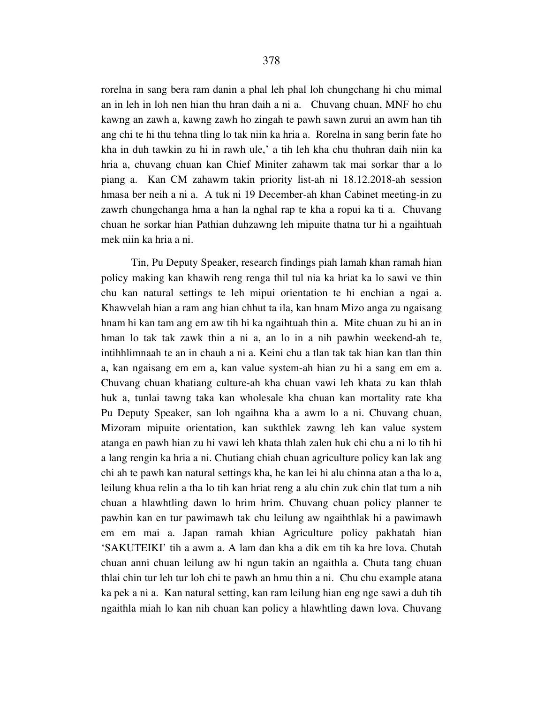rorelna in sang bera ram danin a phal leh phal loh chungchang hi chu mimal an in leh in loh nen hian thu hran daih a ni a. Chuvang chuan, MNF ho chu kawng an zawh a, kawng zawh ho zingah te pawh sawn zurui an awm han tih ang chi te hi thu tehna tling lo tak niin ka hria a. Rorelna in sang berin fate ho kha in duh tawkin zu hi in rawh ule,' a tih leh kha chu thuhran daih niin ka hria a, chuvang chuan kan Chief Miniter zahawm tak mai sorkar thar a lo piang a. Kan CM zahawm takin priority list-ah ni 18.12.2018-ah session hmasa ber neih a ni a. A tuk ni 19 December-ah khan Cabinet meeting-in zu zawrh chungchanga hma a han la nghal rap te kha a ropui ka ti a. Chuvang chuan he sorkar hian Pathian duhzawng leh mipuite thatna tur hi a ngaihtuah mek niin ka hria a ni.

 Tin, Pu Deputy Speaker, research findings piah lamah khan ramah hian policy making kan khawih reng renga thil tul nia ka hriat ka lo sawi ve thin chu kan natural settings te leh mipui orientation te hi enchian a ngai a. Khawvelah hian a ram ang hian chhut ta ila, kan hnam Mizo anga zu ngaisang hnam hi kan tam ang em aw tih hi ka ngaihtuah thin a. Mite chuan zu hi an in hman lo tak tak zawk thin a ni a, an lo in a nih pawhin weekend-ah te, intihhlimnaah te an in chauh a ni a. Keini chu a tlan tak tak hian kan tlan thin a, kan ngaisang em em a, kan value system-ah hian zu hi a sang em em a. Chuvang chuan khatiang culture-ah kha chuan vawi leh khata zu kan thlah huk a, tunlai tawng taka kan wholesale kha chuan kan mortality rate kha Pu Deputy Speaker, san loh ngaihna kha a awm lo a ni. Chuvang chuan, Mizoram mipuite orientation, kan sukthlek zawng leh kan value system atanga en pawh hian zu hi vawi leh khata thlah zalen huk chi chu a ni lo tih hi a lang rengin ka hria a ni. Chutiang chiah chuan agriculture policy kan lak ang chi ah te pawh kan natural settings kha, he kan lei hi alu chinna atan a tha lo a, leilung khua relin a tha lo tih kan hriat reng a alu chin zuk chin tlat tum a nih chuan a hlawhtling dawn lo hrim hrim. Chuvang chuan policy planner te pawhin kan en tur pawimawh tak chu leilung aw ngaihthlak hi a pawimawh em em mai a. Japan ramah khian Agriculture policy pakhatah hian 'SAKUTEIKI' tih a awm a. A lam dan kha a dik em tih ka hre lova. Chutah chuan anni chuan leilung aw hi ngun takin an ngaithla a. Chuta tang chuan thlai chin tur leh tur loh chi te pawh an hmu thin a ni. Chu chu example atana ka pek a ni a. Kan natural setting, kan ram leilung hian eng nge sawi a duh tih ngaithla miah lo kan nih chuan kan policy a hlawhtling dawn lova. Chuvang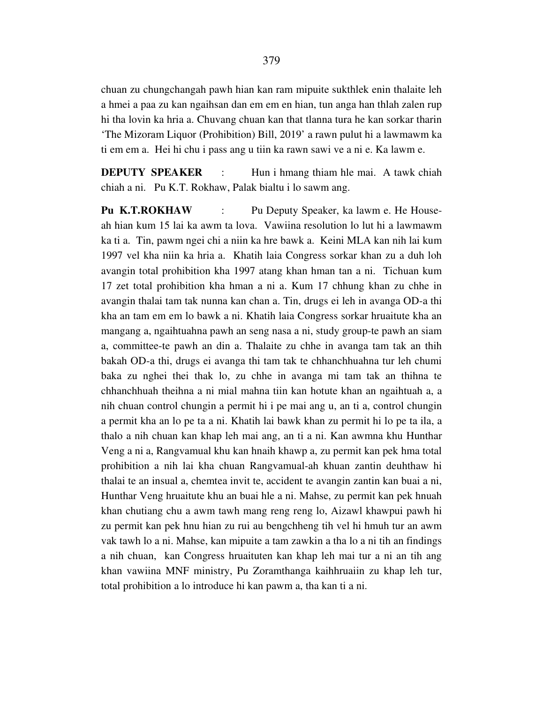chuan zu chungchangah pawh hian kan ram mipuite sukthlek enin thalaite leh a hmei a paa zu kan ngaihsan dan em em en hian, tun anga han thlah zalen rup hi tha lovin ka hria a. Chuvang chuan kan that tlanna tura he kan sorkar tharin 'The Mizoram Liquor (Prohibition) Bill, 2019' a rawn pulut hi a lawmawm ka ti em em a. Hei hi chu i pass ang u tiin ka rawn sawi ve a ni e. Ka lawm e.

**DEPUTY SPEAKER** : Hun i hmang thiam hle mai. A tawk chiah chiah a ni. Pu K.T. Rokhaw, Palak bialtu i lo sawm ang.

**Pu K.T.ROKHAW** : Pu Deputy Speaker, ka lawm e. He Houseah hian kum 15 lai ka awm ta lova. Vawiina resolution lo lut hi a lawmawm ka ti a. Tin, pawm ngei chi a niin ka hre bawk a. Keini MLA kan nih lai kum 1997 vel kha niin ka hria a. Khatih laia Congress sorkar khan zu a duh loh avangin total prohibition kha 1997 atang khan hman tan a ni. Tichuan kum 17 zet total prohibition kha hman a ni a. Kum 17 chhung khan zu chhe in avangin thalai tam tak nunna kan chan a. Tin, drugs ei leh in avanga OD-a thi kha an tam em em lo bawk a ni. Khatih laia Congress sorkar hruaitute kha an mangang a, ngaihtuahna pawh an seng nasa a ni, study group-te pawh an siam a, committee-te pawh an din a. Thalaite zu chhe in avanga tam tak an thih bakah OD-a thi, drugs ei avanga thi tam tak te chhanchhuahna tur leh chumi baka zu nghei thei thak lo, zu chhe in avanga mi tam tak an thihna te chhanchhuah theihna a ni mial mahna tiin kan hotute khan an ngaihtuah a, a nih chuan control chungin a permit hi i pe mai ang u, an ti a, control chungin a permit kha an lo pe ta a ni. Khatih lai bawk khan zu permit hi lo pe ta ila, a thalo a nih chuan kan khap leh mai ang, an ti a ni. Kan awmna khu Hunthar Veng a ni a, Rangvamual khu kan hnaih khawp a, zu permit kan pek hma total prohibition a nih lai kha chuan Rangvamual-ah khuan zantin deuhthaw hi thalai te an insual a, chemtea invit te, accident te avangin zantin kan buai a ni, Hunthar Veng hruaitute khu an buai hle a ni. Mahse, zu permit kan pek hnuah khan chutiang chu a awm tawh mang reng reng lo, Aizawl khawpui pawh hi zu permit kan pek hnu hian zu rui au bengchheng tih vel hi hmuh tur an awm vak tawh lo a ni. Mahse, kan mipuite a tam zawkin a tha lo a ni tih an findings a nih chuan, kan Congress hruaituten kan khap leh mai tur a ni an tih ang khan vawiina MNF ministry, Pu Zoramthanga kaihhruaiin zu khap leh tur, total prohibition a lo introduce hi kan pawm a, tha kan ti a ni.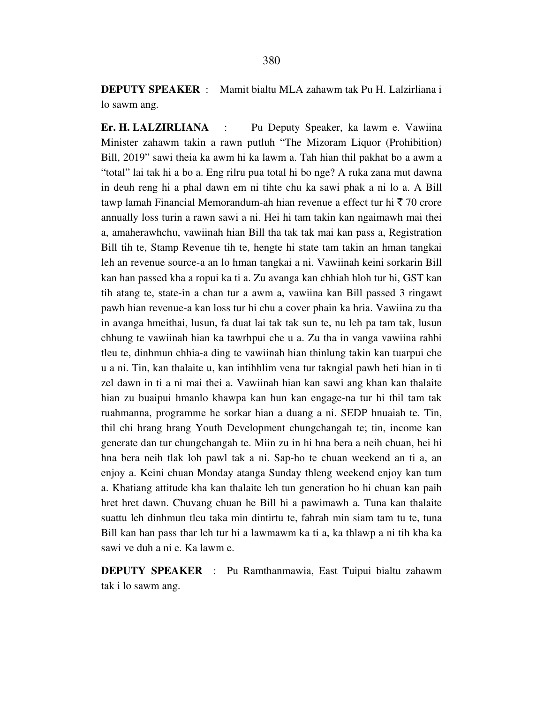**Er. H. LALZIRLIANA** : Pu Deputy Speaker, ka lawm e. Vawiina Minister zahawm takin a rawn putluh "The Mizoram Liquor (Prohibition) Bill, 2019" sawi theia ka awm hi ka lawm a. Tah hian thil pakhat bo a awm a "total" lai tak hi a bo a. Eng rilru pua total hi bo nge? A ruka zana mut dawna in deuh reng hi a phal dawn em ni tihte chu ka sawi phak a ni lo a. A Bill tawp lamah Financial Memorandum-ah hian revenue a effect tur hi  $\bar{\tau}$  70 crore annually loss turin a rawn sawi a ni. Hei hi tam takin kan ngaimawh mai thei a, amaherawhchu, vawiinah hian Bill tha tak tak mai kan pass a, Registration Bill tih te, Stamp Revenue tih te, hengte hi state tam takin an hman tangkai leh an revenue source-a an lo hman tangkai a ni. Vawiinah keini sorkarin Bill kan han passed kha a ropui ka ti a. Zu avanga kan chhiah hloh tur hi, GST kan tih atang te, state-in a chan tur a awm a, vawiina kan Bill passed 3 ringawt pawh hian revenue-a kan loss tur hi chu a cover phain ka hria. Vawiina zu tha in avanga hmeithai, lusun, fa duat lai tak tak sun te, nu leh pa tam tak, lusun chhung te vawiinah hian ka tawrhpui che u a. Zu tha in vanga vawiina rahbi tleu te, dinhmun chhia-a ding te vawiinah hian thinlung takin kan tuarpui che u a ni. Tin, kan thalaite u, kan intihhlim vena tur takngial pawh heti hian in ti zel dawn in ti a ni mai thei a. Vawiinah hian kan sawi ang khan kan thalaite hian zu buaipui hmanlo khawpa kan hun kan engage-na tur hi thil tam tak ruahmanna, programme he sorkar hian a duang a ni. SEDP hnuaiah te. Tin, thil chi hrang hrang Youth Development chungchangah te; tin, income kan generate dan tur chungchangah te. Miin zu in hi hna bera a neih chuan, hei hi hna bera neih tlak loh pawl tak a ni. Sap-ho te chuan weekend an ti a, an enjoy a. Keini chuan Monday atanga Sunday thleng weekend enjoy kan tum a. Khatiang attitude kha kan thalaite leh tun generation ho hi chuan kan paih hret hret dawn. Chuvang chuan he Bill hi a pawimawh a. Tuna kan thalaite suattu leh dinhmun tleu taka min dintirtu te, fahrah min siam tam tu te, tuna Bill kan han pass thar leh tur hi a lawmawm ka ti a, ka thlawp a ni tih kha ka sawi ve duh a ni e. Ka lawm e.

**DEPUTY SPEAKER** : Pu Ramthanmawia, East Tuipui bialtu zahawm tak i lo sawm ang.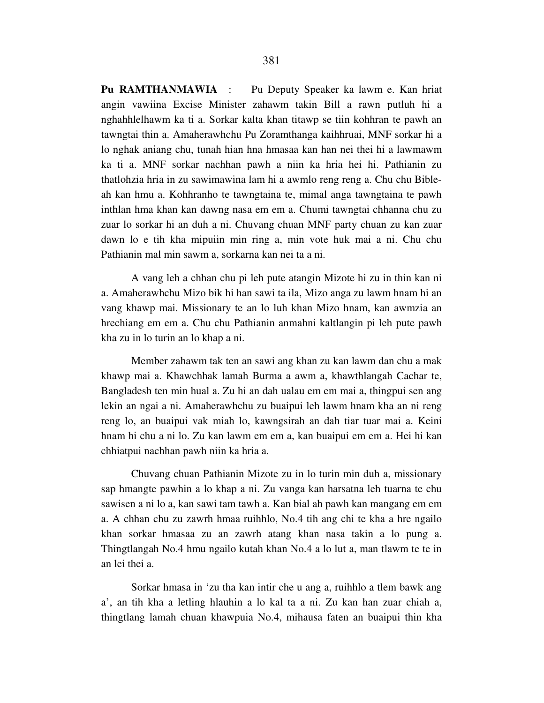**Pu RAMTHANMAWIA** : Pu Deputy Speaker ka lawm e. Kan hriat angin vawiina Excise Minister zahawm takin Bill a rawn putluh hi a nghahhlelhawm ka ti a. Sorkar kalta khan titawp se tiin kohhran te pawh an tawngtai thin a. Amaherawhchu Pu Zoramthanga kaihhruai, MNF sorkar hi a lo nghak aniang chu, tunah hian hna hmasaa kan han nei thei hi a lawmawm ka ti a. MNF sorkar nachhan pawh a niin ka hria hei hi. Pathianin zu thatlohzia hria in zu sawimawina lam hi a awmlo reng reng a. Chu chu Bibleah kan hmu a. Kohhranho te tawngtaina te, mimal anga tawngtaina te pawh inthlan hma khan kan dawng nasa em em a. Chumi tawngtai chhanna chu zu zuar lo sorkar hi an duh a ni. Chuvang chuan MNF party chuan zu kan zuar dawn lo e tih kha mipuiin min ring a, min vote huk mai a ni. Chu chu Pathianin mal min sawm a, sorkarna kan nei ta a ni.

 A vang leh a chhan chu pi leh pute atangin Mizote hi zu in thin kan ni a. Amaherawhchu Mizo bik hi han sawi ta ila, Mizo anga zu lawm hnam hi an vang khawp mai. Missionary te an lo luh khan Mizo hnam, kan awmzia an hrechiang em em a. Chu chu Pathianin anmahni kaltlangin pi leh pute pawh kha zu in lo turin an lo khap a ni.

 Member zahawm tak ten an sawi ang khan zu kan lawm dan chu a mak khawp mai a. Khawchhak lamah Burma a awm a, khawthlangah Cachar te, Bangladesh ten min hual a. Zu hi an dah ualau em em mai a, thingpui sen ang lekin an ngai a ni. Amaherawhchu zu buaipui leh lawm hnam kha an ni reng reng lo, an buaipui vak miah lo, kawngsirah an dah tiar tuar mai a. Keini hnam hi chu a ni lo. Zu kan lawm em em a, kan buaipui em em a. Hei hi kan chhiatpui nachhan pawh niin ka hria a.

 Chuvang chuan Pathianin Mizote zu in lo turin min duh a, missionary sap hmangte pawhin a lo khap a ni. Zu vanga kan harsatna leh tuarna te chu sawisen a ni lo a, kan sawi tam tawh a. Kan bial ah pawh kan mangang em em a. A chhan chu zu zawrh hmaa ruihhlo, No.4 tih ang chi te kha a hre ngailo khan sorkar hmasaa zu an zawrh atang khan nasa takin a lo pung a. Thingtlangah No.4 hmu ngailo kutah khan No.4 a lo lut a, man tlawm te te in an lei thei a.

 Sorkar hmasa in 'zu tha kan intir che u ang a, ruihhlo a tlem bawk ang a', an tih kha a letling hlauhin a lo kal ta a ni. Zu kan han zuar chiah a, thingtlang lamah chuan khawpuia No.4, mihausa faten an buaipui thin kha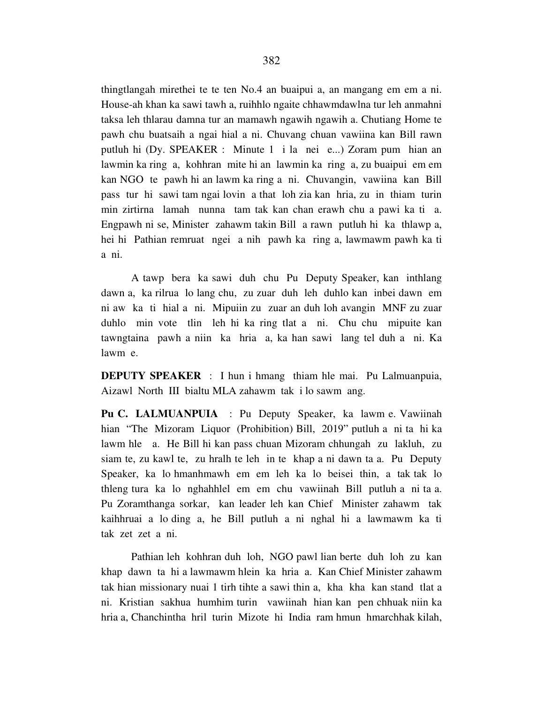thingtlangah mirethei te te ten No.4 an buaipui a, an mangang em em a ni. House-ah khan ka sawi tawh a, ruihhlo ngaite chhawmdawlna tur leh anmahni taksa leh thlarau damna tur an mamawh ngawih ngawih a. Chutiang Home te pawh chu buatsaih a ngai hial a ni. Chuvang chuan vawiina kan Bill rawn putluh hi (Dy. SPEAKER : Minute 1 i la nei e...) Zoram pum hian an lawmin ka ring a, kohhran mite hi an lawmin ka ring a, zu buaipui em em kan NGO te pawh hi an lawm ka ring a ni. Chuvangin, vawiina kan Bill pass tur hi sawi tam ngai lovin a that loh zia kan hria, zu in thiam turin min zirtirna lamah nunna tam tak kan chan erawh chu a pawi ka ti a. Engpawh ni se, Minister zahawm takin Bill a rawn putluh hi ka thlawp a, hei hi Pathian remruat ngei a nih pawh ka ring a, lawmawm pawh ka ti a ni.

 A tawp bera ka sawi duh chu Pu Deputy Speaker, kan inthlang dawn a, ka rilrua lo lang chu, zu zuar duh leh duhlo kan inbei dawn em ni aw ka ti hial a ni. Mipuiin zu zuar an duh loh avangin MNF zu zuar duhlo min vote tlin leh hi ka ring tlat a ni. Chu chu mipuite kan tawngtaina pawh a niin ka hria a, ka han sawi lang tel duh a ni. Ka lawm e.

**DEPUTY SPEAKER** : I hun i hmang thiam hle mai. Pu Lalmuanpuia, Aizawl North III bialtu MLA zahawm tak i lo sawm ang.

**Pu C. LALMUANPUIA** : Pu Deputy Speaker, ka lawm e. Vawiinah hian "The Mizoram Liquor (Prohibition) Bill, 2019" putluh a ni ta hi ka lawm hle a. He Bill hi kan pass chuan Mizoram chhungah zu lakluh, zu siam te, zu kawl te, zu hralh te leh in te khap a ni dawn ta a. Pu Deputy Speaker, ka lo hmanhmawh em em leh ka lo beisei thin, a tak tak lo thleng tura ka lo nghahhlel em em chu vawiinah Bill putluh a ni ta a. Pu Zoramthanga sorkar, kan leader leh kan Chief Minister zahawm tak kaihhruai a lo ding a, he Bill putluh a ni nghal hi a lawmawm ka ti tak zet zet a ni.

 Pathian leh kohhran duh loh, NGO pawl lian berte duh loh zu kan khap dawn ta hi a lawmawm hlein ka hria a. Kan Chief Minister zahawm tak hian missionary nuai 1 tirh tihte a sawi thin a, kha kha kan stand tlat a ni. Kristian sakhua humhim turin vawiinah hian kan pen chhuak niin ka hria a, Chanchintha hril turin Mizote hi India ram hmun hmarchhak kilah,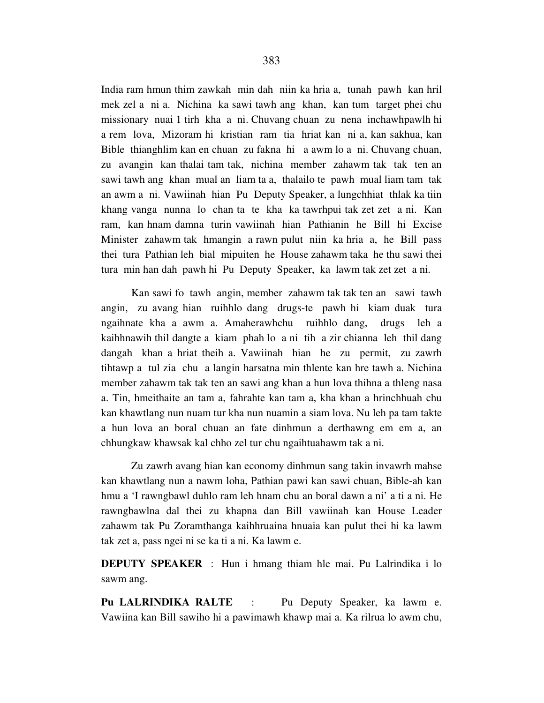India ram hmun thim zawkah min dah niin ka hria a, tunah pawh kan hril mek zel a ni a. Nichina ka sawi tawh ang khan, kan tum target phei chu missionary nuai 1 tirh kha a ni. Chuvang chuan zu nena inchawhpawlh hi a rem lova, Mizoram hi kristian ram tia hriat kan ni a, kan sakhua, kan Bible thianghlim kan en chuan zu fakna hi a awm lo a ni. Chuvang chuan, zu avangin kan thalai tam tak, nichina member zahawm tak tak ten an sawi tawh ang khan mual an liam ta a, thalailo te pawh mual liam tam tak an awm a ni. Vawiinah hian Pu Deputy Speaker, a lungchhiat thlak ka tiin khang vanga nunna lo chan ta te kha ka tawrhpui tak zet zet a ni. Kan ram, kan hnam damna turin vawiinah hian Pathianin he Bill hi Excise Minister zahawm tak hmangin a rawn pulut niin ka hria a, he Bill pass thei tura Pathian leh bial mipuiten he House zahawm taka he thu sawi thei tura min han dah pawh hi Pu Deputy Speaker, ka lawm tak zet zet a ni.

 Kan sawi fo tawh angin, member zahawm tak tak ten an sawi tawh angin, zu avang hian ruihhlo dang drugs-te pawh hi kiam duak tura ngaihnate kha a awm a. Amaherawhchu ruihhlo dang, drugs leh a kaihhnawih thil dangte a kiam phah lo a ni tih a zir chianna leh thil dang dangah khan a hriat theih a. Vawiinah hian he zu permit, zu zawrh tihtawp a tul zia chu a langin harsatna min thlente kan hre tawh a. Nichina member zahawm tak tak ten an sawi ang khan a hun lova thihna a thleng nasa a. Tin, hmeithaite an tam a, fahrahte kan tam a, kha khan a hrinchhuah chu kan khawtlang nun nuam tur kha nun nuamin a siam lova. Nu leh pa tam takte a hun lova an boral chuan an fate dinhmun a derthawng em em a, an chhungkaw khawsak kal chho zel tur chu ngaihtuahawm tak a ni.

 Zu zawrh avang hian kan economy dinhmun sang takin invawrh mahse kan khawtlang nun a nawm loha, Pathian pawi kan sawi chuan, Bible-ah kan hmu a 'I rawngbawl duhlo ram leh hnam chu an boral dawn a ni' a ti a ni. He rawngbawlna dal thei zu khapna dan Bill vawiinah kan House Leader zahawm tak Pu Zoramthanga kaihhruaina hnuaia kan pulut thei hi ka lawm tak zet a, pass ngei ni se ka ti a ni. Ka lawm e.

**DEPUTY SPEAKER** : Hun i hmang thiam hle mai. Pu Lalrindika i lo sawm ang.

**Pu LALRINDIKA RALTE** : Pu Deputy Speaker, ka lawm e. Vawiina kan Bill sawiho hi a pawimawh khawp mai a. Ka rilrua lo awm chu,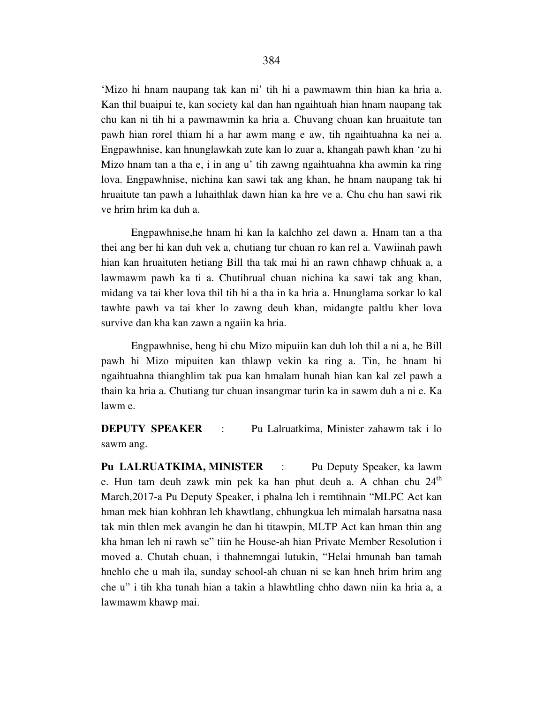'Mizo hi hnam naupang tak kan ni' tih hi a pawmawm thin hian ka hria a. Kan thil buaipui te, kan society kal dan han ngaihtuah hian hnam naupang tak chu kan ni tih hi a pawmawmin ka hria a. Chuvang chuan kan hruaitute tan pawh hian rorel thiam hi a har awm mang e aw, tih ngaihtuahna ka nei a. Engpawhnise, kan hnunglawkah zute kan lo zuar a, khangah pawh khan 'zu hi Mizo hnam tan a tha e, i in ang u' tih zawng ngaihtuahna kha awmin ka ring lova. Engpawhnise, nichina kan sawi tak ang khan, he hnam naupang tak hi hruaitute tan pawh a luhaithlak dawn hian ka hre ve a. Chu chu han sawi rik ve hrim hrim ka duh a.

 Engpawhnise,he hnam hi kan la kalchho zel dawn a. Hnam tan a tha thei ang ber hi kan duh vek a, chutiang tur chuan ro kan rel a. Vawiinah pawh hian kan hruaituten hetiang Bill tha tak mai hi an rawn chhawp chhuak a, a lawmawm pawh ka ti a. Chutihrual chuan nichina ka sawi tak ang khan, midang va tai kher lova thil tih hi a tha in ka hria a. Hnunglama sorkar lo kal tawhte pawh va tai kher lo zawng deuh khan, midangte paltlu kher lova survive dan kha kan zawn a ngaiin ka hria.

 Engpawhnise, heng hi chu Mizo mipuiin kan duh loh thil a ni a, he Bill pawh hi Mizo mipuiten kan thlawp vekin ka ring a. Tin, he hnam hi ngaihtuahna thianghlim tak pua kan hmalam hunah hian kan kal zel pawh a thain ka hria a. Chutiang tur chuan insangmar turin ka in sawm duh a ni e. Ka lawm e.

**DEPUTY SPEAKER** : Pu Lalruatkima, Minister zahawm tak i lo sawm ang.

**Pu LALRUATKIMA, MINISTER** : Pu Deputy Speaker, ka lawm e. Hun tam deuh zawk min pek ka han phut deuh a. A chhan chu  $24<sup>th</sup>$ March,2017-a Pu Deputy Speaker, i phalna leh i remtihnain "MLPC Act kan hman mek hian kohhran leh khawtlang, chhungkua leh mimalah harsatna nasa tak min thlen mek avangin he dan hi titawpin, MLTP Act kan hman thin ang kha hman leh ni rawh se" tiin he House-ah hian Private Member Resolution i moved a. Chutah chuan, i thahnemngai lutukin, "Helai hmunah ban tamah hnehlo che u mah ila, sunday school-ah chuan ni se kan hneh hrim hrim ang che u" i tih kha tunah hian a takin a hlawhtling chho dawn niin ka hria a, a lawmawm khawp mai.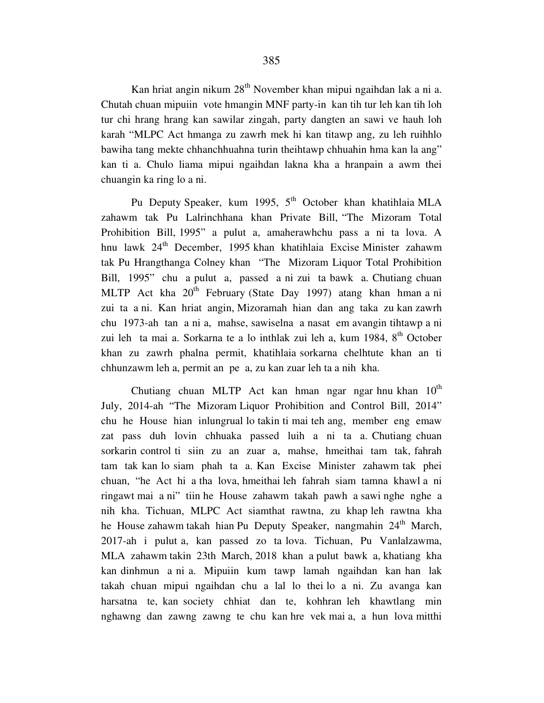Kan hriat angin nikum 28<sup>th</sup> November khan mipui ngaihdan lak a ni a. Chutah chuan mipuiin vote hmangin MNF party-in kan tih tur leh kan tih loh tur chi hrang hrang kan sawilar zingah, party dangten an sawi ve hauh loh karah "MLPC Act hmanga zu zawrh mek hi kan titawp ang, zu leh ruihhlo bawiha tang mekte chhanchhuahna turin theihtawp chhuahin hma kan la ang" kan ti a. Chulo liama mipui ngaihdan lakna kha a hranpain a awm thei chuangin ka ring lo a ni.

Pu Deputy Speaker, kum 1995, 5<sup>th</sup> October khan khatihlaia MLA zahawm tak Pu Lalrinchhana khan Private Bill, "The Mizoram Total Prohibition Bill, 1995" a pulut a, amaherawhchu pass a ni ta lova. A hnu lawk 24<sup>th</sup> December, 1995 khan khatihlaia Excise Minister zahawm tak Pu Hrangthanga Colney khan "The Mizoram Liquor Total Prohibition Bill, 1995" chu a pulut a, passed a ni zui ta bawk a. Chutiang chuan MLTP Act kha  $20<sup>th</sup>$  February (State Day 1997) atang khan hman a ni zui ta a ni. Kan hriat angin, Mizoramah hian dan ang taka zu kan zawrh chu 1973-ah tan a ni a, mahse, sawiselna a nasat em avangin tihtawp a ni zui leh ta mai a. Sorkarna te a lo inthlak zui leh a, kum 1984, 8<sup>th</sup> October khan zu zawrh phalna permit, khatihlaia sorkarna chelhtute khan an ti chhunzawm leh a, permit an pe a, zu kan zuar leh ta a nih kha.

Chutiang chuan MLTP Act kan hman ngar ngar hnu khan  $10^{th}$ July, 2014-ah "The Mizoram Liquor Prohibition and Control Bill, 2014" chu he House hian inlungrual lo takin ti mai teh ang, member eng emaw zat pass duh lovin chhuaka passed luih a ni ta a. Chutiang chuan sorkarin control ti siin zu an zuar a, mahse, hmeithai tam tak, fahrah tam tak kan lo siam phah ta a. Kan Excise Minister zahawm tak phei chuan, "he Act hi a tha lova, hmeithai leh fahrah siam tamna khawl a ni ringawt mai a ni" tiin he House zahawm takah pawh a sawi nghe nghe a nih kha. Tichuan, MLPC Act siamthat rawtna, zu khap leh rawtna kha he House zahawm takah hian Pu Deputy Speaker, nangmahin 24<sup>th</sup> March, 2017-ah i pulut a, kan passed zo ta lova. Tichuan, Pu Vanlalzawma, MLA zahawm takin 23th March, 2018 khan a pulut bawk a, khatiang kha kan dinhmun a ni a. Mipuiin kum tawp lamah ngaihdan kan han lak takah chuan mipui ngaihdan chu a lal lo thei lo a ni. Zu avanga kan harsatna te, kan society chhiat dan te, kohhran leh khawtlang min nghawng dan zawng zawng te chu kan hre vek mai a, a hun lova mitthi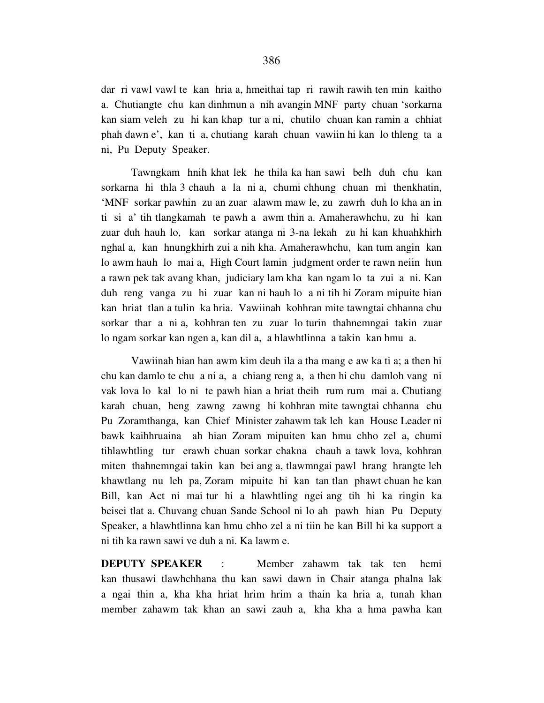dar ri vawl vawl te kan hria a, hmeithai tap ri rawih rawih ten min kaitho a. Chutiangte chu kan dinhmun a nih avangin MNF party chuan 'sorkarna kan siam veleh zu hi kan khap tur a ni, chutilo chuan kan ramin a chhiat phah dawn e', kan ti a, chutiang karah chuan vawiin hi kan lo thleng ta a ni, Pu Deputy Speaker.

 Tawngkam hnih khat lek he thila ka han sawi belh duh chu kan sorkarna hi thla 3 chauh a la ni a, chumi chhung chuan mi thenkhatin, 'MNF sorkar pawhin zu an zuar alawm maw le, zu zawrh duh lo kha an in ti si a' tih tlangkamah te pawh a awm thin a. Amaherawhchu, zu hi kan zuar duh hauh lo, kan sorkar atanga ni 3-na lekah zu hi kan khuahkhirh nghal a, kan hnungkhirh zui a nih kha. Amaherawhchu, kan tum angin kan lo awm hauh lo mai a, High Court lamin judgment order te rawn neiin hun a rawn pek tak avang khan, judiciary lam kha kan ngam lo ta zui a ni. Kan duh reng vanga zu hi zuar kan ni hauh lo a ni tih hi Zoram mipuite hian kan hriat tlan a tulin ka hria. Vawiinah kohhran mite tawngtai chhanna chu sorkar thar a ni a, kohhran ten zu zuar lo turin thahnemngai takin zuar lo ngam sorkar kan ngen a, kan dil a, a hlawhtlinna a takin kan hmu a.

 Vawiinah hian han awm kim deuh ila a tha mang e aw ka ti a; a then hi chu kan damlo te chu a ni a, a chiang reng a, a then hi chu damloh vang ni vak lova lo kal lo ni te pawh hian a hriat theih rum rum mai a. Chutiang karah chuan, heng zawng zawng hi kohhran mite tawngtai chhanna chu Pu Zoramthanga, kan Chief Minister zahawm tak leh kan House Leader ni bawk kaihhruaina ah hian Zoram mipuiten kan hmu chho zel a, chumi tihlawhtling tur erawh chuan sorkar chakna chauh a tawk lova, kohhran miten thahnemngai takin kan bei ang a, tlawmngai pawl hrang hrangte leh khawtlang nu leh pa, Zoram mipuite hi kan tan tlan phawt chuan he kan Bill, kan Act ni mai tur hi a hlawhtling ngei ang tih hi ka ringin ka beisei tlat a. Chuvang chuan Sande School ni lo ah pawh hian Pu Deputy Speaker, a hlawhtlinna kan hmu chho zel a ni tiin he kan Bill hi ka support a ni tih ka rawn sawi ve duh a ni. Ka lawm e.

**DEPUTY SPEAKER** : Member zahawm tak tak ten hemi kan thusawi tlawhchhana thu kan sawi dawn in Chair atanga phalna lak a ngai thin a, kha kha hriat hrim hrim a thain ka hria a, tunah khan member zahawm tak khan an sawi zauh a, kha kha a hma pawha kan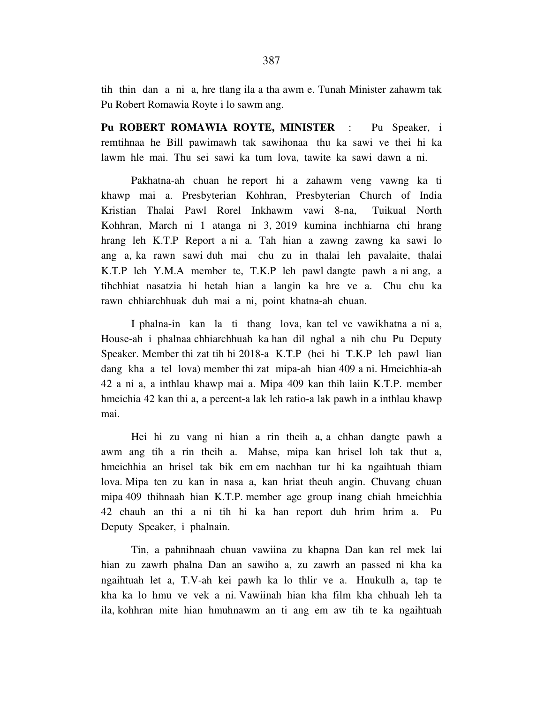tih thin dan a ni a, hre tlang ila a tha awm e. Tunah Minister zahawm tak Pu Robert Romawia Royte i lo sawm ang.

**Pu ROBERT ROMAWIA ROYTE, MINISTER** : Pu Speaker, i remtihnaa he Bill pawimawh tak sawihonaa thu ka sawi ve thei hi ka lawm hle mai. Thu sei sawi ka tum lova, tawite ka sawi dawn a ni.

 Pakhatna-ah chuan he report hi a zahawm veng vawng ka ti khawp mai a. Presbyterian Kohhran, Presbyterian Church of India Kristian Thalai Pawl Rorel Inkhawm vawi 8-na, Tuikual North Kohhran, March ni 1 atanga ni 3, 2019 kumina inchhiarna chi hrang hrang leh K.T.P Report a ni a. Tah hian a zawng zawng ka sawi lo ang a, ka rawn sawi duh mai chu zu in thalai leh pavalaite, thalai K.T.P leh Y.M.A member te, T.K.P leh pawl dangte pawh a ni ang, a tihchhiat nasatzia hi hetah hian a langin ka hre ve a. Chu chu ka rawn chhiarchhuak duh mai a ni, point khatna-ah chuan.

 I phalna-in kan la ti thang lova, kan tel ve vawikhatna a ni a, House-ah i phalnaa chhiarchhuah ka han dil nghal a nih chu Pu Deputy Speaker. Member thi zat tih hi 2018-a K.T.P (hei hi T.K.P leh pawl lian dang kha a tel lova) member thi zat mipa-ah hian 409 a ni. Hmeichhia-ah 42 a ni a, a inthlau khawp mai a. Mipa 409 kan thih laiin K.T.P. member hmeichia 42 kan thi a, a percent-a lak leh ratio-a lak pawh in a inthlau khawp mai.

 Hei hi zu vang ni hian a rin theih a, a chhan dangte pawh a awm ang tih a rin theih a. Mahse, mipa kan hrisel loh tak thut a, hmeichhia an hrisel tak bik em em nachhan tur hi ka ngaihtuah thiam lova. Mipa ten zu kan in nasa a, kan hriat theuh angin. Chuvang chuan mipa 409 thihnaah hian K.T.P. member age group inang chiah hmeichhia 42 chauh an thi a ni tih hi ka han report duh hrim hrim a. Pu Deputy Speaker, i phalnain.

 Tin, a pahnihnaah chuan vawiina zu khapna Dan kan rel mek lai hian zu zawrh phalna Dan an sawiho a, zu zawrh an passed ni kha ka ngaihtuah let a, T.V-ah kei pawh ka lo thlir ve a. Hnukulh a, tap te kha ka lo hmu ve vek a ni. Vawiinah hian kha film kha chhuah leh ta ila, kohhran mite hian hmuhnawm an ti ang em aw tih te ka ngaihtuah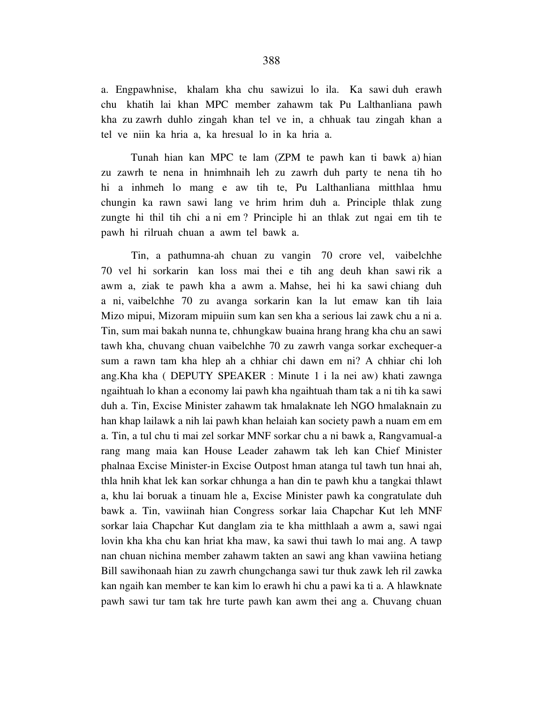a. Engpawhnise, khalam kha chu sawizui lo ila. Ka sawi duh erawh chu khatih lai khan MPC member zahawm tak Pu Lalthanliana pawh kha zu zawrh duhlo zingah khan tel ve in, a chhuak tau zingah khan a tel ve niin ka hria a, ka hresual lo in ka hria a.

 Tunah hian kan MPC te lam (ZPM te pawh kan ti bawk a) hian zu zawrh te nena in hnimhnaih leh zu zawrh duh party te nena tih ho hi a inhmeh lo mang e aw tih te, Pu Lalthanliana mitthlaa hmu chungin ka rawn sawi lang ve hrim hrim duh a. Principle thlak zung zungte hi thil tih chi a ni em ? Principle hi an thlak zut ngai em tih te pawh hi rilruah chuan a awm tel bawk a.

 Tin, a pathumna-ah chuan zu vangin 70 crore vel, vaibelchhe 70 vel hi sorkarin kan loss mai thei e tih ang deuh khan sawi rik a awm a, ziak te pawh kha a awm a. Mahse, hei hi ka sawi chiang duh a ni, vaibelchhe 70 zu avanga sorkarin kan la lut emaw kan tih laia Mizo mipui, Mizoram mipuiin sum kan sen kha a serious lai zawk chu a ni a. Tin, sum mai bakah nunna te, chhungkaw buaina hrang hrang kha chu an sawi tawh kha, chuvang chuan vaibelchhe 70 zu zawrh vanga sorkar exchequer-a sum a rawn tam kha hlep ah a chhiar chi dawn em ni? A chhiar chi loh ang.Kha kha ( DEPUTY SPEAKER : Minute 1 i la nei aw) khati zawnga ngaihtuah lo khan a economy lai pawh kha ngaihtuah tham tak a ni tih ka sawi duh a. Tin, Excise Minister zahawm tak hmalaknate leh NGO hmalaknain zu han khap lailawk a nih lai pawh khan helaiah kan society pawh a nuam em em a. Tin, a tul chu ti mai zel sorkar MNF sorkar chu a ni bawk a, Rangvamual-a rang mang maia kan House Leader zahawm tak leh kan Chief Minister phalnaa Excise Minister-in Excise Outpost hman atanga tul tawh tun hnai ah, thla hnih khat lek kan sorkar chhunga a han din te pawh khu a tangkai thlawt a, khu lai boruak a tinuam hle a, Excise Minister pawh ka congratulate duh bawk a. Tin, vawiinah hian Congress sorkar laia Chapchar Kut leh MNF sorkar laia Chapchar Kut danglam zia te kha mitthlaah a awm a, sawi ngai lovin kha kha chu kan hriat kha maw, ka sawi thui tawh lo mai ang. A tawp nan chuan nichina member zahawm takten an sawi ang khan vawiina hetiang Bill sawihonaah hian zu zawrh chungchanga sawi tur thuk zawk leh ril zawka kan ngaih kan member te kan kim lo erawh hi chu a pawi ka ti a. A hlawknate pawh sawi tur tam tak hre turte pawh kan awm thei ang a. Chuvang chuan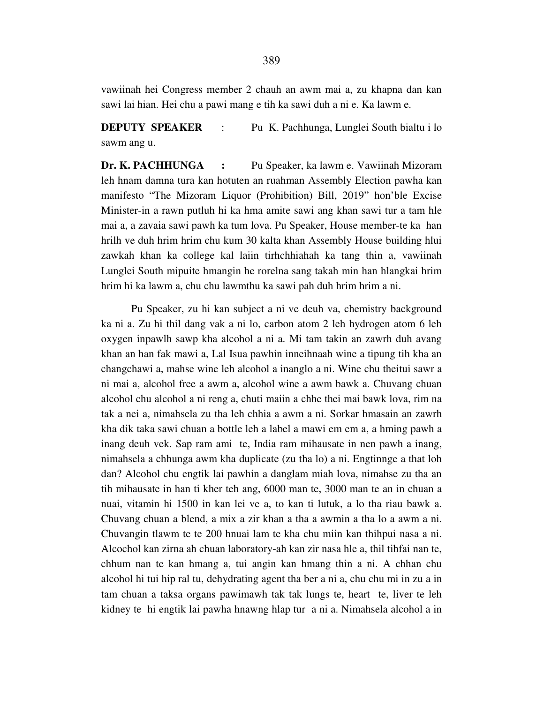vawiinah hei Congress member 2 chauh an awm mai a, zu khapna dan kan sawi lai hian. Hei chu a pawi mang e tih ka sawi duh a ni e. Ka lawm e.

**DEPUTY SPEAKER** : Pu K. Pachhunga, Lunglei South bialtu i lo sawm ang u.

**Dr. K. PACHHUNGA :** Pu Speaker, ka lawm e. Vawiinah Mizoram leh hnam damna tura kan hotuten an ruahman Assembly Election pawha kan manifesto "The Mizoram Liquor (Prohibition) Bill, 2019" hon'ble Excise Minister-in a rawn putluh hi ka hma amite sawi ang khan sawi tur a tam hle mai a, a zavaia sawi pawh ka tum lova. Pu Speaker, House member-te ka han hrilh ve duh hrim hrim chu kum 30 kalta khan Assembly House building hlui zawkah khan ka college kal laiin tirhchhiahah ka tang thin a, vawiinah Lunglei South mipuite hmangin he rorelna sang takah min han hlangkai hrim hrim hi ka lawm a, chu chu lawmthu ka sawi pah duh hrim hrim a ni.

 Pu Speaker, zu hi kan subject a ni ve deuh va, chemistry background ka ni a. Zu hi thil dang vak a ni lo, carbon atom 2 leh hydrogen atom 6 leh oxygen inpawlh sawp kha alcohol a ni a. Mi tam takin an zawrh duh avang khan an han fak mawi a, Lal Isua pawhin inneihnaah wine a tipung tih kha an changchawi a, mahse wine leh alcohol a inanglo a ni. Wine chu theitui sawr a ni mai a, alcohol free a awm a, alcohol wine a awm bawk a. Chuvang chuan alcohol chu alcohol a ni reng a, chuti maiin a chhe thei mai bawk lova, rim na tak a nei a, nimahsela zu tha leh chhia a awm a ni. Sorkar hmasain an zawrh kha dik taka sawi chuan a bottle leh a label a mawi em em a, a hming pawh a inang deuh vek. Sap ram ami te, India ram mihausate in nen pawh a inang, nimahsela a chhunga awm kha duplicate (zu tha lo) a ni. Engtinnge a that loh dan? Alcohol chu engtik lai pawhin a danglam miah lova, nimahse zu tha an tih mihausate in han ti kher teh ang, 6000 man te, 3000 man te an in chuan a nuai, vitamin hi 1500 in kan lei ve a, to kan ti lutuk, a lo tha riau bawk a. Chuvang chuan a blend, a mix a zir khan a tha a awmin a tha lo a awm a ni. Chuvangin tlawm te te 200 hnuai lam te kha chu miin kan thihpui nasa a ni. Alcochol kan zirna ah chuan laboratory-ah kan zir nasa hle a, thil tihfai nan te, chhum nan te kan hmang a, tui angin kan hmang thin a ni. A chhan chu alcohol hi tui hip ral tu, dehydrating agent tha ber a ni a, chu chu mi in zu a in tam chuan a taksa organs pawimawh tak tak lungs te, heart te, liver te leh kidney te hi engtik lai pawha hnawng hlap tur a ni a. Nimahsela alcohol a in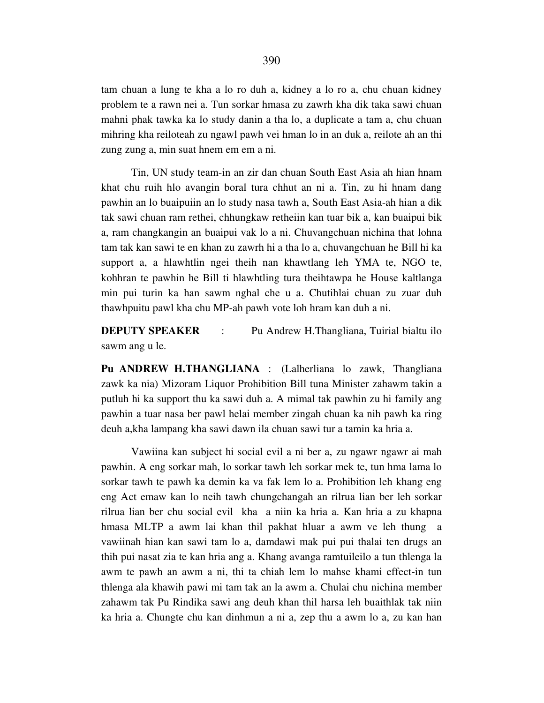tam chuan a lung te kha a lo ro duh a, kidney a lo ro a, chu chuan kidney problem te a rawn nei a. Tun sorkar hmasa zu zawrh kha dik taka sawi chuan mahni phak tawka ka lo study danin a tha lo, a duplicate a tam a, chu chuan mihring kha reiloteah zu ngawl pawh vei hman lo in an duk a, reilote ah an thi zung zung a, min suat hnem em em a ni.

 Tin, UN study team-in an zir dan chuan South East Asia ah hian hnam khat chu ruih hlo avangin boral tura chhut an ni a. Tin, zu hi hnam dang pawhin an lo buaipuiin an lo study nasa tawh a, South East Asia-ah hian a dik tak sawi chuan ram rethei, chhungkaw retheiin kan tuar bik a, kan buaipui bik a, ram changkangin an buaipui vak lo a ni. Chuvangchuan nichina that lohna tam tak kan sawi te en khan zu zawrh hi a tha lo a, chuvangchuan he Bill hi ka support a, a hlawhtlin ngei theih nan khawtlang leh YMA te, NGO te, kohhran te pawhin he Bill ti hlawhtling tura theihtawpa he House kaltlanga min pui turin ka han sawm nghal che u a. Chutihlai chuan zu zuar duh thawhpuitu pawl kha chu MP-ah pawh vote loh hram kan duh a ni.

**DEPUTY SPEAKER** : Pu Andrew H.Thangliana, Tuirial bialtu ilo sawm ang u le.

**Pu ANDREW H.THANGLIANA** : (Lalherliana lo zawk, Thangliana zawk ka nia) Mizoram Liquor Prohibition Bill tuna Minister zahawm takin a putluh hi ka support thu ka sawi duh a. A mimal tak pawhin zu hi family ang pawhin a tuar nasa ber pawl helai member zingah chuan ka nih pawh ka ring deuh a,kha lampang kha sawi dawn ila chuan sawi tur a tamin ka hria a.

 Vawiina kan subject hi social evil a ni ber a, zu ngawr ngawr ai mah pawhin. A eng sorkar mah, lo sorkar tawh leh sorkar mek te, tun hma lama lo sorkar tawh te pawh ka demin ka va fak lem lo a. Prohibition leh khang eng eng Act emaw kan lo neih tawh chungchangah an rilrua lian ber leh sorkar rilrua lian ber chu social evil kha a niin ka hria a. Kan hria a zu khapna hmasa MLTP a awm lai khan thil pakhat hluar a awm ve leh thung a vawiinah hian kan sawi tam lo a, damdawi mak pui pui thalai ten drugs an thih pui nasat zia te kan hria ang a. Khang avanga ramtuileilo a tun thlenga la awm te pawh an awm a ni, thi ta chiah lem lo mahse khami effect-in tun thlenga ala khawih pawi mi tam tak an la awm a. Chulai chu nichina member zahawm tak Pu Rindika sawi ang deuh khan thil harsa leh buaithlak tak niin ka hria a. Chungte chu kan dinhmun a ni a, zep thu a awm lo a, zu kan han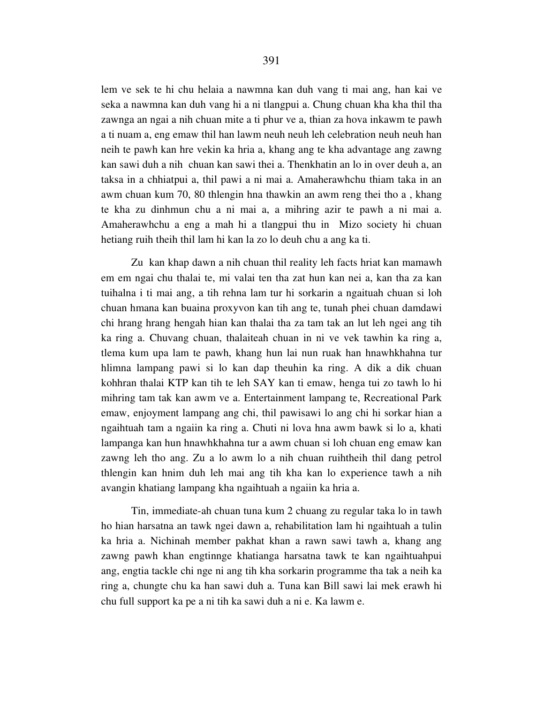lem ve sek te hi chu helaia a nawmna kan duh vang ti mai ang, han kai ve seka a nawmna kan duh vang hi a ni tlangpui a. Chung chuan kha kha thil tha zawnga an ngai a nih chuan mite a ti phur ve a, thian za hova inkawm te pawh a ti nuam a, eng emaw thil han lawm neuh neuh leh celebration neuh neuh han neih te pawh kan hre vekin ka hria a, khang ang te kha advantage ang zawng kan sawi duh a nih chuan kan sawi thei a. Thenkhatin an lo in over deuh a, an taksa in a chhiatpui a, thil pawi a ni mai a. Amaherawhchu thiam taka in an awm chuan kum 70, 80 thlengin hna thawkin an awm reng thei tho a , khang te kha zu dinhmun chu a ni mai a, a mihring azir te pawh a ni mai a. Amaherawhchu a eng a mah hi a tlangpui thu in Mizo society hi chuan hetiang ruih theih thil lam hi kan la zo lo deuh chu a ang ka ti.

 Zu kan khap dawn a nih chuan thil reality leh facts hriat kan mamawh em em ngai chu thalai te, mi valai ten tha zat hun kan nei a, kan tha za kan tuihalna i ti mai ang, a tih rehna lam tur hi sorkarin a ngaituah chuan si loh chuan hmana kan buaina proxyvon kan tih ang te, tunah phei chuan damdawi chi hrang hrang hengah hian kan thalai tha za tam tak an lut leh ngei ang tih ka ring a. Chuvang chuan, thalaiteah chuan in ni ve vek tawhin ka ring a, tlema kum upa lam te pawh, khang hun lai nun ruak han hnawhkhahna tur hlimna lampang pawi si lo kan dap theuhin ka ring. A dik a dik chuan kohhran thalai KTP kan tih te leh SAY kan ti emaw, henga tui zo tawh lo hi mihring tam tak kan awm ve a. Entertainment lampang te, Recreational Park emaw, enjoyment lampang ang chi, thil pawisawi lo ang chi hi sorkar hian a ngaihtuah tam a ngaiin ka ring a. Chuti ni lova hna awm bawk si lo a, khati lampanga kan hun hnawhkhahna tur a awm chuan si loh chuan eng emaw kan zawng leh tho ang. Zu a lo awm lo a nih chuan ruihtheih thil dang petrol thlengin kan hnim duh leh mai ang tih kha kan lo experience tawh a nih avangin khatiang lampang kha ngaihtuah a ngaiin ka hria a.

 Tin, immediate-ah chuan tuna kum 2 chuang zu regular taka lo in tawh ho hian harsatna an tawk ngei dawn a, rehabilitation lam hi ngaihtuah a tulin ka hria a. Nichinah member pakhat khan a rawn sawi tawh a, khang ang zawng pawh khan engtinnge khatianga harsatna tawk te kan ngaihtuahpui ang, engtia tackle chi nge ni ang tih kha sorkarin programme tha tak a neih ka ring a, chungte chu ka han sawi duh a. Tuna kan Bill sawi lai mek erawh hi chu full support ka pe a ni tih ka sawi duh a ni e. Ka lawm e.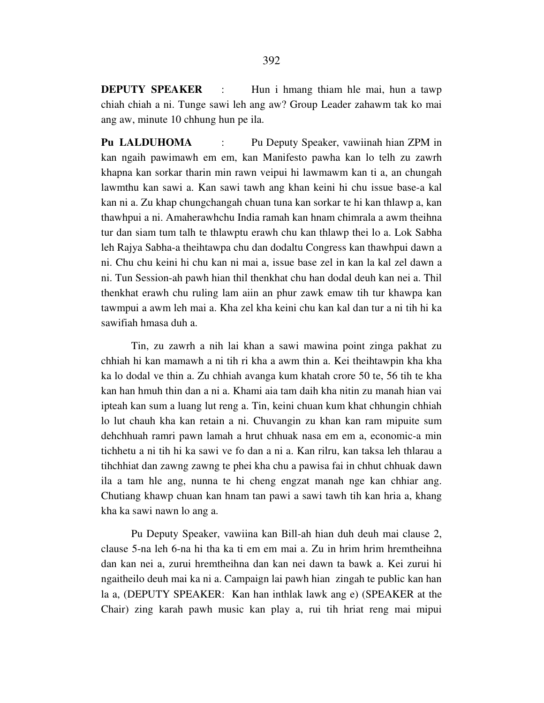**DEPUTY SPEAKER** : Hun i hmang thiam hle mai, hun a tawp chiah chiah a ni. Tunge sawi leh ang aw? Group Leader zahawm tak ko mai ang aw, minute 10 chhung hun pe ila.

**Pu LALDUHOMA** : Pu Deputy Speaker, vawiinah hian ZPM in kan ngaih pawimawh em em, kan Manifesto pawha kan lo telh zu zawrh khapna kan sorkar tharin min rawn veipui hi lawmawm kan ti a, an chungah lawmthu kan sawi a. Kan sawi tawh ang khan keini hi chu issue base-a kal kan ni a. Zu khap chungchangah chuan tuna kan sorkar te hi kan thlawp a, kan thawhpui a ni. Amaherawhchu India ramah kan hnam chimrala a awm theihna tur dan siam tum talh te thlawptu erawh chu kan thlawp thei lo a. Lok Sabha leh Rajya Sabha-a theihtawpa chu dan dodaltu Congress kan thawhpui dawn a ni. Chu chu keini hi chu kan ni mai a, issue base zel in kan la kal zel dawn a ni. Tun Session-ah pawh hian thil thenkhat chu han dodal deuh kan nei a. Thil thenkhat erawh chu ruling lam aiin an phur zawk emaw tih tur khawpa kan tawmpui a awm leh mai a. Kha zel kha keini chu kan kal dan tur a ni tih hi ka sawifiah hmasa duh a.

 Tin, zu zawrh a nih lai khan a sawi mawina point zinga pakhat zu chhiah hi kan mamawh a ni tih ri kha a awm thin a. Kei theihtawpin kha kha ka lo dodal ve thin a. Zu chhiah avanga kum khatah crore 50 te, 56 tih te kha kan han hmuh thin dan a ni a. Khami aia tam daih kha nitin zu manah hian vai ipteah kan sum a luang lut reng a. Tin, keini chuan kum khat chhungin chhiah lo lut chauh kha kan retain a ni. Chuvangin zu khan kan ram mipuite sum dehchhuah ramri pawn lamah a hrut chhuak nasa em em a, economic-a min tichhetu a ni tih hi ka sawi ve fo dan a ni a. Kan rilru, kan taksa leh thlarau a tihchhiat dan zawng zawng te phei kha chu a pawisa fai in chhut chhuak dawn ila a tam hle ang, nunna te hi cheng engzat manah nge kan chhiar ang. Chutiang khawp chuan kan hnam tan pawi a sawi tawh tih kan hria a, khang kha ka sawi nawn lo ang a.

 Pu Deputy Speaker, vawiina kan Bill-ah hian duh deuh mai clause 2, clause 5-na leh 6-na hi tha ka ti em em mai a. Zu in hrim hrim hremtheihna dan kan nei a, zurui hremtheihna dan kan nei dawn ta bawk a. Kei zurui hi ngaitheilo deuh mai ka ni a. Campaign lai pawh hian zingah te public kan han la a, (DEPUTY SPEAKER: Kan han inthlak lawk ang e) (SPEAKER at the Chair) zing karah pawh music kan play a, rui tih hriat reng mai mipui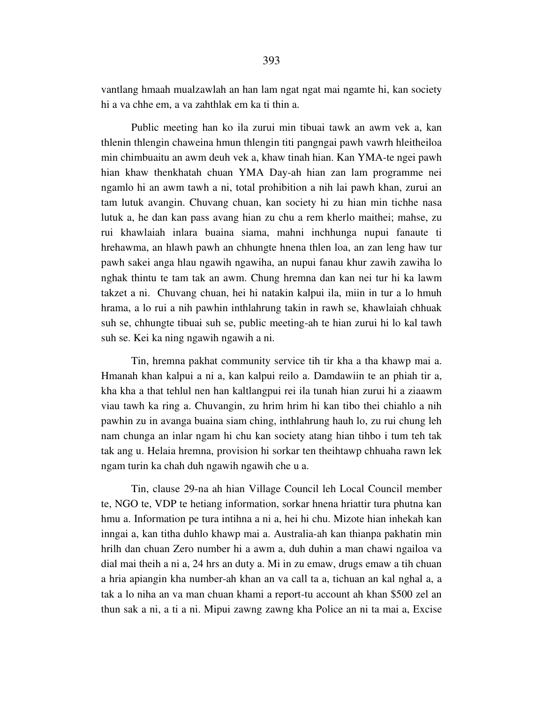vantlang hmaah mualzawlah an han lam ngat ngat mai ngamte hi, kan society hi a va chhe em, a va zahthlak em ka ti thin a.

 Public meeting han ko ila zurui min tibuai tawk an awm vek a, kan thlenin thlengin chaweina hmun thlengin titi pangngai pawh vawrh hleitheiloa min chimbuaitu an awm deuh vek a, khaw tinah hian. Kan YMA-te ngei pawh hian khaw thenkhatah chuan YMA Day-ah hian zan lam programme nei ngamlo hi an awm tawh a ni, total prohibition a nih lai pawh khan, zurui an tam lutuk avangin. Chuvang chuan, kan society hi zu hian min tichhe nasa lutuk a, he dan kan pass avang hian zu chu a rem kherlo maithei; mahse, zu rui khawlaiah inlara buaina siama, mahni inchhunga nupui fanaute ti hrehawma, an hlawh pawh an chhungte hnena thlen loa, an zan leng haw tur pawh sakei anga hlau ngawih ngawiha, an nupui fanau khur zawih zawiha lo nghak thintu te tam tak an awm. Chung hremna dan kan nei tur hi ka lawm takzet a ni. Chuvang chuan, hei hi natakin kalpui ila, miin in tur a lo hmuh hrama, a lo rui a nih pawhin inthlahrung takin in rawh se, khawlaiah chhuak suh se, chhungte tibuai suh se, public meeting-ah te hian zurui hi lo kal tawh suh se. Kei ka ning ngawih ngawih a ni.

 Tin, hremna pakhat community service tih tir kha a tha khawp mai a. Hmanah khan kalpui a ni a, kan kalpui reilo a. Damdawiin te an phiah tir a, kha kha a that tehlul nen han kaltlangpui rei ila tunah hian zurui hi a ziaawm viau tawh ka ring a. Chuvangin, zu hrim hrim hi kan tibo thei chiahlo a nih pawhin zu in avanga buaina siam ching, inthlahrung hauh lo, zu rui chung leh nam chunga an inlar ngam hi chu kan society atang hian tihbo i tum teh tak tak ang u. Helaia hremna, provision hi sorkar ten theihtawp chhuaha rawn lek ngam turin ka chah duh ngawih ngawih che u a.

 Tin, clause 29-na ah hian Village Council leh Local Council member te, NGO te, VDP te hetiang information, sorkar hnena hriattir tura phutna kan hmu a. Information pe tura intihna a ni a, hei hi chu. Mizote hian inhekah kan inngai a, kan titha duhlo khawp mai a. Australia-ah kan thianpa pakhatin min hrilh dan chuan Zero number hi a awm a, duh duhin a man chawi ngailoa va dial mai theih a ni a, 24 hrs an duty a. Mi in zu emaw, drugs emaw a tih chuan a hria apiangin kha number-ah khan an va call ta a, tichuan an kal nghal a, a tak a lo niha an va man chuan khami a report-tu account ah khan \$500 zel an thun sak a ni, a ti a ni. Mipui zawng zawng kha Police an ni ta mai a, Excise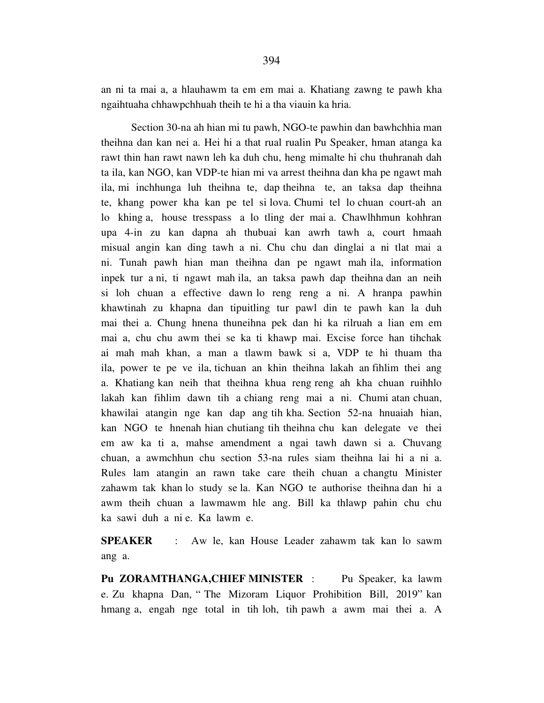an ni ta mai a, a hlauhawm ta em em mai a. Khatiang zawng te pawh kha ngaihtuaha chhawpchhuah theih te hi a tha viauin ka hria.

 Section 30-na ah hian mi tu pawh, NGO-te pawhin dan bawhchhia man theihna dan kan nei a. Hei hi a that rual rualin Pu Speaker, hman atanga ka rawt thin han rawt nawn leh ka duh chu, heng mimalte hi chu thuhranah dah ta ila, kan NGO, kan VDP-te hian mi va arrest theihna dan kha pe ngawt mah ila, mi inchhunga luh theihna te, dap theihna te, an taksa dap theihna te, khang power kha kan pe tel si lova. Chumi tel lo chuan court-ah an lo khing a, house tresspass a lo tling der mai a. Chawlhhmun kohhran upa 4-in zu kan dapna ah thubuai kan awrh tawh a, court hmaah misual angin kan ding tawh a ni. Chu chu dan dinglai a ni tlat mai a ni. Tunah pawh hian man theihna dan pe ngawt mah ila, information inpek tur a ni, ti ngawt mah ila, an taksa pawh dap theihna dan an neih si loh chuan a effective dawn lo reng reng a ni. A hranpa pawhin khawtinah zu khapna dan tipuitling tur pawl din te pawh kan la duh mai thei a. Chung hnena thuneihna pek dan hi ka rilruah a lian em em mai a, chu chu awm thei se ka ti khawp mai. Excise force han tihchak ai mah mah khan, a man a tlawm bawk si a, VDP te hi thuam tha ila, power te pe ve ila, tichuan an khin theihna lakah an fihlim thei ang a. Khatiang kan neih that theihna khua reng reng ah kha chuan ruihhlo lakah kan fihlim dawn tih a chiang reng mai a ni. Chumi atan chuan, khawilai atangin nge kan dap ang tih kha. Section 52-na hnuaiah hian, kan NGO te hnenah hian chutiang tih theihna chu kan delegate ve thei em aw ka ti a, mahse amendment a ngai tawh dawn si a. Chuvang chuan, a awmchhun chu section 53-na rules siam theihna lai hi a ni a. Rules lam atangin an rawn take care theih chuan a changtu Minister zahawm tak khan lo study se la. Kan NGO te authorise theihna dan hi a awm theih chuan a lawmawm hle ang. Bill ka thlawp pahin chu chu ka sawi duh a ni e. Ka lawm e.

**SPEAKER** : Aw le, kan House Leader zahawm tak kan lo sawm ang a.

**Pu ZORAMTHANGA,CHIEF MINISTER** : Pu Speaker, ka lawm e. Zu khapna Dan, " The Mizoram Liquor Prohibition Bill, 2019" kan hmang a, engah nge total in tih loh, tih pawh a awm mai thei a. A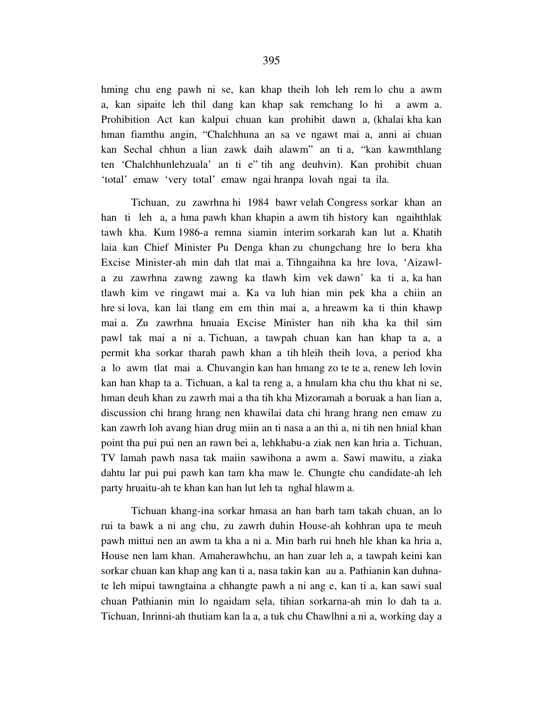hming chu eng pawh ni se, kan khap theih loh leh rem lo chu a awm a, kan sipaite leh thil dang kan khap sak remchang lo hi a awm a. Prohibition Act kan kalpui chuan kan prohibit dawn a, (khalai kha kan hman fiamthu angin, "Chalchhuna an sa ve ngawt mai a, anni ai chuan kan Sechal chhun a lian zawk daih alawm" an ti a, "kan kawmthlang ten 'Chalchhunlehzuala' an ti e" tih ang deuhvin). Kan prohibit chuan 'total' emaw 'very total' emaw ngai hranpa lovah ngai ta ila.

 Tichuan, zu zawrhna hi 1984 bawr velah Congress sorkar khan an han ti leh a, a hma pawh khan khapin a awm tih history kan ngaihthlak tawh kha. Kum 1986-a remna siamin interim sorkarah kan lut a. Khatih laia kan Chief Minister Pu Denga khan zu chungchang hre lo bera kha Excise Minister-ah min dah tlat mai a. Tihngaihna ka hre lova, 'Aizawla zu zawrhna zawng zawng ka tlawh kim vek dawn' ka ti a, ka han tlawh kim ve ringawt mai a. Ka va luh hian min pek kha a chiin an hre si lova, kan lai tlang em em thin mai a, a hreawm ka ti thin khawp mai a. Zu zawrhna hnuaia Excise Minister han nih kha ka thil sim pawl tak mai a ni a. Tichuan, a tawpah chuan kan han khap ta a, a permit kha sorkar tharah pawh khan a tih hleih theih lova, a period kha a lo awm tlat mai a. Chuvangin kan han hmang zo te te a, renew leh lovin kan han khap ta a. Tichuan, a kal ta reng a, a hnulam kha chu thu khat ni se, hman deuh khan zu zawrh mai a tha tih kha Mizoramah a boruak a han lian a, discussion chi hrang hrang nen khawilai data chi hrang hrang nen emaw zu kan zawrh loh avang hian drug miin an ti nasa a an thi a, ni tih nen hnial khan point tha pui pui nen an rawn bei a, lehkhabu-a ziak nen kan hria a. Tichuan, TV lamah pawh nasa tak maiin sawihona a awm a. Sawi mawitu, a ziaka dahtu lar pui pui pawh kan tam kha maw le. Chungte chu candidate-ah leh party hruaitu-ah te khan kan han lut leh ta nghal hlawm a.

 Tichuan khang-ina sorkar hmasa an han barh tam takah chuan, an lo rui ta bawk a ni ang chu, zu zawrh duhin House-ah kohhran upa te meuh pawh mittui nen an awm ta kha a ni a. Min barh rui hneh hle khan ka hria a, House nen lam khan. Amaherawhchu, an han zuar leh a, a tawpah keini kan sorkar chuan kan khap ang kan ti a, nasa takin kan au a. Pathianin kan duhnate leh mipui tawngtaina a chhangte pawh a ni ang e, kan ti a, kan sawi sual chuan Pathianin min lo ngaidam sela, tihian sorkarna-ah min lo dah ta a. Tichuan, Inrinni-ah thutiam kan la a, a tuk chu Chawlhni a ni a, working day a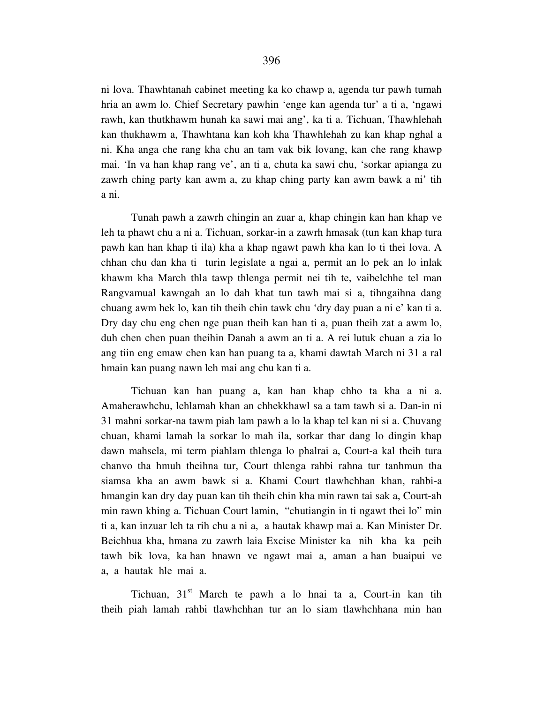ni lova. Thawhtanah cabinet meeting ka ko chawp a, agenda tur pawh tumah hria an awm lo. Chief Secretary pawhin 'enge kan agenda tur' a ti a, 'ngawi rawh, kan thutkhawm hunah ka sawi mai ang', ka ti a. Tichuan, Thawhlehah kan thukhawm a, Thawhtana kan koh kha Thawhlehah zu kan khap nghal a ni. Kha anga che rang kha chu an tam vak bik lovang, kan che rang khawp mai. 'In va han khap rang ve', an ti a, chuta ka sawi chu, 'sorkar apianga zu zawrh ching party kan awm a, zu khap ching party kan awm bawk a ni' tih a ni.

 Tunah pawh a zawrh chingin an zuar a, khap chingin kan han khap ve leh ta phawt chu a ni a. Tichuan, sorkar-in a zawrh hmasak (tun kan khap tura pawh kan han khap ti ila) kha a khap ngawt pawh kha kan lo ti thei lova. A chhan chu dan kha ti turin legislate a ngai a, permit an lo pek an lo inlak khawm kha March thla tawp thlenga permit nei tih te, vaibelchhe tel man Rangvamual kawngah an lo dah khat tun tawh mai si a, tihngaihna dang chuang awm hek lo, kan tih theih chin tawk chu 'dry day puan a ni e' kan ti a. Dry day chu eng chen nge puan theih kan han ti a, puan theih zat a awm lo, duh chen chen puan theihin Danah a awm an ti a. A rei lutuk chuan a zia lo ang tiin eng emaw chen kan han puang ta a, khami dawtah March ni 31 a ral hmain kan puang nawn leh mai ang chu kan ti a.

 Tichuan kan han puang a, kan han khap chho ta kha a ni a. Amaherawhchu, lehlamah khan an chhekkhawl sa a tam tawh si a. Dan-in ni 31 mahni sorkar-na tawm piah lam pawh a lo la khap tel kan ni si a. Chuvang chuan, khami lamah la sorkar lo mah ila, sorkar thar dang lo dingin khap dawn mahsela, mi term piahlam thlenga lo phalrai a, Court-a kal theih tura chanvo tha hmuh theihna tur, Court thlenga rahbi rahna tur tanhmun tha siamsa kha an awm bawk si a. Khami Court tlawhchhan khan, rahbi-a hmangin kan dry day puan kan tih theih chin kha min rawn tai sak a, Court-ah min rawn khing a. Tichuan Court lamin, "chutiangin in ti ngawt thei lo" min ti a, kan inzuar leh ta rih chu a ni a, a hautak khawp mai a. Kan Minister Dr. Beichhua kha, hmana zu zawrh laia Excise Minister ka nih kha ka peih tawh bik lova, ka han hnawn ve ngawt mai a, aman a han buaipui ve a, a hautak hle mai a.

Tichuan,  $31<sup>st</sup>$  March te pawh a lo hnai ta a, Court-in kan tih theih piah lamah rahbi tlawhchhan tur an lo siam tlawhchhana min han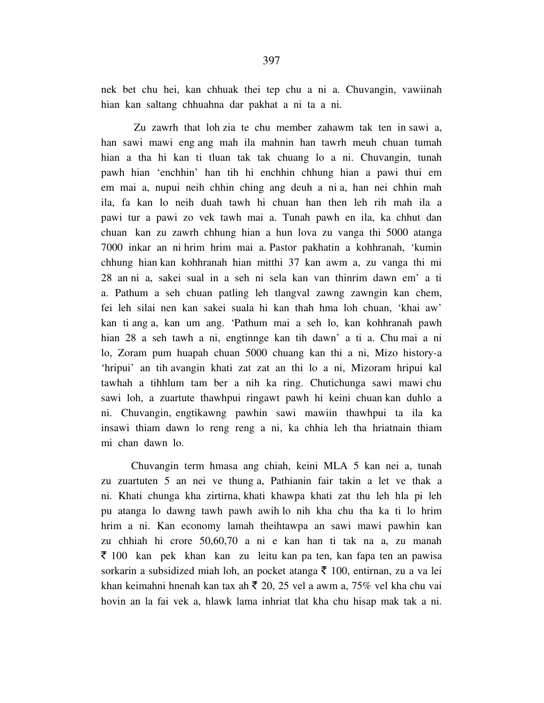nek bet chu hei, kan chhuak thei tep chu a ni a. Chuvangin, vawiinah hian kan saltang chhuahna dar pakhat a ni ta a ni.

 Zu zawrh that loh zia te chu member zahawm tak ten in sawi a, han sawi mawi eng ang mah ila mahnin han tawrh meuh chuan tumah hian a tha hi kan ti tluan tak tak chuang lo a ni. Chuvangin, tunah pawh hian 'enchhin' han tih hi enchhin chhung hian a pawi thui em em mai a, nupui neih chhin ching ang deuh a ni a, han nei chhin mah ila, fa kan lo neih duah tawh hi chuan han then leh rih mah ila a pawi tur a pawi zo vek tawh mai a. Tunah pawh en ila, ka chhut dan chuan kan zu zawrh chhung hian a hun lova zu vanga thi 5000 atanga 7000 inkar an ni hrim hrim mai a. Pastor pakhatin a kohhranah, 'kumin chhung hian kan kohhranah hian mitthi 37 kan awm a, zu vanga thi mi 28 an ni a, sakei sual in a seh ni sela kan van thinrim dawn em' a ti a. Pathum a seh chuan patling leh tlangval zawng zawngin kan chem, fei leh silai nen kan sakei suala hi kan thah hma loh chuan, 'khai aw' kan ti ang a, kan um ang. 'Pathum mai a seh lo, kan kohhranah pawh hian 28 a seh tawh a ni, engtinnge kan tih dawn' a ti a. Chu mai a ni lo, Zoram pum huapah chuan 5000 chuang kan thi a ni, Mizo history-a 'hripui' an tih avangin khati zat zat an thi lo a ni, Mizoram hripui kal tawhah a tihhlum tam ber a nih ka ring. Chutichunga sawi mawi chu sawi loh, a zuartute thawhpui ringawt pawh hi keini chuan kan duhlo a ni. Chuvangin, engtikawng pawhin sawi mawiin thawhpui ta ila ka insawi thiam dawn lo reng reng a ni, ka chhia leh tha hriatnain thiam mi chan dawn lo.

 Chuvangin term hmasa ang chiah, keini MLA 5 kan nei a, tunah zu zuartuten 5 an nei ve thung a, Pathianin fair takin a let ve thak a ni. Khati chunga kha zirtirna, khati khawpa khati zat thu leh hla pi leh pu atanga lo dawng tawh pawh awih lo nih kha chu tha ka ti lo hrim hrim a ni. Kan economy lamah theihtawpa an sawi mawi pawhin kan zu chhiah hi crore 50,60,70 a ni e kan han ti tak na a, zu manah  $\bar{\xi}$  100 kan pek khan kan zu leitu kan pa ten, kan fapa ten an pawisa sorkarin a subsidized miah loh, an pocket atanga  $\bar{\tau}$  100, entirnan, zu a va lei khan keimahni hnenah kan tax ah  $\bar{\tau}$  20, 25 vel a awm a, 75% vel kha chu vai hovin an la fai vek a, hlawk lama inhriat tlat kha chu hisap mak tak a ni.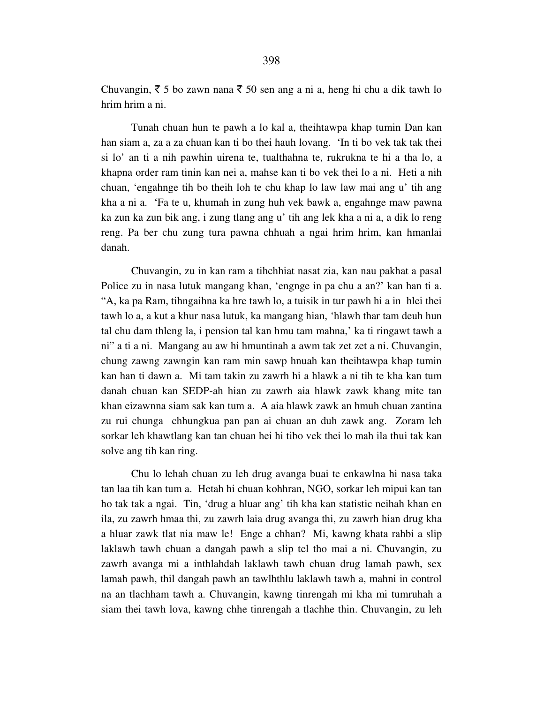Chuvangin,  $\bar{\xi}$  5 bo zawn nana  $\bar{\xi}$  50 sen ang a ni a, heng hi chu a dik tawh lo hrim hrim a ni.

 Tunah chuan hun te pawh a lo kal a, theihtawpa khap tumin Dan kan han siam a, za a za chuan kan ti bo thei hauh lovang. 'In ti bo vek tak tak thei si lo' an ti a nih pawhin uirena te, tualthahna te, rukrukna te hi a tha lo, a khapna order ram tinin kan nei a, mahse kan ti bo vek thei lo a ni. Heti a nih chuan, 'engahnge tih bo theih loh te chu khap lo law law mai ang u' tih ang kha a ni a. 'Fa te u, khumah in zung huh vek bawk a, engahnge maw pawna ka zun ka zun bik ang, i zung tlang ang u' tih ang lek kha a ni a, a dik lo reng reng. Pa ber chu zung tura pawna chhuah a ngai hrim hrim, kan hmanlai danah.

 Chuvangin, zu in kan ram a tihchhiat nasat zia, kan nau pakhat a pasal Police zu in nasa lutuk mangang khan, 'engnge in pa chu a an?' kan han ti a. "A, ka pa Ram, tihngaihna ka hre tawh lo, a tuisik in tur pawh hi a in hlei thei tawh lo a, a kut a khur nasa lutuk, ka mangang hian, 'hlawh thar tam deuh hun tal chu dam thleng la, i pension tal kan hmu tam mahna,' ka ti ringawt tawh a ni" a ti a ni. Mangang au aw hi hmuntinah a awm tak zet zet a ni. Chuvangin, chung zawng zawngin kan ram min sawp hnuah kan theihtawpa khap tumin kan han ti dawn a. Mi tam takin zu zawrh hi a hlawk a ni tih te kha kan tum danah chuan kan SEDP-ah hian zu zawrh aia hlawk zawk khang mite tan khan eizawnna siam sak kan tum a. A aia hlawk zawk an hmuh chuan zantina zu rui chunga chhungkua pan pan ai chuan an duh zawk ang. Zoram leh sorkar leh khawtlang kan tan chuan hei hi tibo vek thei lo mah ila thui tak kan solve ang tih kan ring.

 Chu lo lehah chuan zu leh drug avanga buai te enkawlna hi nasa taka tan laa tih kan tum a. Hetah hi chuan kohhran, NGO, sorkar leh mipui kan tan ho tak tak a ngai. Tin, 'drug a hluar ang' tih kha kan statistic neihah khan en ila, zu zawrh hmaa thi, zu zawrh laia drug avanga thi, zu zawrh hian drug kha a hluar zawk tlat nia maw le! Enge a chhan? Mi, kawng khata rahbi a slip laklawh tawh chuan a dangah pawh a slip tel tho mai a ni. Chuvangin, zu zawrh avanga mi a inthlahdah laklawh tawh chuan drug lamah pawh, sex lamah pawh, thil dangah pawh an tawlhthlu laklawh tawh a, mahni in control na an tlachham tawh a. Chuvangin, kawng tinrengah mi kha mi tumruhah a siam thei tawh lova, kawng chhe tinrengah a tlachhe thin. Chuvangin, zu leh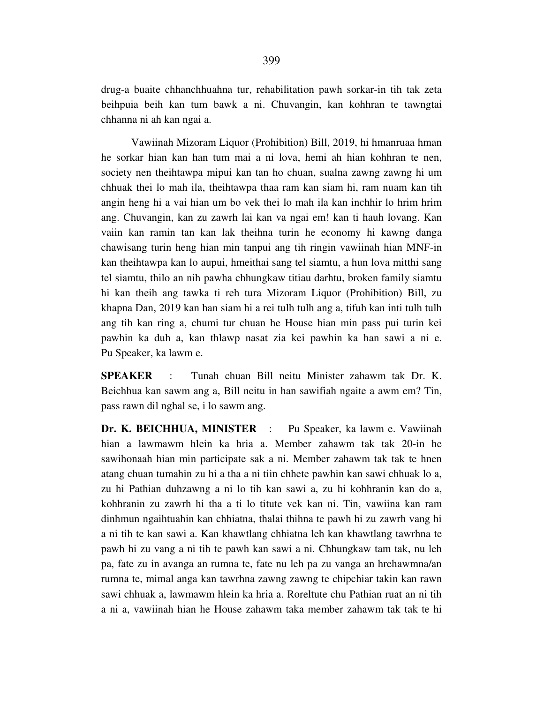drug-a buaite chhanchhuahna tur, rehabilitation pawh sorkar-in tih tak zeta beihpuia beih kan tum bawk a ni. Chuvangin, kan kohhran te tawngtai chhanna ni ah kan ngai a.

 Vawiinah Mizoram Liquor (Prohibition) Bill, 2019, hi hmanruaa hman he sorkar hian kan han tum mai a ni lova, hemi ah hian kohhran te nen, society nen theihtawpa mipui kan tan ho chuan, sualna zawng zawng hi um chhuak thei lo mah ila, theihtawpa thaa ram kan siam hi, ram nuam kan tih angin heng hi a vai hian um bo vek thei lo mah ila kan inchhir lo hrim hrim ang. Chuvangin, kan zu zawrh lai kan va ngai em! kan ti hauh lovang. Kan vaiin kan ramin tan kan lak theihna turin he economy hi kawng danga chawisang turin heng hian min tanpui ang tih ringin vawiinah hian MNF-in kan theihtawpa kan lo aupui, hmeithai sang tel siamtu, a hun lova mitthi sang tel siamtu, thilo an nih pawha chhungkaw titiau darhtu, broken family siamtu hi kan theih ang tawka ti reh tura Mizoram Liquor (Prohibition) Bill, zu khapna Dan, 2019 kan han siam hi a rei tulh tulh ang a, tifuh kan inti tulh tulh ang tih kan ring a, chumi tur chuan he House hian min pass pui turin kei pawhin ka duh a, kan thlawp nasat zia kei pawhin ka han sawi a ni e. Pu Speaker, ka lawm e.

**SPEAKER** : Tunah chuan Bill neitu Minister zahawm tak Dr. K. Beichhua kan sawm ang a, Bill neitu in han sawifiah ngaite a awm em? Tin, pass rawn dil nghal se, i lo sawm ang.

**Dr. K. BEICHHUA, MINISTER** : Pu Speaker, ka lawm e. Vawiinah hian a lawmawm hlein ka hria a. Member zahawm tak tak 20-in he sawihonaah hian min participate sak a ni. Member zahawm tak tak te hnen atang chuan tumahin zu hi a tha a ni tiin chhete pawhin kan sawi chhuak lo a, zu hi Pathian duhzawng a ni lo tih kan sawi a, zu hi kohhranin kan do a, kohhranin zu zawrh hi tha a ti lo titute vek kan ni. Tin, vawiina kan ram dinhmun ngaihtuahin kan chhiatna, thalai thihna te pawh hi zu zawrh vang hi a ni tih te kan sawi a. Kan khawtlang chhiatna leh kan khawtlang tawrhna te pawh hi zu vang a ni tih te pawh kan sawi a ni. Chhungkaw tam tak, nu leh pa, fate zu in avanga an rumna te, fate nu leh pa zu vanga an hrehawmna/an rumna te, mimal anga kan tawrhna zawng zawng te chipchiar takin kan rawn sawi chhuak a, lawmawm hlein ka hria a. Roreltute chu Pathian ruat an ni tih a ni a, vawiinah hian he House zahawm taka member zahawm tak tak te hi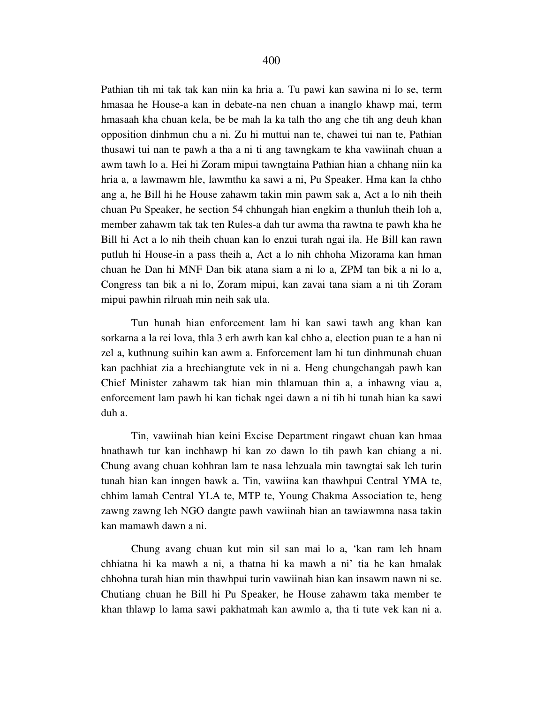Pathian tih mi tak tak kan niin ka hria a. Tu pawi kan sawina ni lo se, term hmasaa he House-a kan in debate-na nen chuan a inanglo khawp mai, term hmasaah kha chuan kela, be be mah la ka talh tho ang che tih ang deuh khan opposition dinhmun chu a ni. Zu hi muttui nan te, chawei tui nan te, Pathian thusawi tui nan te pawh a tha a ni ti ang tawngkam te kha vawiinah chuan a awm tawh lo a. Hei hi Zoram mipui tawngtaina Pathian hian a chhang niin ka hria a, a lawmawm hle, lawmthu ka sawi a ni, Pu Speaker. Hma kan la chho ang a, he Bill hi he House zahawm takin min pawm sak a, Act a lo nih theih chuan Pu Speaker, he section 54 chhungah hian engkim a thunluh theih loh a, member zahawm tak tak ten Rules-a dah tur awma tha rawtna te pawh kha he Bill hi Act a lo nih theih chuan kan lo enzui turah ngai ila. He Bill kan rawn putluh hi House-in a pass theih a, Act a lo nih chhoha Mizorama kan hman chuan he Dan hi MNF Dan bik atana siam a ni lo a, ZPM tan bik a ni lo a, Congress tan bik a ni lo, Zoram mipui, kan zavai tana siam a ni tih Zoram mipui pawhin rilruah min neih sak ula.

 Tun hunah hian enforcement lam hi kan sawi tawh ang khan kan sorkarna a la rei lova, thla 3 erh awrh kan kal chho a, election puan te a han ni zel a, kuthnung suihin kan awm a. Enforcement lam hi tun dinhmunah chuan kan pachhiat zia a hrechiangtute vek in ni a. Heng chungchangah pawh kan Chief Minister zahawm tak hian min thlamuan thin a, a inhawng viau a, enforcement lam pawh hi kan tichak ngei dawn a ni tih hi tunah hian ka sawi duh a.

 Tin, vawiinah hian keini Excise Department ringawt chuan kan hmaa hnathawh tur kan inchhawp hi kan zo dawn lo tih pawh kan chiang a ni. Chung avang chuan kohhran lam te nasa lehzuala min tawngtai sak leh turin tunah hian kan inngen bawk a. Tin, vawiina kan thawhpui Central YMA te, chhim lamah Central YLA te, MTP te, Young Chakma Association te, heng zawng zawng leh NGO dangte pawh vawiinah hian an tawiawmna nasa takin kan mamawh dawn a ni.

 Chung avang chuan kut min sil san mai lo a, 'kan ram leh hnam chhiatna hi ka mawh a ni, a thatna hi ka mawh a ni' tia he kan hmalak chhohna turah hian min thawhpui turin vawiinah hian kan insawm nawn ni se. Chutiang chuan he Bill hi Pu Speaker, he House zahawm taka member te khan thlawp lo lama sawi pakhatmah kan awmlo a, tha ti tute vek kan ni a.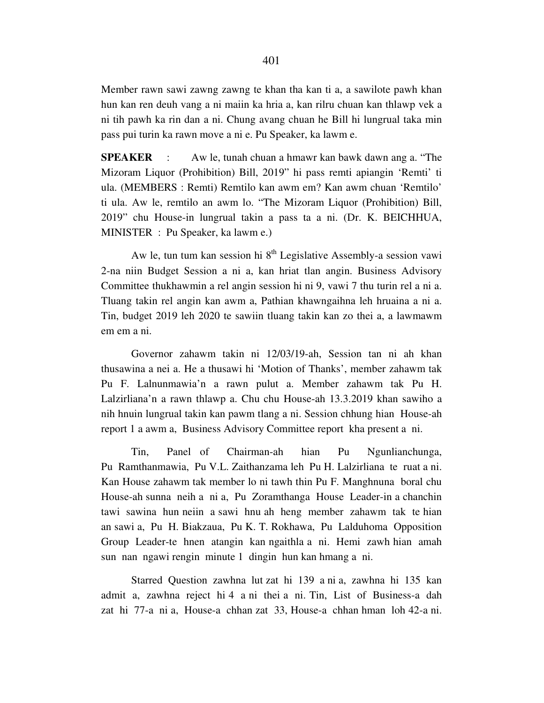Member rawn sawi zawng zawng te khan tha kan ti a, a sawilote pawh khan hun kan ren deuh vang a ni maiin ka hria a, kan rilru chuan kan thlawp vek a ni tih pawh ka rin dan a ni. Chung avang chuan he Bill hi lungrual taka min pass pui turin ka rawn move a ni e. Pu Speaker, ka lawm e.

**SPEAKER** : Aw le, tunah chuan a hmawr kan bawk dawn ang a. "The Mizoram Liquor (Prohibition) Bill, 2019" hi pass remti apiangin 'Remti' ti ula. (MEMBERS : Remti) Remtilo kan awm em? Kan awm chuan 'Remtilo' ti ula. Aw le, remtilo an awm lo. "The Mizoram Liquor (Prohibition) Bill, 2019" chu House-in lungrual takin a pass ta a ni. (Dr. K. BEICHHUA, MINISTER : Pu Speaker, ka lawm e.)

Aw le, tun tum kan session hi  $8<sup>th</sup>$  Legislative Assembly-a session vawi 2-na niin Budget Session a ni a, kan hriat tlan angin. Business Advisory Committee thukhawmin a rel angin session hi ni 9, vawi 7 thu turin rel a ni a. Tluang takin rel angin kan awm a, Pathian khawngaihna leh hruaina a ni a. Tin, budget 2019 leh 2020 te sawiin tluang takin kan zo thei a, a lawmawm em em a ni.

 Governor zahawm takin ni 12/03/19-ah, Session tan ni ah khan thusawina a nei a. He a thusawi hi 'Motion of Thanks', member zahawm tak Pu F. Lalnunmawia'n a rawn pulut a. Member zahawm tak Pu H. Lalzirliana'n a rawn thlawp a. Chu chu House-ah 13.3.2019 khan sawiho a nih hnuin lungrual takin kan pawm tlang a ni. Session chhung hian House-ah report 1 a awm a, Business Advisory Committee report kha present a ni.

 Tin, Panel of Chairman-ah hian Pu Ngunlianchunga, Pu Ramthanmawia, Pu V.L. Zaithanzama leh Pu H. Lalzirliana te ruat a ni. Kan House zahawm tak member lo ni tawh thin Pu F. Manghnuna boral chu House-ah sunna neih a ni a, Pu Zoramthanga House Leader-in a chanchin tawi sawina hun neiin a sawi hnu ah heng member zahawm tak te hian an sawi a, Pu H. Biakzaua, Pu K. T. Rokhawa, Pu Lalduhoma Opposition Group Leader-te hnen atangin kan ngaithla a ni. Hemi zawh hian amah sun nan ngawi rengin minute 1 dingin hun kan hmang a ni.

 Starred Question zawhna lut zat hi 139 a ni a, zawhna hi 135 kan admit a, zawhna reject hi 4 a ni thei a ni. Tin, List of Business-a dah zat hi 77-a ni a, House-a chhan zat 33, House-a chhan hman loh 42-a ni.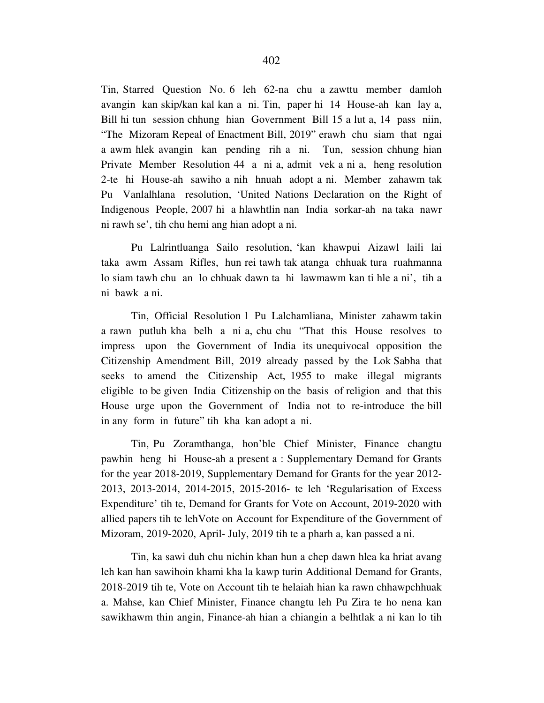Tin, Starred Question No. 6 leh 62-na chu a zawttu member damloh avangin kan skip/kan kal kan a ni. Tin, paper hi 14 House-ah kan lay a, Bill hi tun session chhung hian Government Bill 15 a lut a, 14 pass niin, "The Mizoram Repeal of Enactment Bill, 2019" erawh chu siam that ngai a awm hlek avangin kan pending rih a ni. Tun, session chhung hian Private Member Resolution 44 a ni a, admit vek a ni a, heng resolution 2-te hi House-ah sawiho a nih hnuah adopt a ni. Member zahawm tak Pu Vanlalhlana resolution, 'United Nations Declaration on the Right of Indigenous People, 2007 hi a hlawhtlin nan India sorkar-ah na taka nawr ni rawh se', tih chu hemi ang hian adopt a ni.

 Pu Lalrintluanga Sailo resolution, 'kan khawpui Aizawl laili lai taka awm Assam Rifles, hun rei tawh tak atanga chhuak tura ruahmanna lo siam tawh chu an lo chhuak dawn ta hi lawmawm kan ti hle a ni', tih a ni bawk a ni.

 Tin, Official Resolution 1 Pu Lalchamliana, Minister zahawm takin a rawn putluh kha belh a ni a, chu chu "That this House resolves to impress upon the Government of India its unequivocal opposition the Citizenship Amendment Bill, 2019 already passed by the Lok Sabha that seeks to amend the Citizenship Act, 1955 to make illegal migrants eligible to be given India Citizenship on the basis of religion and that this House urge upon the Government of India not to re-introduce the bill in any form in future" tih kha kan adopt a ni.

 Tin, Pu Zoramthanga, hon'ble Chief Minister, Finance changtu pawhin heng hi House-ah a present a : Supplementary Demand for Grants for the year 2018-2019, Supplementary Demand for Grants for the year 2012- 2013, 2013-2014, 2014-2015, 2015-2016- te leh 'Regularisation of Excess Expenditure' tih te, Demand for Grants for Vote on Account, 2019-2020 with allied papers tih te lehVote on Account for Expenditure of the Government of Mizoram, 2019-2020, April- July, 2019 tih te a pharh a, kan passed a ni.

 Tin, ka sawi duh chu nichin khan hun a chep dawn hlea ka hriat avang leh kan han sawihoin khami kha la kawp turin Additional Demand for Grants, 2018-2019 tih te, Vote on Account tih te helaiah hian ka rawn chhawpchhuak a. Mahse, kan Chief Minister, Finance changtu leh Pu Zira te ho nena kan sawikhawm thin angin, Finance-ah hian a chiangin a belhtlak a ni kan lo tih